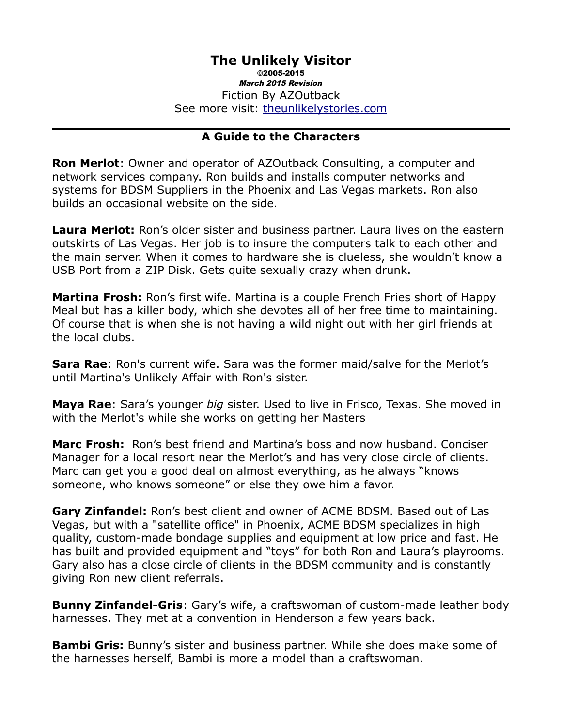# **The Unlikely Visitor**

©2005-2015 March 2015 Revision Fiction By AZOutback See more visit: [theunlikelystories.com](http://theunlikelystories.com/)

#### **A Guide to the Characters**

**Ron Merlot**: Owner and operator of AZOutback Consulting, a computer and network services company. Ron builds and installs computer networks and systems for BDSM Suppliers in the Phoenix and Las Vegas markets. Ron also builds an occasional website on the side.

**Laura Merlot:** Ron's older sister and business partner. Laura lives on the eastern outskirts of Las Vegas. Her job is to insure the computers talk to each other and the main server. When it comes to hardware she is clueless, she wouldn't know a USB Port from a ZIP Disk. Gets quite sexually crazy when drunk.

**Martina Frosh:** Ron's first wife. Martina is a couple French Fries short of Happy Meal but has a killer body, which she devotes all of her free time to maintaining. Of course that is when she is not having a wild night out with her girl friends at the local clubs.

**Sara Rae**: Ron's current wife. Sara was the former maid/salve for the Merlot's until Martina's Unlikely Affair with Ron's sister.

**Maya Rae**: Sara's younger *big* sister. Used to live in Frisco, Texas. She moved in with the Merlot's while she works on getting her Masters

**Marc Frosh:** Ron's best friend and Martina's boss and now husband. Conciser Manager for a local resort near the Merlot's and has very close circle of clients. Marc can get you a good deal on almost everything, as he always "knows someone, who knows someone" or else they owe him a favor.

**Gary Zinfandel:** Ron's best client and owner of ACME BDSM. Based out of Las Vegas, but with a "satellite office" in Phoenix, ACME BDSM specializes in high quality, custom-made bondage supplies and equipment at low price and fast. He has built and provided equipment and "toys" for both Ron and Laura's playrooms. Gary also has a close circle of clients in the BDSM community and is constantly giving Ron new client referrals.

**Bunny Zinfandel-Gris**: Gary's wife, a craftswoman of custom-made leather body harnesses. They met at a convention in Henderson a few years back.

**Bambi Gris:** Bunny's sister and business partner. While she does make some of the harnesses herself, Bambi is more a model than a craftswoman.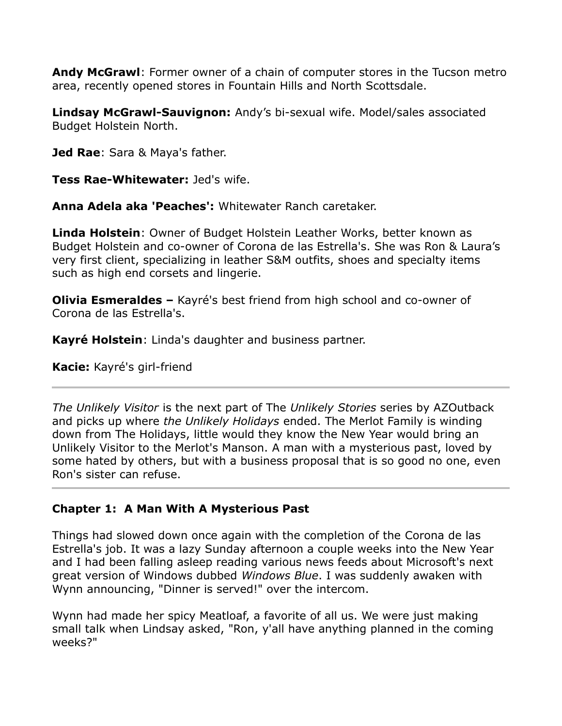**Andy McGrawl**: Former owner of a chain of computer stores in the Tucson metro area, recently opened stores in Fountain Hills and North Scottsdale.

**Lindsay McGrawl-Sauvignon:** Andy's bi-sexual wife. Model/sales associated Budget Holstein North.

**Jed Rae**: Sara & Maya's father.

**Tess Rae-Whitewater:** Jed's wife.

**Anna Adela aka 'Peaches':** Whitewater Ranch caretaker.

**Linda Holstein**: Owner of Budget Holstein Leather Works, better known as Budget Holstein and co-owner of Corona de las Estrella's. She was Ron & Laura's very first client, specializing in leather S&M outfits, shoes and specialty items such as high end corsets and lingerie.

**Olivia Esmeraldes –** Kayré's best friend from high school and co-owner of Corona de las Estrella's.

**Kayré Holstein**: Linda's daughter and business partner.

**Kacie:** Kayré's girl-friend

*The Unlikely Visitor* is the next part of The *Unlikely Stories* series by AZOutback and picks up where *the Unlikely Holidays* ended. The Merlot Family is winding down from The Holidays, little would they know the New Year would bring an Unlikely Visitor to the Merlot's Manson. A man with a mysterious past, loved by some hated by others, but with a business proposal that is so good no one, even Ron's sister can refuse.

## **Chapter 1: A Man With A Mysterious Past**

Things had slowed down once again with the completion of the Corona de las Estrella's job. It was a lazy Sunday afternoon a couple weeks into the New Year and I had been falling asleep reading various news feeds about Microsoft's next great version of Windows dubbed *Windows Blue*. I was suddenly awaken with Wynn announcing, "Dinner is served!" over the intercom.

Wynn had made her spicy Meatloaf, a favorite of all us. We were just making small talk when Lindsay asked, "Ron, y'all have anything planned in the coming weeks?"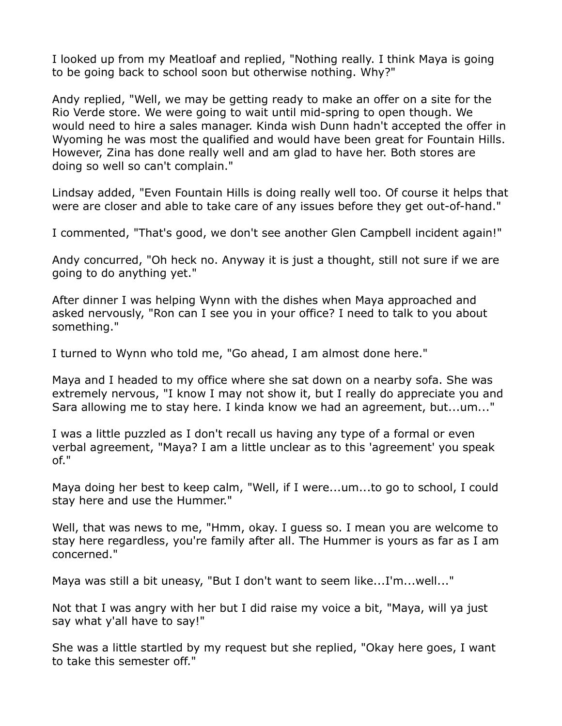I looked up from my Meatloaf and replied, "Nothing really. I think Maya is going to be going back to school soon but otherwise nothing. Why?"

Andy replied, "Well, we may be getting ready to make an offer on a site for the Rio Verde store. We were going to wait until mid-spring to open though. We would need to hire a sales manager. Kinda wish Dunn hadn't accepted the offer in Wyoming he was most the qualified and would have been great for Fountain Hills. However, Zina has done really well and am glad to have her. Both stores are doing so well so can't complain."

Lindsay added, "Even Fountain Hills is doing really well too. Of course it helps that were are closer and able to take care of any issues before they get out-of-hand."

I commented, "That's good, we don't see another Glen Campbell incident again!"

Andy concurred, "Oh heck no. Anyway it is just a thought, still not sure if we are going to do anything yet."

After dinner I was helping Wynn with the dishes when Maya approached and asked nervously, "Ron can I see you in your office? I need to talk to you about something."

I turned to Wynn who told me, "Go ahead, I am almost done here."

Maya and I headed to my office where she sat down on a nearby sofa. She was extremely nervous, "I know I may not show it, but I really do appreciate you and Sara allowing me to stay here. I kinda know we had an agreement, but...um..."

I was a little puzzled as I don't recall us having any type of a formal or even verbal agreement, "Maya? I am a little unclear as to this 'agreement' you speak of."

Maya doing her best to keep calm, "Well, if I were...um...to go to school, I could stay here and use the Hummer."

Well, that was news to me, "Hmm, okay. I guess so. I mean you are welcome to stay here regardless, you're family after all. The Hummer is yours as far as I am concerned."

Maya was still a bit uneasy, "But I don't want to seem like...I'm...well..."

Not that I was angry with her but I did raise my voice a bit, "Maya, will ya just say what y'all have to say!"

She was a little startled by my request but she replied, "Okay here goes, I want to take this semester off."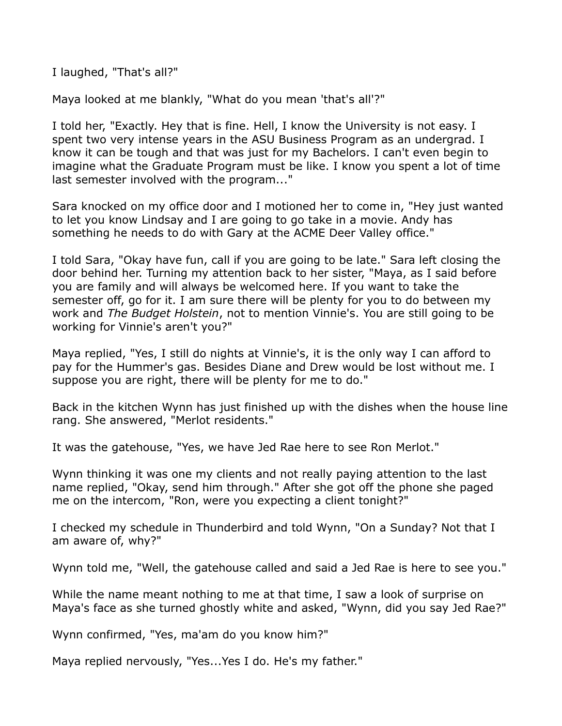I laughed, "That's all?"

Maya looked at me blankly, "What do you mean 'that's all'?"

I told her, "Exactly. Hey that is fine. Hell, I know the University is not easy. I spent two very intense years in the ASU Business Program as an undergrad. I know it can be tough and that was just for my Bachelors. I can't even begin to imagine what the Graduate Program must be like. I know you spent a lot of time last semester involved with the program..."

Sara knocked on my office door and I motioned her to come in, "Hey just wanted to let you know Lindsay and I are going to go take in a movie. Andy has something he needs to do with Gary at the ACME Deer Valley office."

I told Sara, "Okay have fun, call if you are going to be late." Sara left closing the door behind her. Turning my attention back to her sister, "Maya, as I said before you are family and will always be welcomed here. If you want to take the semester off, go for it. I am sure there will be plenty for you to do between my work and *The Budget Holstein*, not to mention Vinnie's. You are still going to be working for Vinnie's aren't you?"

Maya replied, "Yes, I still do nights at Vinnie's, it is the only way I can afford to pay for the Hummer's gas. Besides Diane and Drew would be lost without me. I suppose you are right, there will be plenty for me to do."

Back in the kitchen Wynn has just finished up with the dishes when the house line rang. She answered, "Merlot residents."

It was the gatehouse, "Yes, we have Jed Rae here to see Ron Merlot."

Wynn thinking it was one my clients and not really paying attention to the last name replied, "Okay, send him through." After she got off the phone she paged me on the intercom, "Ron, were you expecting a client tonight?"

I checked my schedule in Thunderbird and told Wynn, "On a Sunday? Not that I am aware of, why?"

Wynn told me, "Well, the gatehouse called and said a Jed Rae is here to see you."

While the name meant nothing to me at that time, I saw a look of surprise on Maya's face as she turned ghostly white and asked, "Wynn, did you say Jed Rae?"

Wynn confirmed, "Yes, ma'am do you know him?"

Maya replied nervously, "Yes...Yes I do. He's my father."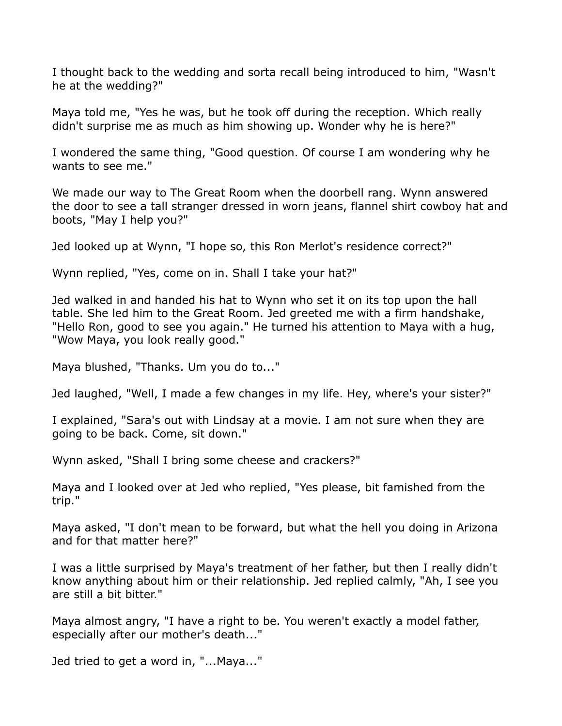I thought back to the wedding and sorta recall being introduced to him, "Wasn't he at the wedding?"

Maya told me, "Yes he was, but he took off during the reception. Which really didn't surprise me as much as him showing up. Wonder why he is here?"

I wondered the same thing, "Good question. Of course I am wondering why he wants to see me."

We made our way to The Great Room when the doorbell rang. Wynn answered the door to see a tall stranger dressed in worn jeans, flannel shirt cowboy hat and boots, "May I help you?"

Jed looked up at Wynn, "I hope so, this Ron Merlot's residence correct?"

Wynn replied, "Yes, come on in. Shall I take your hat?"

Jed walked in and handed his hat to Wynn who set it on its top upon the hall table. She led him to the Great Room. Jed greeted me with a firm handshake, "Hello Ron, good to see you again." He turned his attention to Maya with a hug, "Wow Maya, you look really good."

Maya blushed, "Thanks. Um you do to..."

Jed laughed, "Well, I made a few changes in my life. Hey, where's your sister?"

I explained, "Sara's out with Lindsay at a movie. I am not sure when they are going to be back. Come, sit down."

Wynn asked, "Shall I bring some cheese and crackers?"

Maya and I looked over at Jed who replied, "Yes please, bit famished from the trip."

Maya asked, "I don't mean to be forward, but what the hell you doing in Arizona and for that matter here?"

I was a little surprised by Maya's treatment of her father, but then I really didn't know anything about him or their relationship. Jed replied calmly, "Ah, I see you are still a bit bitter."

Maya almost angry, "I have a right to be. You weren't exactly a model father, especially after our mother's death..."

Jed tried to get a word in, "...Maya..."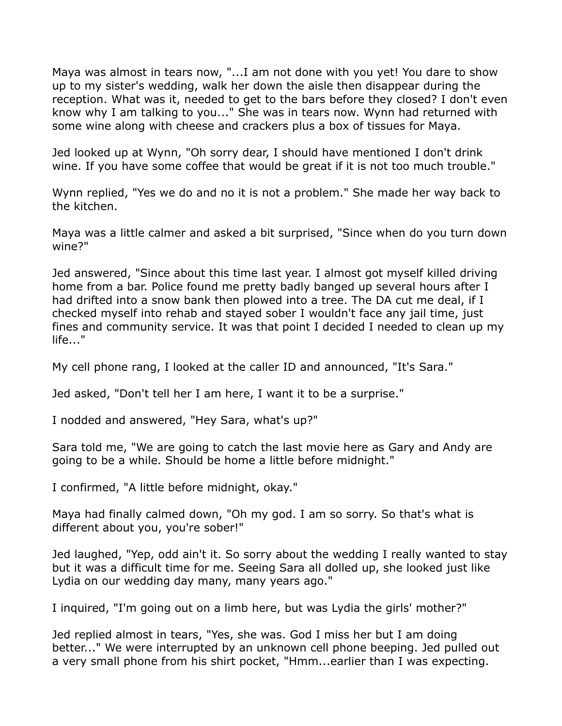Maya was almost in tears now, "...I am not done with you yet! You dare to show up to my sister's wedding, walk her down the aisle then disappear during the reception. What was it, needed to get to the bars before they closed? I don't even know why I am talking to you..." She was in tears now. Wynn had returned with some wine along with cheese and crackers plus a box of tissues for Maya.

Jed looked up at Wynn, "Oh sorry dear, I should have mentioned I don't drink wine. If you have some coffee that would be great if it is not too much trouble."

Wynn replied, "Yes we do and no it is not a problem." She made her way back to the kitchen.

Maya was a little calmer and asked a bit surprised, "Since when do you turn down wine?"

Jed answered, "Since about this time last year. I almost got myself killed driving home from a bar. Police found me pretty badly banged up several hours after I had drifted into a snow bank then plowed into a tree. The DA cut me deal, if I checked myself into rehab and stayed sober I wouldn't face any jail time, just fines and community service. It was that point I decided I needed to clean up my life..."

My cell phone rang, I looked at the caller ID and announced, "It's Sara."

Jed asked, "Don't tell her I am here, I want it to be a surprise."

I nodded and answered, "Hey Sara, what's up?"

Sara told me, "We are going to catch the last movie here as Gary and Andy are going to be a while. Should be home a little before midnight."

I confirmed, "A little before midnight, okay."

Maya had finally calmed down, "Oh my god. I am so sorry. So that's what is different about you, you're sober!"

Jed laughed, "Yep, odd ain't it. So sorry about the wedding I really wanted to stay but it was a difficult time for me. Seeing Sara all dolled up, she looked just like Lydia on our wedding day many, many years ago."

I inquired, "I'm going out on a limb here, but was Lydia the girls' mother?"

Jed replied almost in tears, "Yes, she was. God I miss her but I am doing better..." We were interrupted by an unknown cell phone beeping. Jed pulled out a very small phone from his shirt pocket, "Hmm...earlier than I was expecting.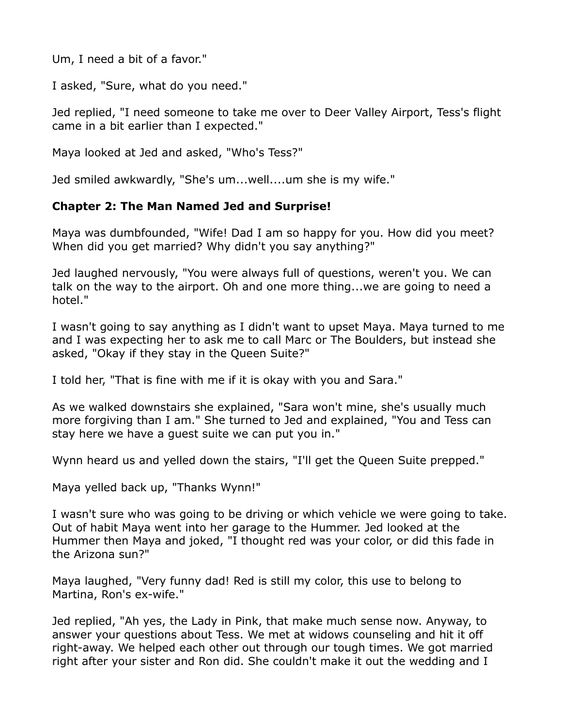Um, I need a bit of a favor."

I asked, "Sure, what do you need."

Jed replied, "I need someone to take me over to Deer Valley Airport, Tess's flight came in a bit earlier than I expected."

Maya looked at Jed and asked, "Who's Tess?"

Jed smiled awkwardly, "She's um...well....um she is my wife."

#### **Chapter 2: The Man Named Jed and Surprise!**

Maya was dumbfounded, "Wife! Dad I am so happy for you. How did you meet? When did you get married? Why didn't you say anything?"

Jed laughed nervously, "You were always full of questions, weren't you. We can talk on the way to the airport. Oh and one more thing...we are going to need a hotel."

I wasn't going to say anything as I didn't want to upset Maya. Maya turned to me and I was expecting her to ask me to call Marc or The Boulders, but instead she asked, "Okay if they stay in the Queen Suite?"

I told her, "That is fine with me if it is okay with you and Sara."

As we walked downstairs she explained, "Sara won't mine, she's usually much more forgiving than I am." She turned to Jed and explained, "You and Tess can stay here we have a guest suite we can put you in."

Wynn heard us and yelled down the stairs, "I'll get the Queen Suite prepped."

Maya yelled back up, "Thanks Wynn!"

I wasn't sure who was going to be driving or which vehicle we were going to take. Out of habit Maya went into her garage to the Hummer. Jed looked at the Hummer then Maya and joked, "I thought red was your color, or did this fade in the Arizona sun?"

Maya laughed, "Very funny dad! Red is still my color, this use to belong to Martina, Ron's ex-wife."

Jed replied, "Ah yes, the Lady in Pink, that make much sense now. Anyway, to answer your questions about Tess. We met at widows counseling and hit it off right-away. We helped each other out through our tough times. We got married right after your sister and Ron did. She couldn't make it out the wedding and I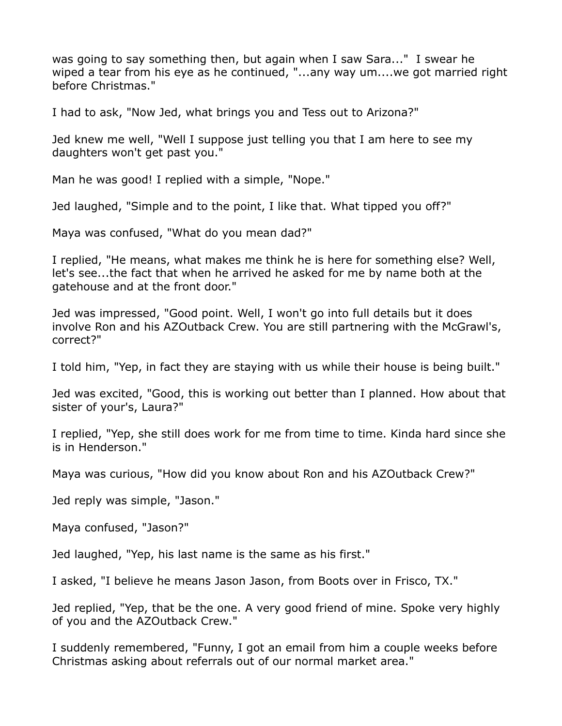was going to say something then, but again when I saw Sara..." I swear he wiped a tear from his eye as he continued, "...any way um....we got married right before Christmas."

I had to ask, "Now Jed, what brings you and Tess out to Arizona?"

Jed knew me well, "Well I suppose just telling you that I am here to see my daughters won't get past you."

Man he was good! I replied with a simple, "Nope."

Jed laughed, "Simple and to the point, I like that. What tipped you off?"

Maya was confused, "What do you mean dad?"

I replied, "He means, what makes me think he is here for something else? Well, let's see...the fact that when he arrived he asked for me by name both at the gatehouse and at the front door."

Jed was impressed, "Good point. Well, I won't go into full details but it does involve Ron and his AZOutback Crew. You are still partnering with the McGrawl's, correct?"

I told him, "Yep, in fact they are staying with us while their house is being built."

Jed was excited, "Good, this is working out better than I planned. How about that sister of your's, Laura?"

I replied, "Yep, she still does work for me from time to time. Kinda hard since she is in Henderson."

Maya was curious, "How did you know about Ron and his AZOutback Crew?"

Jed reply was simple, "Jason."

Maya confused, "Jason?"

Jed laughed, "Yep, his last name is the same as his first."

I asked, "I believe he means Jason Jason, from Boots over in Frisco, TX."

Jed replied, "Yep, that be the one. A very good friend of mine. Spoke very highly of you and the AZOutback Crew."

I suddenly remembered, "Funny, I got an email from him a couple weeks before Christmas asking about referrals out of our normal market area."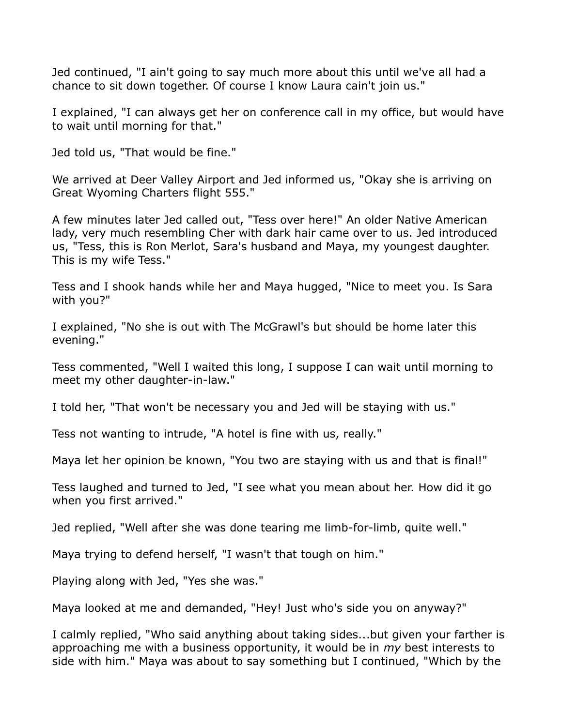Jed continued, "I ain't going to say much more about this until we've all had a chance to sit down together. Of course I know Laura cain't join us."

I explained, "I can always get her on conference call in my office, but would have to wait until morning for that."

Jed told us, "That would be fine."

We arrived at Deer Valley Airport and Jed informed us, "Okay she is arriving on Great Wyoming Charters flight 555."

A few minutes later Jed called out, "Tess over here!" An older Native American lady, very much resembling Cher with dark hair came over to us. Jed introduced us, "Tess, this is Ron Merlot, Sara's husband and Maya, my youngest daughter. This is my wife Tess."

Tess and I shook hands while her and Maya hugged, "Nice to meet you. Is Sara with you?"

I explained, "No she is out with The McGrawl's but should be home later this evening."

Tess commented, "Well I waited this long, I suppose I can wait until morning to meet my other daughter-in-law."

I told her, "That won't be necessary you and Jed will be staying with us."

Tess not wanting to intrude, "A hotel is fine with us, really."

Maya let her opinion be known, "You two are staying with us and that is final!"

Tess laughed and turned to Jed, "I see what you mean about her. How did it go when you first arrived."

Jed replied, "Well after she was done tearing me limb-for-limb, quite well."

Maya trying to defend herself, "I wasn't that tough on him."

Playing along with Jed, "Yes she was."

Maya looked at me and demanded, "Hey! Just who's side you on anyway?"

I calmly replied, "Who said anything about taking sides...but given your farther is approaching me with a business opportunity, it would be in *my* best interests to side with him." Maya was about to say something but I continued, "Which by the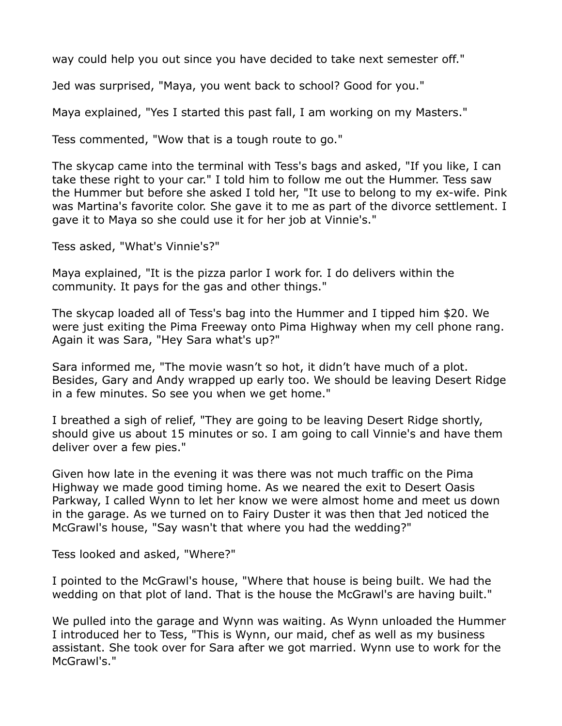way could help you out since you have decided to take next semester off."

Jed was surprised, "Maya, you went back to school? Good for you."

Maya explained, "Yes I started this past fall, I am working on my Masters."

Tess commented, "Wow that is a tough route to go."

The skycap came into the terminal with Tess's bags and asked, "If you like, I can take these right to your car." I told him to follow me out the Hummer. Tess saw the Hummer but before she asked I told her, "It use to belong to my ex-wife. Pink was Martina's favorite color. She gave it to me as part of the divorce settlement. I gave it to Maya so she could use it for her job at Vinnie's."

Tess asked, "What's Vinnie's?"

Maya explained, "It is the pizza parlor I work for. I do delivers within the community. It pays for the gas and other things."

The skycap loaded all of Tess's bag into the Hummer and I tipped him \$20. We were just exiting the Pima Freeway onto Pima Highway when my cell phone rang. Again it was Sara, "Hey Sara what's up?"

Sara informed me, "The movie wasn't so hot, it didn't have much of a plot. Besides, Gary and Andy wrapped up early too. We should be leaving Desert Ridge in a few minutes. So see you when we get home."

I breathed a sigh of relief, "They are going to be leaving Desert Ridge shortly, should give us about 15 minutes or so. I am going to call Vinnie's and have them deliver over a few pies."

Given how late in the evening it was there was not much traffic on the Pima Highway we made good timing home. As we neared the exit to Desert Oasis Parkway, I called Wynn to let her know we were almost home and meet us down in the garage. As we turned on to Fairy Duster it was then that Jed noticed the McGrawl's house, "Say wasn't that where you had the wedding?"

Tess looked and asked, "Where?"

I pointed to the McGrawl's house, "Where that house is being built. We had the wedding on that plot of land. That is the house the McGrawl's are having built."

We pulled into the garage and Wynn was waiting. As Wynn unloaded the Hummer I introduced her to Tess, "This is Wynn, our maid, chef as well as my business assistant. She took over for Sara after we got married. Wynn use to work for the McGrawl's."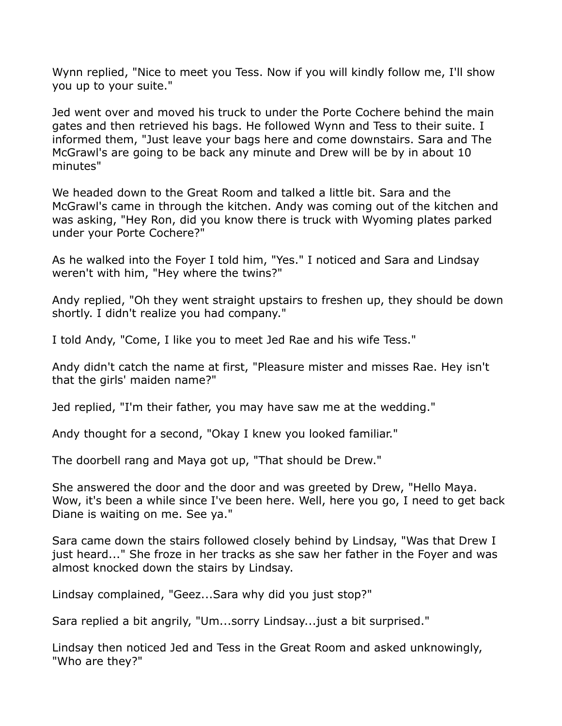Wynn replied, "Nice to meet you Tess. Now if you will kindly follow me, I'll show you up to your suite."

Jed went over and moved his truck to under the Porte Cochere behind the main gates and then retrieved his bags. He followed Wynn and Tess to their suite. I informed them, "Just leave your bags here and come downstairs. Sara and The McGrawl's are going to be back any minute and Drew will be by in about 10 minutes"

We headed down to the Great Room and talked a little bit. Sara and the McGrawl's came in through the kitchen. Andy was coming out of the kitchen and was asking, "Hey Ron, did you know there is truck with Wyoming plates parked under your Porte Cochere?"

As he walked into the Foyer I told him, "Yes." I noticed and Sara and Lindsay weren't with him, "Hey where the twins?"

Andy replied, "Oh they went straight upstairs to freshen up, they should be down shortly. I didn't realize you had company."

I told Andy, "Come, I like you to meet Jed Rae and his wife Tess."

Andy didn't catch the name at first, "Pleasure mister and misses Rae. Hey isn't that the girls' maiden name?"

Jed replied, "I'm their father, you may have saw me at the wedding."

Andy thought for a second, "Okay I knew you looked familiar."

The doorbell rang and Maya got up, "That should be Drew."

She answered the door and the door and was greeted by Drew, "Hello Maya. Wow, it's been a while since I've been here. Well, here you go, I need to get back Diane is waiting on me. See ya."

Sara came down the stairs followed closely behind by Lindsay, "Was that Drew I just heard..." She froze in her tracks as she saw her father in the Foyer and was almost knocked down the stairs by Lindsay.

Lindsay complained, "Geez...Sara why did you just stop?"

Sara replied a bit angrily, "Um...sorry Lindsay...just a bit surprised."

Lindsay then noticed Jed and Tess in the Great Room and asked unknowingly, "Who are they?"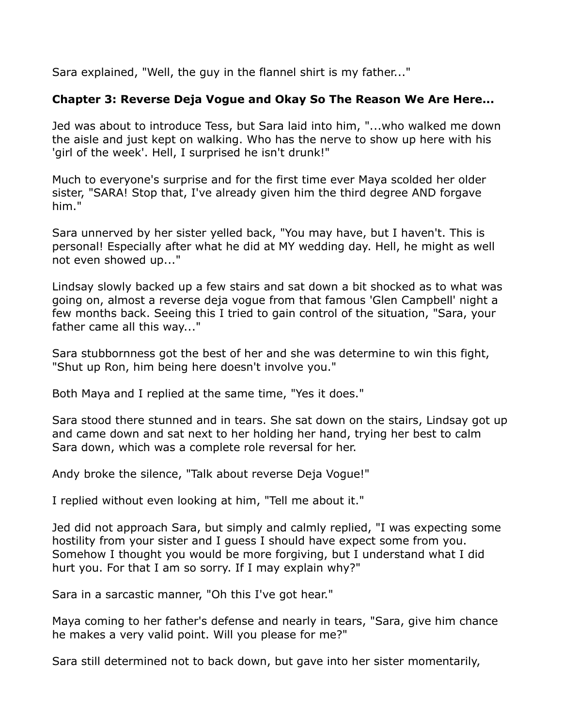Sara explained, "Well, the guy in the flannel shirt is my father..."

## **Chapter 3: Reverse Deja Vogue and Okay So The Reason We Are Here...**

Jed was about to introduce Tess, but Sara laid into him, "...who walked me down the aisle and just kept on walking. Who has the nerve to show up here with his 'girl of the week'. Hell, I surprised he isn't drunk!"

Much to everyone's surprise and for the first time ever Maya scolded her older sister, "SARA! Stop that, I've already given him the third degree AND forgave him."

Sara unnerved by her sister yelled back, "You may have, but I haven't. This is personal! Especially after what he did at MY wedding day. Hell, he might as well not even showed up..."

Lindsay slowly backed up a few stairs and sat down a bit shocked as to what was going on, almost a reverse deja vogue from that famous 'Glen Campbell' night a few months back. Seeing this I tried to gain control of the situation, "Sara, your father came all this way..."

Sara stubbornness got the best of her and she was determine to win this fight, "Shut up Ron, him being here doesn't involve you."

Both Maya and I replied at the same time, "Yes it does."

Sara stood there stunned and in tears. She sat down on the stairs, Lindsay got up and came down and sat next to her holding her hand, trying her best to calm Sara down, which was a complete role reversal for her.

Andy broke the silence, "Talk about reverse Deja Vogue!"

I replied without even looking at him, "Tell me about it."

Jed did not approach Sara, but simply and calmly replied, "I was expecting some hostility from your sister and I guess I should have expect some from you. Somehow I thought you would be more forgiving, but I understand what I did hurt you. For that I am so sorry. If I may explain why?"

Sara in a sarcastic manner, "Oh this I've got hear."

Maya coming to her father's defense and nearly in tears, "Sara, give him chance he makes a very valid point. Will you please for me?"

Sara still determined not to back down, but gave into her sister momentarily,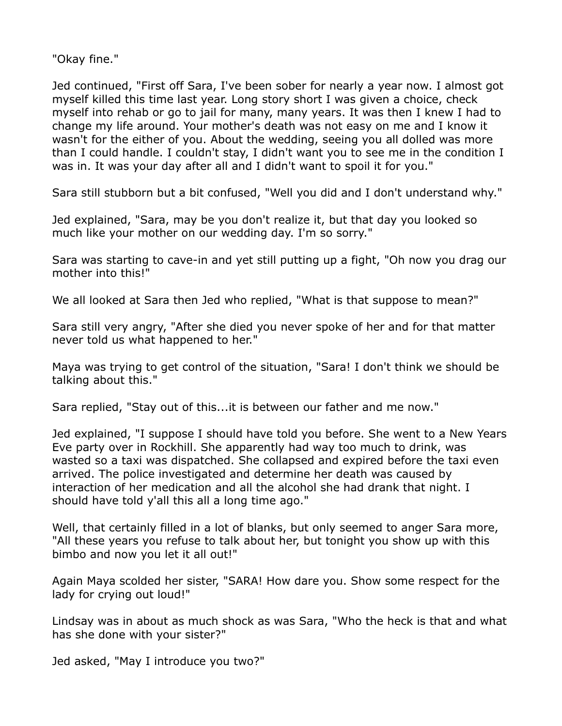"Okay fine."

Jed continued, "First off Sara, I've been sober for nearly a year now. I almost got myself killed this time last year. Long story short I was given a choice, check myself into rehab or go to jail for many, many years. It was then I knew I had to change my life around. Your mother's death was not easy on me and I know it wasn't for the either of you. About the wedding, seeing you all dolled was more than I could handle. I couldn't stay, I didn't want you to see me in the condition I was in. It was your day after all and I didn't want to spoil it for you."

Sara still stubborn but a bit confused, "Well you did and I don't understand why."

Jed explained, "Sara, may be you don't realize it, but that day you looked so much like your mother on our wedding day. I'm so sorry."

Sara was starting to cave-in and yet still putting up a fight, "Oh now you drag our mother into this!"

We all looked at Sara then Jed who replied, "What is that suppose to mean?"

Sara still very angry, "After she died you never spoke of her and for that matter never told us what happened to her."

Maya was trying to get control of the situation, "Sara! I don't think we should be talking about this."

Sara replied, "Stay out of this...it is between our father and me now."

Jed explained, "I suppose I should have told you before. She went to a New Years Eve party over in Rockhill. She apparently had way too much to drink, was wasted so a taxi was dispatched. She collapsed and expired before the taxi even arrived. The police investigated and determine her death was caused by interaction of her medication and all the alcohol she had drank that night. I should have told y'all this all a long time ago."

Well, that certainly filled in a lot of blanks, but only seemed to anger Sara more, "All these years you refuse to talk about her, but tonight you show up with this bimbo and now you let it all out!"

Again Maya scolded her sister, "SARA! How dare you. Show some respect for the lady for crying out loud!"

Lindsay was in about as much shock as was Sara, "Who the heck is that and what has she done with your sister?"

Jed asked, "May I introduce you two?"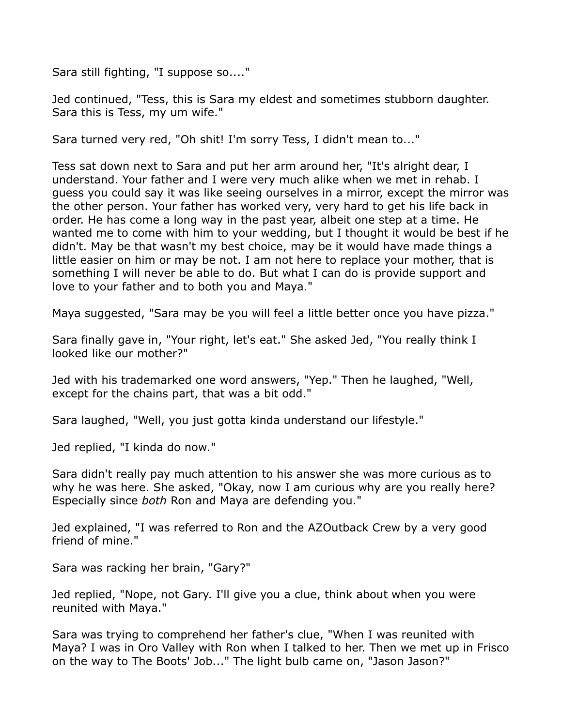Sara still fighting, "I suppose so...."

Jed continued, "Tess, this is Sara my eldest and sometimes stubborn daughter. Sara this is Tess, my um wife."

Sara turned very red, "Oh shit! I'm sorry Tess, I didn't mean to..."

Tess sat down next to Sara and put her arm around her, "It's alright dear, I understand. Your father and I were very much alike when we met in rehab. I guess you could say it was like seeing ourselves in a mirror, except the mirror was the other person. Your father has worked very, very hard to get his life back in order. He has come a long way in the past year, albeit one step at a time. He wanted me to come with him to your wedding, but I thought it would be best if he didn't. May be that wasn't my best choice, may be it would have made things a little easier on him or may be not. I am not here to replace your mother, that is something I will never be able to do. But what I can do is provide support and love to your father and to both you and Maya."

Maya suggested, "Sara may be you will feel a little better once you have pizza."

Sara finally gave in, "Your right, let's eat." She asked Jed, "You really think I looked like our mother?"

Jed with his trademarked one word answers, "Yep." Then he laughed, "Well, except for the chains part, that was a bit odd."

Sara laughed, "Well, you just gotta kinda understand our lifestyle."

Jed replied, "I kinda do now."

Sara didn't really pay much attention to his answer she was more curious as to why he was here. She asked, "Okay, now I am curious why are you really here? Especially since *both* Ron and Maya are defending you."

Jed explained, "I was referred to Ron and the AZOutback Crew by a very good friend of mine."

Sara was racking her brain, "Gary?"

Jed replied, "Nope, not Gary. I'll give you a clue, think about when you were reunited with Maya."

Sara was trying to comprehend her father's clue, "When I was reunited with Maya? I was in Oro Valley with Ron when I talked to her. Then we met up in Frisco on the way to The Boots' Job..." The light bulb came on, "Jason Jason?"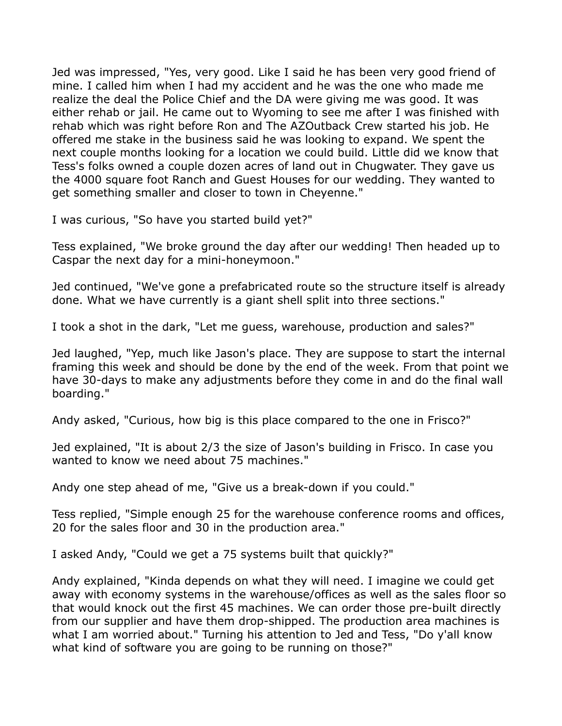Jed was impressed, "Yes, very good. Like I said he has been very good friend of mine. I called him when I had my accident and he was the one who made me realize the deal the Police Chief and the DA were giving me was good. It was either rehab or jail. He came out to Wyoming to see me after I was finished with rehab which was right before Ron and The AZOutback Crew started his job. He offered me stake in the business said he was looking to expand. We spent the next couple months looking for a location we could build. Little did we know that Tess's folks owned a couple dozen acres of land out in Chugwater. They gave us the 4000 square foot Ranch and Guest Houses for our wedding. They wanted to get something smaller and closer to town in Cheyenne."

I was curious, "So have you started build yet?"

Tess explained, "We broke ground the day after our wedding! Then headed up to Caspar the next day for a mini-honeymoon."

Jed continued, "We've gone a prefabricated route so the structure itself is already done. What we have currently is a giant shell split into three sections."

I took a shot in the dark, "Let me guess, warehouse, production and sales?"

Jed laughed, "Yep, much like Jason's place. They are suppose to start the internal framing this week and should be done by the end of the week. From that point we have 30-days to make any adjustments before they come in and do the final wall boarding."

Andy asked, "Curious, how big is this place compared to the one in Frisco?"

Jed explained, "It is about 2/3 the size of Jason's building in Frisco. In case you wanted to know we need about 75 machines."

Andy one step ahead of me, "Give us a break-down if you could."

Tess replied, "Simple enough 25 for the warehouse conference rooms and offices, 20 for the sales floor and 30 in the production area."

I asked Andy, "Could we get a 75 systems built that quickly?"

Andy explained, "Kinda depends on what they will need. I imagine we could get away with economy systems in the warehouse/offices as well as the sales floor so that would knock out the first 45 machines. We can order those pre-built directly from our supplier and have them drop-shipped. The production area machines is what I am worried about." Turning his attention to Jed and Tess, "Do y'all know what kind of software you are going to be running on those?"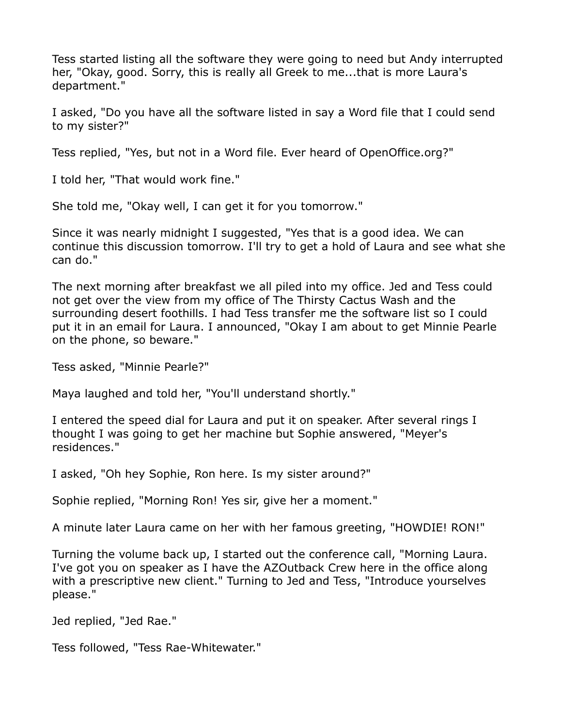Tess started listing all the software they were going to need but Andy interrupted her, "Okay, good. Sorry, this is really all Greek to me...that is more Laura's department."

I asked, "Do you have all the software listed in say a Word file that I could send to my sister?"

Tess replied, "Yes, but not in a Word file. Ever heard of OpenOffice.org?"

I told her, "That would work fine."

She told me, "Okay well, I can get it for you tomorrow."

Since it was nearly midnight I suggested, "Yes that is a good idea. We can continue this discussion tomorrow. I'll try to get a hold of Laura and see what she can do."

The next morning after breakfast we all piled into my office. Jed and Tess could not get over the view from my office of The Thirsty Cactus Wash and the surrounding desert foothills. I had Tess transfer me the software list so I could put it in an email for Laura. I announced, "Okay I am about to get Minnie Pearle on the phone, so beware."

Tess asked, "Minnie Pearle?"

Maya laughed and told her, "You'll understand shortly."

I entered the speed dial for Laura and put it on speaker. After several rings I thought I was going to get her machine but Sophie answered, "Meyer's residences."

I asked, "Oh hey Sophie, Ron here. Is my sister around?"

Sophie replied, "Morning Ron! Yes sir, give her a moment."

A minute later Laura came on her with her famous greeting, "HOWDIE! RON!"

Turning the volume back up, I started out the conference call, "Morning Laura. I've got you on speaker as I have the AZOutback Crew here in the office along with a prescriptive new client." Turning to Jed and Tess, "Introduce yourselves please."

Jed replied, "Jed Rae."

Tess followed, "Tess Rae-Whitewater."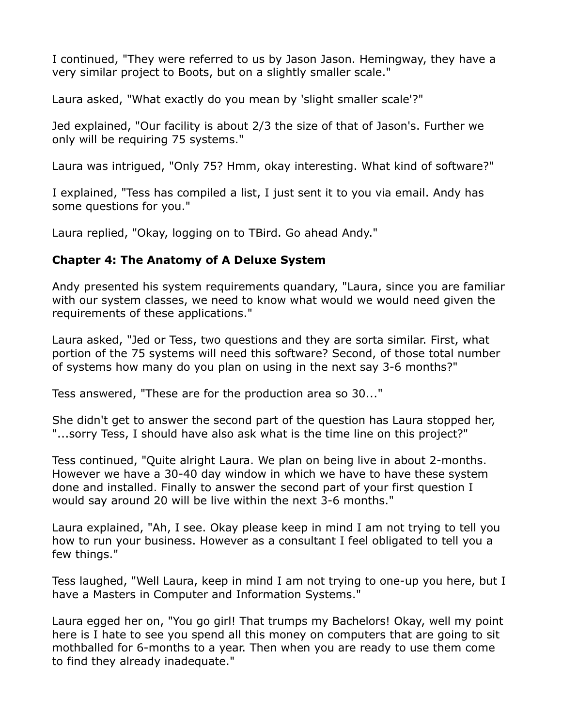I continued, "They were referred to us by Jason Jason. Hemingway, they have a very similar project to Boots, but on a slightly smaller scale."

Laura asked, "What exactly do you mean by 'slight smaller scale'?"

Jed explained, "Our facility is about 2/3 the size of that of Jason's. Further we only will be requiring 75 systems."

Laura was intrigued, "Only 75? Hmm, okay interesting. What kind of software?"

I explained, "Tess has compiled a list, I just sent it to you via email. Andy has some questions for you."

Laura replied, "Okay, logging on to TBird. Go ahead Andy."

#### **Chapter 4: The Anatomy of A Deluxe System**

Andy presented his system requirements quandary, "Laura, since you are familiar with our system classes, we need to know what would we would need given the requirements of these applications."

Laura asked, "Jed or Tess, two questions and they are sorta similar. First, what portion of the 75 systems will need this software? Second, of those total number of systems how many do you plan on using in the next say 3-6 months?"

Tess answered, "These are for the production area so 30..."

She didn't get to answer the second part of the question has Laura stopped her, "...sorry Tess, I should have also ask what is the time line on this project?"

Tess continued, "Quite alright Laura. We plan on being live in about 2-months. However we have a 30-40 day window in which we have to have these system done and installed. Finally to answer the second part of your first question I would say around 20 will be live within the next 3-6 months."

Laura explained, "Ah, I see. Okay please keep in mind I am not trying to tell you how to run your business. However as a consultant I feel obligated to tell you a few things."

Tess laughed, "Well Laura, keep in mind I am not trying to one-up you here, but I have a Masters in Computer and Information Systems."

Laura egged her on, "You go girl! That trumps my Bachelors! Okay, well my point here is I hate to see you spend all this money on computers that are going to sit mothballed for 6-months to a year. Then when you are ready to use them come to find they already inadequate."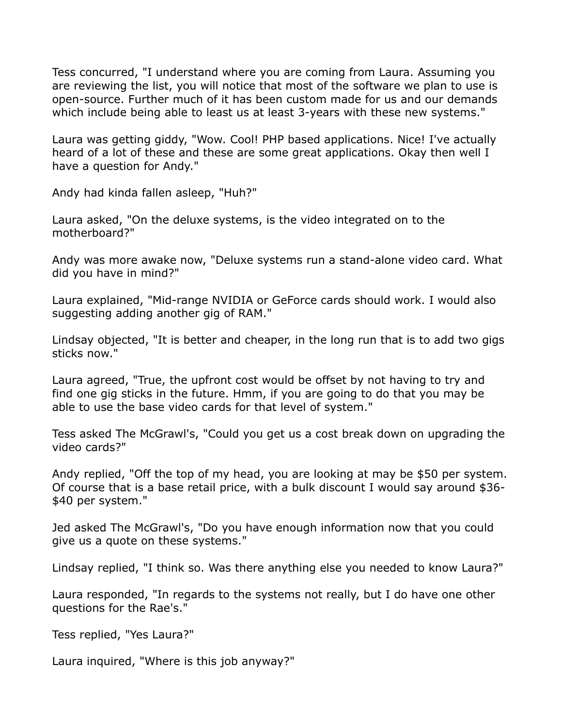Tess concurred, "I understand where you are coming from Laura. Assuming you are reviewing the list, you will notice that most of the software we plan to use is open-source. Further much of it has been custom made for us and our demands which include being able to least us at least 3-years with these new systems."

Laura was getting giddy, "Wow. Cool! PHP based applications. Nice! I've actually heard of a lot of these and these are some great applications. Okay then well I have a question for Andy."

Andy had kinda fallen asleep, "Huh?"

Laura asked, "On the deluxe systems, is the video integrated on to the motherboard?"

Andy was more awake now, "Deluxe systems run a stand-alone video card. What did you have in mind?"

Laura explained, "Mid-range NVIDIA or GeForce cards should work. I would also suggesting adding another gig of RAM."

Lindsay objected, "It is better and cheaper, in the long run that is to add two gigs sticks now."

Laura agreed, "True, the upfront cost would be offset by not having to try and find one gig sticks in the future. Hmm, if you are going to do that you may be able to use the base video cards for that level of system."

Tess asked The McGrawl's, "Could you get us a cost break down on upgrading the video cards?"

Andy replied, "Off the top of my head, you are looking at may be \$50 per system. Of course that is a base retail price, with a bulk discount I would say around \$36- \$40 per system."

Jed asked The McGrawl's, "Do you have enough information now that you could give us a quote on these systems."

Lindsay replied, "I think so. Was there anything else you needed to know Laura?"

Laura responded, "In regards to the systems not really, but I do have one other questions for the Rae's."

Tess replied, "Yes Laura?"

Laura inquired, "Where is this job anyway?"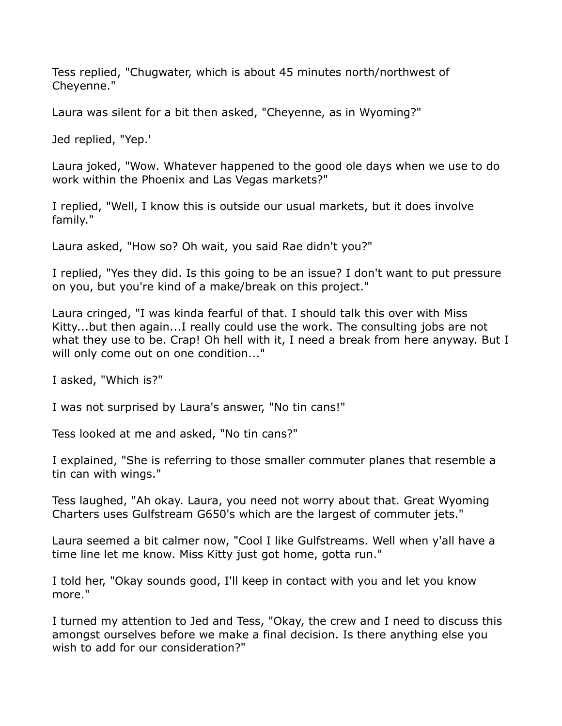Tess replied, "Chugwater, which is about 45 minutes north/northwest of Cheyenne."

Laura was silent for a bit then asked, "Cheyenne, as in Wyoming?"

Jed replied, "Yep.'

Laura joked, "Wow. Whatever happened to the good ole days when we use to do work within the Phoenix and Las Vegas markets?"

I replied, "Well, I know this is outside our usual markets, but it does involve family."

Laura asked, "How so? Oh wait, you said Rae didn't you?"

I replied, "Yes they did. Is this going to be an issue? I don't want to put pressure on you, but you're kind of a make/break on this project."

Laura cringed, "I was kinda fearful of that. I should talk this over with Miss Kitty...but then again...I really could use the work. The consulting jobs are not what they use to be. Crap! Oh hell with it, I need a break from here anyway. But I will only come out on one condition..."

I asked, "Which is?"

I was not surprised by Laura's answer, "No tin cans!"

Tess looked at me and asked, "No tin cans?"

I explained, "She is referring to those smaller commuter planes that resemble a tin can with wings."

Tess laughed, "Ah okay. Laura, you need not worry about that. Great Wyoming Charters uses Gulfstream G650's which are the largest of commuter jets."

Laura seemed a bit calmer now, "Cool I like Gulfstreams. Well when y'all have a time line let me know. Miss Kitty just got home, gotta run."

I told her, "Okay sounds good, I'll keep in contact with you and let you know more."

I turned my attention to Jed and Tess, "Okay, the crew and I need to discuss this amongst ourselves before we make a final decision. Is there anything else you wish to add for our consideration?"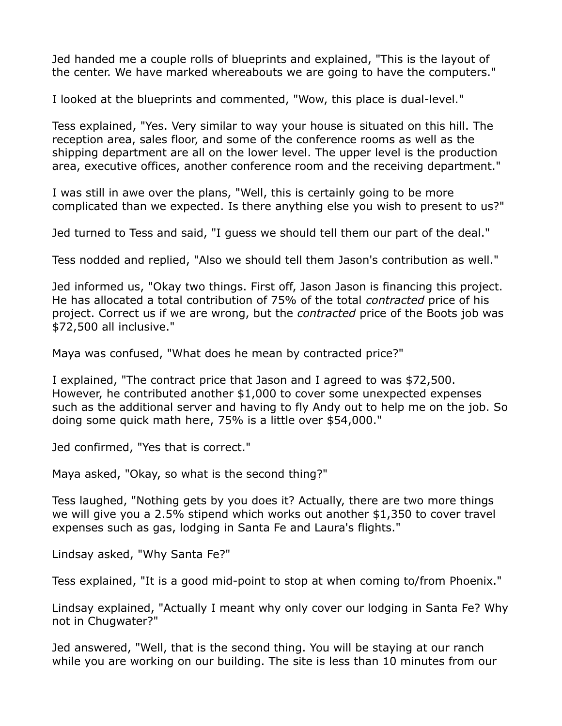Jed handed me a couple rolls of blueprints and explained, "This is the layout of the center. We have marked whereabouts we are going to have the computers."

I looked at the blueprints and commented, "Wow, this place is dual-level."

Tess explained, "Yes. Very similar to way your house is situated on this hill. The reception area, sales floor, and some of the conference rooms as well as the shipping department are all on the lower level. The upper level is the production area, executive offices, another conference room and the receiving department."

I was still in awe over the plans, "Well, this is certainly going to be more complicated than we expected. Is there anything else you wish to present to us?"

Jed turned to Tess and said, "I guess we should tell them our part of the deal."

Tess nodded and replied, "Also we should tell them Jason's contribution as well."

Jed informed us, "Okay two things. First off, Jason Jason is financing this project. He has allocated a total contribution of 75% of the total *contracted* price of his project. Correct us if we are wrong, but the *contracted* price of the Boots job was \$72,500 all inclusive."

Maya was confused, "What does he mean by contracted price?"

I explained, "The contract price that Jason and I agreed to was \$72,500. However, he contributed another \$1,000 to cover some unexpected expenses such as the additional server and having to fly Andy out to help me on the job. So doing some quick math here, 75% is a little over \$54,000."

Jed confirmed, "Yes that is correct."

Maya asked, "Okay, so what is the second thing?"

Tess laughed, "Nothing gets by you does it? Actually, there are two more things we will give you a 2.5% stipend which works out another \$1,350 to cover travel expenses such as gas, lodging in Santa Fe and Laura's flights."

Lindsay asked, "Why Santa Fe?"

Tess explained, "It is a good mid-point to stop at when coming to/from Phoenix."

Lindsay explained, "Actually I meant why only cover our lodging in Santa Fe? Why not in Chugwater?"

Jed answered, "Well, that is the second thing. You will be staying at our ranch while you are working on our building. The site is less than 10 minutes from our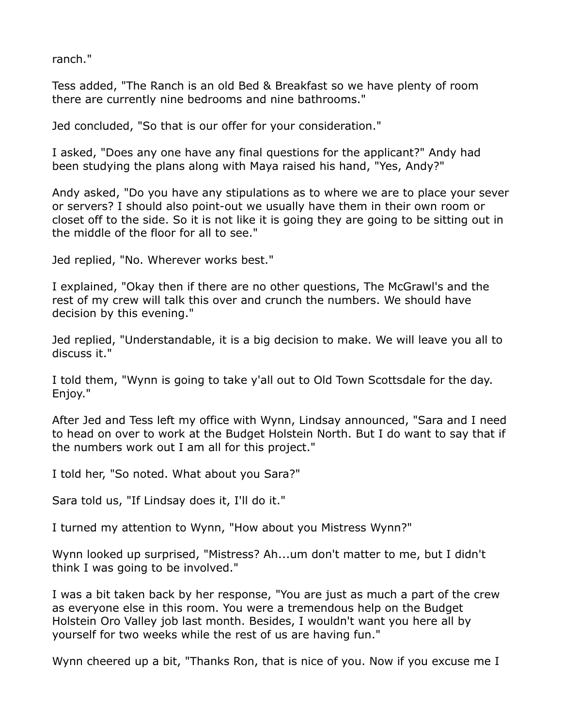ranch."

Tess added, "The Ranch is an old Bed & Breakfast so we have plenty of room there are currently nine bedrooms and nine bathrooms."

Jed concluded, "So that is our offer for your consideration."

I asked, "Does any one have any final questions for the applicant?" Andy had been studying the plans along with Maya raised his hand, "Yes, Andy?"

Andy asked, "Do you have any stipulations as to where we are to place your sever or servers? I should also point-out we usually have them in their own room or closet off to the side. So it is not like it is going they are going to be sitting out in the middle of the floor for all to see."

Jed replied, "No. Wherever works best."

I explained, "Okay then if there are no other questions, The McGrawl's and the rest of my crew will talk this over and crunch the numbers. We should have decision by this evening."

Jed replied, "Understandable, it is a big decision to make. We will leave you all to discuss it."

I told them, "Wynn is going to take y'all out to Old Town Scottsdale for the day. Enjoy."

After Jed and Tess left my office with Wynn, Lindsay announced, "Sara and I need to head on over to work at the Budget Holstein North. But I do want to say that if the numbers work out I am all for this project."

I told her, "So noted. What about you Sara?"

Sara told us, "If Lindsay does it, I'll do it."

I turned my attention to Wynn, "How about you Mistress Wynn?"

Wynn looked up surprised, "Mistress? Ah...um don't matter to me, but I didn't think I was going to be involved."

I was a bit taken back by her response, "You are just as much a part of the crew as everyone else in this room. You were a tremendous help on the Budget Holstein Oro Valley job last month. Besides, I wouldn't want you here all by yourself for two weeks while the rest of us are having fun."

Wynn cheered up a bit, "Thanks Ron, that is nice of you. Now if you excuse me I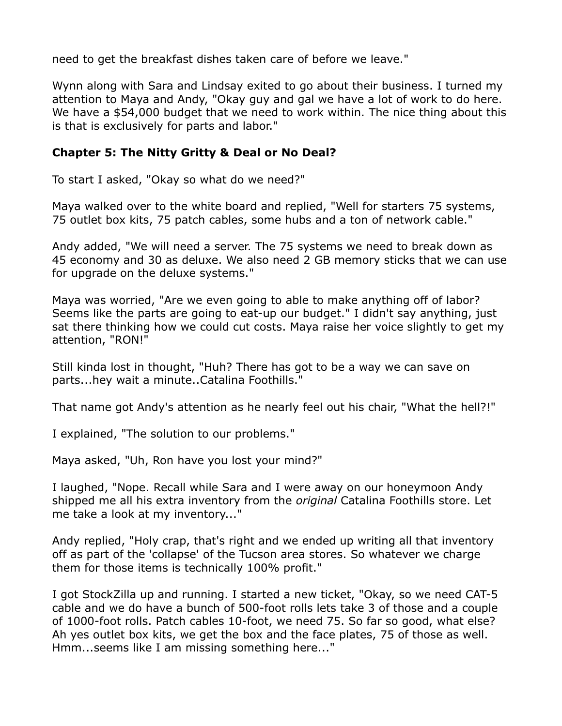need to get the breakfast dishes taken care of before we leave."

Wynn along with Sara and Lindsay exited to go about their business. I turned my attention to Maya and Andy, "Okay guy and gal we have a lot of work to do here. We have a \$54,000 budget that we need to work within. The nice thing about this is that is exclusively for parts and labor."

### **Chapter 5: The Nitty Gritty & Deal or No Deal?**

To start I asked, "Okay so what do we need?"

Maya walked over to the white board and replied, "Well for starters 75 systems, 75 outlet box kits, 75 patch cables, some hubs and a ton of network cable."

Andy added, "We will need a server. The 75 systems we need to break down as 45 economy and 30 as deluxe. We also need 2 GB memory sticks that we can use for upgrade on the deluxe systems."

Maya was worried, "Are we even going to able to make anything off of labor? Seems like the parts are going to eat-up our budget." I didn't say anything, just sat there thinking how we could cut costs. Maya raise her voice slightly to get my attention, "RON!"

Still kinda lost in thought, "Huh? There has got to be a way we can save on parts...hey wait a minute..Catalina Foothills."

That name got Andy's attention as he nearly feel out his chair, "What the hell?!"

I explained, "The solution to our problems."

Maya asked, "Uh, Ron have you lost your mind?"

I laughed, "Nope. Recall while Sara and I were away on our honeymoon Andy shipped me all his extra inventory from the *original* Catalina Foothills store. Let me take a look at my inventory..."

Andy replied, "Holy crap, that's right and we ended up writing all that inventory off as part of the 'collapse' of the Tucson area stores. So whatever we charge them for those items is technically 100% profit."

I got StockZilla up and running. I started a new ticket, "Okay, so we need CAT-5 cable and we do have a bunch of 500-foot rolls lets take 3 of those and a couple of 1000-foot rolls. Patch cables 10-foot, we need 75. So far so good, what else? Ah yes outlet box kits, we get the box and the face plates, 75 of those as well. Hmm...seems like I am missing something here..."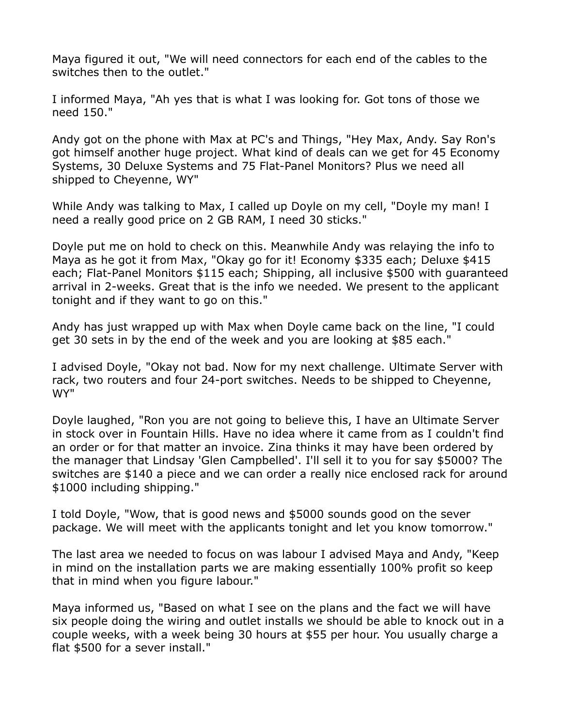Maya figured it out, "We will need connectors for each end of the cables to the switches then to the outlet."

I informed Maya, "Ah yes that is what I was looking for. Got tons of those we need 150."

Andy got on the phone with Max at PC's and Things, "Hey Max, Andy. Say Ron's got himself another huge project. What kind of deals can we get for 45 Economy Systems, 30 Deluxe Systems and 75 Flat-Panel Monitors? Plus we need all shipped to Cheyenne, WY"

While Andy was talking to Max, I called up Doyle on my cell, "Doyle my man! I need a really good price on 2 GB RAM, I need 30 sticks."

Doyle put me on hold to check on this. Meanwhile Andy was relaying the info to Maya as he got it from Max, "Okay go for it! Economy \$335 each; Deluxe \$415 each; Flat-Panel Monitors \$115 each; Shipping, all inclusive \$500 with guaranteed arrival in 2-weeks. Great that is the info we needed. We present to the applicant tonight and if they want to go on this."

Andy has just wrapped up with Max when Doyle came back on the line, "I could get 30 sets in by the end of the week and you are looking at \$85 each."

I advised Doyle, "Okay not bad. Now for my next challenge. Ultimate Server with rack, two routers and four 24-port switches. Needs to be shipped to Cheyenne, WY"

Doyle laughed, "Ron you are not going to believe this, I have an Ultimate Server in stock over in Fountain Hills. Have no idea where it came from as I couldn't find an order or for that matter an invoice. Zina thinks it may have been ordered by the manager that Lindsay 'Glen Campbelled'. I'll sell it to you for say \$5000? The switches are \$140 a piece and we can order a really nice enclosed rack for around \$1000 including shipping."

I told Doyle, "Wow, that is good news and \$5000 sounds good on the sever package. We will meet with the applicants tonight and let you know tomorrow."

The last area we needed to focus on was labour I advised Maya and Andy, "Keep in mind on the installation parts we are making essentially 100% profit so keep that in mind when you figure labour."

Maya informed us, "Based on what I see on the plans and the fact we will have six people doing the wiring and outlet installs we should be able to knock out in a couple weeks, with a week being 30 hours at \$55 per hour. You usually charge a flat \$500 for a sever install."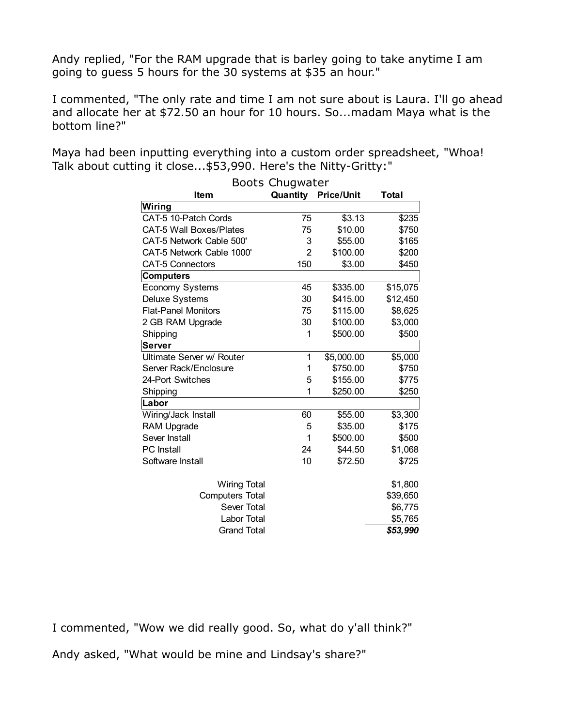Andy replied, "For the RAM upgrade that is barley going to take anytime I am going to guess 5 hours for the 30 systems at \$35 an hour."

I commented, "The only rate and time I am not sure about is Laura. I'll go ahead and allocate her at \$72.50 an hour for 10 hours. So...madam Maya what is the bottom line?"

Maya had been inputting everything into a custom order spreadsheet, "Whoa! Talk about cutting it close...\$53,990. Here's the Nitty-Gritty:"

| DUULS CHUYWALCH                |                |                   |          |  |
|--------------------------------|----------------|-------------------|----------|--|
| <b>Item</b>                    | Quantity       | <b>Price/Unit</b> | Total    |  |
| Wiring                         |                |                   |          |  |
| CAT-5 10-Patch Cords           | 75             | \$3.13            | \$235    |  |
| <b>CAT-5 Wall Boxes/Plates</b> | 75             | \$10.00           | \$750    |  |
| CAT-5 Network Cable 500'       | 3              | \$55.00           | \$165    |  |
| CAT-5 Network Cable 1000'      | $\overline{2}$ | \$100.00          | \$200    |  |
| <b>CAT-5 Connectors</b>        | 150            | \$3.00            | \$450    |  |
| <b>Computers</b>               |                |                   |          |  |
| <b>Economy Systems</b>         | 45             | \$335.00          | \$15,075 |  |
| Deluxe Systems                 | 30             | \$415.00          | \$12,450 |  |
| <b>Flat-Panel Monitors</b>     | 75             | \$115.00          | \$8,625  |  |
| 2 GB RAM Upgrade               | 30             | \$100.00          | \$3,000  |  |
| Shipping                       | 1              | \$500.00          | \$500    |  |
| Server                         |                |                   |          |  |
| Ultimate Server w/ Router      | 1              | \$5,000.00        | \$5,000  |  |
| Server Rack/Enclosure          | 1              | \$750.00          | \$750    |  |
| 24-Port Switches               | 5              | \$155.00          | \$775    |  |
| Shipping                       | 1              | \$250.00          | \$250    |  |
| Labor                          |                |                   |          |  |
| Wiring/Jack Install            | 60             | \$55.00           | \$3,300  |  |
| <b>RAM Upgrade</b>             | 5              | \$35.00           | \$175    |  |
| Sever Install                  | 1              | \$500.00          | \$500    |  |
| <b>PC</b> Install              | 24             | \$44.50           | \$1,068  |  |
| Software Install               | 10             | \$72.50           | \$725    |  |
| <b>Wiring Total</b>            |                |                   | \$1,800  |  |
| <b>Computers Total</b>         |                |                   | \$39,650 |  |
| Sever Total                    |                |                   | \$6,775  |  |
| Labor Total                    |                |                   | \$5,765  |  |
| <b>Grand Total</b>             |                |                   | \$53,990 |  |
|                                |                |                   |          |  |

| <b>Boots Chugwater</b> |
|------------------------|
|                        |

I commented, "Wow we did really good. So, what do y'all think?"

Andy asked, "What would be mine and Lindsay's share?"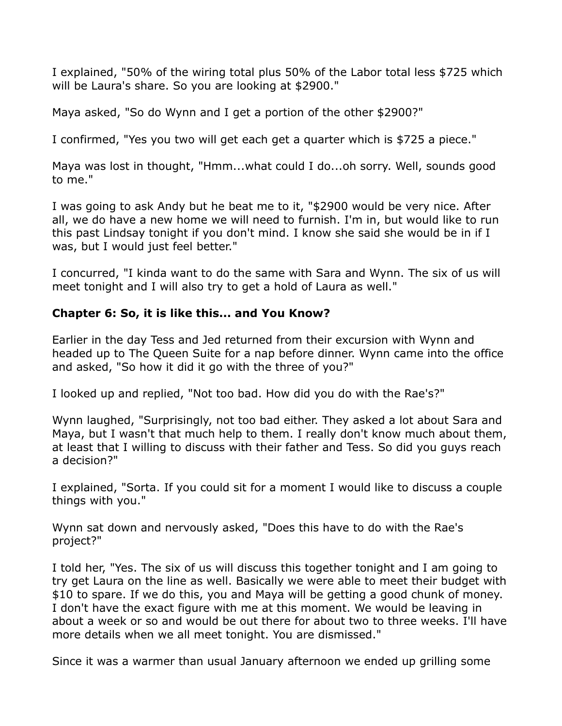I explained, "50% of the wiring total plus 50% of the Labor total less \$725 which will be Laura's share. So you are looking at \$2900."

Maya asked, "So do Wynn and I get a portion of the other \$2900?"

I confirmed, "Yes you two will get each get a quarter which is \$725 a piece."

Maya was lost in thought, "Hmm...what could I do...oh sorry. Well, sounds good to me."

I was going to ask Andy but he beat me to it, "\$2900 would be very nice. After all, we do have a new home we will need to furnish. I'm in, but would like to run this past Lindsay tonight if you don't mind. I know she said she would be in if I was, but I would just feel better."

I concurred, "I kinda want to do the same with Sara and Wynn. The six of us will meet tonight and I will also try to get a hold of Laura as well."

## **Chapter 6: So, it is like this... and You Know?**

Earlier in the day Tess and Jed returned from their excursion with Wynn and headed up to The Queen Suite for a nap before dinner. Wynn came into the office and asked, "So how it did it go with the three of you?"

I looked up and replied, "Not too bad. How did you do with the Rae's?"

Wynn laughed, "Surprisingly, not too bad either. They asked a lot about Sara and Maya, but I wasn't that much help to them. I really don't know much about them, at least that I willing to discuss with their father and Tess. So did you guys reach a decision?"

I explained, "Sorta. If you could sit for a moment I would like to discuss a couple things with you."

Wynn sat down and nervously asked, "Does this have to do with the Rae's project?"

I told her, "Yes. The six of us will discuss this together tonight and I am going to try get Laura on the line as well. Basically we were able to meet their budget with \$10 to spare. If we do this, you and Maya will be getting a good chunk of money. I don't have the exact figure with me at this moment. We would be leaving in about a week or so and would be out there for about two to three weeks. I'll have more details when we all meet tonight. You are dismissed."

Since it was a warmer than usual January afternoon we ended up grilling some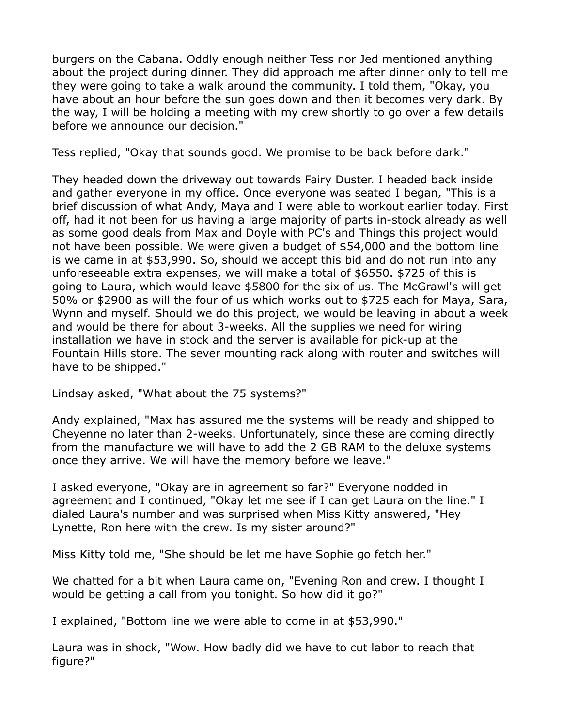burgers on the Cabana. Oddly enough neither Tess nor Jed mentioned anything about the project during dinner. They did approach me after dinner only to tell me they were going to take a walk around the community. I told them, "Okay, you have about an hour before the sun goes down and then it becomes very dark. By the way, I will be holding a meeting with my crew shortly to go over a few details before we announce our decision."

Tess replied, "Okay that sounds good. We promise to be back before dark."

They headed down the driveway out towards Fairy Duster. I headed back inside and gather everyone in my office. Once everyone was seated I began, "This is a brief discussion of what Andy, Maya and I were able to workout earlier today. First off, had it not been for us having a large majority of parts in-stock already as well as some good deals from Max and Doyle with PC's and Things this project would not have been possible. We were given a budget of \$54,000 and the bottom line is we came in at \$53,990. So, should we accept this bid and do not run into any unforeseeable extra expenses, we will make a total of \$6550. \$725 of this is going to Laura, which would leave \$5800 for the six of us. The McGrawl's will get 50% or \$2900 as will the four of us which works out to \$725 each for Maya, Sara, Wynn and myself. Should we do this project, we would be leaving in about a week and would be there for about 3-weeks. All the supplies we need for wiring installation we have in stock and the server is available for pick-up at the Fountain Hills store. The sever mounting rack along with router and switches will have to be shipped."

Lindsay asked, "What about the 75 systems?"

Andy explained, "Max has assured me the systems will be ready and shipped to Cheyenne no later than 2-weeks. Unfortunately, since these are coming directly from the manufacture we will have to add the 2 GB RAM to the deluxe systems once they arrive. We will have the memory before we leave."

I asked everyone, "Okay are in agreement so far?" Everyone nodded in agreement and I continued, "Okay let me see if I can get Laura on the line." I dialed Laura's number and was surprised when Miss Kitty answered, "Hey Lynette, Ron here with the crew. Is my sister around?"

Miss Kitty told me, "She should be let me have Sophie go fetch her."

We chatted for a bit when Laura came on, "Evening Ron and crew. I thought I would be getting a call from you tonight. So how did it go?"

I explained, "Bottom line we were able to come in at \$53,990."

Laura was in shock, "Wow. How badly did we have to cut labor to reach that figure?"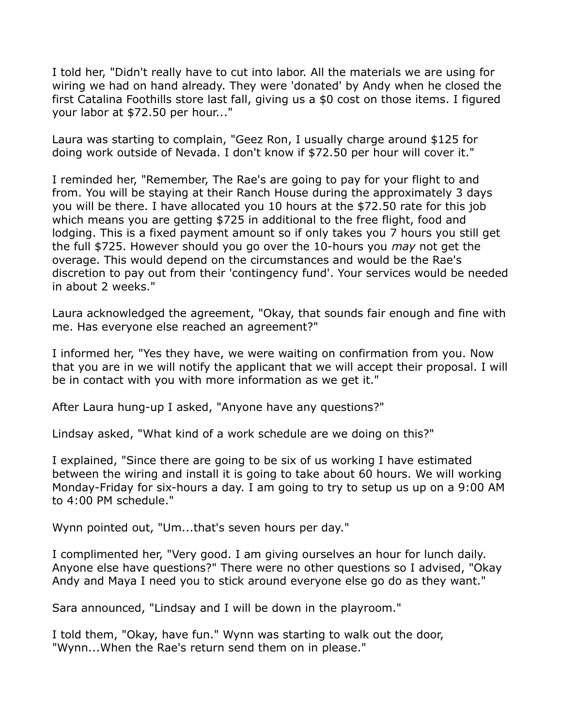I told her, "Didn't really have to cut into labor. All the materials we are using for wiring we had on hand already. They were 'donated' by Andy when he closed the first Catalina Foothills store last fall, giving us a \$0 cost on those items. I figured your labor at \$72.50 per hour..."

Laura was starting to complain, "Geez Ron, I usually charge around \$125 for doing work outside of Nevada. I don't know if \$72.50 per hour will cover it."

I reminded her, "Remember, The Rae's are going to pay for your flight to and from. You will be staying at their Ranch House during the approximately 3 days you will be there. I have allocated you 10 hours at the \$72.50 rate for this job which means you are getting \$725 in additional to the free flight, food and lodging. This is a fixed payment amount so if only takes you 7 hours you still get the full \$725. However should you go over the 10-hours you *may* not get the overage. This would depend on the circumstances and would be the Rae's discretion to pay out from their 'contingency fund'. Your services would be needed in about 2 weeks."

Laura acknowledged the agreement, "Okay, that sounds fair enough and fine with me. Has everyone else reached an agreement?"

I informed her, "Yes they have, we were waiting on confirmation from you. Now that you are in we will notify the applicant that we will accept their proposal. I will be in contact with you with more information as we get it."

After Laura hung-up I asked, "Anyone have any questions?"

Lindsay asked, "What kind of a work schedule are we doing on this?"

I explained, "Since there are going to be six of us working I have estimated between the wiring and install it is going to take about 60 hours. We will working Monday-Friday for six-hours a day. I am going to try to setup us up on a 9:00 AM to 4:00 PM schedule."

Wynn pointed out, "Um...that's seven hours per day."

I complimented her, "Very good. I am giving ourselves an hour for lunch daily. Anyone else have questions?" There were no other questions so I advised, "Okay Andy and Maya I need you to stick around everyone else go do as they want."

Sara announced, "Lindsay and I will be down in the playroom."

I told them, "Okay, have fun." Wynn was starting to walk out the door, "Wynn...When the Rae's return send them on in please."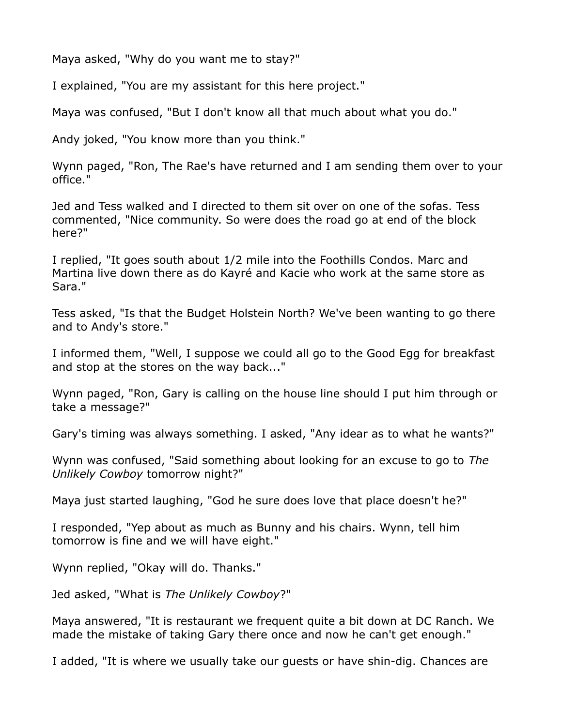Maya asked, "Why do you want me to stay?"

I explained, "You are my assistant for this here project."

Maya was confused, "But I don't know all that much about what you do."

Andy joked, "You know more than you think."

Wynn paged, "Ron, The Rae's have returned and I am sending them over to your office."

Jed and Tess walked and I directed to them sit over on one of the sofas. Tess commented, "Nice community. So were does the road go at end of the block here?"

I replied, "It goes south about 1/2 mile into the Foothills Condos. Marc and Martina live down there as do Kayré and Kacie who work at the same store as Sara."

Tess asked, "Is that the Budget Holstein North? We've been wanting to go there and to Andy's store."

I informed them, "Well, I suppose we could all go to the Good Egg for breakfast and stop at the stores on the way back..."

Wynn paged, "Ron, Gary is calling on the house line should I put him through or take a message?"

Gary's timing was always something. I asked, "Any idear as to what he wants?"

Wynn was confused, "Said something about looking for an excuse to go to *The Unlikely Cowboy* tomorrow night?"

Maya just started laughing, "God he sure does love that place doesn't he?"

I responded, "Yep about as much as Bunny and his chairs. Wynn, tell him tomorrow is fine and we will have eight."

Wynn replied, "Okay will do. Thanks."

Jed asked, "What is *The Unlikely Cowboy*?"

Maya answered, "It is restaurant we frequent quite a bit down at DC Ranch. We made the mistake of taking Gary there once and now he can't get enough."

I added, "It is where we usually take our guests or have shin-dig. Chances are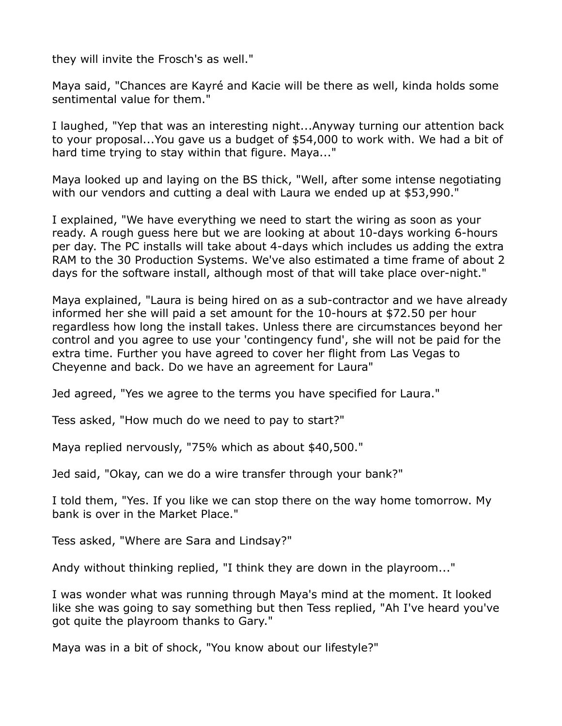they will invite the Frosch's as well."

Maya said, "Chances are Kayré and Kacie will be there as well, kinda holds some sentimental value for them."

I laughed, "Yep that was an interesting night...Anyway turning our attention back to your proposal...You gave us a budget of \$54,000 to work with. We had a bit of hard time trying to stay within that figure. Maya..."

Maya looked up and laying on the BS thick, "Well, after some intense negotiating with our vendors and cutting a deal with Laura we ended up at \$53,990."

I explained, "We have everything we need to start the wiring as soon as your ready. A rough guess here but we are looking at about 10-days working 6-hours per day. The PC installs will take about 4-days which includes us adding the extra RAM to the 30 Production Systems. We've also estimated a time frame of about 2 days for the software install, although most of that will take place over-night."

Maya explained, "Laura is being hired on as a sub-contractor and we have already informed her she will paid a set amount for the 10-hours at \$72.50 per hour regardless how long the install takes. Unless there are circumstances beyond her control and you agree to use your 'contingency fund', she will not be paid for the extra time. Further you have agreed to cover her flight from Las Vegas to Cheyenne and back. Do we have an agreement for Laura"

Jed agreed, "Yes we agree to the terms you have specified for Laura."

Tess asked, "How much do we need to pay to start?"

Maya replied nervously, "75% which as about \$40,500."

Jed said, "Okay, can we do a wire transfer through your bank?"

I told them, "Yes. If you like we can stop there on the way home tomorrow. My bank is over in the Market Place."

Tess asked, "Where are Sara and Lindsay?"

Andy without thinking replied, "I think they are down in the playroom..."

I was wonder what was running through Maya's mind at the moment. It looked like she was going to say something but then Tess replied, "Ah I've heard you've got quite the playroom thanks to Gary."

Maya was in a bit of shock, "You know about our lifestyle?"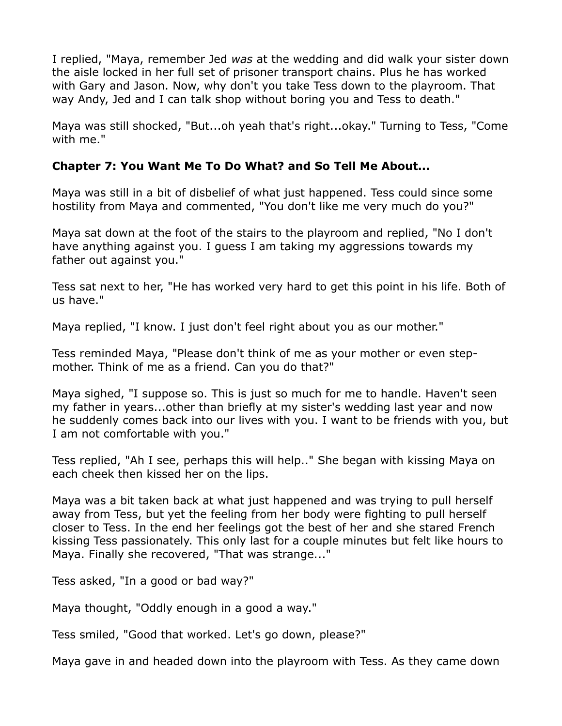I replied, "Maya, remember Jed *was* at the wedding and did walk your sister down the aisle locked in her full set of prisoner transport chains. Plus he has worked with Gary and Jason. Now, why don't you take Tess down to the playroom. That way Andy, Jed and I can talk shop without boring you and Tess to death."

Maya was still shocked, "But...oh yeah that's right...okay." Turning to Tess, "Come with me."

## **Chapter 7: You Want Me To Do What? and So Tell Me About...**

Maya was still in a bit of disbelief of what just happened. Tess could since some hostility from Maya and commented, "You don't like me very much do you?"

Maya sat down at the foot of the stairs to the playroom and replied, "No I don't have anything against you. I guess I am taking my aggressions towards my father out against you."

Tess sat next to her, "He has worked very hard to get this point in his life. Both of us have."

Maya replied, "I know. I just don't feel right about you as our mother."

Tess reminded Maya, "Please don't think of me as your mother or even stepmother. Think of me as a friend. Can you do that?"

Maya sighed, "I suppose so. This is just so much for me to handle. Haven't seen my father in years...other than briefly at my sister's wedding last year and now he suddenly comes back into our lives with you. I want to be friends with you, but I am not comfortable with you."

Tess replied, "Ah I see, perhaps this will help.." She began with kissing Maya on each cheek then kissed her on the lips.

Maya was a bit taken back at what just happened and was trying to pull herself away from Tess, but yet the feeling from her body were fighting to pull herself closer to Tess. In the end her feelings got the best of her and she stared French kissing Tess passionately. This only last for a couple minutes but felt like hours to Maya. Finally she recovered, "That was strange..."

Tess asked, "In a good or bad way?"

Maya thought, "Oddly enough in a good a way."

Tess smiled, "Good that worked. Let's go down, please?"

Maya gave in and headed down into the playroom with Tess. As they came down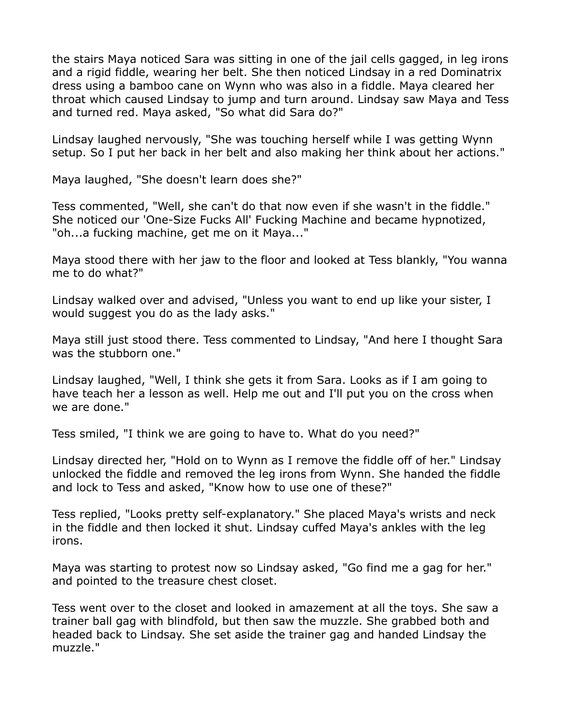the stairs Maya noticed Sara was sitting in one of the jail cells gagged, in leg irons and a rigid fiddle, wearing her belt. She then noticed Lindsay in a red Dominatrix dress using a bamboo cane on Wynn who was also in a fiddle. Maya cleared her throat which caused Lindsay to jump and turn around. Lindsay saw Maya and Tess and turned red. Maya asked, "So what did Sara do?"

Lindsay laughed nervously, "She was touching herself while I was getting Wynn setup. So I put her back in her belt and also making her think about her actions."

Maya laughed, "She doesn't learn does she?"

Tess commented, "Well, she can't do that now even if she wasn't in the fiddle." She noticed our 'One-Size Fucks All' Fucking Machine and became hypnotized, "oh...a fucking machine, get me on it Maya..."

Maya stood there with her jaw to the floor and looked at Tess blankly, "You wanna me to do what?"

Lindsay walked over and advised, "Unless you want to end up like your sister, I would suggest you do as the lady asks."

Maya still just stood there. Tess commented to Lindsay, "And here I thought Sara was the stubborn one."

Lindsay laughed, "Well, I think she gets it from Sara. Looks as if I am going to have teach her a lesson as well. Help me out and I'll put you on the cross when we are done."

Tess smiled, "I think we are going to have to. What do you need?"

Lindsay directed her, "Hold on to Wynn as I remove the fiddle off of her." Lindsay unlocked the fiddle and removed the leg irons from Wynn. She handed the fiddle and lock to Tess and asked, "Know how to use one of these?"

Tess replied, "Looks pretty self-explanatory." She placed Maya's wrists and neck in the fiddle and then locked it shut. Lindsay cuffed Maya's ankles with the leg irons.

Maya was starting to protest now so Lindsay asked, "Go find me a gag for her." and pointed to the treasure chest closet.

Tess went over to the closet and looked in amazement at all the toys. She saw a trainer ball gag with blindfold, but then saw the muzzle. She grabbed both and headed back to Lindsay. She set aside the trainer gag and handed Lindsay the muzzle."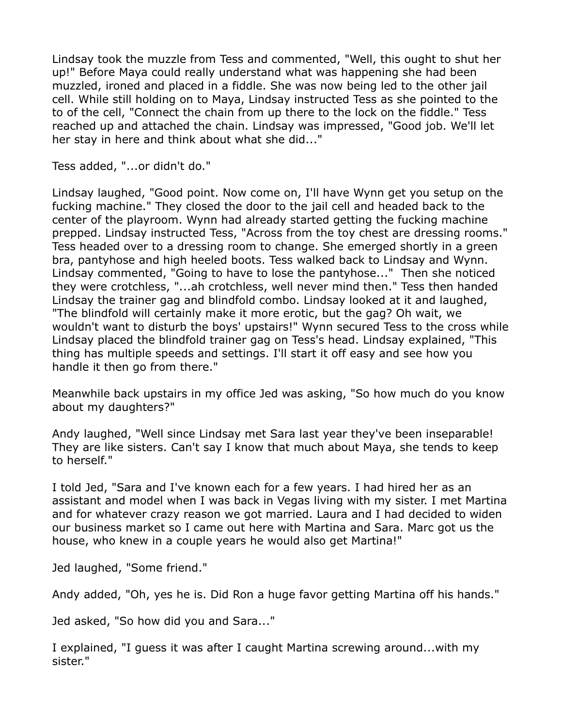Lindsay took the muzzle from Tess and commented, "Well, this ought to shut her up!" Before Maya could really understand what was happening she had been muzzled, ironed and placed in a fiddle. She was now being led to the other jail cell. While still holding on to Maya, Lindsay instructed Tess as she pointed to the to of the cell, "Connect the chain from up there to the lock on the fiddle." Tess reached up and attached the chain. Lindsay was impressed, "Good job. We'll let her stay in here and think about what she did..."

Tess added, "...or didn't do."

Lindsay laughed, "Good point. Now come on, I'll have Wynn get you setup on the fucking machine." They closed the door to the jail cell and headed back to the center of the playroom. Wynn had already started getting the fucking machine prepped. Lindsay instructed Tess, "Across from the toy chest are dressing rooms." Tess headed over to a dressing room to change. She emerged shortly in a green bra, pantyhose and high heeled boots. Tess walked back to Lindsay and Wynn. Lindsay commented, "Going to have to lose the pantyhose..." Then she noticed they were crotchless, "...ah crotchless, well never mind then." Tess then handed Lindsay the trainer gag and blindfold combo. Lindsay looked at it and laughed, "The blindfold will certainly make it more erotic, but the gag? Oh wait, we wouldn't want to disturb the boys' upstairs!" Wynn secured Tess to the cross while Lindsay placed the blindfold trainer gag on Tess's head. Lindsay explained, "This thing has multiple speeds and settings. I'll start it off easy and see how you handle it then go from there."

Meanwhile back upstairs in my office Jed was asking, "So how much do you know about my daughters?"

Andy laughed, "Well since Lindsay met Sara last year they've been inseparable! They are like sisters. Can't say I know that much about Maya, she tends to keep to herself."

I told Jed, "Sara and I've known each for a few years. I had hired her as an assistant and model when I was back in Vegas living with my sister. I met Martina and for whatever crazy reason we got married. Laura and I had decided to widen our business market so I came out here with Martina and Sara. Marc got us the house, who knew in a couple years he would also get Martina!"

Jed laughed, "Some friend."

Andy added, "Oh, yes he is. Did Ron a huge favor getting Martina off his hands."

Jed asked, "So how did you and Sara..."

I explained, "I guess it was after I caught Martina screwing around...with my sister."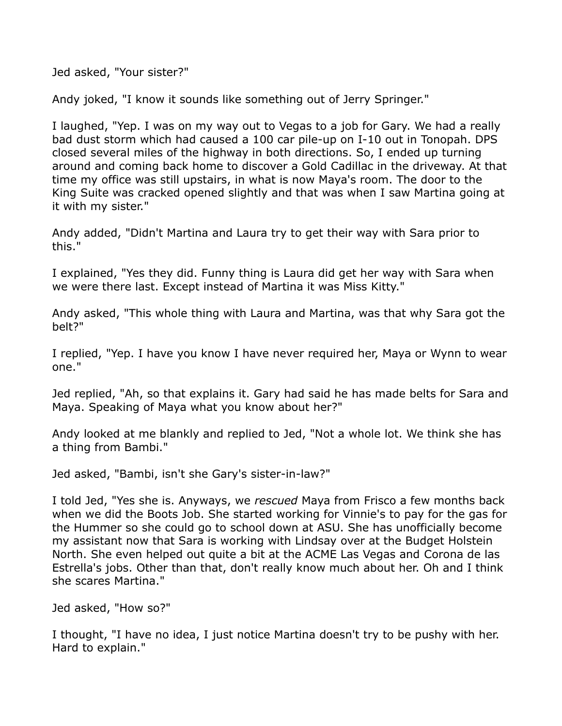Jed asked, "Your sister?"

Andy joked, "I know it sounds like something out of Jerry Springer."

I laughed, "Yep. I was on my way out to Vegas to a job for Gary. We had a really bad dust storm which had caused a 100 car pile-up on I-10 out in Tonopah. DPS closed several miles of the highway in both directions. So, I ended up turning around and coming back home to discover a Gold Cadillac in the driveway. At that time my office was still upstairs, in what is now Maya's room. The door to the King Suite was cracked opened slightly and that was when I saw Martina going at it with my sister."

Andy added, "Didn't Martina and Laura try to get their way with Sara prior to this."

I explained, "Yes they did. Funny thing is Laura did get her way with Sara when we were there last. Except instead of Martina it was Miss Kitty."

Andy asked, "This whole thing with Laura and Martina, was that why Sara got the belt?"

I replied, "Yep. I have you know I have never required her, Maya or Wynn to wear one."

Jed replied, "Ah, so that explains it. Gary had said he has made belts for Sara and Maya. Speaking of Maya what you know about her?"

Andy looked at me blankly and replied to Jed, "Not a whole lot. We think she has a thing from Bambi."

Jed asked, "Bambi, isn't she Gary's sister-in-law?"

I told Jed, "Yes she is. Anyways, we *rescued* Maya from Frisco a few months back when we did the Boots Job. She started working for Vinnie's to pay for the gas for the Hummer so she could go to school down at ASU. She has unofficially become my assistant now that Sara is working with Lindsay over at the Budget Holstein North. She even helped out quite a bit at the ACME Las Vegas and Corona de las Estrella's jobs. Other than that, don't really know much about her. Oh and I think she scares Martina."

Jed asked, "How so?"

I thought, "I have no idea, I just notice Martina doesn't try to be pushy with her. Hard to explain."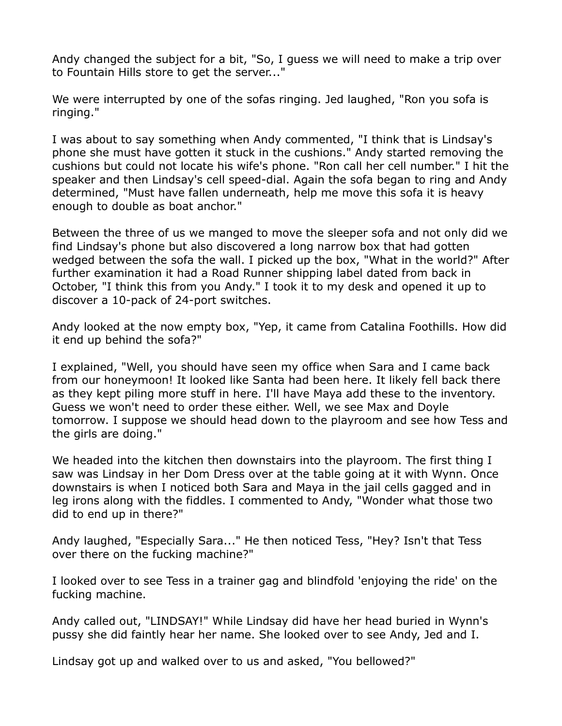Andy changed the subject for a bit, "So, I guess we will need to make a trip over to Fountain Hills store to get the server..."

We were interrupted by one of the sofas ringing. Jed laughed, "Ron you sofa is ringing."

I was about to say something when Andy commented, "I think that is Lindsay's phone she must have gotten it stuck in the cushions." Andy started removing the cushions but could not locate his wife's phone. "Ron call her cell number." I hit the speaker and then Lindsay's cell speed-dial. Again the sofa began to ring and Andy determined, "Must have fallen underneath, help me move this sofa it is heavy enough to double as boat anchor."

Between the three of us we manged to move the sleeper sofa and not only did we find Lindsay's phone but also discovered a long narrow box that had gotten wedged between the sofa the wall. I picked up the box, "What in the world?" After further examination it had a Road Runner shipping label dated from back in October, "I think this from you Andy." I took it to my desk and opened it up to discover a 10-pack of 24-port switches.

Andy looked at the now empty box, "Yep, it came from Catalina Foothills. How did it end up behind the sofa?"

I explained, "Well, you should have seen my office when Sara and I came back from our honeymoon! It looked like Santa had been here. It likely fell back there as they kept piling more stuff in here. I'll have Maya add these to the inventory. Guess we won't need to order these either. Well, we see Max and Doyle tomorrow. I suppose we should head down to the playroom and see how Tess and the girls are doing."

We headed into the kitchen then downstairs into the playroom. The first thing I saw was Lindsay in her Dom Dress over at the table going at it with Wynn. Once downstairs is when I noticed both Sara and Maya in the jail cells gagged and in leg irons along with the fiddles. I commented to Andy, "Wonder what those two did to end up in there?"

Andy laughed, "Especially Sara..." He then noticed Tess, "Hey? Isn't that Tess over there on the fucking machine?"

I looked over to see Tess in a trainer gag and blindfold 'enjoying the ride' on the fucking machine.

Andy called out, "LINDSAY!" While Lindsay did have her head buried in Wynn's pussy she did faintly hear her name. She looked over to see Andy, Jed and I.

Lindsay got up and walked over to us and asked, "You bellowed?"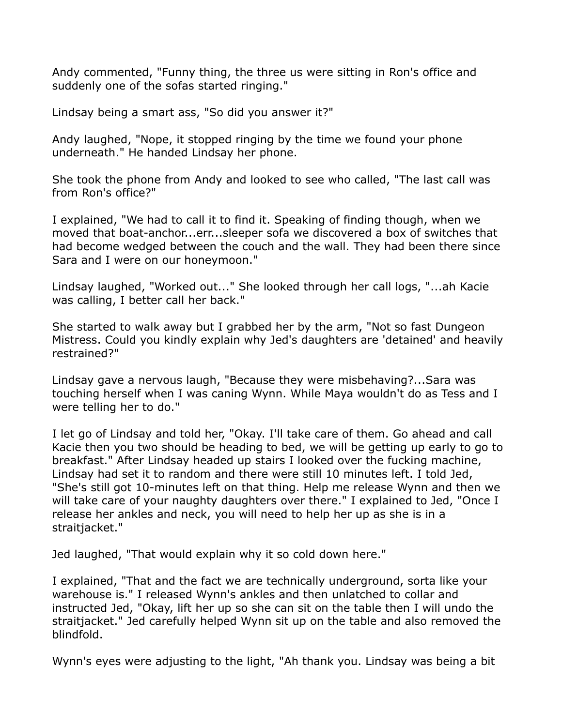Andy commented, "Funny thing, the three us were sitting in Ron's office and suddenly one of the sofas started ringing."

Lindsay being a smart ass, "So did you answer it?"

Andy laughed, "Nope, it stopped ringing by the time we found your phone underneath." He handed Lindsay her phone.

She took the phone from Andy and looked to see who called, "The last call was from Ron's office?"

I explained, "We had to call it to find it. Speaking of finding though, when we moved that boat-anchor...err...sleeper sofa we discovered a box of switches that had become wedged between the couch and the wall. They had been there since Sara and I were on our honeymoon."

Lindsay laughed, "Worked out..." She looked through her call logs, "...ah Kacie was calling, I better call her back."

She started to walk away but I grabbed her by the arm, "Not so fast Dungeon Mistress. Could you kindly explain why Jed's daughters are 'detained' and heavily restrained?"

Lindsay gave a nervous laugh, "Because they were misbehaving?...Sara was touching herself when I was caning Wynn. While Maya wouldn't do as Tess and I were telling her to do."

I let go of Lindsay and told her, "Okay. I'll take care of them. Go ahead and call Kacie then you two should be heading to bed, we will be getting up early to go to breakfast." After Lindsay headed up stairs I looked over the fucking machine, Lindsay had set it to random and there were still 10 minutes left. I told Jed, "She's still got 10-minutes left on that thing. Help me release Wynn and then we will take care of your naughty daughters over there." I explained to Jed, "Once I release her ankles and neck, you will need to help her up as she is in a straitjacket."

Jed laughed, "That would explain why it so cold down here."

I explained, "That and the fact we are technically underground, sorta like your warehouse is." I released Wynn's ankles and then unlatched to collar and instructed Jed, "Okay, lift her up so she can sit on the table then I will undo the straitjacket." Jed carefully helped Wynn sit up on the table and also removed the blindfold.

Wynn's eyes were adjusting to the light, "Ah thank you. Lindsay was being a bit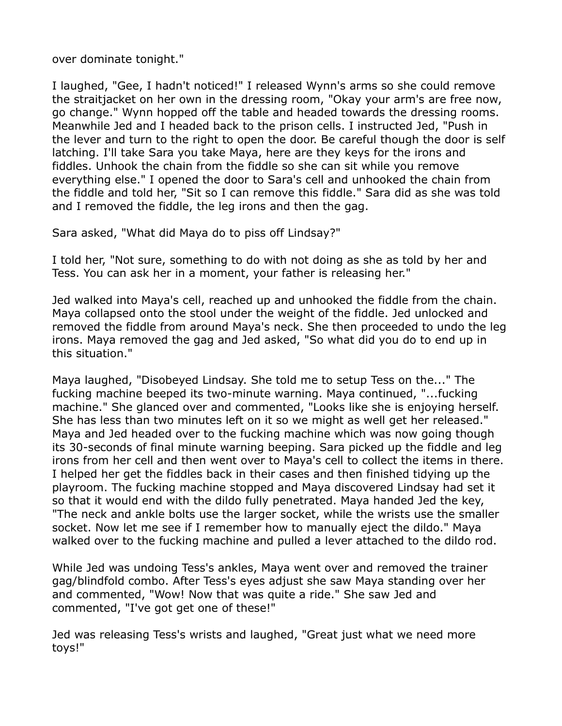over dominate tonight."

I laughed, "Gee, I hadn't noticed!" I released Wynn's arms so she could remove the straitjacket on her own in the dressing room, "Okay your arm's are free now, go change." Wynn hopped off the table and headed towards the dressing rooms. Meanwhile Jed and I headed back to the prison cells. I instructed Jed, "Push in the lever and turn to the right to open the door. Be careful though the door is self latching. I'll take Sara you take Maya, here are they keys for the irons and fiddles. Unhook the chain from the fiddle so she can sit while you remove everything else." I opened the door to Sara's cell and unhooked the chain from the fiddle and told her, "Sit so I can remove this fiddle." Sara did as she was told and I removed the fiddle, the leg irons and then the gag.

Sara asked, "What did Maya do to piss off Lindsay?"

I told her, "Not sure, something to do with not doing as she as told by her and Tess. You can ask her in a moment, your father is releasing her."

Jed walked into Maya's cell, reached up and unhooked the fiddle from the chain. Maya collapsed onto the stool under the weight of the fiddle. Jed unlocked and removed the fiddle from around Maya's neck. She then proceeded to undo the leg irons. Maya removed the gag and Jed asked, "So what did you do to end up in this situation."

Maya laughed, "Disobeyed Lindsay. She told me to setup Tess on the..." The fucking machine beeped its two-minute warning. Maya continued, "...fucking machine." She glanced over and commented, "Looks like she is enjoying herself. She has less than two minutes left on it so we might as well get her released." Maya and Jed headed over to the fucking machine which was now going though its 30-seconds of final minute warning beeping. Sara picked up the fiddle and leg irons from her cell and then went over to Maya's cell to collect the items in there. I helped her get the fiddles back in their cases and then finished tidying up the playroom. The fucking machine stopped and Maya discovered Lindsay had set it so that it would end with the dildo fully penetrated. Maya handed Jed the key, "The neck and ankle bolts use the larger socket, while the wrists use the smaller socket. Now let me see if I remember how to manually eject the dildo." Maya walked over to the fucking machine and pulled a lever attached to the dildo rod.

While Jed was undoing Tess's ankles, Maya went over and removed the trainer gag/blindfold combo. After Tess's eyes adjust she saw Maya standing over her and commented, "Wow! Now that was quite a ride." She saw Jed and commented, "I've got get one of these!"

Jed was releasing Tess's wrists and laughed, "Great just what we need more toys!"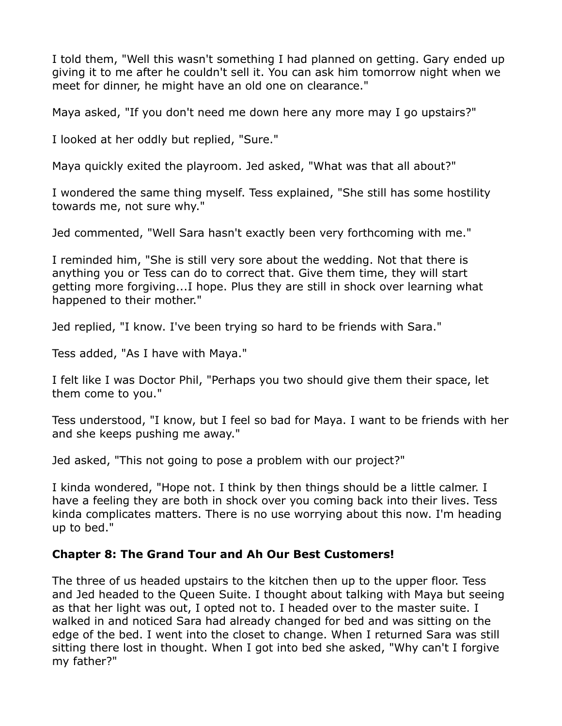I told them, "Well this wasn't something I had planned on getting. Gary ended up giving it to me after he couldn't sell it. You can ask him tomorrow night when we meet for dinner, he might have an old one on clearance."

Maya asked, "If you don't need me down here any more may I go upstairs?"

I looked at her oddly but replied, "Sure."

Maya quickly exited the playroom. Jed asked, "What was that all about?"

I wondered the same thing myself. Tess explained, "She still has some hostility towards me, not sure why."

Jed commented, "Well Sara hasn't exactly been very forthcoming with me."

I reminded him, "She is still very sore about the wedding. Not that there is anything you or Tess can do to correct that. Give them time, they will start getting more forgiving...I hope. Plus they are still in shock over learning what happened to their mother."

Jed replied, "I know. I've been trying so hard to be friends with Sara."

Tess added, "As I have with Maya."

I felt like I was Doctor Phil, "Perhaps you two should give them their space, let them come to you."

Tess understood, "I know, but I feel so bad for Maya. I want to be friends with her and she keeps pushing me away."

Jed asked, "This not going to pose a problem with our project?"

I kinda wondered, "Hope not. I think by then things should be a little calmer. I have a feeling they are both in shock over you coming back into their lives. Tess kinda complicates matters. There is no use worrying about this now. I'm heading up to bed."

## **Chapter 8: The Grand Tour and Ah Our Best Customers!**

The three of us headed upstairs to the kitchen then up to the upper floor. Tess and Jed headed to the Queen Suite. I thought about talking with Maya but seeing as that her light was out, I opted not to. I headed over to the master suite. I walked in and noticed Sara had already changed for bed and was sitting on the edge of the bed. I went into the closet to change. When I returned Sara was still sitting there lost in thought. When I got into bed she asked, "Why can't I forgive my father?"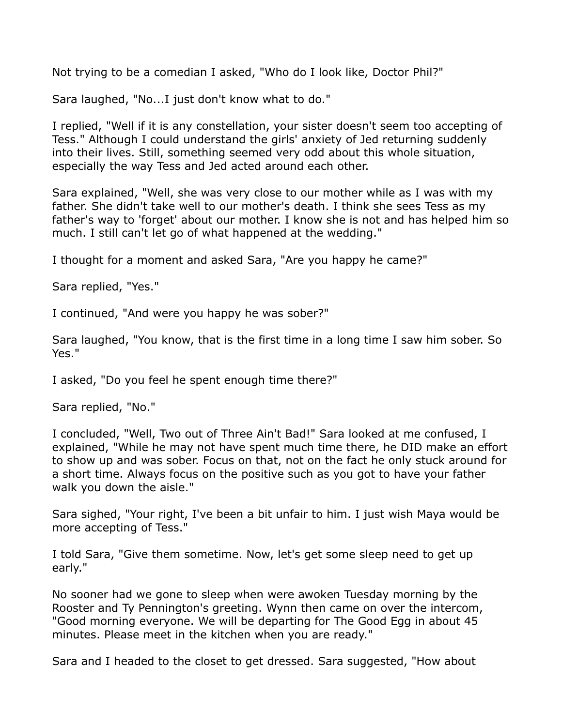Not trying to be a comedian I asked, "Who do I look like, Doctor Phil?"

Sara laughed, "No...I just don't know what to do."

I replied, "Well if it is any constellation, your sister doesn't seem too accepting of Tess." Although I could understand the girls' anxiety of Jed returning suddenly into their lives. Still, something seemed very odd about this whole situation, especially the way Tess and Jed acted around each other.

Sara explained, "Well, she was very close to our mother while as I was with my father. She didn't take well to our mother's death. I think she sees Tess as my father's way to 'forget' about our mother. I know she is not and has helped him so much. I still can't let go of what happened at the wedding."

I thought for a moment and asked Sara, "Are you happy he came?"

Sara replied, "Yes."

I continued, "And were you happy he was sober?"

Sara laughed, "You know, that is the first time in a long time I saw him sober. So Yes."

I asked, "Do you feel he spent enough time there?"

Sara replied, "No."

I concluded, "Well, Two out of Three Ain't Bad!" Sara looked at me confused, I explained, "While he may not have spent much time there, he DID make an effort to show up and was sober. Focus on that, not on the fact he only stuck around for a short time. Always focus on the positive such as you got to have your father walk you down the aisle."

Sara sighed, "Your right, I've been a bit unfair to him. I just wish Maya would be more accepting of Tess."

I told Sara, "Give them sometime. Now, let's get some sleep need to get up early."

No sooner had we gone to sleep when were awoken Tuesday morning by the Rooster and Ty Pennington's greeting. Wynn then came on over the intercom, "Good morning everyone. We will be departing for The Good Egg in about 45 minutes. Please meet in the kitchen when you are ready."

Sara and I headed to the closet to get dressed. Sara suggested, "How about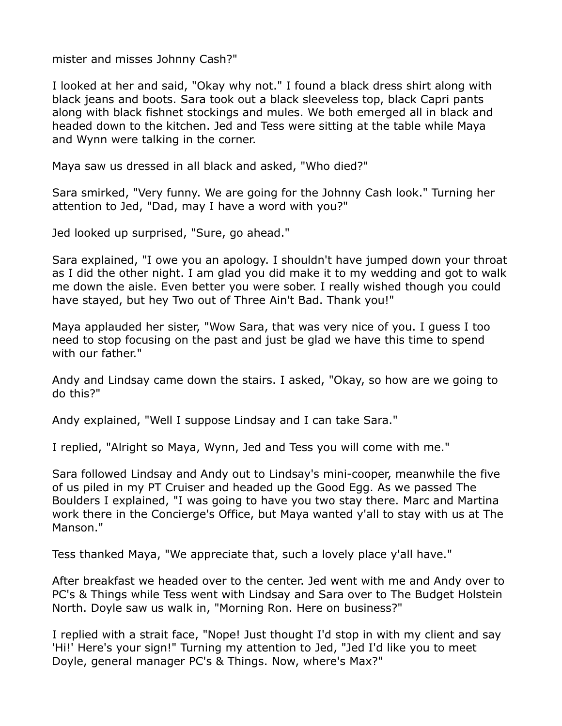mister and misses Johnny Cash?"

I looked at her and said, "Okay why not." I found a black dress shirt along with black jeans and boots. Sara took out a black sleeveless top, black Capri pants along with black fishnet stockings and mules. We both emerged all in black and headed down to the kitchen. Jed and Tess were sitting at the table while Maya and Wynn were talking in the corner.

Maya saw us dressed in all black and asked, "Who died?"

Sara smirked, "Very funny. We are going for the Johnny Cash look." Turning her attention to Jed, "Dad, may I have a word with you?"

Jed looked up surprised, "Sure, go ahead."

Sara explained, "I owe you an apology. I shouldn't have jumped down your throat as I did the other night. I am glad you did make it to my wedding and got to walk me down the aisle. Even better you were sober. I really wished though you could have stayed, but hey Two out of Three Ain't Bad. Thank you!"

Maya applauded her sister, "Wow Sara, that was very nice of you. I guess I too need to stop focusing on the past and just be glad we have this time to spend with our father."

Andy and Lindsay came down the stairs. I asked, "Okay, so how are we going to do this?"

Andy explained, "Well I suppose Lindsay and I can take Sara."

I replied, "Alright so Maya, Wynn, Jed and Tess you will come with me."

Sara followed Lindsay and Andy out to Lindsay's mini-cooper, meanwhile the five of us piled in my PT Cruiser and headed up the Good Egg. As we passed The Boulders I explained, "I was going to have you two stay there. Marc and Martina work there in the Concierge's Office, but Maya wanted y'all to stay with us at The Manson."

Tess thanked Maya, "We appreciate that, such a lovely place y'all have."

After breakfast we headed over to the center. Jed went with me and Andy over to PC's & Things while Tess went with Lindsay and Sara over to The Budget Holstein North. Doyle saw us walk in, "Morning Ron. Here on business?"

I replied with a strait face, "Nope! Just thought I'd stop in with my client and say 'Hi!' Here's your sign!" Turning my attention to Jed, "Jed I'd like you to meet Doyle, general manager PC's & Things. Now, where's Max?"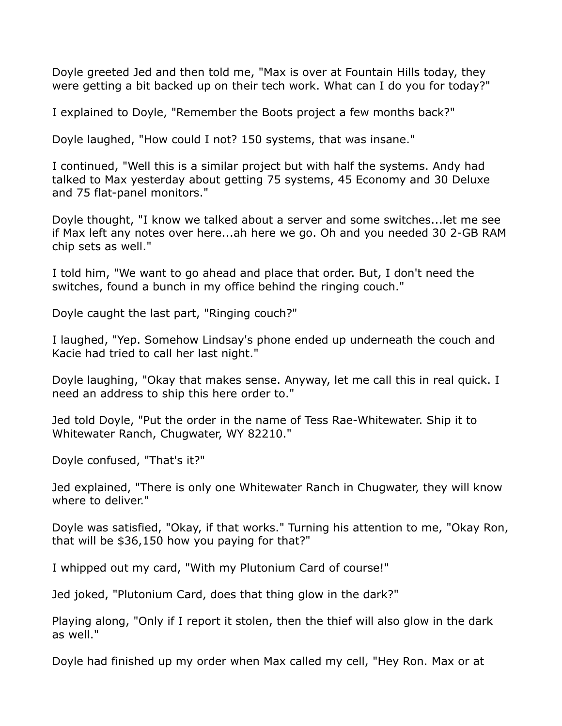Doyle greeted Jed and then told me, "Max is over at Fountain Hills today, they were getting a bit backed up on their tech work. What can I do you for today?"

I explained to Doyle, "Remember the Boots project a few months back?"

Doyle laughed, "How could I not? 150 systems, that was insane."

I continued, "Well this is a similar project but with half the systems. Andy had talked to Max yesterday about getting 75 systems, 45 Economy and 30 Deluxe and 75 flat-panel monitors."

Doyle thought, "I know we talked about a server and some switches...let me see if Max left any notes over here...ah here we go. Oh and you needed 30 2-GB RAM chip sets as well."

I told him, "We want to go ahead and place that order. But, I don't need the switches, found a bunch in my office behind the ringing couch."

Doyle caught the last part, "Ringing couch?"

I laughed, "Yep. Somehow Lindsay's phone ended up underneath the couch and Kacie had tried to call her last night."

Doyle laughing, "Okay that makes sense. Anyway, let me call this in real quick. I need an address to ship this here order to."

Jed told Doyle, "Put the order in the name of Tess Rae-Whitewater. Ship it to Whitewater Ranch, Chugwater, WY 82210."

Doyle confused, "That's it?"

Jed explained, "There is only one Whitewater Ranch in Chugwater, they will know where to deliver."

Doyle was satisfied, "Okay, if that works." Turning his attention to me, "Okay Ron, that will be \$36,150 how you paying for that?"

I whipped out my card, "With my Plutonium Card of course!"

Jed joked, "Plutonium Card, does that thing glow in the dark?"

Playing along, "Only if I report it stolen, then the thief will also glow in the dark as well."

Doyle had finished up my order when Max called my cell, "Hey Ron. Max or at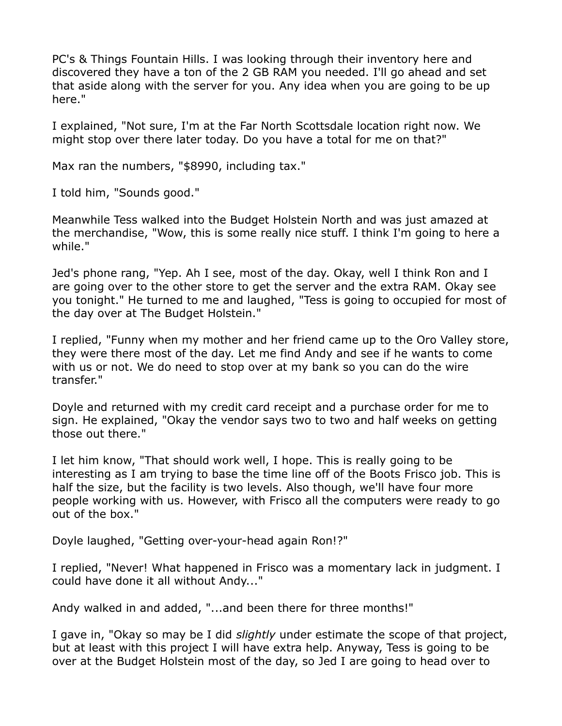PC's & Things Fountain Hills. I was looking through their inventory here and discovered they have a ton of the 2 GB RAM you needed. I'll go ahead and set that aside along with the server for you. Any idea when you are going to be up here."

I explained, "Not sure, I'm at the Far North Scottsdale location right now. We might stop over there later today. Do you have a total for me on that?"

Max ran the numbers, "\$8990, including tax."

I told him, "Sounds good."

Meanwhile Tess walked into the Budget Holstein North and was just amazed at the merchandise, "Wow, this is some really nice stuff. I think I'm going to here a while."

Jed's phone rang, "Yep. Ah I see, most of the day. Okay, well I think Ron and I are going over to the other store to get the server and the extra RAM. Okay see you tonight." He turned to me and laughed, "Tess is going to occupied for most of the day over at The Budget Holstein."

I replied, "Funny when my mother and her friend came up to the Oro Valley store, they were there most of the day. Let me find Andy and see if he wants to come with us or not. We do need to stop over at my bank so you can do the wire transfer."

Doyle and returned with my credit card receipt and a purchase order for me to sign. He explained, "Okay the vendor says two to two and half weeks on getting those out there."

I let him know, "That should work well, I hope. This is really going to be interesting as I am trying to base the time line off of the Boots Frisco job. This is half the size, but the facility is two levels. Also though, we'll have four more people working with us. However, with Frisco all the computers were ready to go out of the box."

Doyle laughed, "Getting over-your-head again Ron!?"

I replied, "Never! What happened in Frisco was a momentary lack in judgment. I could have done it all without Andy..."

Andy walked in and added, "...and been there for three months!"

I gave in, "Okay so may be I did *slightly* under estimate the scope of that project, but at least with this project I will have extra help. Anyway, Tess is going to be over at the Budget Holstein most of the day, so Jed I are going to head over to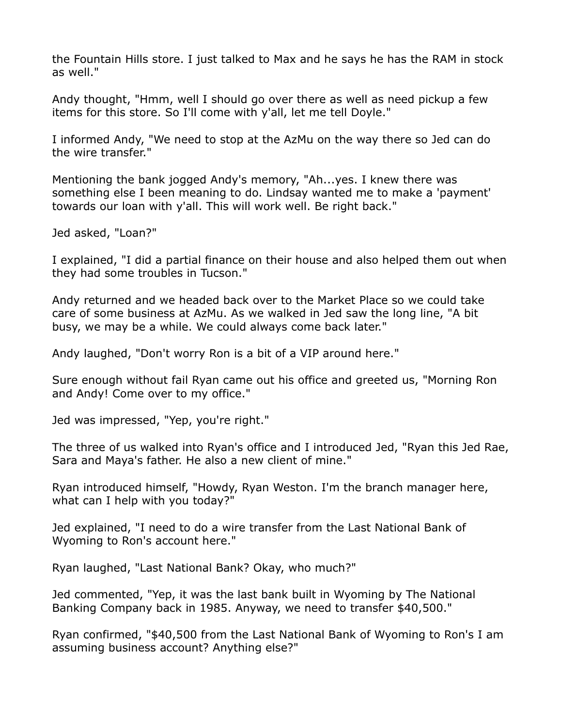the Fountain Hills store. I just talked to Max and he says he has the RAM in stock as well."

Andy thought, "Hmm, well I should go over there as well as need pickup a few items for this store. So I'll come with y'all, let me tell Doyle."

I informed Andy, "We need to stop at the AzMu on the way there so Jed can do the wire transfer."

Mentioning the bank jogged Andy's memory, "Ah...yes. I knew there was something else I been meaning to do. Lindsay wanted me to make a 'payment' towards our loan with y'all. This will work well. Be right back."

Jed asked, "Loan?"

I explained, "I did a partial finance on their house and also helped them out when they had some troubles in Tucson."

Andy returned and we headed back over to the Market Place so we could take care of some business at AzMu. As we walked in Jed saw the long line, "A bit busy, we may be a while. We could always come back later."

Andy laughed, "Don't worry Ron is a bit of a VIP around here."

Sure enough without fail Ryan came out his office and greeted us, "Morning Ron and Andy! Come over to my office."

Jed was impressed, "Yep, you're right."

The three of us walked into Ryan's office and I introduced Jed, "Ryan this Jed Rae, Sara and Maya's father. He also a new client of mine."

Ryan introduced himself, "Howdy, Ryan Weston. I'm the branch manager here, what can I help with you today?"

Jed explained, "I need to do a wire transfer from the Last National Bank of Wyoming to Ron's account here."

Ryan laughed, "Last National Bank? Okay, who much?"

Jed commented, "Yep, it was the last bank built in Wyoming by The National Banking Company back in 1985. Anyway, we need to transfer \$40,500."

Ryan confirmed, "\$40,500 from the Last National Bank of Wyoming to Ron's I am assuming business account? Anything else?"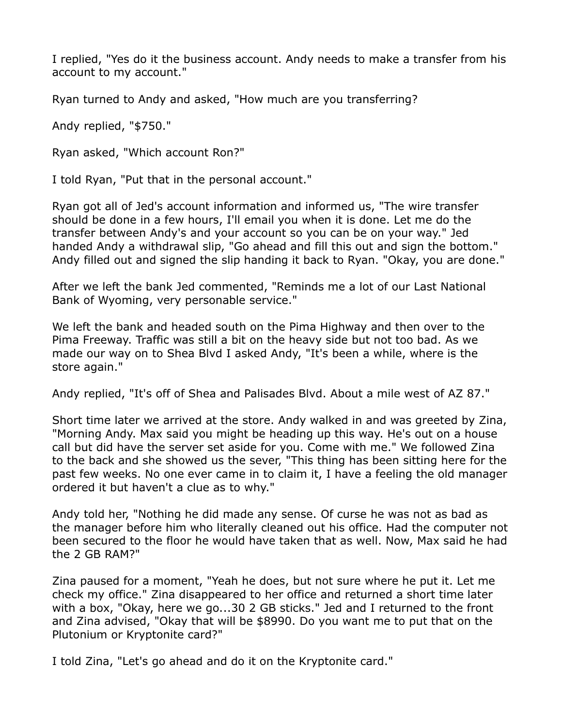I replied, "Yes do it the business account. Andy needs to make a transfer from his account to my account."

Ryan turned to Andy and asked, "How much are you transferring?

Andy replied, "\$750."

Ryan asked, "Which account Ron?"

I told Ryan, "Put that in the personal account."

Ryan got all of Jed's account information and informed us, "The wire transfer should be done in a few hours, I'll email you when it is done. Let me do the transfer between Andy's and your account so you can be on your way." Jed handed Andy a withdrawal slip, "Go ahead and fill this out and sign the bottom." Andy filled out and signed the slip handing it back to Ryan. "Okay, you are done."

After we left the bank Jed commented, "Reminds me a lot of our Last National Bank of Wyoming, very personable service."

We left the bank and headed south on the Pima Highway and then over to the Pima Freeway. Traffic was still a bit on the heavy side but not too bad. As we made our way on to Shea Blvd I asked Andy, "It's been a while, where is the store again."

Andy replied, "It's off of Shea and Palisades Blvd. About a mile west of AZ 87."

Short time later we arrived at the store. Andy walked in and was greeted by Zina, "Morning Andy. Max said you might be heading up this way. He's out on a house call but did have the server set aside for you. Come with me." We followed Zina to the back and she showed us the sever, "This thing has been sitting here for the past few weeks. No one ever came in to claim it, I have a feeling the old manager ordered it but haven't a clue as to why."

Andy told her, "Nothing he did made any sense. Of curse he was not as bad as the manager before him who literally cleaned out his office. Had the computer not been secured to the floor he would have taken that as well. Now, Max said he had the 2 GB RAM?"

Zina paused for a moment, "Yeah he does, but not sure where he put it. Let me check my office." Zina disappeared to her office and returned a short time later with a box, "Okay, here we go...30 2 GB sticks." Jed and I returned to the front and Zina advised, "Okay that will be \$8990. Do you want me to put that on the Plutonium or Kryptonite card?"

I told Zina, "Let's go ahead and do it on the Kryptonite card."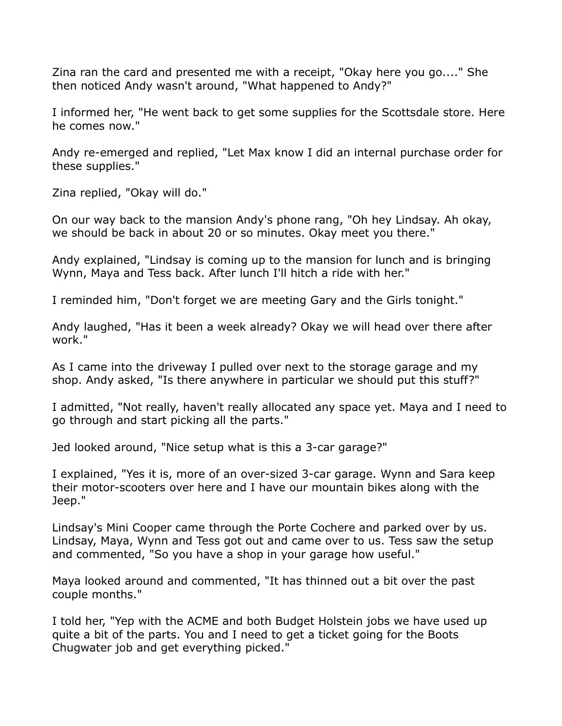Zina ran the card and presented me with a receipt, "Okay here you go...." She then noticed Andy wasn't around, "What happened to Andy?"

I informed her, "He went back to get some supplies for the Scottsdale store. Here he comes now."

Andy re-emerged and replied, "Let Max know I did an internal purchase order for these supplies."

Zina replied, "Okay will do."

On our way back to the mansion Andy's phone rang, "Oh hey Lindsay. Ah okay, we should be back in about 20 or so minutes. Okay meet you there."

Andy explained, "Lindsay is coming up to the mansion for lunch and is bringing Wynn, Maya and Tess back. After lunch I'll hitch a ride with her."

I reminded him, "Don't forget we are meeting Gary and the Girls tonight."

Andy laughed, "Has it been a week already? Okay we will head over there after work."

As I came into the driveway I pulled over next to the storage garage and my shop. Andy asked, "Is there anywhere in particular we should put this stuff?"

I admitted, "Not really, haven't really allocated any space yet. Maya and I need to go through and start picking all the parts."

Jed looked around, "Nice setup what is this a 3-car garage?"

I explained, "Yes it is, more of an over-sized 3-car garage. Wynn and Sara keep their motor-scooters over here and I have our mountain bikes along with the Jeep."

Lindsay's Mini Cooper came through the Porte Cochere and parked over by us. Lindsay, Maya, Wynn and Tess got out and came over to us. Tess saw the setup and commented, "So you have a shop in your garage how useful."

Maya looked around and commented, "It has thinned out a bit over the past couple months."

I told her, "Yep with the ACME and both Budget Holstein jobs we have used up quite a bit of the parts. You and I need to get a ticket going for the Boots Chugwater job and get everything picked."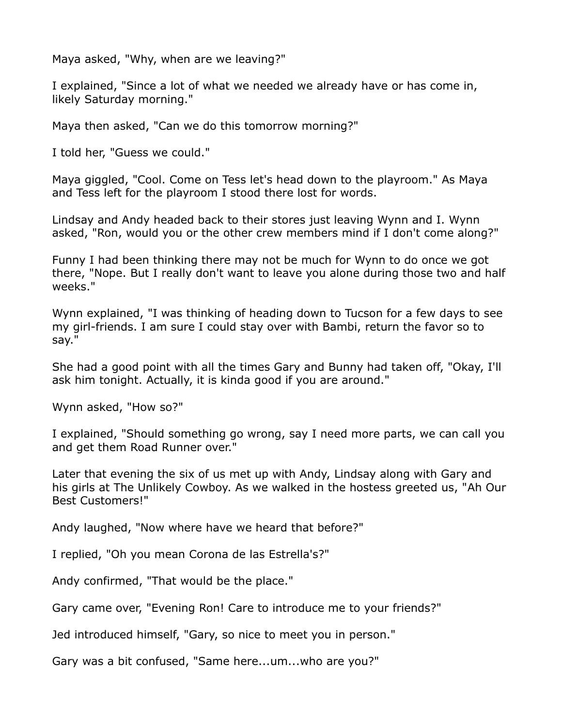Maya asked, "Why, when are we leaving?"

I explained, "Since a lot of what we needed we already have or has come in, likely Saturday morning."

Maya then asked, "Can we do this tomorrow morning?"

I told her, "Guess we could."

Maya giggled, "Cool. Come on Tess let's head down to the playroom." As Maya and Tess left for the playroom I stood there lost for words.

Lindsay and Andy headed back to their stores just leaving Wynn and I. Wynn asked, "Ron, would you or the other crew members mind if I don't come along?"

Funny I had been thinking there may not be much for Wynn to do once we got there, "Nope. But I really don't want to leave you alone during those two and half weeks."

Wynn explained, "I was thinking of heading down to Tucson for a few days to see my girl-friends. I am sure I could stay over with Bambi, return the favor so to say."

She had a good point with all the times Gary and Bunny had taken off, "Okay, I'll ask him tonight. Actually, it is kinda good if you are around."

Wynn asked, "How so?"

I explained, "Should something go wrong, say I need more parts, we can call you and get them Road Runner over."

Later that evening the six of us met up with Andy, Lindsay along with Gary and his girls at The Unlikely Cowboy. As we walked in the hostess greeted us, "Ah Our Best Customers!"

Andy laughed, "Now where have we heard that before?"

I replied, "Oh you mean Corona de las Estrella's?"

Andy confirmed, "That would be the place."

Gary came over, "Evening Ron! Care to introduce me to your friends?"

Jed introduced himself, "Gary, so nice to meet you in person."

Gary was a bit confused, "Same here...um...who are you?"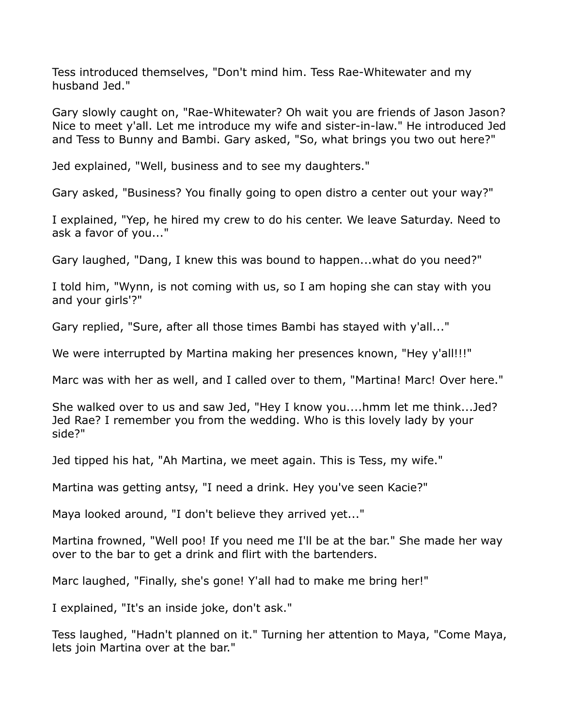Tess introduced themselves, "Don't mind him. Tess Rae-Whitewater and my husband Jed."

Gary slowly caught on, "Rae-Whitewater? Oh wait you are friends of Jason Jason? Nice to meet y'all. Let me introduce my wife and sister-in-law." He introduced Jed and Tess to Bunny and Bambi. Gary asked, "So, what brings you two out here?"

Jed explained, "Well, business and to see my daughters."

Gary asked, "Business? You finally going to open distro a center out your way?"

I explained, "Yep, he hired my crew to do his center. We leave Saturday. Need to ask a favor of you..."

Gary laughed, "Dang, I knew this was bound to happen...what do you need?"

I told him, "Wynn, is not coming with us, so I am hoping she can stay with you and your girls'?"

Gary replied, "Sure, after all those times Bambi has stayed with y'all..."

We were interrupted by Martina making her presences known, "Hey y'all!!!!"

Marc was with her as well, and I called over to them, "Martina! Marc! Over here."

She walked over to us and saw Jed, "Hey I know you....hmm let me think...Jed? Jed Rae? I remember you from the wedding. Who is this lovely lady by your side?"

Jed tipped his hat, "Ah Martina, we meet again. This is Tess, my wife."

Martina was getting antsy, "I need a drink. Hey you've seen Kacie?"

Maya looked around, "I don't believe they arrived yet..."

Martina frowned, "Well poo! If you need me I'll be at the bar." She made her way over to the bar to get a drink and flirt with the bartenders.

Marc laughed, "Finally, she's gone! Y'all had to make me bring her!"

I explained, "It's an inside joke, don't ask."

Tess laughed, "Hadn't planned on it." Turning her attention to Maya, "Come Maya, lets join Martina over at the bar."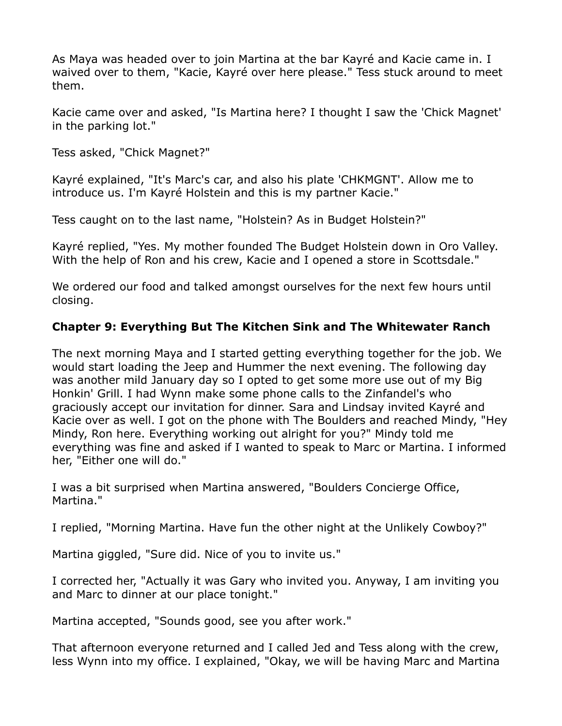As Maya was headed over to join Martina at the bar Kayré and Kacie came in. I waived over to them, "Kacie, Kayré over here please." Tess stuck around to meet them.

Kacie came over and asked, "Is Martina here? I thought I saw the 'Chick Magnet' in the parking lot."

Tess asked, "Chick Magnet?"

Kayré explained, "It's Marc's car, and also his plate 'CHKMGNT'. Allow me to introduce us. I'm Kayré Holstein and this is my partner Kacie."

Tess caught on to the last name, "Holstein? As in Budget Holstein?"

Kayré replied, "Yes. My mother founded The Budget Holstein down in Oro Valley. With the help of Ron and his crew, Kacie and I opened a store in Scottsdale."

We ordered our food and talked amongst ourselves for the next few hours until closing.

# **Chapter 9: Everything But The Kitchen Sink and The Whitewater Ranch**

The next morning Maya and I started getting everything together for the job. We would start loading the Jeep and Hummer the next evening. The following day was another mild January day so I opted to get some more use out of my Big Honkin' Grill. I had Wynn make some phone calls to the Zinfandel's who graciously accept our invitation for dinner. Sara and Lindsay invited Kayré and Kacie over as well. I got on the phone with The Boulders and reached Mindy, "Hey Mindy, Ron here. Everything working out alright for you?" Mindy told me everything was fine and asked if I wanted to speak to Marc or Martina. I informed her, "Either one will do."

I was a bit surprised when Martina answered, "Boulders Concierge Office, Martina."

I replied, "Morning Martina. Have fun the other night at the Unlikely Cowboy?"

Martina giggled, "Sure did. Nice of you to invite us."

I corrected her, "Actually it was Gary who invited you. Anyway, I am inviting you and Marc to dinner at our place tonight."

Martina accepted, "Sounds good, see you after work."

That afternoon everyone returned and I called Jed and Tess along with the crew, less Wynn into my office. I explained, "Okay, we will be having Marc and Martina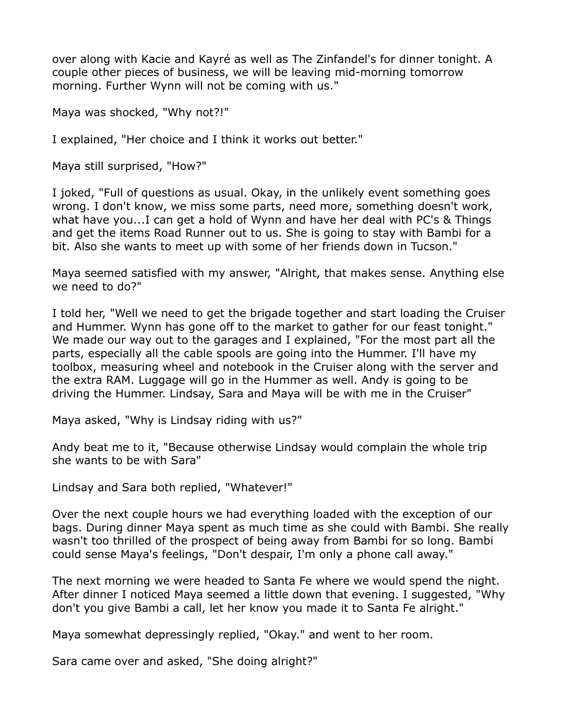over along with Kacie and Kayré as well as The Zinfandel's for dinner tonight. A couple other pieces of business, we will be leaving mid-morning tomorrow morning. Further Wynn will not be coming with us."

Maya was shocked, "Why not?!"

I explained, "Her choice and I think it works out better."

Maya still surprised, "How?"

I joked, "Full of questions as usual. Okay, in the unlikely event something goes wrong. I don't know, we miss some parts, need more, something doesn't work, what have you...I can get a hold of Wynn and have her deal with PC's & Things and get the items Road Runner out to us. She is going to stay with Bambi for a bit. Also she wants to meet up with some of her friends down in Tucson."

Maya seemed satisfied with my answer, "Alright, that makes sense. Anything else we need to do?"

I told her, "Well we need to get the brigade together and start loading the Cruiser and Hummer. Wynn has gone off to the market to gather for our feast tonight." We made our way out to the garages and I explained, "For the most part all the parts, especially all the cable spools are going into the Hummer. I'll have my toolbox, measuring wheel and notebook in the Cruiser along with the server and the extra RAM. Luggage will go in the Hummer as well. Andy is going to be driving the Hummer. Lindsay, Sara and Maya will be with me in the Cruiser"

Maya asked, "Why is Lindsay riding with us?"

Andy beat me to it, "Because otherwise Lindsay would complain the whole trip she wants to be with Sara"

Lindsay and Sara both replied, "Whatever!"

Over the next couple hours we had everything loaded with the exception of our bags. During dinner Maya spent as much time as she could with Bambi. She really wasn't too thrilled of the prospect of being away from Bambi for so long. Bambi could sense Maya's feelings, "Don't despair, I'm only a phone call away."

The next morning we were headed to Santa Fe where we would spend the night. After dinner I noticed Maya seemed a little down that evening. I suggested, "Why don't you give Bambi a call, let her know you made it to Santa Fe alright."

Maya somewhat depressingly replied, "Okay." and went to her room.

Sara came over and asked, "She doing alright?"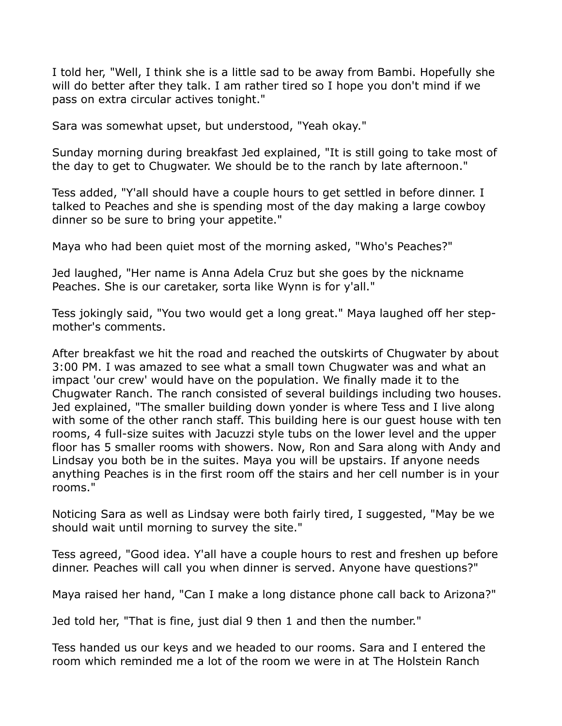I told her, "Well, I think she is a little sad to be away from Bambi. Hopefully she will do better after they talk. I am rather tired so I hope you don't mind if we pass on extra circular actives tonight."

Sara was somewhat upset, but understood, "Yeah okay."

Sunday morning during breakfast Jed explained, "It is still going to take most of the day to get to Chugwater. We should be to the ranch by late afternoon."

Tess added, "Y'all should have a couple hours to get settled in before dinner. I talked to Peaches and she is spending most of the day making a large cowboy dinner so be sure to bring your appetite."

Maya who had been quiet most of the morning asked, "Who's Peaches?"

Jed laughed, "Her name is Anna Adela Cruz but she goes by the nickname Peaches. She is our caretaker, sorta like Wynn is for y'all."

Tess jokingly said, "You two would get a long great." Maya laughed off her stepmother's comments.

After breakfast we hit the road and reached the outskirts of Chugwater by about 3:00 PM. I was amazed to see what a small town Chugwater was and what an impact 'our crew' would have on the population. We finally made it to the Chugwater Ranch. The ranch consisted of several buildings including two houses. Jed explained, "The smaller building down yonder is where Tess and I live along with some of the other ranch staff. This building here is our guest house with ten rooms, 4 full-size suites with Jacuzzi style tubs on the lower level and the upper floor has 5 smaller rooms with showers. Now, Ron and Sara along with Andy and Lindsay you both be in the suites. Maya you will be upstairs. If anyone needs anything Peaches is in the first room off the stairs and her cell number is in your rooms."

Noticing Sara as well as Lindsay were both fairly tired, I suggested, "May be we should wait until morning to survey the site."

Tess agreed, "Good idea. Y'all have a couple hours to rest and freshen up before dinner. Peaches will call you when dinner is served. Anyone have questions?"

Maya raised her hand, "Can I make a long distance phone call back to Arizona?"

Jed told her, "That is fine, just dial 9 then 1 and then the number."

Tess handed us our keys and we headed to our rooms. Sara and I entered the room which reminded me a lot of the room we were in at The Holstein Ranch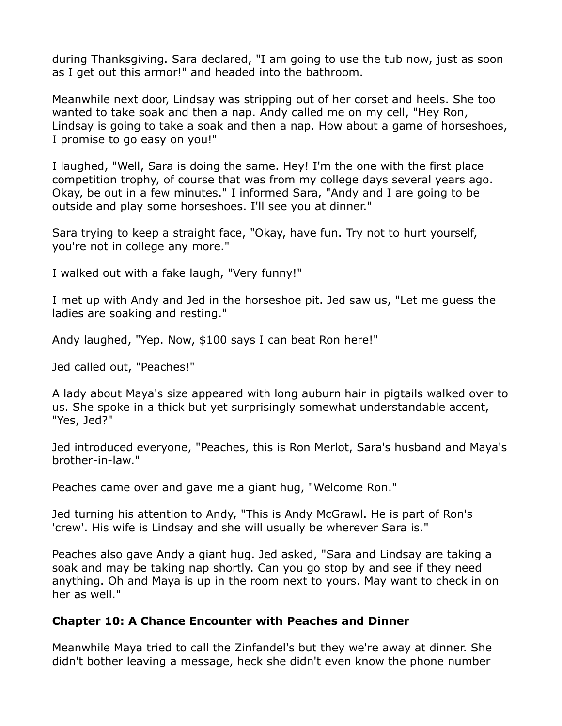during Thanksgiving. Sara declared, "I am going to use the tub now, just as soon as I get out this armor!" and headed into the bathroom.

Meanwhile next door, Lindsay was stripping out of her corset and heels. She too wanted to take soak and then a nap. Andy called me on my cell, "Hey Ron, Lindsay is going to take a soak and then a nap. How about a game of horseshoes, I promise to go easy on you!"

I laughed, "Well, Sara is doing the same. Hey! I'm the one with the first place competition trophy, of course that was from my college days several years ago. Okay, be out in a few minutes." I informed Sara, "Andy and I are going to be outside and play some horseshoes. I'll see you at dinner."

Sara trying to keep a straight face, "Okay, have fun. Try not to hurt yourself, you're not in college any more."

I walked out with a fake laugh, "Very funny!"

I met up with Andy and Jed in the horseshoe pit. Jed saw us, "Let me guess the ladies are soaking and resting."

Andy laughed, "Yep. Now, \$100 says I can beat Ron here!"

Jed called out, "Peaches!"

A lady about Maya's size appeared with long auburn hair in pigtails walked over to us. She spoke in a thick but yet surprisingly somewhat understandable accent, "Yes, Jed?"

Jed introduced everyone, "Peaches, this is Ron Merlot, Sara's husband and Maya's brother-in-law."

Peaches came over and gave me a giant hug, "Welcome Ron."

Jed turning his attention to Andy, "This is Andy McGrawl. He is part of Ron's 'crew'. His wife is Lindsay and she will usually be wherever Sara is."

Peaches also gave Andy a giant hug. Jed asked, "Sara and Lindsay are taking a soak and may be taking nap shortly. Can you go stop by and see if they need anything. Oh and Maya is up in the room next to yours. May want to check in on her as well."

#### **Chapter 10: A Chance Encounter with Peaches and Dinner**

Meanwhile Maya tried to call the Zinfandel's but they we're away at dinner. She didn't bother leaving a message, heck she didn't even know the phone number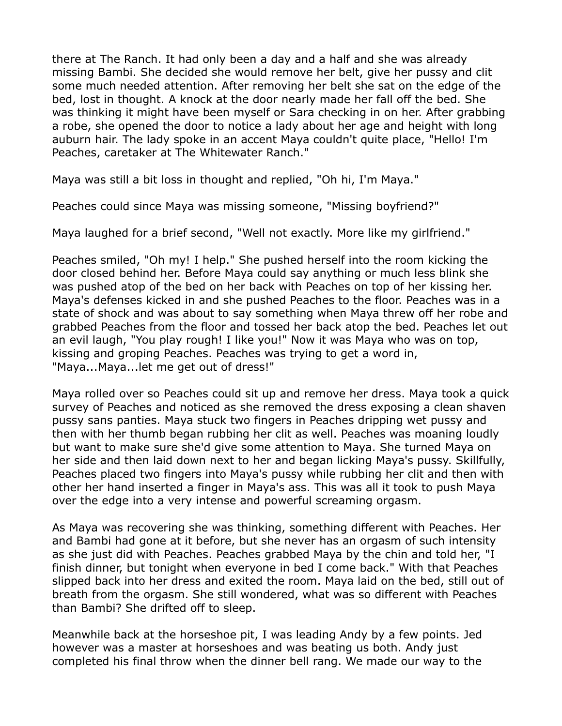there at The Ranch. It had only been a day and a half and she was already missing Bambi. She decided she would remove her belt, give her pussy and clit some much needed attention. After removing her belt she sat on the edge of the bed, lost in thought. A knock at the door nearly made her fall off the bed. She was thinking it might have been myself or Sara checking in on her. After grabbing a robe, she opened the door to notice a lady about her age and height with long auburn hair. The lady spoke in an accent Maya couldn't quite place, "Hello! I'm Peaches, caretaker at The Whitewater Ranch."

Maya was still a bit loss in thought and replied, "Oh hi, I'm Maya."

Peaches could since Maya was missing someone, "Missing boyfriend?"

Maya laughed for a brief second, "Well not exactly. More like my girlfriend."

Peaches smiled, "Oh my! I help." She pushed herself into the room kicking the door closed behind her. Before Maya could say anything or much less blink she was pushed atop of the bed on her back with Peaches on top of her kissing her. Maya's defenses kicked in and she pushed Peaches to the floor. Peaches was in a state of shock and was about to say something when Maya threw off her robe and grabbed Peaches from the floor and tossed her back atop the bed. Peaches let out an evil laugh, "You play rough! I like you!" Now it was Maya who was on top, kissing and groping Peaches. Peaches was trying to get a word in, "Maya...Maya...let me get out of dress!"

Maya rolled over so Peaches could sit up and remove her dress. Maya took a quick survey of Peaches and noticed as she removed the dress exposing a clean shaven pussy sans panties. Maya stuck two fingers in Peaches dripping wet pussy and then with her thumb began rubbing her clit as well. Peaches was moaning loudly but want to make sure she'd give some attention to Maya. She turned Maya on her side and then laid down next to her and began licking Maya's pussy. Skillfully, Peaches placed two fingers into Maya's pussy while rubbing her clit and then with other her hand inserted a finger in Maya's ass. This was all it took to push Maya over the edge into a very intense and powerful screaming orgasm.

As Maya was recovering she was thinking, something different with Peaches. Her and Bambi had gone at it before, but she never has an orgasm of such intensity as she just did with Peaches. Peaches grabbed Maya by the chin and told her, "I finish dinner, but tonight when everyone in bed I come back." With that Peaches slipped back into her dress and exited the room. Maya laid on the bed, still out of breath from the orgasm. She still wondered, what was so different with Peaches than Bambi? She drifted off to sleep.

Meanwhile back at the horseshoe pit, I was leading Andy by a few points. Jed however was a master at horseshoes and was beating us both. Andy just completed his final throw when the dinner bell rang. We made our way to the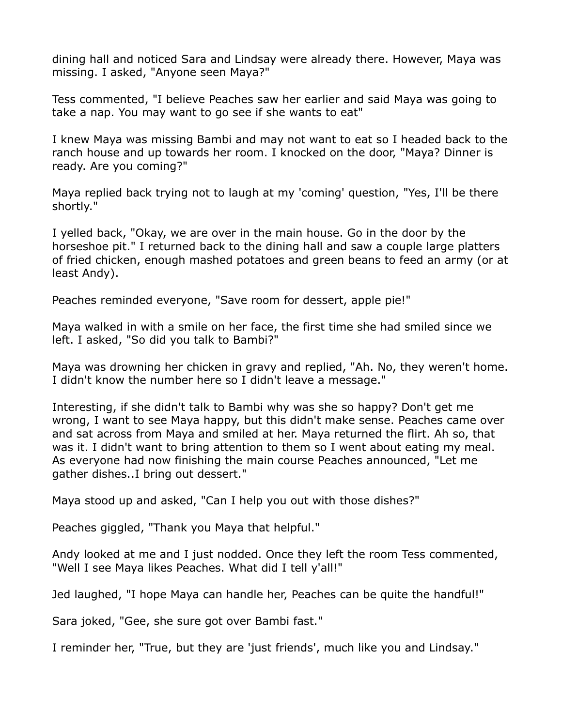dining hall and noticed Sara and Lindsay were already there. However, Maya was missing. I asked, "Anyone seen Maya?"

Tess commented, "I believe Peaches saw her earlier and said Maya was going to take a nap. You may want to go see if she wants to eat"

I knew Maya was missing Bambi and may not want to eat so I headed back to the ranch house and up towards her room. I knocked on the door, "Maya? Dinner is ready. Are you coming?"

Maya replied back trying not to laugh at my 'coming' question, "Yes, I'll be there shortly."

I yelled back, "Okay, we are over in the main house. Go in the door by the horseshoe pit." I returned back to the dining hall and saw a couple large platters of fried chicken, enough mashed potatoes and green beans to feed an army (or at least Andy).

Peaches reminded everyone, "Save room for dessert, apple pie!"

Maya walked in with a smile on her face, the first time she had smiled since we left. I asked, "So did you talk to Bambi?"

Maya was drowning her chicken in gravy and replied, "Ah. No, they weren't home. I didn't know the number here so I didn't leave a message."

Interesting, if she didn't talk to Bambi why was she so happy? Don't get me wrong, I want to see Maya happy, but this didn't make sense. Peaches came over and sat across from Maya and smiled at her. Maya returned the flirt. Ah so, that was it. I didn't want to bring attention to them so I went about eating my meal. As everyone had now finishing the main course Peaches announced, "Let me gather dishes..I bring out dessert."

Maya stood up and asked, "Can I help you out with those dishes?"

Peaches giggled, "Thank you Maya that helpful."

Andy looked at me and I just nodded. Once they left the room Tess commented, "Well I see Maya likes Peaches. What did I tell y'all!"

Jed laughed, "I hope Maya can handle her, Peaches can be quite the handful!"

Sara joked, "Gee, she sure got over Bambi fast."

I reminder her, "True, but they are 'just friends', much like you and Lindsay."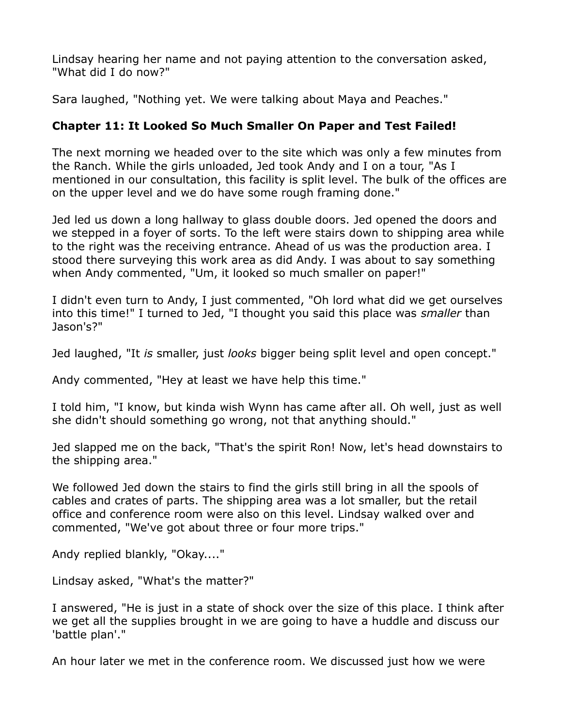Lindsay hearing her name and not paying attention to the conversation asked, "What did I do now?"

Sara laughed, "Nothing yet. We were talking about Maya and Peaches."

# **Chapter 11: It Looked So Much Smaller On Paper and Test Failed!**

The next morning we headed over to the site which was only a few minutes from the Ranch. While the girls unloaded, Jed took Andy and I on a tour, "As I mentioned in our consultation, this facility is split level. The bulk of the offices are on the upper level and we do have some rough framing done."

Jed led us down a long hallway to glass double doors. Jed opened the doors and we stepped in a foyer of sorts. To the left were stairs down to shipping area while to the right was the receiving entrance. Ahead of us was the production area. I stood there surveying this work area as did Andy. I was about to say something when Andy commented, "Um, it looked so much smaller on paper!"

I didn't even turn to Andy, I just commented, "Oh lord what did we get ourselves into this time!" I turned to Jed, "I thought you said this place was *smaller* than Jason's?"

Jed laughed, "It *is* smaller, just *looks* bigger being split level and open concept."

Andy commented, "Hey at least we have help this time."

I told him, "I know, but kinda wish Wynn has came after all. Oh well, just as well she didn't should something go wrong, not that anything should."

Jed slapped me on the back, "That's the spirit Ron! Now, let's head downstairs to the shipping area."

We followed Jed down the stairs to find the girls still bring in all the spools of cables and crates of parts. The shipping area was a lot smaller, but the retail office and conference room were also on this level. Lindsay walked over and commented, "We've got about three or four more trips."

Andy replied blankly, "Okay...."

Lindsay asked, "What's the matter?"

I answered, "He is just in a state of shock over the size of this place. I think after we get all the supplies brought in we are going to have a huddle and discuss our 'battle plan'."

An hour later we met in the conference room. We discussed just how we were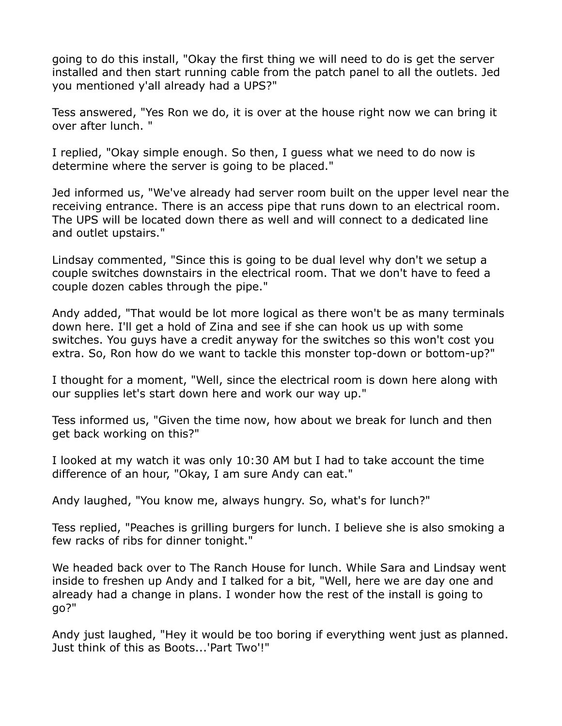going to do this install, "Okay the first thing we will need to do is get the server installed and then start running cable from the patch panel to all the outlets. Jed you mentioned y'all already had a UPS?"

Tess answered, "Yes Ron we do, it is over at the house right now we can bring it over after lunch. "

I replied, "Okay simple enough. So then, I guess what we need to do now is determine where the server is going to be placed."

Jed informed us, "We've already had server room built on the upper level near the receiving entrance. There is an access pipe that runs down to an electrical room. The UPS will be located down there as well and will connect to a dedicated line and outlet upstairs."

Lindsay commented, "Since this is going to be dual level why don't we setup a couple switches downstairs in the electrical room. That we don't have to feed a couple dozen cables through the pipe."

Andy added, "That would be lot more logical as there won't be as many terminals down here. I'll get a hold of Zina and see if she can hook us up with some switches. You guys have a credit anyway for the switches so this won't cost you extra. So, Ron how do we want to tackle this monster top-down or bottom-up?"

I thought for a moment, "Well, since the electrical room is down here along with our supplies let's start down here and work our way up."

Tess informed us, "Given the time now, how about we break for lunch and then get back working on this?"

I looked at my watch it was only 10:30 AM but I had to take account the time difference of an hour, "Okay, I am sure Andy can eat."

Andy laughed, "You know me, always hungry. So, what's for lunch?"

Tess replied, "Peaches is grilling burgers for lunch. I believe she is also smoking a few racks of ribs for dinner tonight."

We headed back over to The Ranch House for lunch. While Sara and Lindsay went inside to freshen up Andy and I talked for a bit, "Well, here we are day one and already had a change in plans. I wonder how the rest of the install is going to go?"

Andy just laughed, "Hey it would be too boring if everything went just as planned. Just think of this as Boots...'Part Two'!"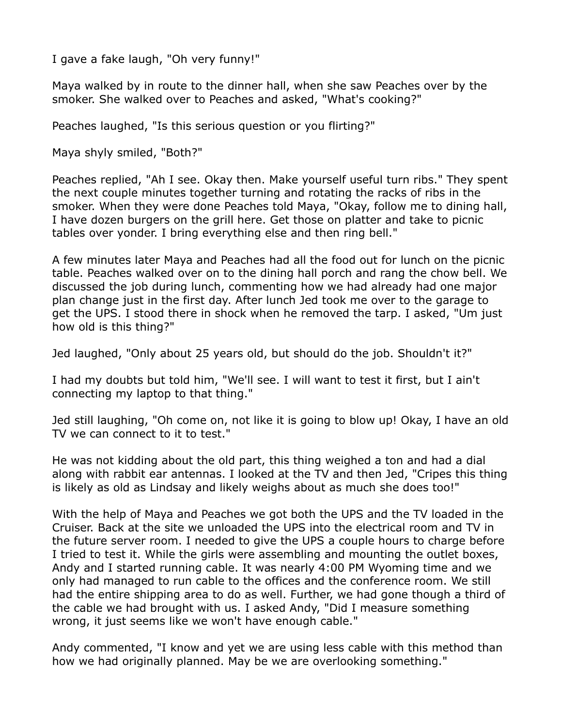I gave a fake laugh, "Oh very funny!"

Maya walked by in route to the dinner hall, when she saw Peaches over by the smoker. She walked over to Peaches and asked, "What's cooking?"

Peaches laughed, "Is this serious question or you flirting?"

Maya shyly smiled, "Both?"

Peaches replied, "Ah I see. Okay then. Make yourself useful turn ribs." They spent the next couple minutes together turning and rotating the racks of ribs in the smoker. When they were done Peaches told Maya, "Okay, follow me to dining hall, I have dozen burgers on the grill here. Get those on platter and take to picnic tables over yonder. I bring everything else and then ring bell."

A few minutes later Maya and Peaches had all the food out for lunch on the picnic table. Peaches walked over on to the dining hall porch and rang the chow bell. We discussed the job during lunch, commenting how we had already had one major plan change just in the first day. After lunch Jed took me over to the garage to get the UPS. I stood there in shock when he removed the tarp. I asked, "Um just how old is this thing?"

Jed laughed, "Only about 25 years old, but should do the job. Shouldn't it?"

I had my doubts but told him, "We'll see. I will want to test it first, but I ain't connecting my laptop to that thing."

Jed still laughing, "Oh come on, not like it is going to blow up! Okay, I have an old TV we can connect to it to test."

He was not kidding about the old part, this thing weighed a ton and had a dial along with rabbit ear antennas. I looked at the TV and then Jed, "Cripes this thing is likely as old as Lindsay and likely weighs about as much she does too!"

With the help of Maya and Peaches we got both the UPS and the TV loaded in the Cruiser. Back at the site we unloaded the UPS into the electrical room and TV in the future server room. I needed to give the UPS a couple hours to charge before I tried to test it. While the girls were assembling and mounting the outlet boxes, Andy and I started running cable. It was nearly 4:00 PM Wyoming time and we only had managed to run cable to the offices and the conference room. We still had the entire shipping area to do as well. Further, we had gone though a third of the cable we had brought with us. I asked Andy, "Did I measure something wrong, it just seems like we won't have enough cable."

Andy commented, "I know and yet we are using less cable with this method than how we had originally planned. May be we are overlooking something."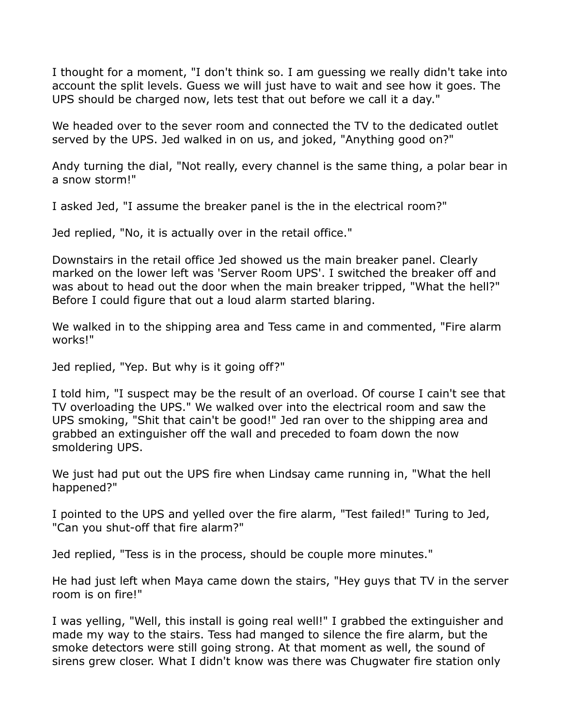I thought for a moment, "I don't think so. I am guessing we really didn't take into account the split levels. Guess we will just have to wait and see how it goes. The UPS should be charged now, lets test that out before we call it a day."

We headed over to the sever room and connected the TV to the dedicated outlet served by the UPS. Jed walked in on us, and joked, "Anything good on?"

Andy turning the dial, "Not really, every channel is the same thing, a polar bear in a snow storm!"

I asked Jed, "I assume the breaker panel is the in the electrical room?"

Jed replied, "No, it is actually over in the retail office."

Downstairs in the retail office Jed showed us the main breaker panel. Clearly marked on the lower left was 'Server Room UPS'. I switched the breaker off and was about to head out the door when the main breaker tripped, "What the hell?" Before I could figure that out a loud alarm started blaring.

We walked in to the shipping area and Tess came in and commented, "Fire alarm works!"

Jed replied, "Yep. But why is it going off?"

I told him, "I suspect may be the result of an overload. Of course I cain't see that TV overloading the UPS." We walked over into the electrical room and saw the UPS smoking, "Shit that cain't be good!" Jed ran over to the shipping area and grabbed an extinguisher off the wall and preceded to foam down the now smoldering UPS.

We just had put out the UPS fire when Lindsay came running in, "What the hell happened?"

I pointed to the UPS and yelled over the fire alarm, "Test failed!" Turing to Jed, "Can you shut-off that fire alarm?"

Jed replied, "Tess is in the process, should be couple more minutes."

He had just left when Maya came down the stairs, "Hey guys that TV in the server room is on fire!"

I was yelling, "Well, this install is going real well!" I grabbed the extinguisher and made my way to the stairs. Tess had manged to silence the fire alarm, but the smoke detectors were still going strong. At that moment as well, the sound of sirens grew closer. What I didn't know was there was Chugwater fire station only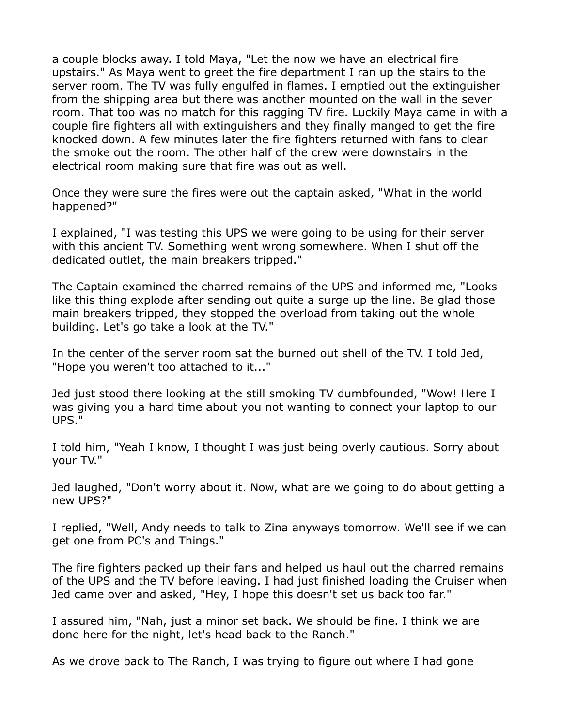a couple blocks away. I told Maya, "Let the now we have an electrical fire upstairs." As Maya went to greet the fire department I ran up the stairs to the server room. The TV was fully engulfed in flames. I emptied out the extinguisher from the shipping area but there was another mounted on the wall in the sever room. That too was no match for this ragging TV fire. Luckily Maya came in with a couple fire fighters all with extinguishers and they finally manged to get the fire knocked down. A few minutes later the fire fighters returned with fans to clear the smoke out the room. The other half of the crew were downstairs in the electrical room making sure that fire was out as well.

Once they were sure the fires were out the captain asked, "What in the world happened?"

I explained, "I was testing this UPS we were going to be using for their server with this ancient TV. Something went wrong somewhere. When I shut off the dedicated outlet, the main breakers tripped."

The Captain examined the charred remains of the UPS and informed me, "Looks like this thing explode after sending out quite a surge up the line. Be glad those main breakers tripped, they stopped the overload from taking out the whole building. Let's go take a look at the TV."

In the center of the server room sat the burned out shell of the TV. I told Jed, "Hope you weren't too attached to it..."

Jed just stood there looking at the still smoking TV dumbfounded, "Wow! Here I was giving you a hard time about you not wanting to connect your laptop to our UPS."

I told him, "Yeah I know, I thought I was just being overly cautious. Sorry about your TV."

Jed laughed, "Don't worry about it. Now, what are we going to do about getting a new UPS?"

I replied, "Well, Andy needs to talk to Zina anyways tomorrow. We'll see if we can get one from PC's and Things."

The fire fighters packed up their fans and helped us haul out the charred remains of the UPS and the TV before leaving. I had just finished loading the Cruiser when Jed came over and asked, "Hey, I hope this doesn't set us back too far."

I assured him, "Nah, just a minor set back. We should be fine. I think we are done here for the night, let's head back to the Ranch."

As we drove back to The Ranch, I was trying to figure out where I had gone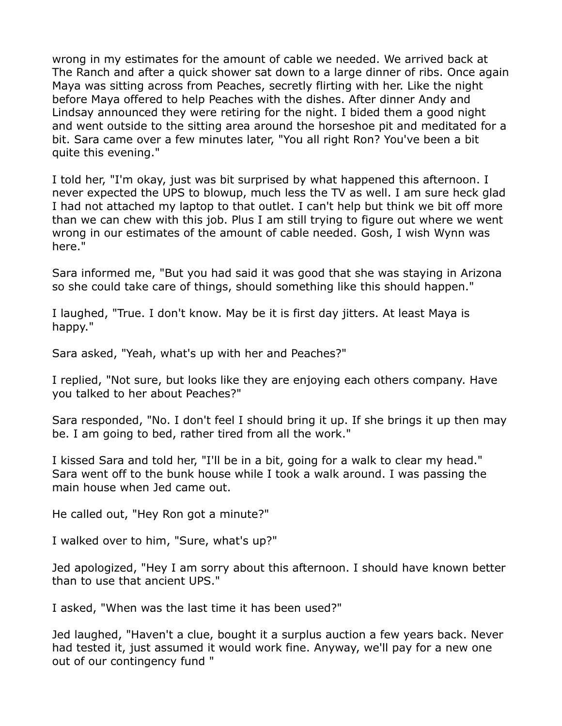wrong in my estimates for the amount of cable we needed. We arrived back at The Ranch and after a quick shower sat down to a large dinner of ribs. Once again Maya was sitting across from Peaches, secretly flirting with her. Like the night before Maya offered to help Peaches with the dishes. After dinner Andy and Lindsay announced they were retiring for the night. I bided them a good night and went outside to the sitting area around the horseshoe pit and meditated for a bit. Sara came over a few minutes later, "You all right Ron? You've been a bit quite this evening."

I told her, "I'm okay, just was bit surprised by what happened this afternoon. I never expected the UPS to blowup, much less the TV as well. I am sure heck glad I had not attached my laptop to that outlet. I can't help but think we bit off more than we can chew with this job. Plus I am still trying to figure out where we went wrong in our estimates of the amount of cable needed. Gosh, I wish Wynn was here."

Sara informed me, "But you had said it was good that she was staying in Arizona so she could take care of things, should something like this should happen."

I laughed, "True. I don't know. May be it is first day jitters. At least Maya is happy."

Sara asked, "Yeah, what's up with her and Peaches?"

I replied, "Not sure, but looks like they are enjoying each others company. Have you talked to her about Peaches?"

Sara responded, "No. I don't feel I should bring it up. If she brings it up then may be. I am going to bed, rather tired from all the work."

I kissed Sara and told her, "I'll be in a bit, going for a walk to clear my head." Sara went off to the bunk house while I took a walk around. I was passing the main house when Jed came out.

He called out, "Hey Ron got a minute?"

I walked over to him, "Sure, what's up?"

Jed apologized, "Hey I am sorry about this afternoon. I should have known better than to use that ancient UPS."

I asked, "When was the last time it has been used?"

Jed laughed, "Haven't a clue, bought it a surplus auction a few years back. Never had tested it, just assumed it would work fine. Anyway, we'll pay for a new one out of our contingency fund "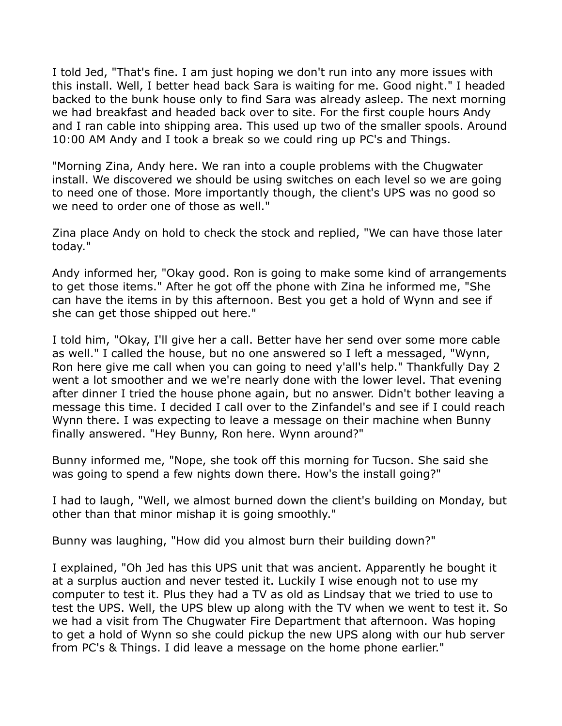I told Jed, "That's fine. I am just hoping we don't run into any more issues with this install. Well, I better head back Sara is waiting for me. Good night." I headed backed to the bunk house only to find Sara was already asleep. The next morning we had breakfast and headed back over to site. For the first couple hours Andy and I ran cable into shipping area. This used up two of the smaller spools. Around 10:00 AM Andy and I took a break so we could ring up PC's and Things.

"Morning Zina, Andy here. We ran into a couple problems with the Chugwater install. We discovered we should be using switches on each level so we are going to need one of those. More importantly though, the client's UPS was no good so we need to order one of those as well."

Zina place Andy on hold to check the stock and replied, "We can have those later today."

Andy informed her, "Okay good. Ron is going to make some kind of arrangements to get those items." After he got off the phone with Zina he informed me, "She can have the items in by this afternoon. Best you get a hold of Wynn and see if she can get those shipped out here."

I told him, "Okay, I'll give her a call. Better have her send over some more cable as well." I called the house, but no one answered so I left a messaged, "Wynn, Ron here give me call when you can going to need y'all's help." Thankfully Day 2 went a lot smoother and we we're nearly done with the lower level. That evening after dinner I tried the house phone again, but no answer. Didn't bother leaving a message this time. I decided I call over to the Zinfandel's and see if I could reach Wynn there. I was expecting to leave a message on their machine when Bunny finally answered. "Hey Bunny, Ron here. Wynn around?"

Bunny informed me, "Nope, she took off this morning for Tucson. She said she was going to spend a few nights down there. How's the install going?"

I had to laugh, "Well, we almost burned down the client's building on Monday, but other than that minor mishap it is going smoothly."

Bunny was laughing, "How did you almost burn their building down?"

I explained, "Oh Jed has this UPS unit that was ancient. Apparently he bought it at a surplus auction and never tested it. Luckily I wise enough not to use my computer to test it. Plus they had a TV as old as Lindsay that we tried to use to test the UPS. Well, the UPS blew up along with the TV when we went to test it. So we had a visit from The Chugwater Fire Department that afternoon. Was hoping to get a hold of Wynn so she could pickup the new UPS along with our hub server from PC's & Things. I did leave a message on the home phone earlier."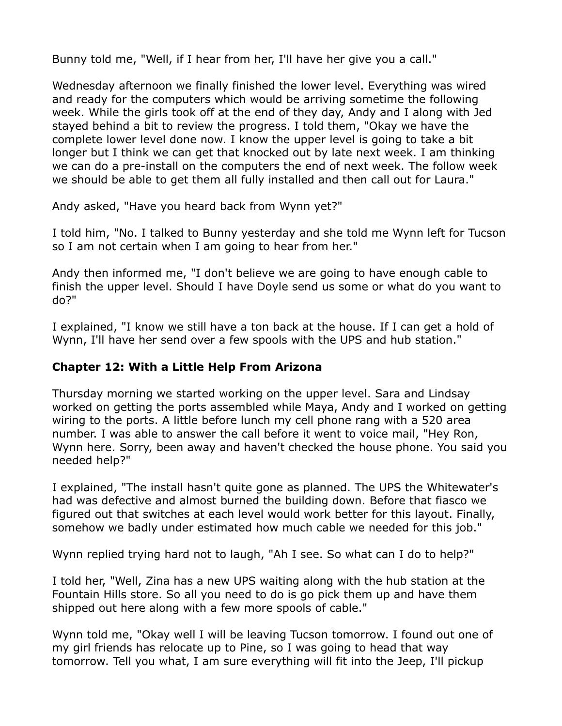Bunny told me, "Well, if I hear from her, I'll have her give you a call."

Wednesday afternoon we finally finished the lower level. Everything was wired and ready for the computers which would be arriving sometime the following week. While the girls took off at the end of they day, Andy and I along with Jed stayed behind a bit to review the progress. I told them, "Okay we have the complete lower level done now. I know the upper level is going to take a bit longer but I think we can get that knocked out by late next week. I am thinking we can do a pre-install on the computers the end of next week. The follow week we should be able to get them all fully installed and then call out for Laura."

Andy asked, "Have you heard back from Wynn yet?"

I told him, "No. I talked to Bunny yesterday and she told me Wynn left for Tucson so I am not certain when I am going to hear from her."

Andy then informed me, "I don't believe we are going to have enough cable to finish the upper level. Should I have Doyle send us some or what do you want to do?"

I explained, "I know we still have a ton back at the house. If I can get a hold of Wynn, I'll have her send over a few spools with the UPS and hub station."

# **Chapter 12: With a Little Help From Arizona**

Thursday morning we started working on the upper level. Sara and Lindsay worked on getting the ports assembled while Maya, Andy and I worked on getting wiring to the ports. A little before lunch my cell phone rang with a 520 area number. I was able to answer the call before it went to voice mail, "Hey Ron, Wynn here. Sorry, been away and haven't checked the house phone. You said you needed help?"

I explained, "The install hasn't quite gone as planned. The UPS the Whitewater's had was defective and almost burned the building down. Before that fiasco we figured out that switches at each level would work better for this layout. Finally, somehow we badly under estimated how much cable we needed for this job."

Wynn replied trying hard not to laugh, "Ah I see. So what can I do to help?"

I told her, "Well, Zina has a new UPS waiting along with the hub station at the Fountain Hills store. So all you need to do is go pick them up and have them shipped out here along with a few more spools of cable."

Wynn told me, "Okay well I will be leaving Tucson tomorrow. I found out one of my girl friends has relocate up to Pine, so I was going to head that way tomorrow. Tell you what, I am sure everything will fit into the Jeep, I'll pickup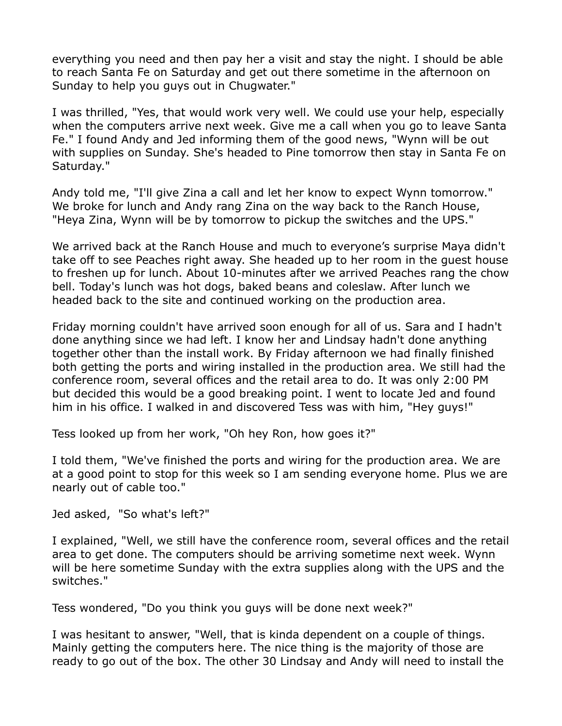everything you need and then pay her a visit and stay the night. I should be able to reach Santa Fe on Saturday and get out there sometime in the afternoon on Sunday to help you guys out in Chugwater."

I was thrilled, "Yes, that would work very well. We could use your help, especially when the computers arrive next week. Give me a call when you go to leave Santa Fe." I found Andy and Jed informing them of the good news, "Wynn will be out with supplies on Sunday. She's headed to Pine tomorrow then stay in Santa Fe on Saturday."

Andy told me, "I'll give Zina a call and let her know to expect Wynn tomorrow." We broke for lunch and Andy rang Zina on the way back to the Ranch House, "Heya Zina, Wynn will be by tomorrow to pickup the switches and the UPS."

We arrived back at the Ranch House and much to everyone's surprise Maya didn't take off to see Peaches right away. She headed up to her room in the guest house to freshen up for lunch. About 10-minutes after we arrived Peaches rang the chow bell. Today's lunch was hot dogs, baked beans and coleslaw. After lunch we headed back to the site and continued working on the production area.

Friday morning couldn't have arrived soon enough for all of us. Sara and I hadn't done anything since we had left. I know her and Lindsay hadn't done anything together other than the install work. By Friday afternoon we had finally finished both getting the ports and wiring installed in the production area. We still had the conference room, several offices and the retail area to do. It was only 2:00 PM but decided this would be a good breaking point. I went to locate Jed and found him in his office. I walked in and discovered Tess was with him, "Hey guys!"

Tess looked up from her work, "Oh hey Ron, how goes it?"

I told them, "We've finished the ports and wiring for the production area. We are at a good point to stop for this week so I am sending everyone home. Plus we are nearly out of cable too."

Jed asked, "So what's left?"

I explained, "Well, we still have the conference room, several offices and the retail area to get done. The computers should be arriving sometime next week. Wynn will be here sometime Sunday with the extra supplies along with the UPS and the switches."

Tess wondered, "Do you think you guys will be done next week?"

I was hesitant to answer, "Well, that is kinda dependent on a couple of things. Mainly getting the computers here. The nice thing is the majority of those are ready to go out of the box. The other 30 Lindsay and Andy will need to install the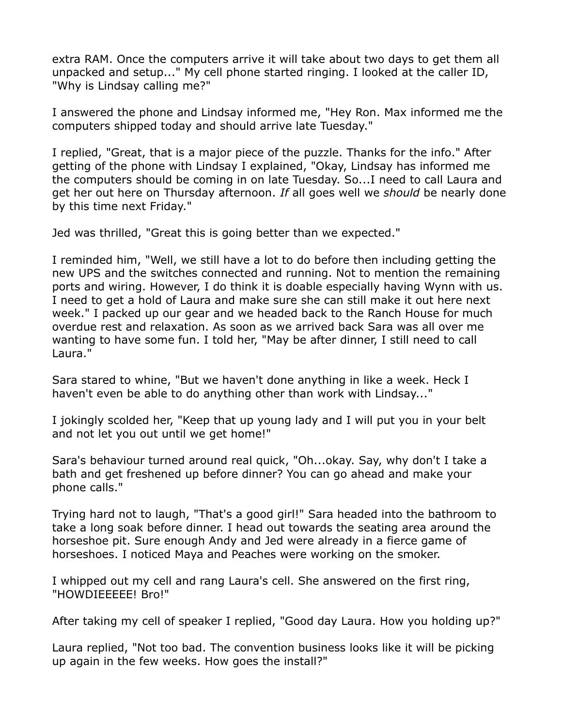extra RAM. Once the computers arrive it will take about two days to get them all unpacked and setup..." My cell phone started ringing. I looked at the caller ID, "Why is Lindsay calling me?"

I answered the phone and Lindsay informed me, "Hey Ron. Max informed me the computers shipped today and should arrive late Tuesday."

I replied, "Great, that is a major piece of the puzzle. Thanks for the info." After getting of the phone with Lindsay I explained, "Okay, Lindsay has informed me the computers should be coming in on late Tuesday. So...I need to call Laura and get her out here on Thursday afternoon. *If* all goes well we *should* be nearly done by this time next Friday."

Jed was thrilled, "Great this is going better than we expected."

I reminded him, "Well, we still have a lot to do before then including getting the new UPS and the switches connected and running. Not to mention the remaining ports and wiring. However, I do think it is doable especially having Wynn with us. I need to get a hold of Laura and make sure she can still make it out here next week." I packed up our gear and we headed back to the Ranch House for much overdue rest and relaxation. As soon as we arrived back Sara was all over me wanting to have some fun. I told her, "May be after dinner, I still need to call Laura."

Sara stared to whine, "But we haven't done anything in like a week. Heck I haven't even be able to do anything other than work with Lindsay..."

I jokingly scolded her, "Keep that up young lady and I will put you in your belt and not let you out until we get home!"

Sara's behaviour turned around real quick, "Oh...okay. Say, why don't I take a bath and get freshened up before dinner? You can go ahead and make your phone calls."

Trying hard not to laugh, "That's a good girl!" Sara headed into the bathroom to take a long soak before dinner. I head out towards the seating area around the horseshoe pit. Sure enough Andy and Jed were already in a fierce game of horseshoes. I noticed Maya and Peaches were working on the smoker.

I whipped out my cell and rang Laura's cell. She answered on the first ring, "HOWDIEEEEE! Bro!"

After taking my cell of speaker I replied, "Good day Laura. How you holding up?"

Laura replied, "Not too bad. The convention business looks like it will be picking up again in the few weeks. How goes the install?"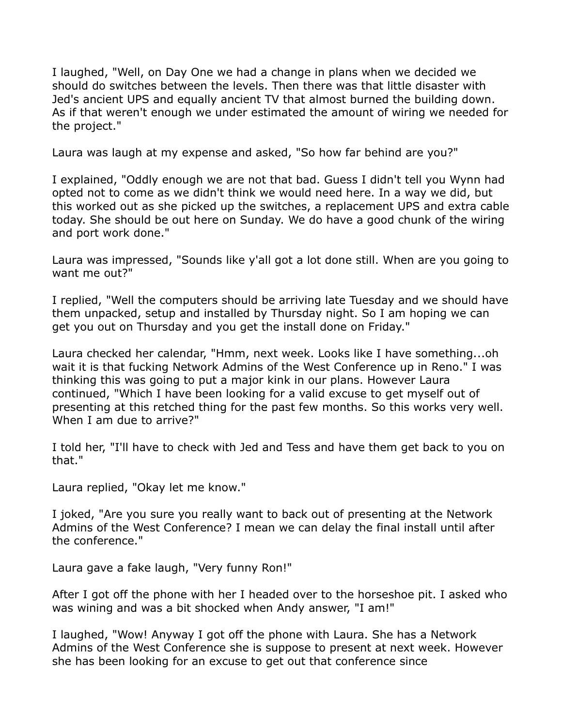I laughed, "Well, on Day One we had a change in plans when we decided we should do switches between the levels. Then there was that little disaster with Jed's ancient UPS and equally ancient TV that almost burned the building down. As if that weren't enough we under estimated the amount of wiring we needed for the project."

Laura was laugh at my expense and asked, "So how far behind are you?"

I explained, "Oddly enough we are not that bad. Guess I didn't tell you Wynn had opted not to come as we didn't think we would need here. In a way we did, but this worked out as she picked up the switches, a replacement UPS and extra cable today. She should be out here on Sunday. We do have a good chunk of the wiring and port work done."

Laura was impressed, "Sounds like y'all got a lot done still. When are you going to want me out?"

I replied, "Well the computers should be arriving late Tuesday and we should have them unpacked, setup and installed by Thursday night. So I am hoping we can get you out on Thursday and you get the install done on Friday."

Laura checked her calendar, "Hmm, next week. Looks like I have something...oh wait it is that fucking Network Admins of the West Conference up in Reno." I was thinking this was going to put a major kink in our plans. However Laura continued, "Which I have been looking for a valid excuse to get myself out of presenting at this retched thing for the past few months. So this works very well. When I am due to arrive?"

I told her, "I'll have to check with Jed and Tess and have them get back to you on that."

Laura replied, "Okay let me know."

I joked, "Are you sure you really want to back out of presenting at the Network Admins of the West Conference? I mean we can delay the final install until after the conference."

Laura gave a fake laugh, "Very funny Ron!"

After I got off the phone with her I headed over to the horseshoe pit. I asked who was wining and was a bit shocked when Andy answer, "I am!"

I laughed, "Wow! Anyway I got off the phone with Laura. She has a Network Admins of the West Conference she is suppose to present at next week. However she has been looking for an excuse to get out that conference since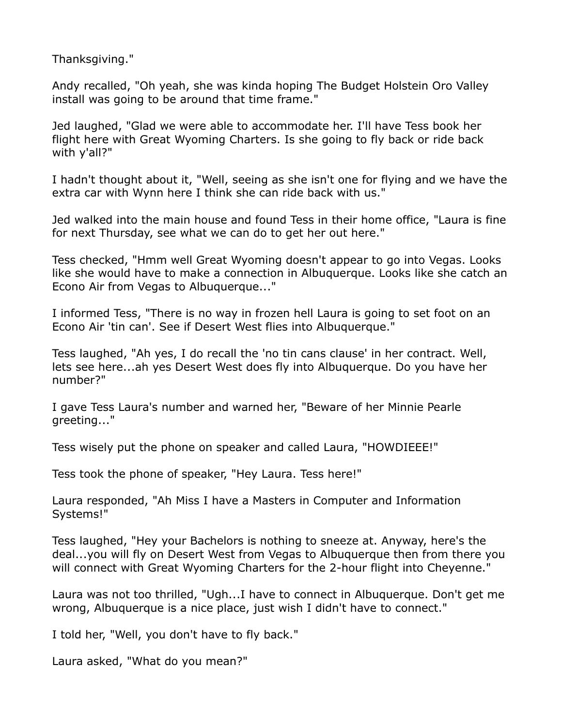Thanksgiving."

Andy recalled, "Oh yeah, she was kinda hoping The Budget Holstein Oro Valley install was going to be around that time frame."

Jed laughed, "Glad we were able to accommodate her. I'll have Tess book her flight here with Great Wyoming Charters. Is she going to fly back or ride back with y'all?"

I hadn't thought about it, "Well, seeing as she isn't one for flying and we have the extra car with Wynn here I think she can ride back with us."

Jed walked into the main house and found Tess in their home office, "Laura is fine for next Thursday, see what we can do to get her out here."

Tess checked, "Hmm well Great Wyoming doesn't appear to go into Vegas. Looks like she would have to make a connection in Albuquerque. Looks like she catch an Econo Air from Vegas to Albuquerque..."

I informed Tess, "There is no way in frozen hell Laura is going to set foot on an Econo Air 'tin can'. See if Desert West flies into Albuquerque."

Tess laughed, "Ah yes, I do recall the 'no tin cans clause' in her contract. Well, lets see here...ah yes Desert West does fly into Albuquerque. Do you have her number?"

I gave Tess Laura's number and warned her, "Beware of her Minnie Pearle greeting..."

Tess wisely put the phone on speaker and called Laura, "HOWDIEEE!"

Tess took the phone of speaker, "Hey Laura. Tess here!"

Laura responded, "Ah Miss I have a Masters in Computer and Information Systems!"

Tess laughed, "Hey your Bachelors is nothing to sneeze at. Anyway, here's the deal...you will fly on Desert West from Vegas to Albuquerque then from there you will connect with Great Wyoming Charters for the 2-hour flight into Cheyenne."

Laura was not too thrilled, "Ugh...I have to connect in Albuquerque. Don't get me wrong, Albuquerque is a nice place, just wish I didn't have to connect."

I told her, "Well, you don't have to fly back."

Laura asked, "What do you mean?"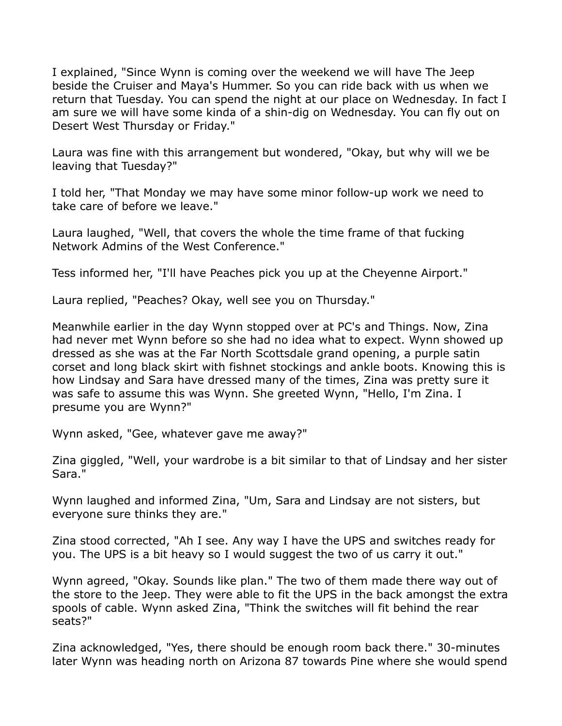I explained, "Since Wynn is coming over the weekend we will have The Jeep beside the Cruiser and Maya's Hummer. So you can ride back with us when we return that Tuesday. You can spend the night at our place on Wednesday. In fact I am sure we will have some kinda of a shin-dig on Wednesday. You can fly out on Desert West Thursday or Friday."

Laura was fine with this arrangement but wondered, "Okay, but why will we be leaving that Tuesday?"

I told her, "That Monday we may have some minor follow-up work we need to take care of before we leave."

Laura laughed, "Well, that covers the whole the time frame of that fucking Network Admins of the West Conference."

Tess informed her, "I'll have Peaches pick you up at the Cheyenne Airport."

Laura replied, "Peaches? Okay, well see you on Thursday."

Meanwhile earlier in the day Wynn stopped over at PC's and Things. Now, Zina had never met Wynn before so she had no idea what to expect. Wynn showed up dressed as she was at the Far North Scottsdale grand opening, a purple satin corset and long black skirt with fishnet stockings and ankle boots. Knowing this is how Lindsay and Sara have dressed many of the times, Zina was pretty sure it was safe to assume this was Wynn. She greeted Wynn, "Hello, I'm Zina. I presume you are Wynn?"

Wynn asked, "Gee, whatever gave me away?"

Zina giggled, "Well, your wardrobe is a bit similar to that of Lindsay and her sister Sara."

Wynn laughed and informed Zina, "Um, Sara and Lindsay are not sisters, but everyone sure thinks they are."

Zina stood corrected, "Ah I see. Any way I have the UPS and switches ready for you. The UPS is a bit heavy so I would suggest the two of us carry it out."

Wynn agreed, "Okay. Sounds like plan." The two of them made there way out of the store to the Jeep. They were able to fit the UPS in the back amongst the extra spools of cable. Wynn asked Zina, "Think the switches will fit behind the rear seats?"

Zina acknowledged, "Yes, there should be enough room back there." 30-minutes later Wynn was heading north on Arizona 87 towards Pine where she would spend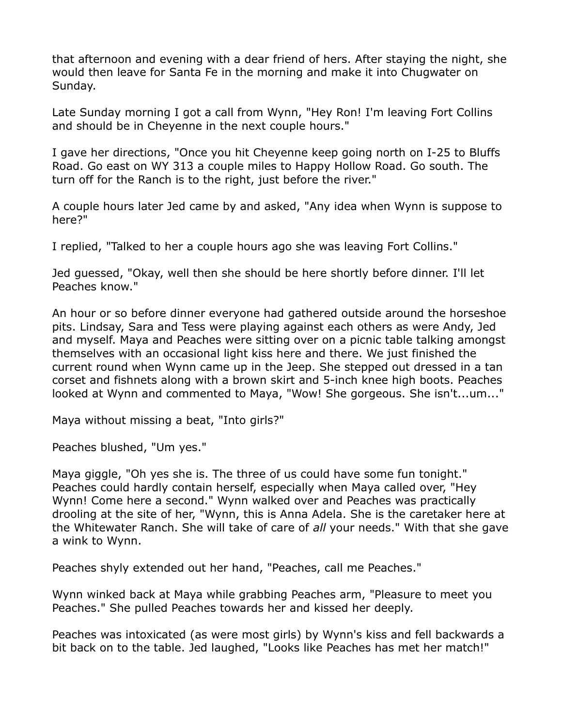that afternoon and evening with a dear friend of hers. After staying the night, she would then leave for Santa Fe in the morning and make it into Chugwater on Sunday.

Late Sunday morning I got a call from Wynn, "Hey Ron! I'm leaving Fort Collins and should be in Cheyenne in the next couple hours."

I gave her directions, "Once you hit Cheyenne keep going north on I-25 to Bluffs Road. Go east on WY 313 a couple miles to Happy Hollow Road. Go south. The turn off for the Ranch is to the right, just before the river."

A couple hours later Jed came by and asked, "Any idea when Wynn is suppose to here?"

I replied, "Talked to her a couple hours ago she was leaving Fort Collins."

Jed guessed, "Okay, well then she should be here shortly before dinner. I'll let Peaches know."

An hour or so before dinner everyone had gathered outside around the horseshoe pits. Lindsay, Sara and Tess were playing against each others as were Andy, Jed and myself. Maya and Peaches were sitting over on a picnic table talking amongst themselves with an occasional light kiss here and there. We just finished the current round when Wynn came up in the Jeep. She stepped out dressed in a tan corset and fishnets along with a brown skirt and 5-inch knee high boots. Peaches looked at Wynn and commented to Maya, "Wow! She gorgeous. She isn't...um..."

Maya without missing a beat, "Into girls?"

Peaches blushed, "Um yes."

Maya giggle, "Oh yes she is. The three of us could have some fun tonight." Peaches could hardly contain herself, especially when Maya called over, "Hey Wynn! Come here a second." Wynn walked over and Peaches was practically drooling at the site of her, "Wynn, this is Anna Adela. She is the caretaker here at the Whitewater Ranch. She will take of care of *all* your needs." With that she gave a wink to Wynn.

Peaches shyly extended out her hand, "Peaches, call me Peaches."

Wynn winked back at Maya while grabbing Peaches arm, "Pleasure to meet you Peaches." She pulled Peaches towards her and kissed her deeply.

Peaches was intoxicated (as were most girls) by Wynn's kiss and fell backwards a bit back on to the table. Jed laughed, "Looks like Peaches has met her match!"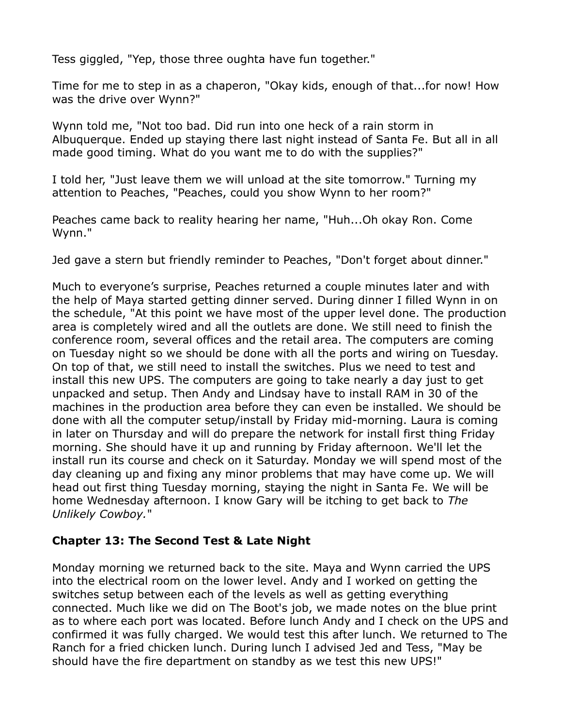Tess giggled, "Yep, those three oughta have fun together."

Time for me to step in as a chaperon, "Okay kids, enough of that...for now! How was the drive over Wynn?"

Wynn told me, "Not too bad. Did run into one heck of a rain storm in Albuquerque. Ended up staying there last night instead of Santa Fe. But all in all made good timing. What do you want me to do with the supplies?"

I told her, "Just leave them we will unload at the site tomorrow." Turning my attention to Peaches, "Peaches, could you show Wynn to her room?"

Peaches came back to reality hearing her name, "Huh...Oh okay Ron. Come Wynn."

Jed gave a stern but friendly reminder to Peaches, "Don't forget about dinner."

Much to everyone's surprise, Peaches returned a couple minutes later and with the help of Maya started getting dinner served. During dinner I filled Wynn in on the schedule, "At this point we have most of the upper level done. The production area is completely wired and all the outlets are done. We still need to finish the conference room, several offices and the retail area. The computers are coming on Tuesday night so we should be done with all the ports and wiring on Tuesday. On top of that, we still need to install the switches. Plus we need to test and install this new UPS. The computers are going to take nearly a day just to get unpacked and setup. Then Andy and Lindsay have to install RAM in 30 of the machines in the production area before they can even be installed. We should be done with all the computer setup/install by Friday mid-morning. Laura is coming in later on Thursday and will do prepare the network for install first thing Friday morning. She should have it up and running by Friday afternoon. We'll let the install run its course and check on it Saturday. Monday we will spend most of the day cleaning up and fixing any minor problems that may have come up. We will head out first thing Tuesday morning, staying the night in Santa Fe. We will be home Wednesday afternoon. I know Gary will be itching to get back to *The Unlikely Cowboy.*"

## **Chapter 13: The Second Test & Late Night**

Monday morning we returned back to the site. Maya and Wynn carried the UPS into the electrical room on the lower level. Andy and I worked on getting the switches setup between each of the levels as well as getting everything connected. Much like we did on The Boot's job, we made notes on the blue print as to where each port was located. Before lunch Andy and I check on the UPS and confirmed it was fully charged. We would test this after lunch. We returned to The Ranch for a fried chicken lunch. During lunch I advised Jed and Tess, "May be should have the fire department on standby as we test this new UPS!"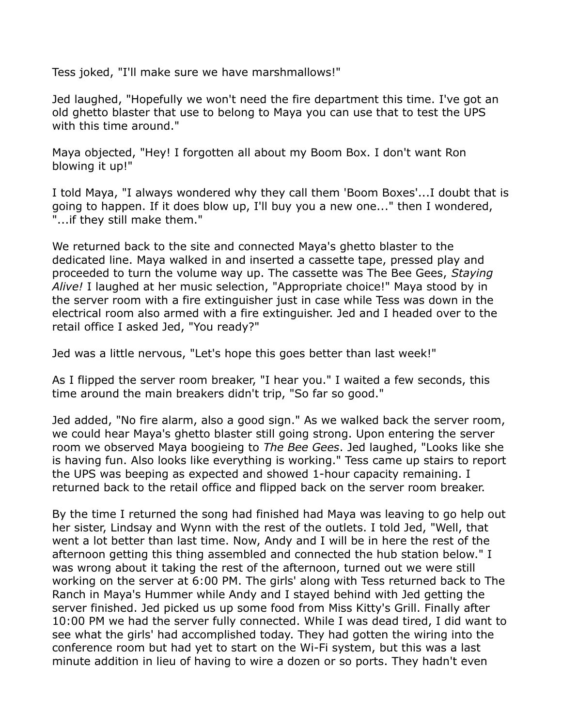Tess joked, "I'll make sure we have marshmallows!"

Jed laughed, "Hopefully we won't need the fire department this time. I've got an old ghetto blaster that use to belong to Maya you can use that to test the UPS with this time around."

Maya objected, "Hey! I forgotten all about my Boom Box. I don't want Ron blowing it up!"

I told Maya, "I always wondered why they call them 'Boom Boxes'...I doubt that is going to happen. If it does blow up, I'll buy you a new one..." then I wondered, "...if they still make them."

We returned back to the site and connected Maya's ghetto blaster to the dedicated line. Maya walked in and inserted a cassette tape, pressed play and proceeded to turn the volume way up. The cassette was The Bee Gees, *Staying Alive!* I laughed at her music selection, "Appropriate choice!" Maya stood by in the server room with a fire extinguisher just in case while Tess was down in the electrical room also armed with a fire extinguisher. Jed and I headed over to the retail office I asked Jed, "You ready?"

Jed was a little nervous, "Let's hope this goes better than last week!"

As I flipped the server room breaker, "I hear you." I waited a few seconds, this time around the main breakers didn't trip, "So far so good."

Jed added, "No fire alarm, also a good sign." As we walked back the server room, we could hear Maya's ghetto blaster still going strong. Upon entering the server room we observed Maya boogieing to *The Bee Gees*. Jed laughed, "Looks like she is having fun. Also looks like everything is working." Tess came up stairs to report the UPS was beeping as expected and showed 1-hour capacity remaining. I returned back to the retail office and flipped back on the server room breaker.

By the time I returned the song had finished had Maya was leaving to go help out her sister, Lindsay and Wynn with the rest of the outlets. I told Jed, "Well, that went a lot better than last time. Now, Andy and I will be in here the rest of the afternoon getting this thing assembled and connected the hub station below." I was wrong about it taking the rest of the afternoon, turned out we were still working on the server at 6:00 PM. The girls' along with Tess returned back to The Ranch in Maya's Hummer while Andy and I stayed behind with Jed getting the server finished. Jed picked us up some food from Miss Kitty's Grill. Finally after 10:00 PM we had the server fully connected. While I was dead tired, I did want to see what the girls' had accomplished today. They had gotten the wiring into the conference room but had yet to start on the Wi-Fi system, but this was a last minute addition in lieu of having to wire a dozen or so ports. They hadn't even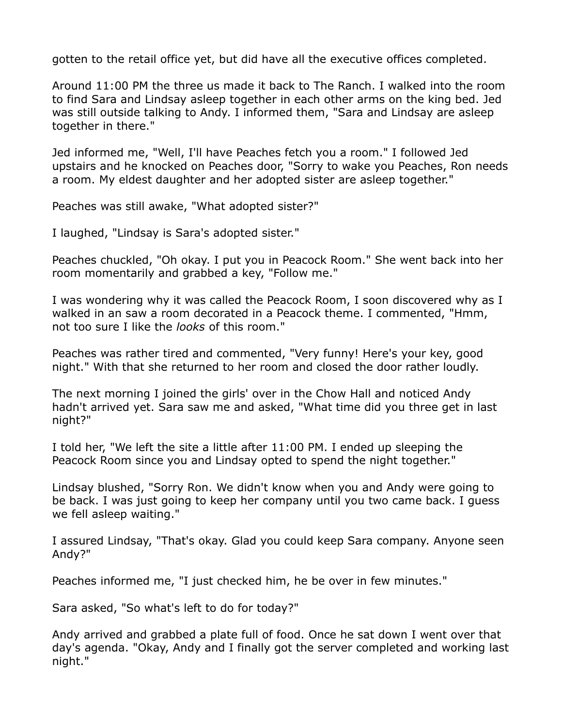gotten to the retail office yet, but did have all the executive offices completed.

Around 11:00 PM the three us made it back to The Ranch. I walked into the room to find Sara and Lindsay asleep together in each other arms on the king bed. Jed was still outside talking to Andy. I informed them, "Sara and Lindsay are asleep together in there."

Jed informed me, "Well, I'll have Peaches fetch you a room." I followed Jed upstairs and he knocked on Peaches door, "Sorry to wake you Peaches, Ron needs a room. My eldest daughter and her adopted sister are asleep together."

Peaches was still awake, "What adopted sister?"

I laughed, "Lindsay is Sara's adopted sister."

Peaches chuckled, "Oh okay. I put you in Peacock Room." She went back into her room momentarily and grabbed a key, "Follow me."

I was wondering why it was called the Peacock Room, I soon discovered why as I walked in an saw a room decorated in a Peacock theme. I commented, "Hmm, not too sure I like the *looks* of this room."

Peaches was rather tired and commented, "Very funny! Here's your key, good night." With that she returned to her room and closed the door rather loudly.

The next morning I joined the girls' over in the Chow Hall and noticed Andy hadn't arrived yet. Sara saw me and asked, "What time did you three get in last night?"

I told her, "We left the site a little after 11:00 PM. I ended up sleeping the Peacock Room since you and Lindsay opted to spend the night together."

Lindsay blushed, "Sorry Ron. We didn't know when you and Andy were going to be back. I was just going to keep her company until you two came back. I guess we fell asleep waiting."

I assured Lindsay, "That's okay. Glad you could keep Sara company. Anyone seen Andy?"

Peaches informed me, "I just checked him, he be over in few minutes."

Sara asked, "So what's left to do for today?"

Andy arrived and grabbed a plate full of food. Once he sat down I went over that day's agenda. "Okay, Andy and I finally got the server completed and working last night."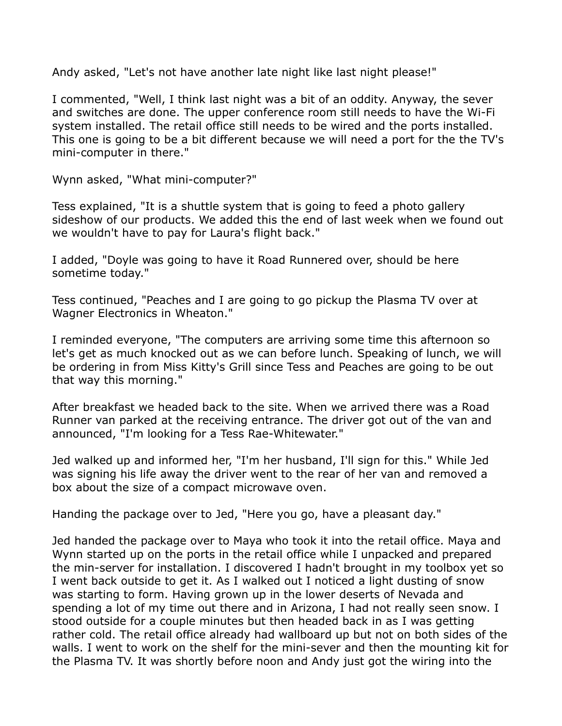Andy asked, "Let's not have another late night like last night please!"

I commented, "Well, I think last night was a bit of an oddity. Anyway, the sever and switches are done. The upper conference room still needs to have the Wi-Fi system installed. The retail office still needs to be wired and the ports installed. This one is going to be a bit different because we will need a port for the the TV's mini-computer in there."

Wynn asked, "What mini-computer?"

Tess explained, "It is a shuttle system that is going to feed a photo gallery sideshow of our products. We added this the end of last week when we found out we wouldn't have to pay for Laura's flight back."

I added, "Doyle was going to have it Road Runnered over, should be here sometime today."

Tess continued, "Peaches and I are going to go pickup the Plasma TV over at Wagner Electronics in Wheaton."

I reminded everyone, "The computers are arriving some time this afternoon so let's get as much knocked out as we can before lunch. Speaking of lunch, we will be ordering in from Miss Kitty's Grill since Tess and Peaches are going to be out that way this morning."

After breakfast we headed back to the site. When we arrived there was a Road Runner van parked at the receiving entrance. The driver got out of the van and announced, "I'm looking for a Tess Rae-Whitewater."

Jed walked up and informed her, "I'm her husband, I'll sign for this." While Jed was signing his life away the driver went to the rear of her van and removed a box about the size of a compact microwave oven.

Handing the package over to Jed, "Here you go, have a pleasant day."

Jed handed the package over to Maya who took it into the retail office. Maya and Wynn started up on the ports in the retail office while I unpacked and prepared the min-server for installation. I discovered I hadn't brought in my toolbox yet so I went back outside to get it. As I walked out I noticed a light dusting of snow was starting to form. Having grown up in the lower deserts of Nevada and spending a lot of my time out there and in Arizona, I had not really seen snow. I stood outside for a couple minutes but then headed back in as I was getting rather cold. The retail office already had wallboard up but not on both sides of the walls. I went to work on the shelf for the mini-sever and then the mounting kit for the Plasma TV. It was shortly before noon and Andy just got the wiring into the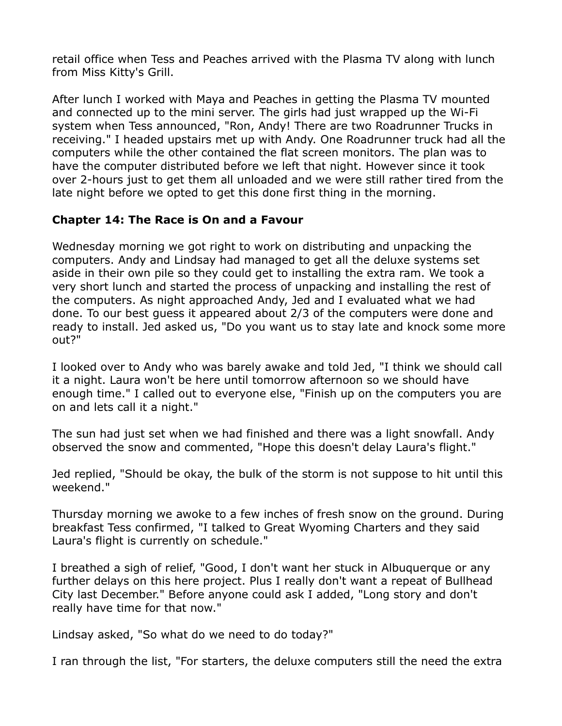retail office when Tess and Peaches arrived with the Plasma TV along with lunch from Miss Kitty's Grill.

After lunch I worked with Maya and Peaches in getting the Plasma TV mounted and connected up to the mini server. The girls had just wrapped up the Wi-Fi system when Tess announced, "Ron, Andy! There are two Roadrunner Trucks in receiving." I headed upstairs met up with Andy. One Roadrunner truck had all the computers while the other contained the flat screen monitors. The plan was to have the computer distributed before we left that night. However since it took over 2-hours just to get them all unloaded and we were still rather tired from the late night before we opted to get this done first thing in the morning.

## **Chapter 14: The Race is On and a Favour**

Wednesday morning we got right to work on distributing and unpacking the computers. Andy and Lindsay had managed to get all the deluxe systems set aside in their own pile so they could get to installing the extra ram. We took a very short lunch and started the process of unpacking and installing the rest of the computers. As night approached Andy, Jed and I evaluated what we had done. To our best guess it appeared about 2/3 of the computers were done and ready to install. Jed asked us, "Do you want us to stay late and knock some more out?"

I looked over to Andy who was barely awake and told Jed, "I think we should call it a night. Laura won't be here until tomorrow afternoon so we should have enough time." I called out to everyone else, "Finish up on the computers you are on and lets call it a night."

The sun had just set when we had finished and there was a light snowfall. Andy observed the snow and commented, "Hope this doesn't delay Laura's flight."

Jed replied, "Should be okay, the bulk of the storm is not suppose to hit until this weekend."

Thursday morning we awoke to a few inches of fresh snow on the ground. During breakfast Tess confirmed, "I talked to Great Wyoming Charters and they said Laura's flight is currently on schedule."

I breathed a sigh of relief, "Good, I don't want her stuck in Albuquerque or any further delays on this here project. Plus I really don't want a repeat of Bullhead City last December." Before anyone could ask I added, "Long story and don't really have time for that now."

Lindsay asked, "So what do we need to do today?"

I ran through the list, "For starters, the deluxe computers still the need the extra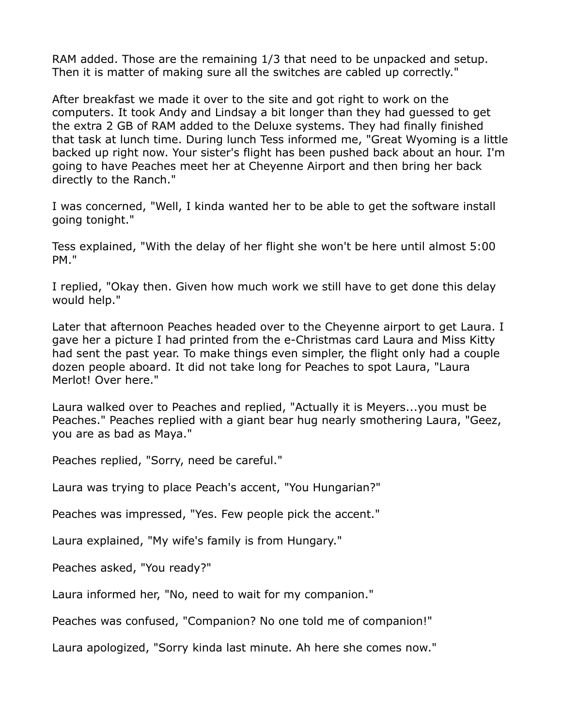RAM added. Those are the remaining 1/3 that need to be unpacked and setup. Then it is matter of making sure all the switches are cabled up correctly."

After breakfast we made it over to the site and got right to work on the computers. It took Andy and Lindsay a bit longer than they had guessed to get the extra 2 GB of RAM added to the Deluxe systems. They had finally finished that task at lunch time. During lunch Tess informed me, "Great Wyoming is a little backed up right now. Your sister's flight has been pushed back about an hour. I'm going to have Peaches meet her at Cheyenne Airport and then bring her back directly to the Ranch."

I was concerned, "Well, I kinda wanted her to be able to get the software install going tonight."

Tess explained, "With the delay of her flight she won't be here until almost 5:00 PM."

I replied, "Okay then. Given how much work we still have to get done this delay would help."

Later that afternoon Peaches headed over to the Cheyenne airport to get Laura. I gave her a picture I had printed from the e-Christmas card Laura and Miss Kitty had sent the past year. To make things even simpler, the flight only had a couple dozen people aboard. It did not take long for Peaches to spot Laura, "Laura Merlot! Over here."

Laura walked over to Peaches and replied, "Actually it is Meyers...you must be Peaches." Peaches replied with a giant bear hug nearly smothering Laura, "Geez, you are as bad as Maya."

Peaches replied, "Sorry, need be careful."

Laura was trying to place Peach's accent, "You Hungarian?"

Peaches was impressed, "Yes. Few people pick the accent."

Laura explained, "My wife's family is from Hungary."

Peaches asked, "You ready?"

Laura informed her, "No, need to wait for my companion."

Peaches was confused, "Companion? No one told me of companion!"

Laura apologized, "Sorry kinda last minute. Ah here she comes now."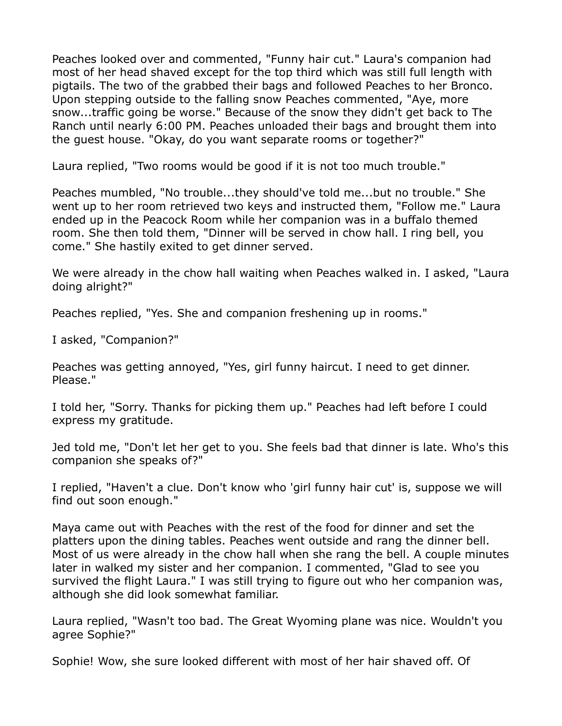Peaches looked over and commented, "Funny hair cut." Laura's companion had most of her head shaved except for the top third which was still full length with pigtails. The two of the grabbed their bags and followed Peaches to her Bronco. Upon stepping outside to the falling snow Peaches commented, "Aye, more snow...traffic going be worse." Because of the snow they didn't get back to The Ranch until nearly 6:00 PM. Peaches unloaded their bags and brought them into the guest house. "Okay, do you want separate rooms or together?"

Laura replied, "Two rooms would be good if it is not too much trouble."

Peaches mumbled, "No trouble...they should've told me...but no trouble." She went up to her room retrieved two keys and instructed them, "Follow me." Laura ended up in the Peacock Room while her companion was in a buffalo themed room. She then told them, "Dinner will be served in chow hall. I ring bell, you come." She hastily exited to get dinner served.

We were already in the chow hall waiting when Peaches walked in. I asked, "Laura doing alright?"

Peaches replied, "Yes. She and companion freshening up in rooms."

I asked, "Companion?"

Peaches was getting annoyed, "Yes, girl funny haircut. I need to get dinner. Please."

I told her, "Sorry. Thanks for picking them up." Peaches had left before I could express my gratitude.

Jed told me, "Don't let her get to you. She feels bad that dinner is late. Who's this companion she speaks of?"

I replied, "Haven't a clue. Don't know who 'girl funny hair cut' is, suppose we will find out soon enough."

Maya came out with Peaches with the rest of the food for dinner and set the platters upon the dining tables. Peaches went outside and rang the dinner bell. Most of us were already in the chow hall when she rang the bell. A couple minutes later in walked my sister and her companion. I commented, "Glad to see you survived the flight Laura." I was still trying to figure out who her companion was, although she did look somewhat familiar.

Laura replied, "Wasn't too bad. The Great Wyoming plane was nice. Wouldn't you agree Sophie?"

Sophie! Wow, she sure looked different with most of her hair shaved off. Of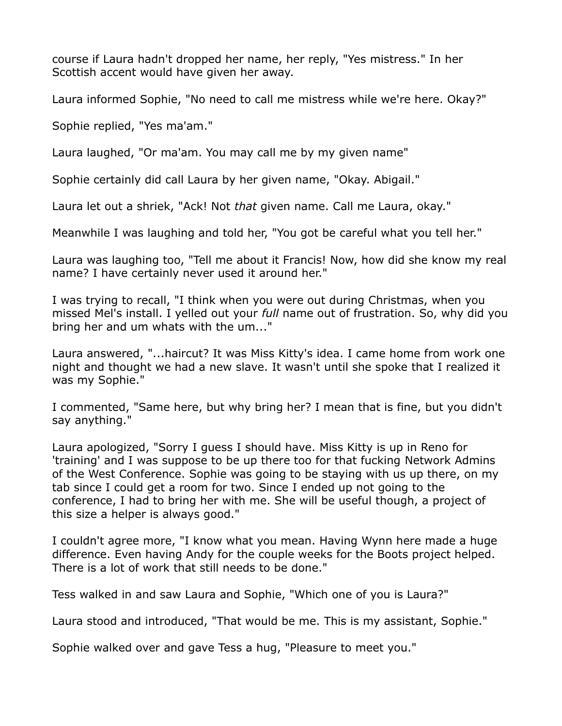course if Laura hadn't dropped her name, her reply, "Yes mistress." In her Scottish accent would have given her away.

Laura informed Sophie, "No need to call me mistress while we're here. Okay?"

Sophie replied, "Yes ma'am."

Laura laughed, "Or ma'am. You may call me by my given name"

Sophie certainly did call Laura by her given name, "Okay. Abigail."

Laura let out a shriek, "Ack! Not *that* given name. Call me Laura, okay."

Meanwhile I was laughing and told her, "You got be careful what you tell her."

Laura was laughing too, "Tell me about it Francis! Now, how did she know my real name? I have certainly never used it around her."

I was trying to recall, "I think when you were out during Christmas, when you missed Mel's install. I yelled out your *full* name out of frustration. So, why did you bring her and um whats with the um..."

Laura answered, "...haircut? It was Miss Kitty's idea. I came home from work one night and thought we had a new slave. It wasn't until she spoke that I realized it was my Sophie."

I commented, "Same here, but why bring her? I mean that is fine, but you didn't say anything."

Laura apologized, "Sorry I guess I should have. Miss Kitty is up in Reno for 'training' and I was suppose to be up there too for that fucking Network Admins of the West Conference. Sophie was going to be staying with us up there, on my tab since I could get a room for two. Since I ended up not going to the conference, I had to bring her with me. She will be useful though, a project of this size a helper is always good."

I couldn't agree more, "I know what you mean. Having Wynn here made a huge difference. Even having Andy for the couple weeks for the Boots project helped. There is a lot of work that still needs to be done."

Tess walked in and saw Laura and Sophie, "Which one of you is Laura?"

Laura stood and introduced, "That would be me. This is my assistant, Sophie."

Sophie walked over and gave Tess a hug, "Pleasure to meet you."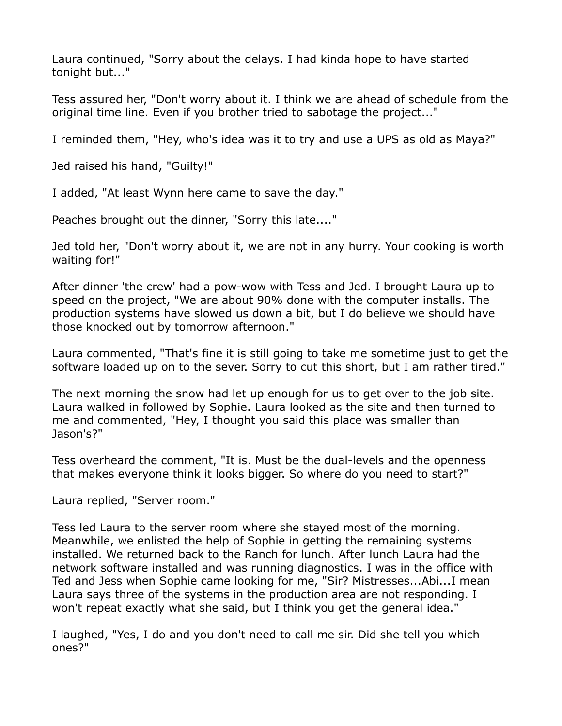Laura continued, "Sorry about the delays. I had kinda hope to have started tonight but..."

Tess assured her, "Don't worry about it. I think we are ahead of schedule from the original time line. Even if you brother tried to sabotage the project..."

I reminded them, "Hey, who's idea was it to try and use a UPS as old as Maya?"

Jed raised his hand, "Guilty!"

I added, "At least Wynn here came to save the day."

Peaches brought out the dinner, "Sorry this late...."

Jed told her, "Don't worry about it, we are not in any hurry. Your cooking is worth waiting for!"

After dinner 'the crew' had a pow-wow with Tess and Jed. I brought Laura up to speed on the project, "We are about 90% done with the computer installs. The production systems have slowed us down a bit, but I do believe we should have those knocked out by tomorrow afternoon."

Laura commented, "That's fine it is still going to take me sometime just to get the software loaded up on to the sever. Sorry to cut this short, but I am rather tired."

The next morning the snow had let up enough for us to get over to the job site. Laura walked in followed by Sophie. Laura looked as the site and then turned to me and commented, "Hey, I thought you said this place was smaller than Jason's?"

Tess overheard the comment, "It is. Must be the dual-levels and the openness that makes everyone think it looks bigger. So where do you need to start?"

Laura replied, "Server room."

Tess led Laura to the server room where she stayed most of the morning. Meanwhile, we enlisted the help of Sophie in getting the remaining systems installed. We returned back to the Ranch for lunch. After lunch Laura had the network software installed and was running diagnostics. I was in the office with Ted and Jess when Sophie came looking for me, "Sir? Mistresses...Abi...I mean Laura says three of the systems in the production area are not responding. I won't repeat exactly what she said, but I think you get the general idea."

I laughed, "Yes, I do and you don't need to call me sir. Did she tell you which ones?"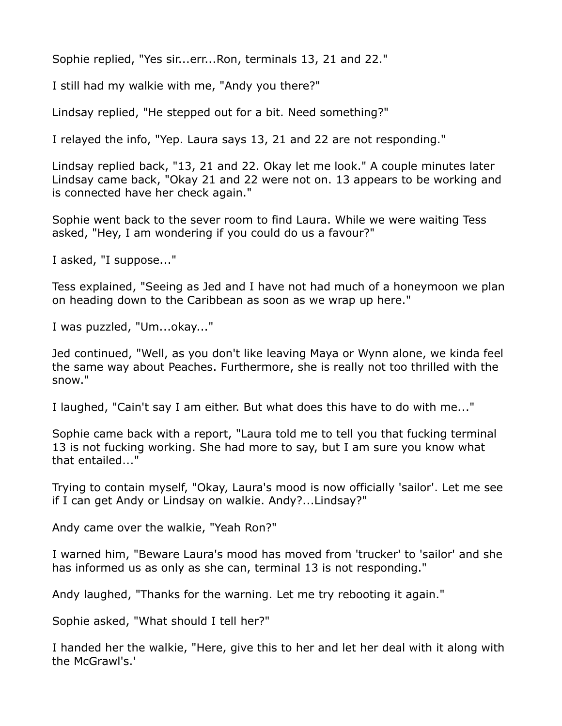Sophie replied, "Yes sir...err...Ron, terminals 13, 21 and 22."

I still had my walkie with me, "Andy you there?"

Lindsay replied, "He stepped out for a bit. Need something?"

I relayed the info, "Yep. Laura says 13, 21 and 22 are not responding."

Lindsay replied back, "13, 21 and 22. Okay let me look." A couple minutes later Lindsay came back, "Okay 21 and 22 were not on. 13 appears to be working and is connected have her check again."

Sophie went back to the sever room to find Laura. While we were waiting Tess asked, "Hey, I am wondering if you could do us a favour?"

I asked, "I suppose..."

Tess explained, "Seeing as Jed and I have not had much of a honeymoon we plan on heading down to the Caribbean as soon as we wrap up here."

I was puzzled, "Um...okay..."

Jed continued, "Well, as you don't like leaving Maya or Wynn alone, we kinda feel the same way about Peaches. Furthermore, she is really not too thrilled with the snow."

I laughed, "Cain't say I am either. But what does this have to do with me..."

Sophie came back with a report, "Laura told me to tell you that fucking terminal 13 is not fucking working. She had more to say, but I am sure you know what that entailed..."

Trying to contain myself, "Okay, Laura's mood is now officially 'sailor'. Let me see if I can get Andy or Lindsay on walkie. Andy?...Lindsay?"

Andy came over the walkie, "Yeah Ron?"

I warned him, "Beware Laura's mood has moved from 'trucker' to 'sailor' and she has informed us as only as she can, terminal 13 is not responding."

Andy laughed, "Thanks for the warning. Let me try rebooting it again."

Sophie asked, "What should I tell her?"

I handed her the walkie, "Here, give this to her and let her deal with it along with the McGrawl's.'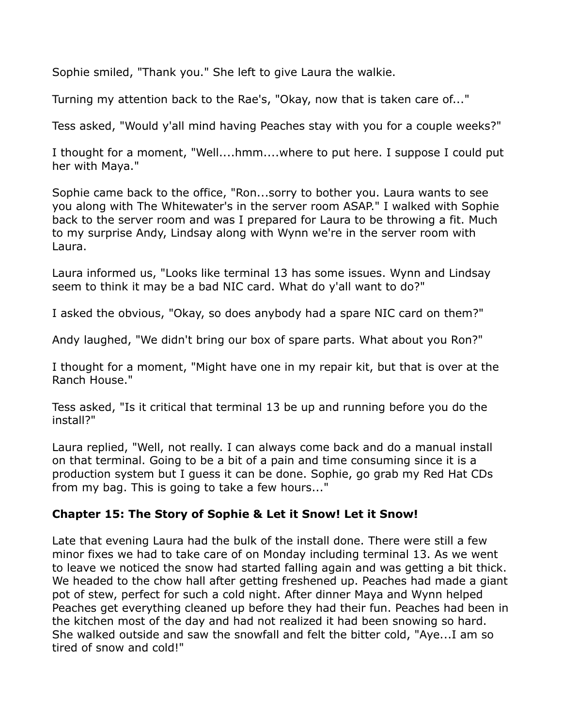Sophie smiled, "Thank you." She left to give Laura the walkie.

Turning my attention back to the Rae's, "Okay, now that is taken care of..."

Tess asked, "Would y'all mind having Peaches stay with you for a couple weeks?"

I thought for a moment, "Well....hmm....where to put here. I suppose I could put her with Maya."

Sophie came back to the office, "Ron...sorry to bother you. Laura wants to see you along with The Whitewater's in the server room ASAP." I walked with Sophie back to the server room and was I prepared for Laura to be throwing a fit. Much to my surprise Andy, Lindsay along with Wynn we're in the server room with Laura.

Laura informed us, "Looks like terminal 13 has some issues. Wynn and Lindsay seem to think it may be a bad NIC card. What do y'all want to do?"

I asked the obvious, "Okay, so does anybody had a spare NIC card on them?"

Andy laughed, "We didn't bring our box of spare parts. What about you Ron?"

I thought for a moment, "Might have one in my repair kit, but that is over at the Ranch House."

Tess asked, "Is it critical that terminal 13 be up and running before you do the install?"

Laura replied, "Well, not really. I can always come back and do a manual install on that terminal. Going to be a bit of a pain and time consuming since it is a production system but I guess it can be done. Sophie, go grab my Red Hat CDs from my bag. This is going to take a few hours..."

## **Chapter 15: The Story of Sophie & Let it Snow! Let it Snow!**

Late that evening Laura had the bulk of the install done. There were still a few minor fixes we had to take care of on Monday including terminal 13. As we went to leave we noticed the snow had started falling again and was getting a bit thick. We headed to the chow hall after getting freshened up. Peaches had made a giant pot of stew, perfect for such a cold night. After dinner Maya and Wynn helped Peaches get everything cleaned up before they had their fun. Peaches had been in the kitchen most of the day and had not realized it had been snowing so hard. She walked outside and saw the snowfall and felt the bitter cold, "Aye...I am so tired of snow and cold!"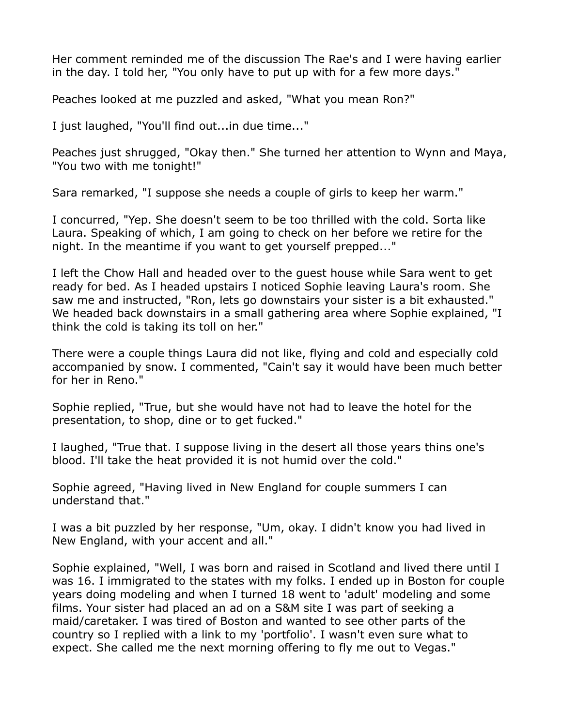Her comment reminded me of the discussion The Rae's and I were having earlier in the day. I told her, "You only have to put up with for a few more days."

Peaches looked at me puzzled and asked, "What you mean Ron?"

I just laughed, "You'll find out...in due time..."

Peaches just shrugged, "Okay then." She turned her attention to Wynn and Maya, "You two with me tonight!"

Sara remarked, "I suppose she needs a couple of girls to keep her warm."

I concurred, "Yep. She doesn't seem to be too thrilled with the cold. Sorta like Laura. Speaking of which, I am going to check on her before we retire for the night. In the meantime if you want to get yourself prepped..."

I left the Chow Hall and headed over to the guest house while Sara went to get ready for bed. As I headed upstairs I noticed Sophie leaving Laura's room. She saw me and instructed, "Ron, lets go downstairs your sister is a bit exhausted." We headed back downstairs in a small gathering area where Sophie explained, "I think the cold is taking its toll on her."

There were a couple things Laura did not like, flying and cold and especially cold accompanied by snow. I commented, "Cain't say it would have been much better for her in Reno."

Sophie replied, "True, but she would have not had to leave the hotel for the presentation, to shop, dine or to get fucked."

I laughed, "True that. I suppose living in the desert all those years thins one's blood. I'll take the heat provided it is not humid over the cold."

Sophie agreed, "Having lived in New England for couple summers I can understand that."

I was a bit puzzled by her response, "Um, okay. I didn't know you had lived in New England, with your accent and all."

Sophie explained, "Well, I was born and raised in Scotland and lived there until I was 16. I immigrated to the states with my folks. I ended up in Boston for couple years doing modeling and when I turned 18 went to 'adult' modeling and some films. Your sister had placed an ad on a S&M site I was part of seeking a maid/caretaker. I was tired of Boston and wanted to see other parts of the country so I replied with a link to my 'portfolio'. I wasn't even sure what to expect. She called me the next morning offering to fly me out to Vegas."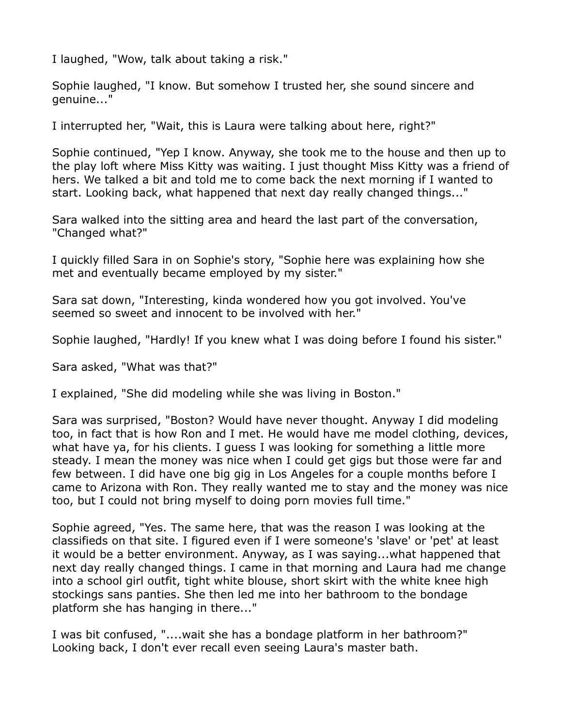I laughed, "Wow, talk about taking a risk."

Sophie laughed, "I know. But somehow I trusted her, she sound sincere and genuine..."

I interrupted her, "Wait, this is Laura were talking about here, right?"

Sophie continued, "Yep I know. Anyway, she took me to the house and then up to the play loft where Miss Kitty was waiting. I just thought Miss Kitty was a friend of hers. We talked a bit and told me to come back the next morning if I wanted to start. Looking back, what happened that next day really changed things..."

Sara walked into the sitting area and heard the last part of the conversation, "Changed what?"

I quickly filled Sara in on Sophie's story, "Sophie here was explaining how she met and eventually became employed by my sister."

Sara sat down, "Interesting, kinda wondered how you got involved. You've seemed so sweet and innocent to be involved with her."

Sophie laughed, "Hardly! If you knew what I was doing before I found his sister."

Sara asked, "What was that?"

I explained, "She did modeling while she was living in Boston."

Sara was surprised, "Boston? Would have never thought. Anyway I did modeling too, in fact that is how Ron and I met. He would have me model clothing, devices, what have ya, for his clients. I guess I was looking for something a little more steady. I mean the money was nice when I could get gigs but those were far and few between. I did have one big gig in Los Angeles for a couple months before I came to Arizona with Ron. They really wanted me to stay and the money was nice too, but I could not bring myself to doing porn movies full time."

Sophie agreed, "Yes. The same here, that was the reason I was looking at the classifieds on that site. I figured even if I were someone's 'slave' or 'pet' at least it would be a better environment. Anyway, as I was saying...what happened that next day really changed things. I came in that morning and Laura had me change into a school girl outfit, tight white blouse, short skirt with the white knee high stockings sans panties. She then led me into her bathroom to the bondage platform she has hanging in there..."

I was bit confused, "....wait she has a bondage platform in her bathroom?" Looking back, I don't ever recall even seeing Laura's master bath.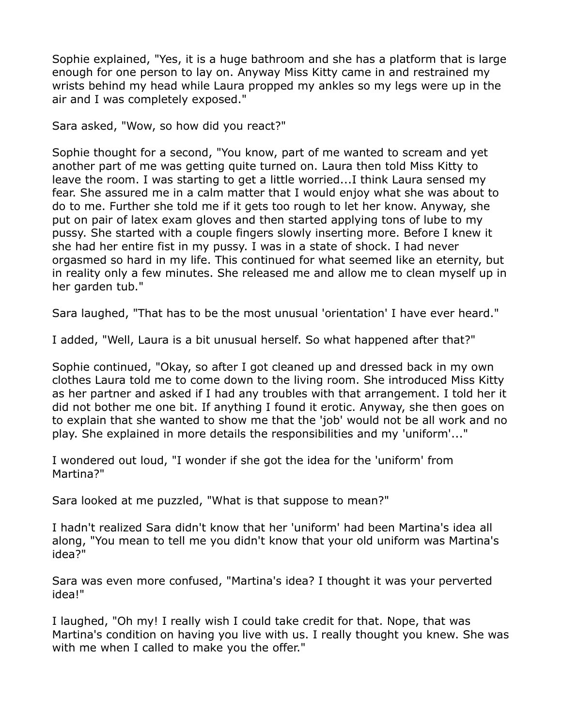Sophie explained, "Yes, it is a huge bathroom and she has a platform that is large enough for one person to lay on. Anyway Miss Kitty came in and restrained my wrists behind my head while Laura propped my ankles so my legs were up in the air and I was completely exposed."

Sara asked, "Wow, so how did you react?"

Sophie thought for a second, "You know, part of me wanted to scream and yet another part of me was getting quite turned on. Laura then told Miss Kitty to leave the room. I was starting to get a little worried...I think Laura sensed my fear. She assured me in a calm matter that I would enjoy what she was about to do to me. Further she told me if it gets too rough to let her know. Anyway, she put on pair of latex exam gloves and then started applying tons of lube to my pussy. She started with a couple fingers slowly inserting more. Before I knew it she had her entire fist in my pussy. I was in a state of shock. I had never orgasmed so hard in my life. This continued for what seemed like an eternity, but in reality only a few minutes. She released me and allow me to clean myself up in her garden tub."

Sara laughed, "That has to be the most unusual 'orientation' I have ever heard."

I added, "Well, Laura is a bit unusual herself. So what happened after that?"

Sophie continued, "Okay, so after I got cleaned up and dressed back in my own clothes Laura told me to come down to the living room. She introduced Miss Kitty as her partner and asked if I had any troubles with that arrangement. I told her it did not bother me one bit. If anything I found it erotic. Anyway, she then goes on to explain that she wanted to show me that the 'job' would not be all work and no play. She explained in more details the responsibilities and my 'uniform'..."

I wondered out loud, "I wonder if she got the idea for the 'uniform' from Martina?"

Sara looked at me puzzled, "What is that suppose to mean?"

I hadn't realized Sara didn't know that her 'uniform' had been Martina's idea all along, "You mean to tell me you didn't know that your old uniform was Martina's idea?"

Sara was even more confused, "Martina's idea? I thought it was your perverted idea!"

I laughed, "Oh my! I really wish I could take credit for that. Nope, that was Martina's condition on having you live with us. I really thought you knew. She was with me when I called to make you the offer."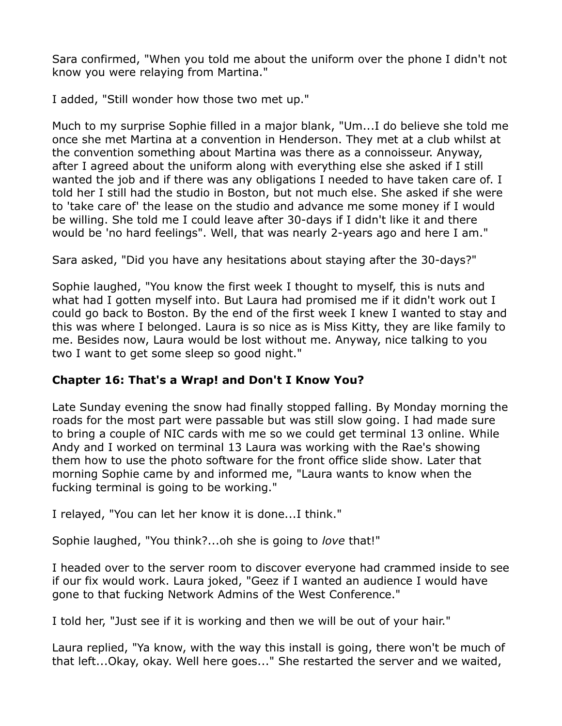Sara confirmed, "When you told me about the uniform over the phone I didn't not know you were relaying from Martina."

I added, "Still wonder how those two met up."

Much to my surprise Sophie filled in a major blank, "Um...I do believe she told me once she met Martina at a convention in Henderson. They met at a club whilst at the convention something about Martina was there as a connoisseur. Anyway, after I agreed about the uniform along with everything else she asked if I still wanted the job and if there was any obligations I needed to have taken care of. I told her I still had the studio in Boston, but not much else. She asked if she were to 'take care of' the lease on the studio and advance me some money if I would be willing. She told me I could leave after 30-days if I didn't like it and there would be 'no hard feelings". Well, that was nearly 2-years ago and here I am."

Sara asked, "Did you have any hesitations about staying after the 30-days?"

Sophie laughed, "You know the first week I thought to myself, this is nuts and what had I gotten myself into. But Laura had promised me if it didn't work out I could go back to Boston. By the end of the first week I knew I wanted to stay and this was where I belonged. Laura is so nice as is Miss Kitty, they are like family to me. Besides now, Laura would be lost without me. Anyway, nice talking to you two I want to get some sleep so good night."

# **Chapter 16: That's a Wrap! and Don't I Know You?**

Late Sunday evening the snow had finally stopped falling. By Monday morning the roads for the most part were passable but was still slow going. I had made sure to bring a couple of NIC cards with me so we could get terminal 13 online. While Andy and I worked on terminal 13 Laura was working with the Rae's showing them how to use the photo software for the front office slide show. Later that morning Sophie came by and informed me, "Laura wants to know when the fucking terminal is going to be working."

I relayed, "You can let her know it is done...I think."

Sophie laughed, "You think?...oh she is going to *love* that!"

I headed over to the server room to discover everyone had crammed inside to see if our fix would work. Laura joked, "Geez if I wanted an audience I would have gone to that fucking Network Admins of the West Conference."

I told her, "Just see if it is working and then we will be out of your hair."

Laura replied, "Ya know, with the way this install is going, there won't be much of that left...Okay, okay. Well here goes..." She restarted the server and we waited,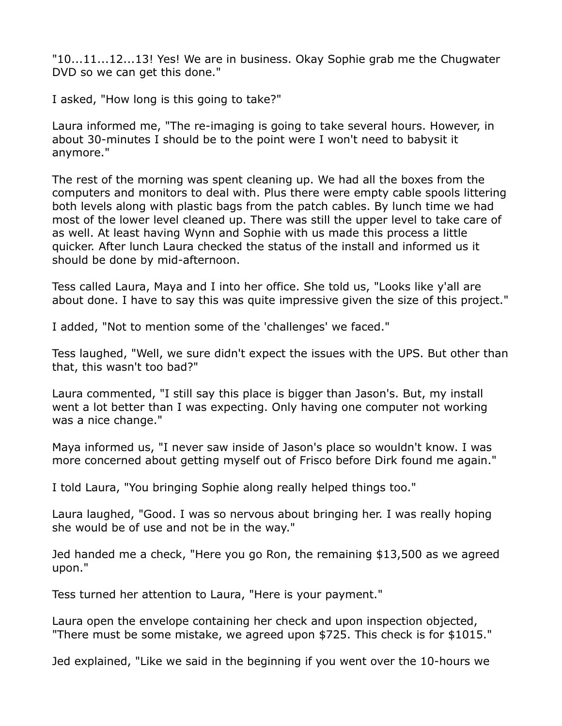"10...11...12...13! Yes! We are in business. Okay Sophie grab me the Chugwater DVD so we can get this done."

I asked, "How long is this going to take?"

Laura informed me, "The re-imaging is going to take several hours. However, in about 30-minutes I should be to the point were I won't need to babysit it anymore."

The rest of the morning was spent cleaning up. We had all the boxes from the computers and monitors to deal with. Plus there were empty cable spools littering both levels along with plastic bags from the patch cables. By lunch time we had most of the lower level cleaned up. There was still the upper level to take care of as well. At least having Wynn and Sophie with us made this process a little quicker. After lunch Laura checked the status of the install and informed us it should be done by mid-afternoon.

Tess called Laura, Maya and I into her office. She told us, "Looks like y'all are about done. I have to say this was quite impressive given the size of this project."

I added, "Not to mention some of the 'challenges' we faced."

Tess laughed, "Well, we sure didn't expect the issues with the UPS. But other than that, this wasn't too bad?"

Laura commented, "I still say this place is bigger than Jason's. But, my install went a lot better than I was expecting. Only having one computer not working was a nice change."

Maya informed us, "I never saw inside of Jason's place so wouldn't know. I was more concerned about getting myself out of Frisco before Dirk found me again."

I told Laura, "You bringing Sophie along really helped things too."

Laura laughed, "Good. I was so nervous about bringing her. I was really hoping she would be of use and not be in the way."

Jed handed me a check, "Here you go Ron, the remaining \$13,500 as we agreed upon."

Tess turned her attention to Laura, "Here is your payment."

Laura open the envelope containing her check and upon inspection objected, "There must be some mistake, we agreed upon \$725. This check is for \$1015."

Jed explained, "Like we said in the beginning if you went over the 10-hours we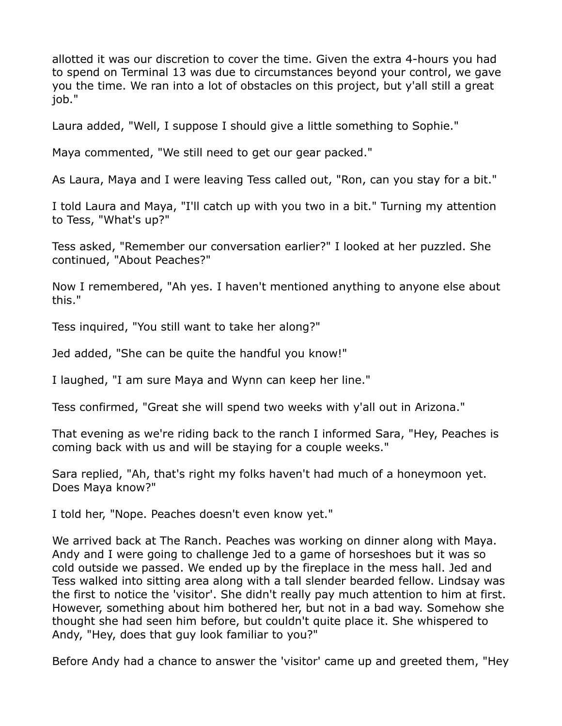allotted it was our discretion to cover the time. Given the extra 4-hours you had to spend on Terminal 13 was due to circumstances beyond your control, we gave you the time. We ran into a lot of obstacles on this project, but y'all still a great job."

Laura added, "Well, I suppose I should give a little something to Sophie."

Maya commented, "We still need to get our gear packed."

As Laura, Maya and I were leaving Tess called out, "Ron, can you stay for a bit."

I told Laura and Maya, "I'll catch up with you two in a bit." Turning my attention to Tess, "What's up?"

Tess asked, "Remember our conversation earlier?" I looked at her puzzled. She continued, "About Peaches?"

Now I remembered, "Ah yes. I haven't mentioned anything to anyone else about this."

Tess inquired, "You still want to take her along?"

Jed added, "She can be quite the handful you know!"

I laughed, "I am sure Maya and Wynn can keep her line."

Tess confirmed, "Great she will spend two weeks with y'all out in Arizona."

That evening as we're riding back to the ranch I informed Sara, "Hey, Peaches is coming back with us and will be staying for a couple weeks."

Sara replied, "Ah, that's right my folks haven't had much of a honeymoon yet. Does Maya know?"

I told her, "Nope. Peaches doesn't even know yet."

We arrived back at The Ranch. Peaches was working on dinner along with Maya. Andy and I were going to challenge Jed to a game of horseshoes but it was so cold outside we passed. We ended up by the fireplace in the mess hall. Jed and Tess walked into sitting area along with a tall slender bearded fellow. Lindsay was the first to notice the 'visitor'. She didn't really pay much attention to him at first. However, something about him bothered her, but not in a bad way. Somehow she thought she had seen him before, but couldn't quite place it. She whispered to Andy, "Hey, does that guy look familiar to you?"

Before Andy had a chance to answer the 'visitor' came up and greeted them, "Hey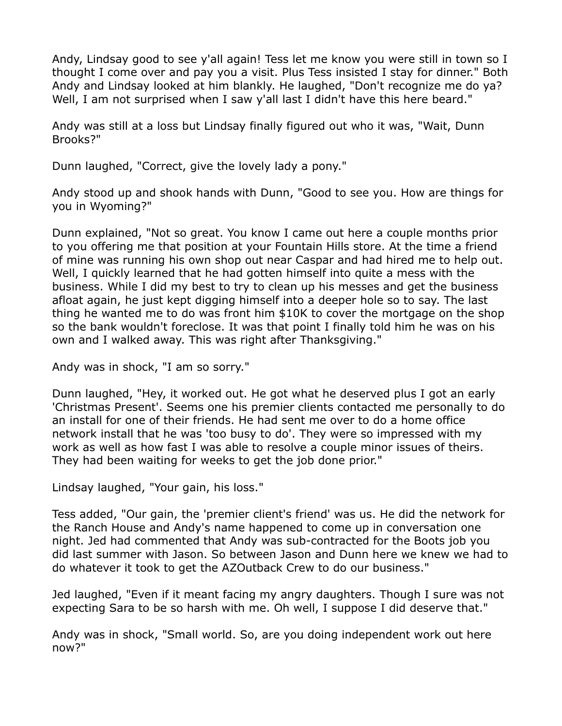Andy, Lindsay good to see y'all again! Tess let me know you were still in town so I thought I come over and pay you a visit. Plus Tess insisted I stay for dinner." Both Andy and Lindsay looked at him blankly. He laughed, "Don't recognize me do ya? Well, I am not surprised when I saw y'all last I didn't have this here beard."

Andy was still at a loss but Lindsay finally figured out who it was, "Wait, Dunn Brooks?"

Dunn laughed, "Correct, give the lovely lady a pony."

Andy stood up and shook hands with Dunn, "Good to see you. How are things for you in Wyoming?"

Dunn explained, "Not so great. You know I came out here a couple months prior to you offering me that position at your Fountain Hills store. At the time a friend of mine was running his own shop out near Caspar and had hired me to help out. Well, I quickly learned that he had gotten himself into quite a mess with the business. While I did my best to try to clean up his messes and get the business afloat again, he just kept digging himself into a deeper hole so to say. The last thing he wanted me to do was front him \$10K to cover the mortgage on the shop so the bank wouldn't foreclose. It was that point I finally told him he was on his own and I walked away. This was right after Thanksgiving."

Andy was in shock, "I am so sorry."

Dunn laughed, "Hey, it worked out. He got what he deserved plus I got an early 'Christmas Present'. Seems one his premier clients contacted me personally to do an install for one of their friends. He had sent me over to do a home office network install that he was 'too busy to do'. They were so impressed with my work as well as how fast I was able to resolve a couple minor issues of theirs. They had been waiting for weeks to get the job done prior."

Lindsay laughed, "Your gain, his loss."

Tess added, "Our gain, the 'premier client's friend' was us. He did the network for the Ranch House and Andy's name happened to come up in conversation one night. Jed had commented that Andy was sub-contracted for the Boots job you did last summer with Jason. So between Jason and Dunn here we knew we had to do whatever it took to get the AZOutback Crew to do our business."

Jed laughed, "Even if it meant facing my angry daughters. Though I sure was not expecting Sara to be so harsh with me. Oh well, I suppose I did deserve that."

Andy was in shock, "Small world. So, are you doing independent work out here now?"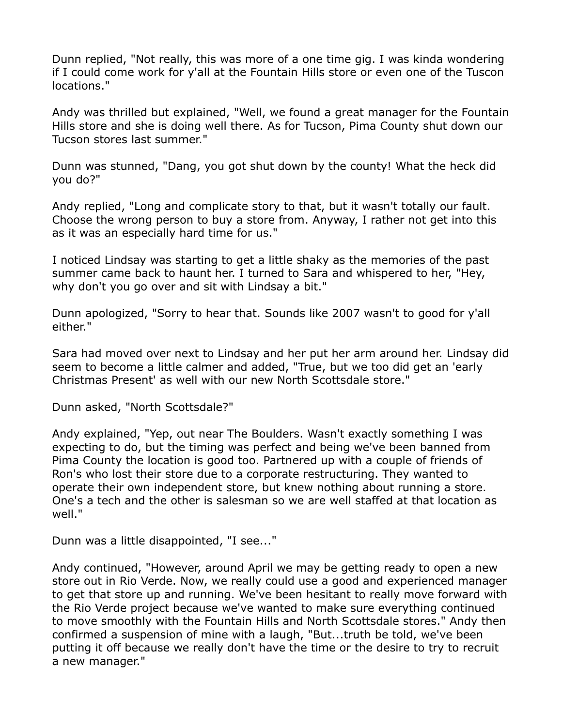Dunn replied, "Not really, this was more of a one time gig. I was kinda wondering if I could come work for y'all at the Fountain Hills store or even one of the Tuscon locations."

Andy was thrilled but explained, "Well, we found a great manager for the Fountain Hills store and she is doing well there. As for Tucson, Pima County shut down our Tucson stores last summer."

Dunn was stunned, "Dang, you got shut down by the county! What the heck did you do?"

Andy replied, "Long and complicate story to that, but it wasn't totally our fault. Choose the wrong person to buy a store from. Anyway, I rather not get into this as it was an especially hard time for us."

I noticed Lindsay was starting to get a little shaky as the memories of the past summer came back to haunt her. I turned to Sara and whispered to her, "Hey, why don't you go over and sit with Lindsay a bit."

Dunn apologized, "Sorry to hear that. Sounds like 2007 wasn't to good for y'all either."

Sara had moved over next to Lindsay and her put her arm around her. Lindsay did seem to become a little calmer and added, "True, but we too did get an 'early Christmas Present' as well with our new North Scottsdale store."

Dunn asked, "North Scottsdale?"

Andy explained, "Yep, out near The Boulders. Wasn't exactly something I was expecting to do, but the timing was perfect and being we've been banned from Pima County the location is good too. Partnered up with a couple of friends of Ron's who lost their store due to a corporate restructuring. They wanted to operate their own independent store, but knew nothing about running a store. One's a tech and the other is salesman so we are well staffed at that location as well."

Dunn was a little disappointed, "I see..."

Andy continued, "However, around April we may be getting ready to open a new store out in Rio Verde. Now, we really could use a good and experienced manager to get that store up and running. We've been hesitant to really move forward with the Rio Verde project because we've wanted to make sure everything continued to move smoothly with the Fountain Hills and North Scottsdale stores." Andy then confirmed a suspension of mine with a laugh, "But...truth be told, we've been putting it off because we really don't have the time or the desire to try to recruit a new manager."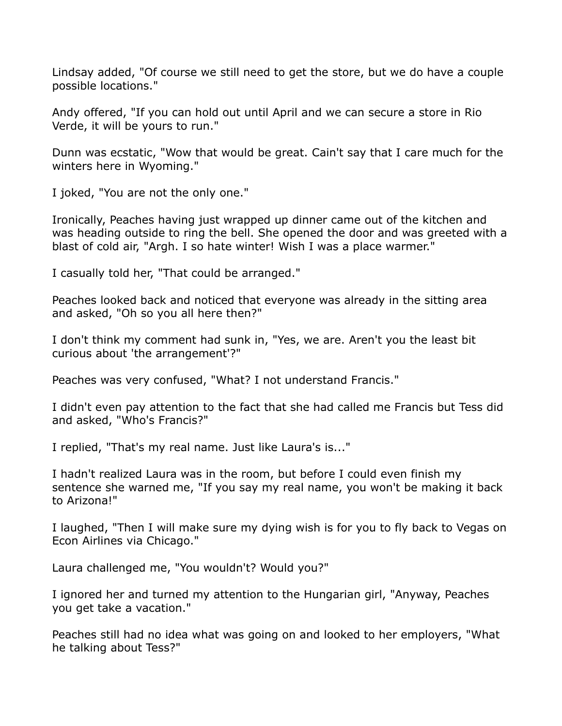Lindsay added, "Of course we still need to get the store, but we do have a couple possible locations."

Andy offered, "If you can hold out until April and we can secure a store in Rio Verde, it will be yours to run."

Dunn was ecstatic, "Wow that would be great. Cain't say that I care much for the winters here in Wyoming."

I joked, "You are not the only one."

Ironically, Peaches having just wrapped up dinner came out of the kitchen and was heading outside to ring the bell. She opened the door and was greeted with a blast of cold air, "Argh. I so hate winter! Wish I was a place warmer."

I casually told her, "That could be arranged."

Peaches looked back and noticed that everyone was already in the sitting area and asked, "Oh so you all here then?"

I don't think my comment had sunk in, "Yes, we are. Aren't you the least bit curious about 'the arrangement'?"

Peaches was very confused, "What? I not understand Francis."

I didn't even pay attention to the fact that she had called me Francis but Tess did and asked, "Who's Francis?"

I replied, "That's my real name. Just like Laura's is..."

I hadn't realized Laura was in the room, but before I could even finish my sentence she warned me, "If you say my real name, you won't be making it back to Arizona!"

I laughed, "Then I will make sure my dying wish is for you to fly back to Vegas on Econ Airlines via Chicago."

Laura challenged me, "You wouldn't? Would you?"

I ignored her and turned my attention to the Hungarian girl, "Anyway, Peaches you get take a vacation."

Peaches still had no idea what was going on and looked to her employers, "What he talking about Tess?"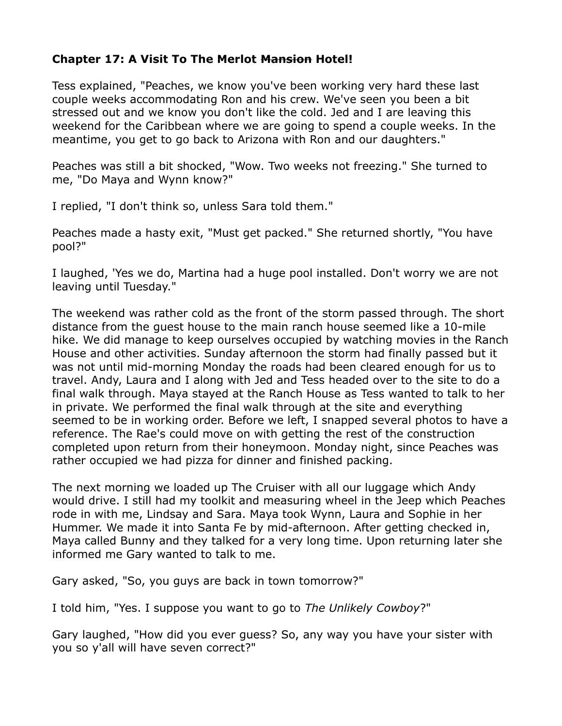### **Chapter 17: A Visit To The Merlot Mansion Hotel!**

Tess explained, "Peaches, we know you've been working very hard these last couple weeks accommodating Ron and his crew. We've seen you been a bit stressed out and we know you don't like the cold. Jed and I are leaving this weekend for the Caribbean where we are going to spend a couple weeks. In the meantime, you get to go back to Arizona with Ron and our daughters."

Peaches was still a bit shocked, "Wow. Two weeks not freezing." She turned to me, "Do Maya and Wynn know?"

I replied, "I don't think so, unless Sara told them."

Peaches made a hasty exit, "Must get packed." She returned shortly, "You have pool?"

I laughed, 'Yes we do, Martina had a huge pool installed. Don't worry we are not leaving until Tuesday."

The weekend was rather cold as the front of the storm passed through. The short distance from the guest house to the main ranch house seemed like a 10-mile hike. We did manage to keep ourselves occupied by watching movies in the Ranch House and other activities. Sunday afternoon the storm had finally passed but it was not until mid-morning Monday the roads had been cleared enough for us to travel. Andy, Laura and I along with Jed and Tess headed over to the site to do a final walk through. Maya stayed at the Ranch House as Tess wanted to talk to her in private. We performed the final walk through at the site and everything seemed to be in working order. Before we left, I snapped several photos to have a reference. The Rae's could move on with getting the rest of the construction completed upon return from their honeymoon. Monday night, since Peaches was rather occupied we had pizza for dinner and finished packing.

The next morning we loaded up The Cruiser with all our luggage which Andy would drive. I still had my toolkit and measuring wheel in the Jeep which Peaches rode in with me, Lindsay and Sara. Maya took Wynn, Laura and Sophie in her Hummer. We made it into Santa Fe by mid-afternoon. After getting checked in, Maya called Bunny and they talked for a very long time. Upon returning later she informed me Gary wanted to talk to me.

Gary asked, "So, you guys are back in town tomorrow?"

I told him, "Yes. I suppose you want to go to *The Unlikely Cowboy*?"

Gary laughed, "How did you ever guess? So, any way you have your sister with you so y'all will have seven correct?"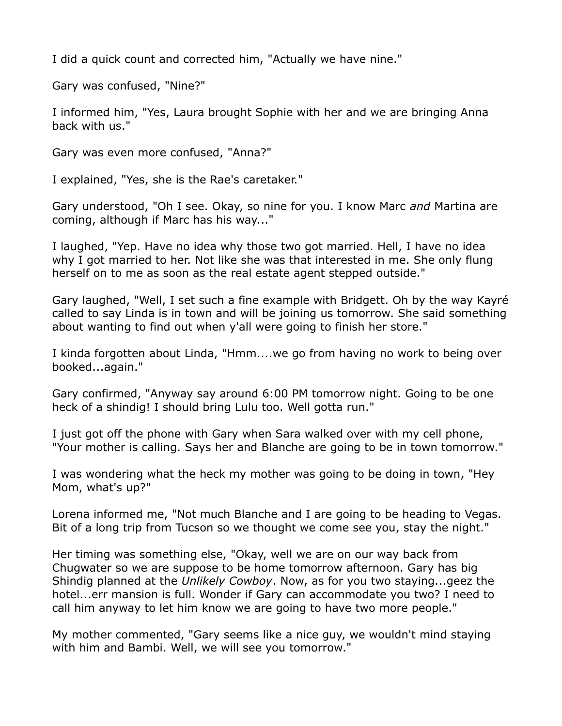I did a quick count and corrected him, "Actually we have nine."

Gary was confused, "Nine?"

I informed him, "Yes, Laura brought Sophie with her and we are bringing Anna back with us."

Gary was even more confused, "Anna?"

I explained, "Yes, she is the Rae's caretaker."

Gary understood, "Oh I see. Okay, so nine for you. I know Marc *and* Martina are coming, although if Marc has his way..."

I laughed, "Yep. Have no idea why those two got married. Hell, I have no idea why I got married to her. Not like she was that interested in me. She only flung herself on to me as soon as the real estate agent stepped outside."

Gary laughed, "Well, I set such a fine example with Bridgett. Oh by the way Kayré called to say Linda is in town and will be joining us tomorrow. She said something about wanting to find out when y'all were going to finish her store."

I kinda forgotten about Linda, "Hmm....we go from having no work to being over booked...again."

Gary confirmed, "Anyway say around 6:00 PM tomorrow night. Going to be one heck of a shindig! I should bring Lulu too. Well gotta run."

I just got off the phone with Gary when Sara walked over with my cell phone, "Your mother is calling. Says her and Blanche are going to be in town tomorrow."

I was wondering what the heck my mother was going to be doing in town, "Hey Mom, what's up?"

Lorena informed me, "Not much Blanche and I are going to be heading to Vegas. Bit of a long trip from Tucson so we thought we come see you, stay the night."

Her timing was something else, "Okay, well we are on our way back from Chugwater so we are suppose to be home tomorrow afternoon. Gary has big Shindig planned at the *Unlikely Cowboy*. Now, as for you two staying...geez the hotel...err mansion is full. Wonder if Gary can accommodate you two? I need to call him anyway to let him know we are going to have two more people."

My mother commented, "Gary seems like a nice guy, we wouldn't mind staying with him and Bambi. Well, we will see you tomorrow."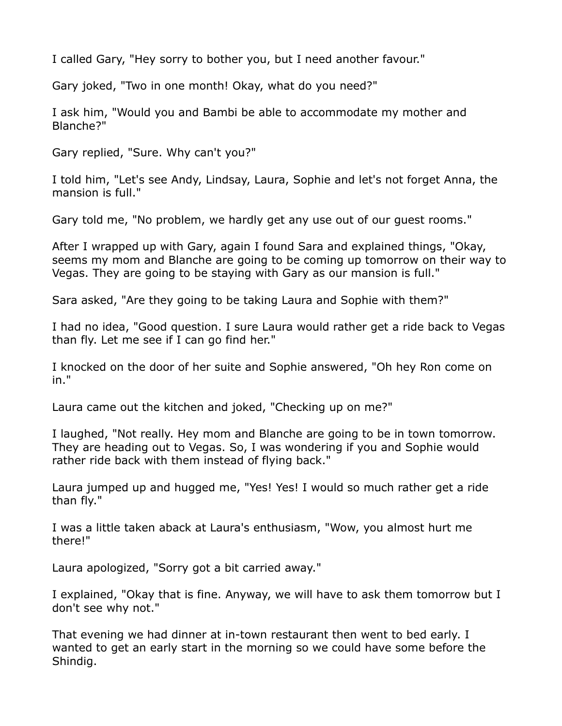I called Gary, "Hey sorry to bother you, but I need another favour."

Gary joked, "Two in one month! Okay, what do you need?"

I ask him, "Would you and Bambi be able to accommodate my mother and Blanche?"

Gary replied, "Sure. Why can't you?"

I told him, "Let's see Andy, Lindsay, Laura, Sophie and let's not forget Anna, the mansion is full."

Gary told me, "No problem, we hardly get any use out of our guest rooms."

After I wrapped up with Gary, again I found Sara and explained things, "Okay, seems my mom and Blanche are going to be coming up tomorrow on their way to Vegas. They are going to be staying with Gary as our mansion is full."

Sara asked, "Are they going to be taking Laura and Sophie with them?"

I had no idea, "Good question. I sure Laura would rather get a ride back to Vegas than fly. Let me see if I can go find her."

I knocked on the door of her suite and Sophie answered, "Oh hey Ron come on in."

Laura came out the kitchen and joked, "Checking up on me?"

I laughed, "Not really. Hey mom and Blanche are going to be in town tomorrow. They are heading out to Vegas. So, I was wondering if you and Sophie would rather ride back with them instead of flying back."

Laura jumped up and hugged me, "Yes! Yes! I would so much rather get a ride than fly."

I was a little taken aback at Laura's enthusiasm, "Wow, you almost hurt me there!"

Laura apologized, "Sorry got a bit carried away."

I explained, "Okay that is fine. Anyway, we will have to ask them tomorrow but I don't see why not."

That evening we had dinner at in-town restaurant then went to bed early. I wanted to get an early start in the morning so we could have some before the Shindig.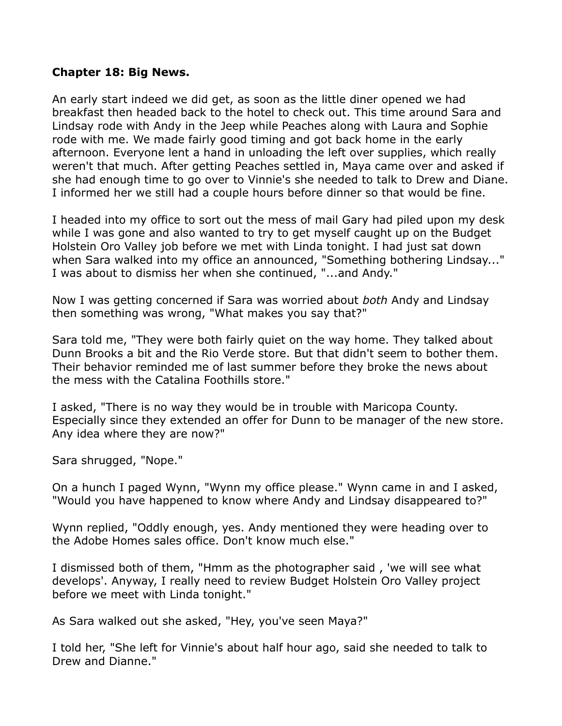#### **Chapter 18: Big News.**

An early start indeed we did get, as soon as the little diner opened we had breakfast then headed back to the hotel to check out. This time around Sara and Lindsay rode with Andy in the Jeep while Peaches along with Laura and Sophie rode with me. We made fairly good timing and got back home in the early afternoon. Everyone lent a hand in unloading the left over supplies, which really weren't that much. After getting Peaches settled in, Maya came over and asked if she had enough time to go over to Vinnie's she needed to talk to Drew and Diane. I informed her we still had a couple hours before dinner so that would be fine.

I headed into my office to sort out the mess of mail Gary had piled upon my desk while I was gone and also wanted to try to get myself caught up on the Budget Holstein Oro Valley job before we met with Linda tonight. I had just sat down when Sara walked into my office an announced, "Something bothering Lindsay..." I was about to dismiss her when she continued, "...and Andy."

Now I was getting concerned if Sara was worried about *both* Andy and Lindsay then something was wrong, "What makes you say that?"

Sara told me, "They were both fairly quiet on the way home. They talked about Dunn Brooks a bit and the Rio Verde store. But that didn't seem to bother them. Their behavior reminded me of last summer before they broke the news about the mess with the Catalina Foothills store."

I asked, "There is no way they would be in trouble with Maricopa County. Especially since they extended an offer for Dunn to be manager of the new store. Any idea where they are now?"

Sara shrugged, "Nope."

On a hunch I paged Wynn, "Wynn my office please." Wynn came in and I asked, "Would you have happened to know where Andy and Lindsay disappeared to?"

Wynn replied, "Oddly enough, yes. Andy mentioned they were heading over to the Adobe Homes sales office. Don't know much else."

I dismissed both of them, "Hmm as the photographer said , 'we will see what develops'. Anyway, I really need to review Budget Holstein Oro Valley project before we meet with Linda tonight."

As Sara walked out she asked, "Hey, you've seen Maya?"

I told her, "She left for Vinnie's about half hour ago, said she needed to talk to Drew and Dianne."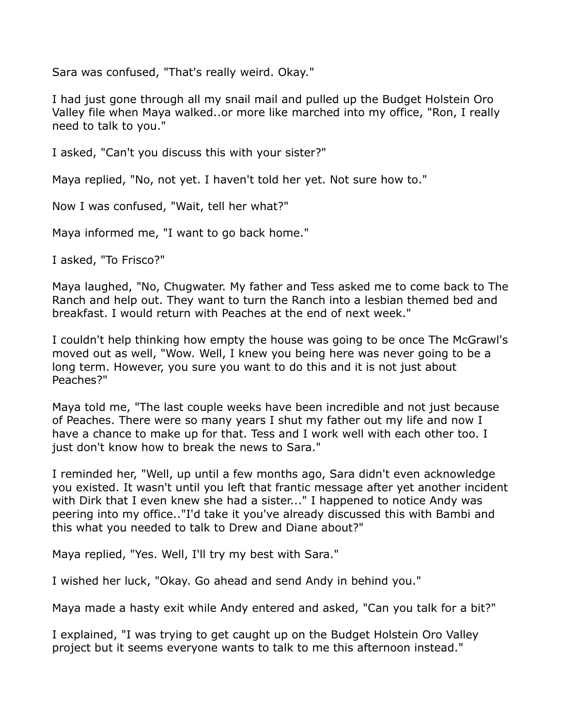Sara was confused, "That's really weird. Okay."

I had just gone through all my snail mail and pulled up the Budget Holstein Oro Valley file when Maya walked..or more like marched into my office, "Ron, I really need to talk to you."

I asked, "Can't you discuss this with your sister?"

Maya replied, "No, not yet. I haven't told her yet. Not sure how to."

Now I was confused, "Wait, tell her what?"

Maya informed me, "I want to go back home."

I asked, "To Frisco?"

Maya laughed, "No, Chugwater. My father and Tess asked me to come back to The Ranch and help out. They want to turn the Ranch into a lesbian themed bed and breakfast. I would return with Peaches at the end of next week."

I couldn't help thinking how empty the house was going to be once The McGrawl's moved out as well, "Wow. Well, I knew you being here was never going to be a long term. However, you sure you want to do this and it is not just about Peaches?"

Maya told me, "The last couple weeks have been incredible and not just because of Peaches. There were so many years I shut my father out my life and now I have a chance to make up for that. Tess and I work well with each other too. I just don't know how to break the news to Sara."

I reminded her, "Well, up until a few months ago, Sara didn't even acknowledge you existed. It wasn't until you left that frantic message after yet another incident with Dirk that I even knew she had a sister..." I happened to notice Andy was peering into my office.."I'd take it you've already discussed this with Bambi and this what you needed to talk to Drew and Diane about?"

Maya replied, "Yes. Well, I'll try my best with Sara."

I wished her luck, "Okay. Go ahead and send Andy in behind you."

Maya made a hasty exit while Andy entered and asked, "Can you talk for a bit?"

I explained, "I was trying to get caught up on the Budget Holstein Oro Valley project but it seems everyone wants to talk to me this afternoon instead."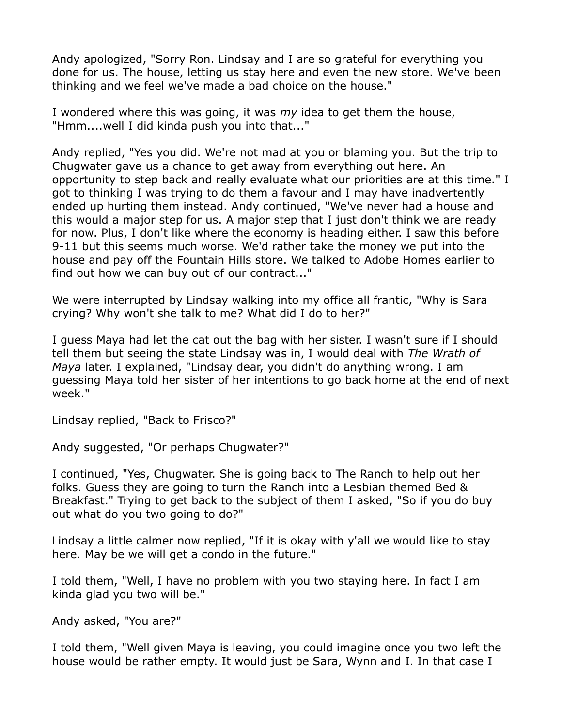Andy apologized, "Sorry Ron. Lindsay and I are so grateful for everything you done for us. The house, letting us stay here and even the new store. We've been thinking and we feel we've made a bad choice on the house."

I wondered where this was going, it was *my* idea to get them the house, "Hmm....well I did kinda push you into that..."

Andy replied, "Yes you did. We're not mad at you or blaming you. But the trip to Chugwater gave us a chance to get away from everything out here. An opportunity to step back and really evaluate what our priorities are at this time." I got to thinking I was trying to do them a favour and I may have inadvertently ended up hurting them instead. Andy continued, "We've never had a house and this would a major step for us. A major step that I just don't think we are ready for now. Plus, I don't like where the economy is heading either. I saw this before 9-11 but this seems much worse. We'd rather take the money we put into the house and pay off the Fountain Hills store. We talked to Adobe Homes earlier to find out how we can buy out of our contract..."

We were interrupted by Lindsay walking into my office all frantic, "Why is Sara crying? Why won't she talk to me? What did I do to her?"

I guess Maya had let the cat out the bag with her sister. I wasn't sure if I should tell them but seeing the state Lindsay was in, I would deal with *The Wrath of Maya* later. I explained, "Lindsay dear, you didn't do anything wrong. I am guessing Maya told her sister of her intentions to go back home at the end of next week."

Lindsay replied, "Back to Frisco?"

Andy suggested, "Or perhaps Chugwater?"

I continued, "Yes, Chugwater. She is going back to The Ranch to help out her folks. Guess they are going to turn the Ranch into a Lesbian themed Bed & Breakfast." Trying to get back to the subject of them I asked, "So if you do buy out what do you two going to do?"

Lindsay a little calmer now replied, "If it is okay with y'all we would like to stay here. May be we will get a condo in the future."

I told them, "Well, I have no problem with you two staying here. In fact I am kinda glad you two will be."

Andy asked, "You are?"

I told them, "Well given Maya is leaving, you could imagine once you two left the house would be rather empty. It would just be Sara, Wynn and I. In that case I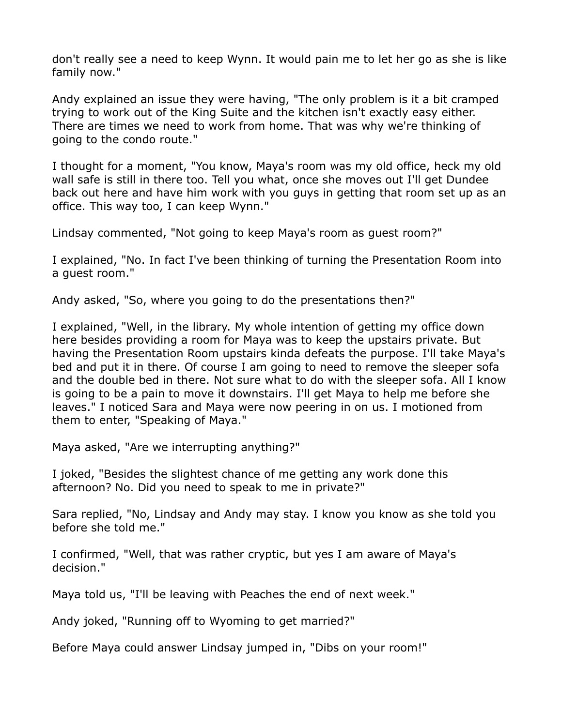don't really see a need to keep Wynn. It would pain me to let her go as she is like family now."

Andy explained an issue they were having, "The only problem is it a bit cramped trying to work out of the King Suite and the kitchen isn't exactly easy either. There are times we need to work from home. That was why we're thinking of going to the condo route."

I thought for a moment, "You know, Maya's room was my old office, heck my old wall safe is still in there too. Tell you what, once she moves out I'll get Dundee back out here and have him work with you guys in getting that room set up as an office. This way too, I can keep Wynn."

Lindsay commented, "Not going to keep Maya's room as guest room?"

I explained, "No. In fact I've been thinking of turning the Presentation Room into a guest room."

Andy asked, "So, where you going to do the presentations then?"

I explained, "Well, in the library. My whole intention of getting my office down here besides providing a room for Maya was to keep the upstairs private. But having the Presentation Room upstairs kinda defeats the purpose. I'll take Maya's bed and put it in there. Of course I am going to need to remove the sleeper sofa and the double bed in there. Not sure what to do with the sleeper sofa. All I know is going to be a pain to move it downstairs. I'll get Maya to help me before she leaves." I noticed Sara and Maya were now peering in on us. I motioned from them to enter, "Speaking of Maya."

Maya asked, "Are we interrupting anything?"

I joked, "Besides the slightest chance of me getting any work done this afternoon? No. Did you need to speak to me in private?"

Sara replied, "No, Lindsay and Andy may stay. I know you know as she told you before she told me."

I confirmed, "Well, that was rather cryptic, but yes I am aware of Maya's decision."

Maya told us, "I'll be leaving with Peaches the end of next week."

Andy joked, "Running off to Wyoming to get married?"

Before Maya could answer Lindsay jumped in, "Dibs on your room!"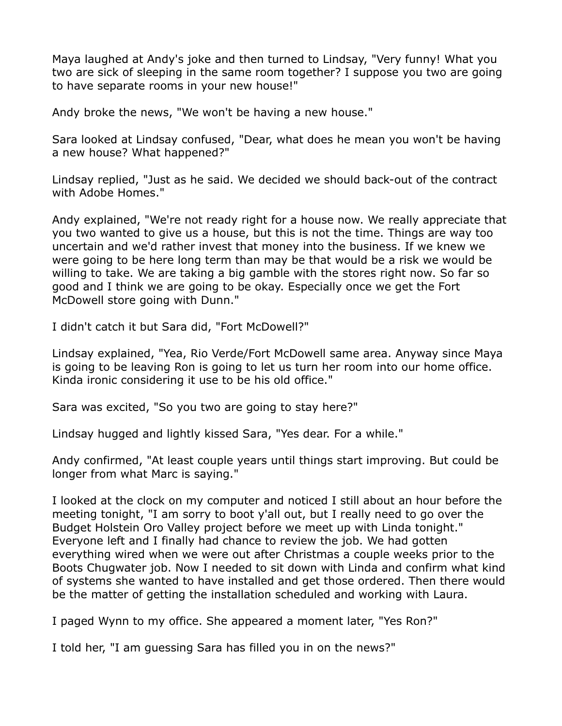Maya laughed at Andy's joke and then turned to Lindsay, "Very funny! What you two are sick of sleeping in the same room together? I suppose you two are going to have separate rooms in your new house!"

Andy broke the news, "We won't be having a new house."

Sara looked at Lindsay confused, "Dear, what does he mean you won't be having a new house? What happened?"

Lindsay replied, "Just as he said. We decided we should back-out of the contract with Adobe Homes."

Andy explained, "We're not ready right for a house now. We really appreciate that you two wanted to give us a house, but this is not the time. Things are way too uncertain and we'd rather invest that money into the business. If we knew we were going to be here long term than may be that would be a risk we would be willing to take. We are taking a big gamble with the stores right now. So far so good and I think we are going to be okay. Especially once we get the Fort McDowell store going with Dunn."

I didn't catch it but Sara did, "Fort McDowell?"

Lindsay explained, "Yea, Rio Verde/Fort McDowell same area. Anyway since Maya is going to be leaving Ron is going to let us turn her room into our home office. Kinda ironic considering it use to be his old office."

Sara was excited, "So you two are going to stay here?"

Lindsay hugged and lightly kissed Sara, "Yes dear. For a while."

Andy confirmed, "At least couple years until things start improving. But could be longer from what Marc is saying."

I looked at the clock on my computer and noticed I still about an hour before the meeting tonight, "I am sorry to boot y'all out, but I really need to go over the Budget Holstein Oro Valley project before we meet up with Linda tonight." Everyone left and I finally had chance to review the job. We had gotten everything wired when we were out after Christmas a couple weeks prior to the Boots Chugwater job. Now I needed to sit down with Linda and confirm what kind of systems she wanted to have installed and get those ordered. Then there would be the matter of getting the installation scheduled and working with Laura.

I paged Wynn to my office. She appeared a moment later, "Yes Ron?"

I told her, "I am guessing Sara has filled you in on the news?"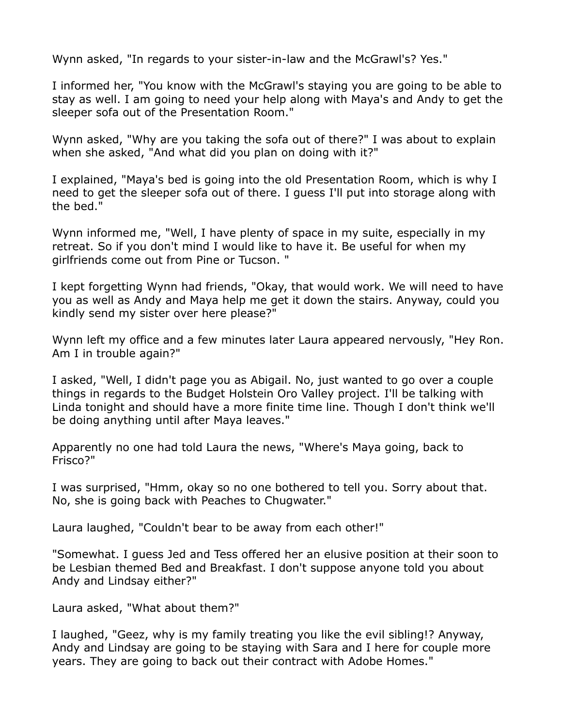Wynn asked, "In regards to your sister-in-law and the McGrawl's? Yes."

I informed her, "You know with the McGrawl's staying you are going to be able to stay as well. I am going to need your help along with Maya's and Andy to get the sleeper sofa out of the Presentation Room."

Wynn asked, "Why are you taking the sofa out of there?" I was about to explain when she asked, "And what did you plan on doing with it?"

I explained, "Maya's bed is going into the old Presentation Room, which is why I need to get the sleeper sofa out of there. I guess I'll put into storage along with the bed."

Wynn informed me, "Well, I have plenty of space in my suite, especially in my retreat. So if you don't mind I would like to have it. Be useful for when my girlfriends come out from Pine or Tucson. "

I kept forgetting Wynn had friends, "Okay, that would work. We will need to have you as well as Andy and Maya help me get it down the stairs. Anyway, could you kindly send my sister over here please?"

Wynn left my office and a few minutes later Laura appeared nervously, "Hey Ron. Am I in trouble again?"

I asked, "Well, I didn't page you as Abigail. No, just wanted to go over a couple things in regards to the Budget Holstein Oro Valley project. I'll be talking with Linda tonight and should have a more finite time line. Though I don't think we'll be doing anything until after Maya leaves."

Apparently no one had told Laura the news, "Where's Maya going, back to Frisco?"

I was surprised, "Hmm, okay so no one bothered to tell you. Sorry about that. No, she is going back with Peaches to Chugwater."

Laura laughed, "Couldn't bear to be away from each other!"

"Somewhat. I guess Jed and Tess offered her an elusive position at their soon to be Lesbian themed Bed and Breakfast. I don't suppose anyone told you about Andy and Lindsay either?"

Laura asked, "What about them?"

I laughed, "Geez, why is my family treating you like the evil sibling!? Anyway, Andy and Lindsay are going to be staying with Sara and I here for couple more years. They are going to back out their contract with Adobe Homes."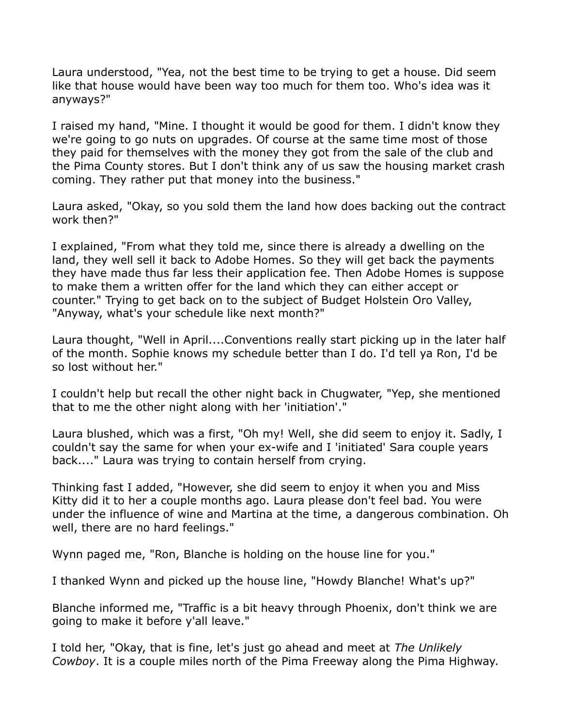Laura understood, "Yea, not the best time to be trying to get a house. Did seem like that house would have been way too much for them too. Who's idea was it anyways?"

I raised my hand, "Mine. I thought it would be good for them. I didn't know they we're going to go nuts on upgrades. Of course at the same time most of those they paid for themselves with the money they got from the sale of the club and the Pima County stores. But I don't think any of us saw the housing market crash coming. They rather put that money into the business."

Laura asked, "Okay, so you sold them the land how does backing out the contract work then?"

I explained, "From what they told me, since there is already a dwelling on the land, they well sell it back to Adobe Homes. So they will get back the payments they have made thus far less their application fee. Then Adobe Homes is suppose to make them a written offer for the land which they can either accept or counter." Trying to get back on to the subject of Budget Holstein Oro Valley, "Anyway, what's your schedule like next month?"

Laura thought, "Well in April....Conventions really start picking up in the later half of the month. Sophie knows my schedule better than I do. I'd tell ya Ron, I'd be so lost without her."

I couldn't help but recall the other night back in Chugwater, "Yep, she mentioned that to me the other night along with her 'initiation'."

Laura blushed, which was a first, "Oh my! Well, she did seem to enjoy it. Sadly, I couldn't say the same for when your ex-wife and I 'initiated' Sara couple years back...." Laura was trying to contain herself from crying.

Thinking fast I added, "However, she did seem to enjoy it when you and Miss Kitty did it to her a couple months ago. Laura please don't feel bad. You were under the influence of wine and Martina at the time, a dangerous combination. Oh well, there are no hard feelings."

Wynn paged me, "Ron, Blanche is holding on the house line for you."

I thanked Wynn and picked up the house line, "Howdy Blanche! What's up?"

Blanche informed me, "Traffic is a bit heavy through Phoenix, don't think we are going to make it before y'all leave."

I told her, "Okay, that is fine, let's just go ahead and meet at *The Unlikely Cowboy*. It is a couple miles north of the Pima Freeway along the Pima Highway.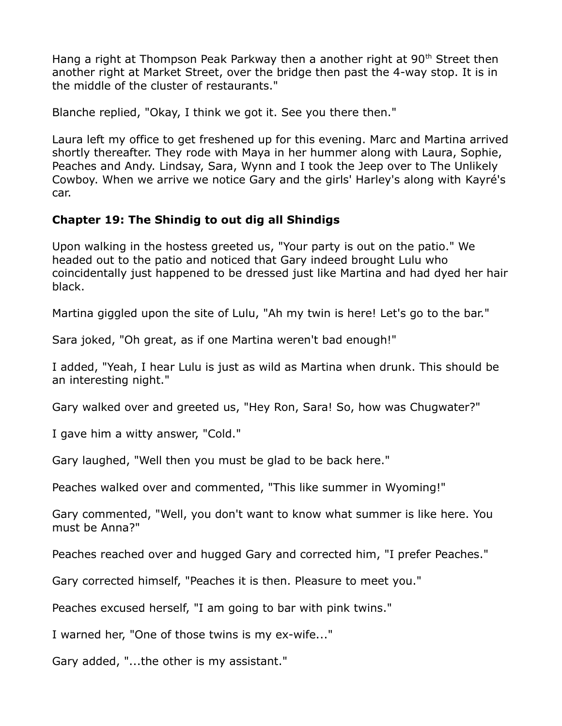Hang a right at Thompson Peak Parkway then a another right at 90<sup>th</sup> Street then another right at Market Street, over the bridge then past the 4-way stop. It is in the middle of the cluster of restaurants."

Blanche replied, "Okay, I think we got it. See you there then."

Laura left my office to get freshened up for this evening. Marc and Martina arrived shortly thereafter. They rode with Maya in her hummer along with Laura, Sophie, Peaches and Andy. Lindsay, Sara, Wynn and I took the Jeep over to The Unlikely Cowboy. When we arrive we notice Gary and the girls' Harley's along with Kayré's car.

## **Chapter 19: The Shindig to out dig all Shindigs**

Upon walking in the hostess greeted us, "Your party is out on the patio." We headed out to the patio and noticed that Gary indeed brought Lulu who coincidentally just happened to be dressed just like Martina and had dyed her hair black.

Martina giggled upon the site of Lulu, "Ah my twin is here! Let's go to the bar."

Sara joked, "Oh great, as if one Martina weren't bad enough!"

I added, "Yeah, I hear Lulu is just as wild as Martina when drunk. This should be an interesting night."

Gary walked over and greeted us, "Hey Ron, Sara! So, how was Chugwater?"

I gave him a witty answer, "Cold."

Gary laughed, "Well then you must be glad to be back here."

Peaches walked over and commented, "This like summer in Wyoming!"

Gary commented, "Well, you don't want to know what summer is like here. You must be Anna?"

Peaches reached over and hugged Gary and corrected him, "I prefer Peaches."

Gary corrected himself, "Peaches it is then. Pleasure to meet you."

Peaches excused herself, "I am going to bar with pink twins."

I warned her, "One of those twins is my ex-wife..."

Gary added, "...the other is my assistant."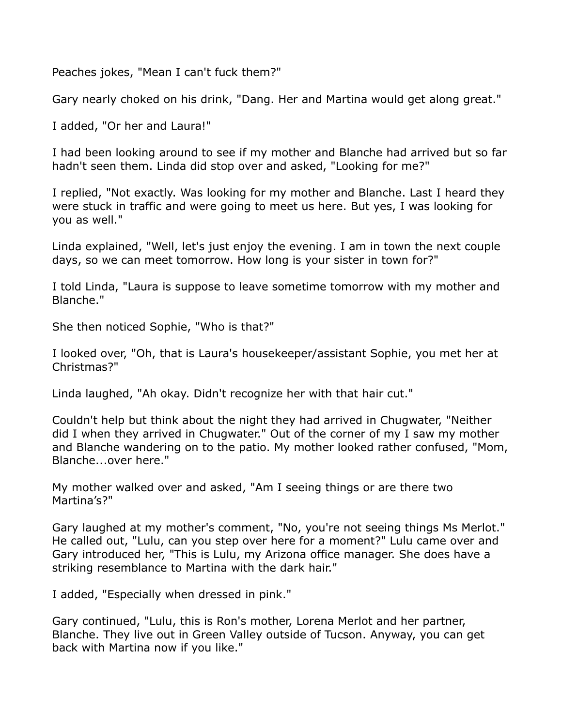Peaches jokes, "Mean I can't fuck them?"

Gary nearly choked on his drink, "Dang. Her and Martina would get along great."

I added, "Or her and Laura!"

I had been looking around to see if my mother and Blanche had arrived but so far hadn't seen them. Linda did stop over and asked, "Looking for me?"

I replied, "Not exactly. Was looking for my mother and Blanche. Last I heard they were stuck in traffic and were going to meet us here. But yes, I was looking for you as well."

Linda explained, "Well, let's just enjoy the evening. I am in town the next couple days, so we can meet tomorrow. How long is your sister in town for?"

I told Linda, "Laura is suppose to leave sometime tomorrow with my mother and Blanche."

She then noticed Sophie, "Who is that?"

I looked over, "Oh, that is Laura's housekeeper/assistant Sophie, you met her at Christmas?"

Linda laughed, "Ah okay. Didn't recognize her with that hair cut."

Couldn't help but think about the night they had arrived in Chugwater, "Neither did I when they arrived in Chugwater." Out of the corner of my I saw my mother and Blanche wandering on to the patio. My mother looked rather confused, "Mom, Blanche...over here."

My mother walked over and asked, "Am I seeing things or are there two Martina's?"

Gary laughed at my mother's comment, "No, you're not seeing things Ms Merlot." He called out, "Lulu, can you step over here for a moment?" Lulu came over and Gary introduced her, "This is Lulu, my Arizona office manager. She does have a striking resemblance to Martina with the dark hair."

I added, "Especially when dressed in pink."

Gary continued, "Lulu, this is Ron's mother, Lorena Merlot and her partner, Blanche. They live out in Green Valley outside of Tucson. Anyway, you can get back with Martina now if you like."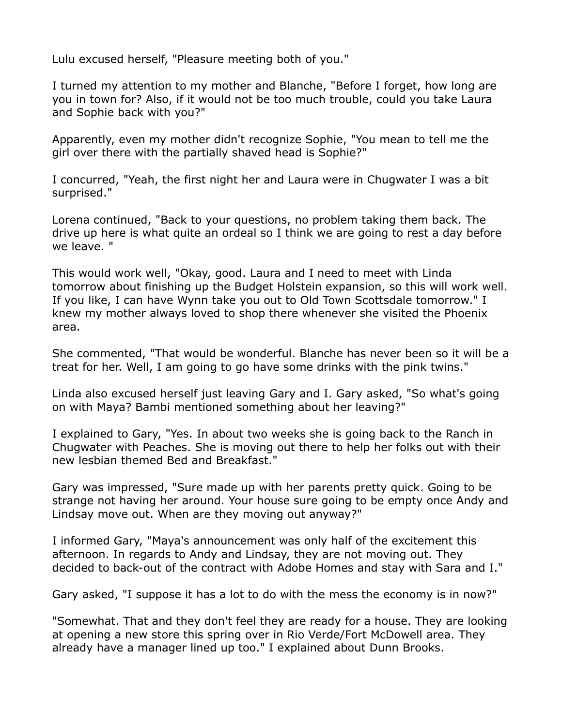Lulu excused herself, "Pleasure meeting both of you."

I turned my attention to my mother and Blanche, "Before I forget, how long are you in town for? Also, if it would not be too much trouble, could you take Laura and Sophie back with you?"

Apparently, even my mother didn't recognize Sophie, "You mean to tell me the girl over there with the partially shaved head is Sophie?"

I concurred, "Yeah, the first night her and Laura were in Chugwater I was a bit surprised."

Lorena continued, "Back to your questions, no problem taking them back. The drive up here is what quite an ordeal so I think we are going to rest a day before we leave. "

This would work well, "Okay, good. Laura and I need to meet with Linda tomorrow about finishing up the Budget Holstein expansion, so this will work well. If you like, I can have Wynn take you out to Old Town Scottsdale tomorrow." I knew my mother always loved to shop there whenever she visited the Phoenix area.

She commented, "That would be wonderful. Blanche has never been so it will be a treat for her. Well, I am going to go have some drinks with the pink twins."

Linda also excused herself just leaving Gary and I. Gary asked, "So what's going on with Maya? Bambi mentioned something about her leaving?"

I explained to Gary, "Yes. In about two weeks she is going back to the Ranch in Chugwater with Peaches. She is moving out there to help her folks out with their new lesbian themed Bed and Breakfast."

Gary was impressed, "Sure made up with her parents pretty quick. Going to be strange not having her around. Your house sure going to be empty once Andy and Lindsay move out. When are they moving out anyway?"

I informed Gary, "Maya's announcement was only half of the excitement this afternoon. In regards to Andy and Lindsay, they are not moving out. They decided to back-out of the contract with Adobe Homes and stay with Sara and I."

Gary asked, "I suppose it has a lot to do with the mess the economy is in now?"

"Somewhat. That and they don't feel they are ready for a house. They are looking at opening a new store this spring over in Rio Verde/Fort McDowell area. They already have a manager lined up too." I explained about Dunn Brooks.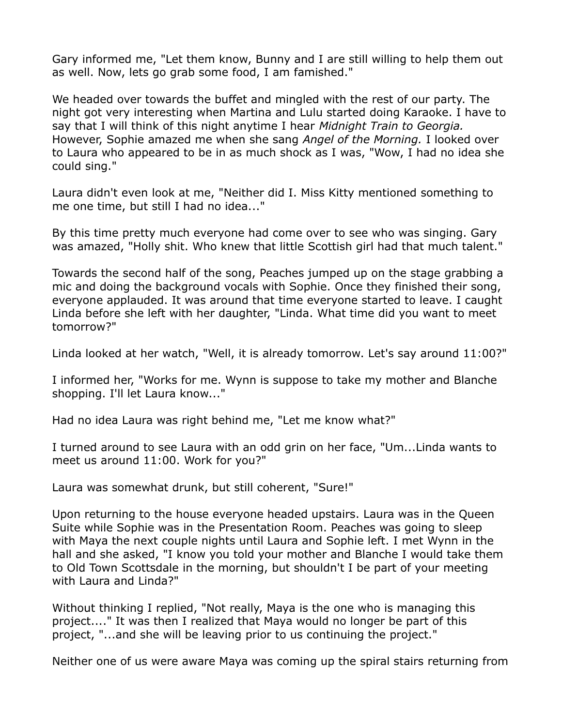Gary informed me, "Let them know, Bunny and I are still willing to help them out as well. Now, lets go grab some food, I am famished."

We headed over towards the buffet and mingled with the rest of our party. The night got very interesting when Martina and Lulu started doing Karaoke. I have to say that I will think of this night anytime I hear *Midnight Train to Georgia.*  However, Sophie amazed me when she sang *Angel of the Morning.* I looked over to Laura who appeared to be in as much shock as I was, "Wow, I had no idea she could sing."

Laura didn't even look at me, "Neither did I. Miss Kitty mentioned something to me one time, but still I had no idea..."

By this time pretty much everyone had come over to see who was singing. Gary was amazed, "Holly shit. Who knew that little Scottish girl had that much talent."

Towards the second half of the song, Peaches jumped up on the stage grabbing a mic and doing the background vocals with Sophie. Once they finished their song, everyone applauded. It was around that time everyone started to leave. I caught Linda before she left with her daughter, "Linda. What time did you want to meet tomorrow?"

Linda looked at her watch, "Well, it is already tomorrow. Let's say around 11:00?"

I informed her, "Works for me. Wynn is suppose to take my mother and Blanche shopping. I'll let Laura know..."

Had no idea Laura was right behind me, "Let me know what?"

I turned around to see Laura with an odd grin on her face, "Um...Linda wants to meet us around 11:00. Work for you?"

Laura was somewhat drunk, but still coherent, "Sure!"

Upon returning to the house everyone headed upstairs. Laura was in the Queen Suite while Sophie was in the Presentation Room. Peaches was going to sleep with Maya the next couple nights until Laura and Sophie left. I met Wynn in the hall and she asked, "I know you told your mother and Blanche I would take them to Old Town Scottsdale in the morning, but shouldn't I be part of your meeting with Laura and Linda?"

Without thinking I replied, "Not really, Maya is the one who is managing this project...." It was then I realized that Maya would no longer be part of this project, "...and she will be leaving prior to us continuing the project."

Neither one of us were aware Maya was coming up the spiral stairs returning from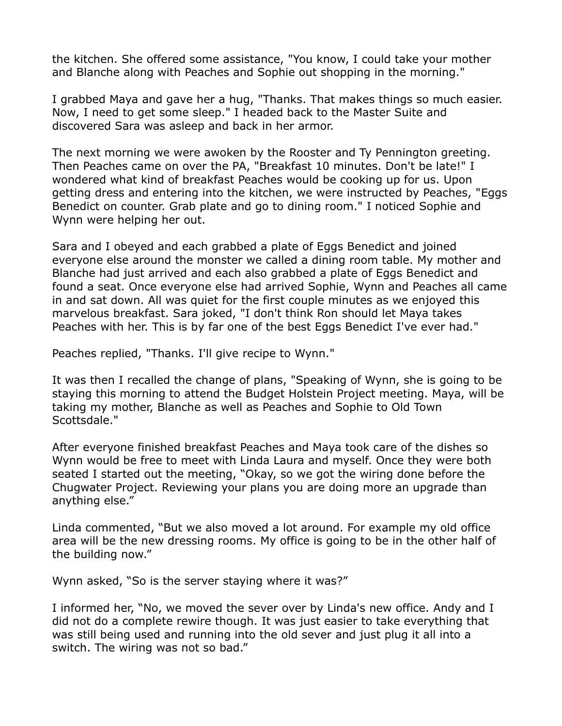the kitchen. She offered some assistance, "You know, I could take your mother and Blanche along with Peaches and Sophie out shopping in the morning."

I grabbed Maya and gave her a hug, "Thanks. That makes things so much easier. Now, I need to get some sleep." I headed back to the Master Suite and discovered Sara was asleep and back in her armor.

The next morning we were awoken by the Rooster and Ty Pennington greeting. Then Peaches came on over the PA, "Breakfast 10 minutes. Don't be late!" I wondered what kind of breakfast Peaches would be cooking up for us. Upon getting dress and entering into the kitchen, we were instructed by Peaches, "Eggs Benedict on counter. Grab plate and go to dining room." I noticed Sophie and Wynn were helping her out.

Sara and I obeyed and each grabbed a plate of Eggs Benedict and joined everyone else around the monster we called a dining room table. My mother and Blanche had just arrived and each also grabbed a plate of Eggs Benedict and found a seat. Once everyone else had arrived Sophie, Wynn and Peaches all came in and sat down. All was quiet for the first couple minutes as we enjoyed this marvelous breakfast. Sara joked, "I don't think Ron should let Maya takes Peaches with her. This is by far one of the best Eggs Benedict I've ever had."

Peaches replied, "Thanks. I'll give recipe to Wynn."

It was then I recalled the change of plans, "Speaking of Wynn, she is going to be staying this morning to attend the Budget Holstein Project meeting. Maya, will be taking my mother, Blanche as well as Peaches and Sophie to Old Town Scottsdale."

After everyone finished breakfast Peaches and Maya took care of the dishes so Wynn would be free to meet with Linda Laura and myself. Once they were both seated I started out the meeting, "Okay, so we got the wiring done before the Chugwater Project. Reviewing your plans you are doing more an upgrade than anything else."

Linda commented, "But we also moved a lot around. For example my old office area will be the new dressing rooms. My office is going to be in the other half of the building now."

Wynn asked, "So is the server staying where it was?"

I informed her, "No, we moved the sever over by Linda's new office. Andy and I did not do a complete rewire though. It was just easier to take everything that was still being used and running into the old sever and just plug it all into a switch. The wiring was not so bad."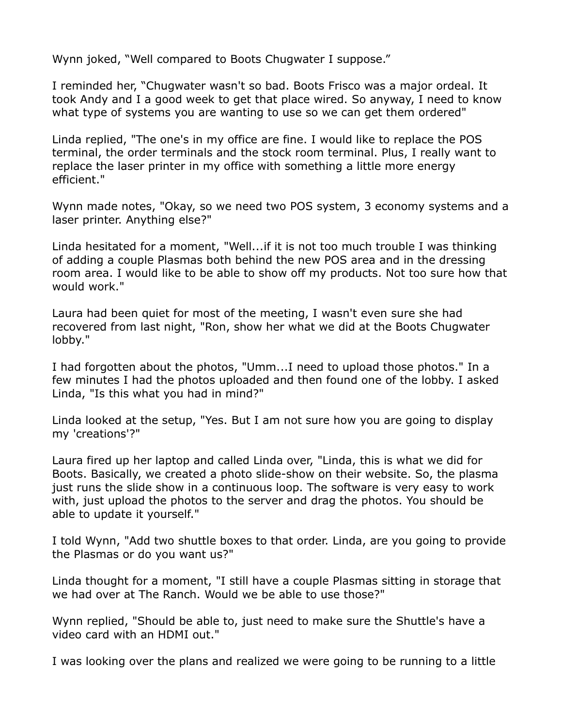Wynn joked, "Well compared to Boots Chugwater I suppose."

I reminded her, "Chugwater wasn't so bad. Boots Frisco was a major ordeal. It took Andy and I a good week to get that place wired. So anyway, I need to know what type of systems you are wanting to use so we can get them ordered"

Linda replied, "The one's in my office are fine. I would like to replace the POS terminal, the order terminals and the stock room terminal. Plus, I really want to replace the laser printer in my office with something a little more energy efficient."

Wynn made notes, "Okay, so we need two POS system, 3 economy systems and a laser printer. Anything else?"

Linda hesitated for a moment, "Well...if it is not too much trouble I was thinking of adding a couple Plasmas both behind the new POS area and in the dressing room area. I would like to be able to show off my products. Not too sure how that would work."

Laura had been quiet for most of the meeting, I wasn't even sure she had recovered from last night, "Ron, show her what we did at the Boots Chugwater lobby."

I had forgotten about the photos, "Umm...I need to upload those photos." In a few minutes I had the photos uploaded and then found one of the lobby. I asked Linda, "Is this what you had in mind?"

Linda looked at the setup, "Yes. But I am not sure how you are going to display my 'creations'?"

Laura fired up her laptop and called Linda over, "Linda, this is what we did for Boots. Basically, we created a photo slide-show on their website. So, the plasma just runs the slide show in a continuous loop. The software is very easy to work with, just upload the photos to the server and drag the photos. You should be able to update it yourself."

I told Wynn, "Add two shuttle boxes to that order. Linda, are you going to provide the Plasmas or do you want us?"

Linda thought for a moment, "I still have a couple Plasmas sitting in storage that we had over at The Ranch. Would we be able to use those?"

Wynn replied, "Should be able to, just need to make sure the Shuttle's have a video card with an HDMI out."

I was looking over the plans and realized we were going to be running to a little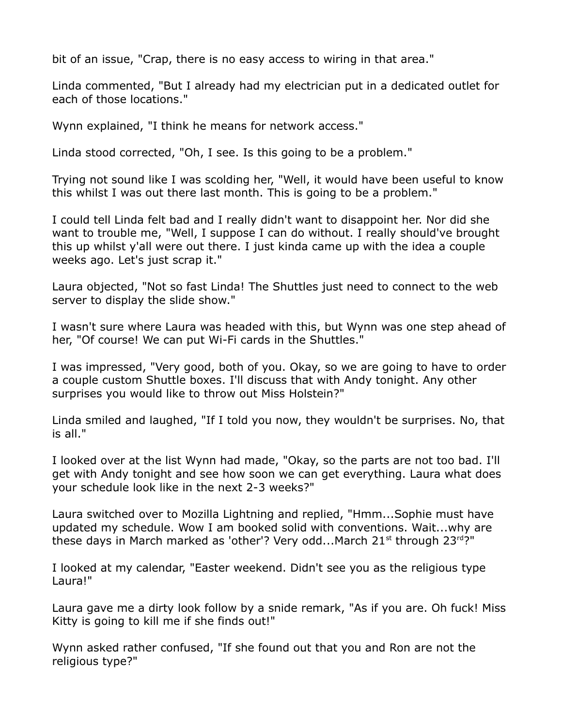bit of an issue, "Crap, there is no easy access to wiring in that area."

Linda commented, "But I already had my electrician put in a dedicated outlet for each of those locations."

Wynn explained, "I think he means for network access."

Linda stood corrected, "Oh, I see. Is this going to be a problem."

Trying not sound like I was scolding her, "Well, it would have been useful to know this whilst I was out there last month. This is going to be a problem."

I could tell Linda felt bad and I really didn't want to disappoint her. Nor did she want to trouble me, "Well, I suppose I can do without. I really should've brought this up whilst y'all were out there. I just kinda came up with the idea a couple weeks ago. Let's just scrap it."

Laura objected, "Not so fast Linda! The Shuttles just need to connect to the web server to display the slide show."

I wasn't sure where Laura was headed with this, but Wynn was one step ahead of her, "Of course! We can put Wi-Fi cards in the Shuttles."

I was impressed, "Very good, both of you. Okay, so we are going to have to order a couple custom Shuttle boxes. I'll discuss that with Andy tonight. Any other surprises you would like to throw out Miss Holstein?"

Linda smiled and laughed, "If I told you now, they wouldn't be surprises. No, that is all."

I looked over at the list Wynn had made, "Okay, so the parts are not too bad. I'll get with Andy tonight and see how soon we can get everything. Laura what does your schedule look like in the next 2-3 weeks?"

Laura switched over to Mozilla Lightning and replied, "Hmm...Sophie must have updated my schedule. Wow I am booked solid with conventions. Wait...why are these days in March marked as 'other'? Very odd...March  $21^{st}$  through  $23^{rd}$ ?"

I looked at my calendar, "Easter weekend. Didn't see you as the religious type Laura!"

Laura gave me a dirty look follow by a snide remark, "As if you are. Oh fuck! Miss Kitty is going to kill me if she finds out!"

Wynn asked rather confused, "If she found out that you and Ron are not the religious type?"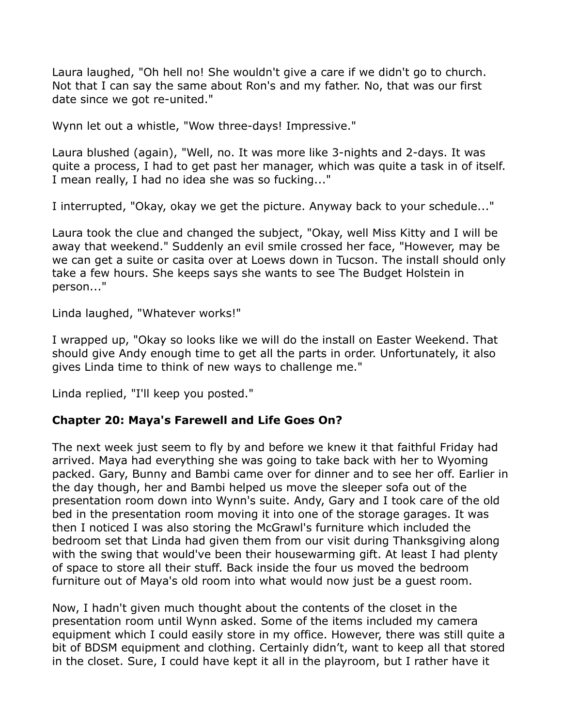Laura laughed, "Oh hell no! She wouldn't give a care if we didn't go to church. Not that I can say the same about Ron's and my father. No, that was our first date since we got re-united."

Wynn let out a whistle, "Wow three-days! Impressive."

Laura blushed (again), "Well, no. It was more like 3-nights and 2-days. It was quite a process, I had to get past her manager, which was quite a task in of itself. I mean really, I had no idea she was so fucking..."

I interrupted, "Okay, okay we get the picture. Anyway back to your schedule..."

Laura took the clue and changed the subject, "Okay, well Miss Kitty and I will be away that weekend." Suddenly an evil smile crossed her face, "However, may be we can get a suite or casita over at Loews down in Tucson. The install should only take a few hours. She keeps says she wants to see The Budget Holstein in person..."

Linda laughed, "Whatever works!"

I wrapped up, "Okay so looks like we will do the install on Easter Weekend. That should give Andy enough time to get all the parts in order. Unfortunately, it also gives Linda time to think of new ways to challenge me."

Linda replied, "I'll keep you posted."

#### **Chapter 20: Maya's Farewell and Life Goes On?**

The next week just seem to fly by and before we knew it that faithful Friday had arrived. Maya had everything she was going to take back with her to Wyoming packed. Gary, Bunny and Bambi came over for dinner and to see her off. Earlier in the day though, her and Bambi helped us move the sleeper sofa out of the presentation room down into Wynn's suite. Andy, Gary and I took care of the old bed in the presentation room moving it into one of the storage garages. It was then I noticed I was also storing the McGrawl's furniture which included the bedroom set that Linda had given them from our visit during Thanksgiving along with the swing that would've been their housewarming gift. At least I had plenty of space to store all their stuff. Back inside the four us moved the bedroom furniture out of Maya's old room into what would now just be a guest room.

Now, I hadn't given much thought about the contents of the closet in the presentation room until Wynn asked. Some of the items included my camera equipment which I could easily store in my office. However, there was still quite a bit of BDSM equipment and clothing. Certainly didn't, want to keep all that stored in the closet. Sure, I could have kept it all in the playroom, but I rather have it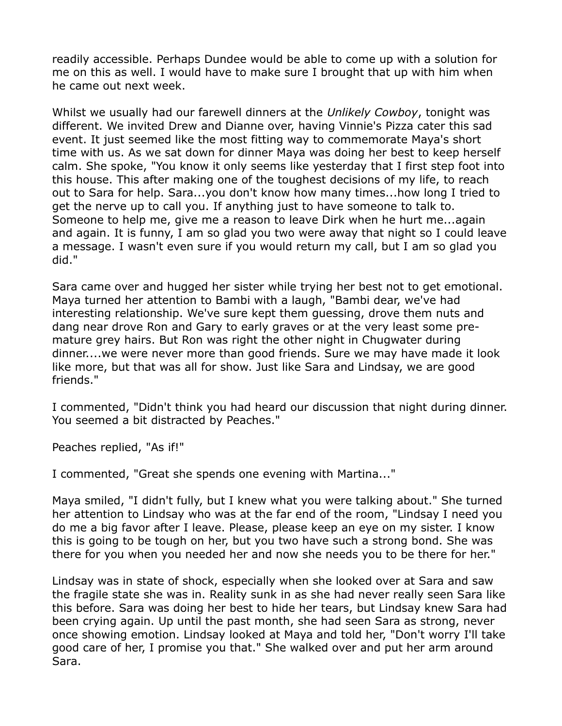readily accessible. Perhaps Dundee would be able to come up with a solution for me on this as well. I would have to make sure I brought that up with him when he came out next week.

Whilst we usually had our farewell dinners at the *Unlikely Cowboy*, tonight was different. We invited Drew and Dianne over, having Vinnie's Pizza cater this sad event. It just seemed like the most fitting way to commemorate Maya's short time with us. As we sat down for dinner Maya was doing her best to keep herself calm. She spoke, "You know it only seems like yesterday that I first step foot into this house. This after making one of the toughest decisions of my life, to reach out to Sara for help. Sara...you don't know how many times...how long I tried to get the nerve up to call you. If anything just to have someone to talk to. Someone to help me, give me a reason to leave Dirk when he hurt me...again and again. It is funny, I am so glad you two were away that night so I could leave a message. I wasn't even sure if you would return my call, but I am so glad you did."

Sara came over and hugged her sister while trying her best not to get emotional. Maya turned her attention to Bambi with a laugh, "Bambi dear, we've had interesting relationship. We've sure kept them guessing, drove them nuts and dang near drove Ron and Gary to early graves or at the very least some premature grey hairs. But Ron was right the other night in Chugwater during dinner....we were never more than good friends. Sure we may have made it look like more, but that was all for show. Just like Sara and Lindsay, we are good friends."

I commented, "Didn't think you had heard our discussion that night during dinner. You seemed a bit distracted by Peaches."

Peaches replied, "As if!"

I commented, "Great she spends one evening with Martina..."

Maya smiled, "I didn't fully, but I knew what you were talking about." She turned her attention to Lindsay who was at the far end of the room, "Lindsay I need you do me a big favor after I leave. Please, please keep an eye on my sister. I know this is going to be tough on her, but you two have such a strong bond. She was there for you when you needed her and now she needs you to be there for her."

Lindsay was in state of shock, especially when she looked over at Sara and saw the fragile state she was in. Reality sunk in as she had never really seen Sara like this before. Sara was doing her best to hide her tears, but Lindsay knew Sara had been crying again. Up until the past month, she had seen Sara as strong, never once showing emotion. Lindsay looked at Maya and told her, "Don't worry I'll take good care of her, I promise you that." She walked over and put her arm around Sara.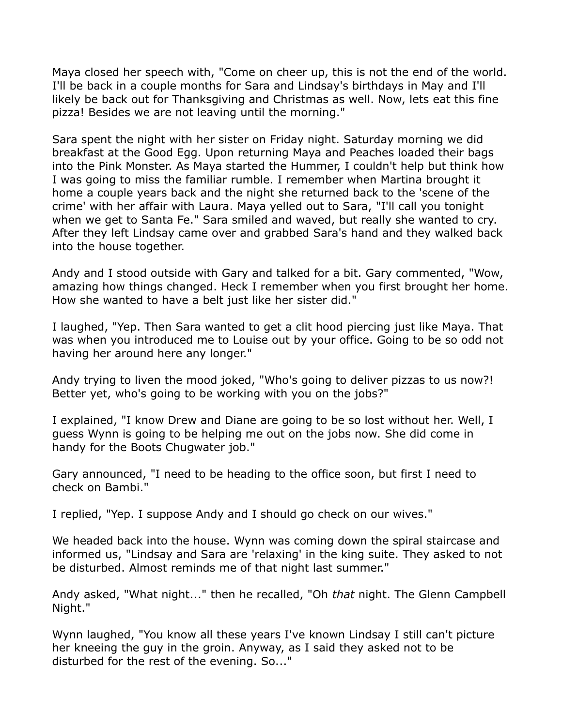Maya closed her speech with, "Come on cheer up, this is not the end of the world. I'll be back in a couple months for Sara and Lindsay's birthdays in May and I'll likely be back out for Thanksgiving and Christmas as well. Now, lets eat this fine pizza! Besides we are not leaving until the morning."

Sara spent the night with her sister on Friday night. Saturday morning we did breakfast at the Good Egg. Upon returning Maya and Peaches loaded their bags into the Pink Monster. As Maya started the Hummer, I couldn't help but think how I was going to miss the familiar rumble. I remember when Martina brought it home a couple years back and the night she returned back to the 'scene of the crime' with her affair with Laura. Maya yelled out to Sara, "I'll call you tonight when we get to Santa Fe." Sara smiled and waved, but really she wanted to cry. After they left Lindsay came over and grabbed Sara's hand and they walked back into the house together.

Andy and I stood outside with Gary and talked for a bit. Gary commented, "Wow, amazing how things changed. Heck I remember when you first brought her home. How she wanted to have a belt just like her sister did."

I laughed, "Yep. Then Sara wanted to get a clit hood piercing just like Maya. That was when you introduced me to Louise out by your office. Going to be so odd not having her around here any longer."

Andy trying to liven the mood joked, "Who's going to deliver pizzas to us now?! Better yet, who's going to be working with you on the jobs?"

I explained, "I know Drew and Diane are going to be so lost without her. Well, I guess Wynn is going to be helping me out on the jobs now. She did come in handy for the Boots Chugwater job."

Gary announced, "I need to be heading to the office soon, but first I need to check on Bambi."

I replied, "Yep. I suppose Andy and I should go check on our wives."

We headed back into the house. Wynn was coming down the spiral staircase and informed us, "Lindsay and Sara are 'relaxing' in the king suite. They asked to not be disturbed. Almost reminds me of that night last summer."

Andy asked, "What night..." then he recalled, "Oh *that* night. The Glenn Campbell Night."

Wynn laughed, "You know all these years I've known Lindsay I still can't picture her kneeing the guy in the groin. Anyway, as I said they asked not to be disturbed for the rest of the evening. So..."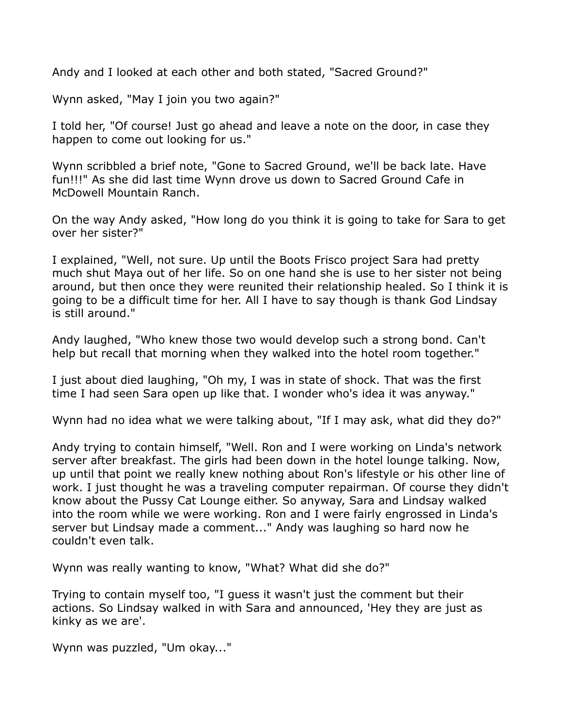Andy and I looked at each other and both stated, "Sacred Ground?"

Wynn asked, "May I join you two again?"

I told her, "Of course! Just go ahead and leave a note on the door, in case they happen to come out looking for us."

Wynn scribbled a brief note, "Gone to Sacred Ground, we'll be back late. Have fun!!!" As she did last time Wynn drove us down to Sacred Ground Cafe in McDowell Mountain Ranch.

On the way Andy asked, "How long do you think it is going to take for Sara to get over her sister?"

I explained, "Well, not sure. Up until the Boots Frisco project Sara had pretty much shut Maya out of her life. So on one hand she is use to her sister not being around, but then once they were reunited their relationship healed. So I think it is going to be a difficult time for her. All I have to say though is thank God Lindsay is still around."

Andy laughed, "Who knew those two would develop such a strong bond. Can't help but recall that morning when they walked into the hotel room together."

I just about died laughing, "Oh my, I was in state of shock. That was the first time I had seen Sara open up like that. I wonder who's idea it was anyway."

Wynn had no idea what we were talking about, "If I may ask, what did they do?"

Andy trying to contain himself, "Well. Ron and I were working on Linda's network server after breakfast. The girls had been down in the hotel lounge talking. Now, up until that point we really knew nothing about Ron's lifestyle or his other line of work. I just thought he was a traveling computer repairman. Of course they didn't know about the Pussy Cat Lounge either. So anyway, Sara and Lindsay walked into the room while we were working. Ron and I were fairly engrossed in Linda's server but Lindsay made a comment..." Andy was laughing so hard now he couldn't even talk.

Wynn was really wanting to know, "What? What did she do?"

Trying to contain myself too, "I guess it wasn't just the comment but their actions. So Lindsay walked in with Sara and announced, 'Hey they are just as kinky as we are'.

Wynn was puzzled, "Um okay..."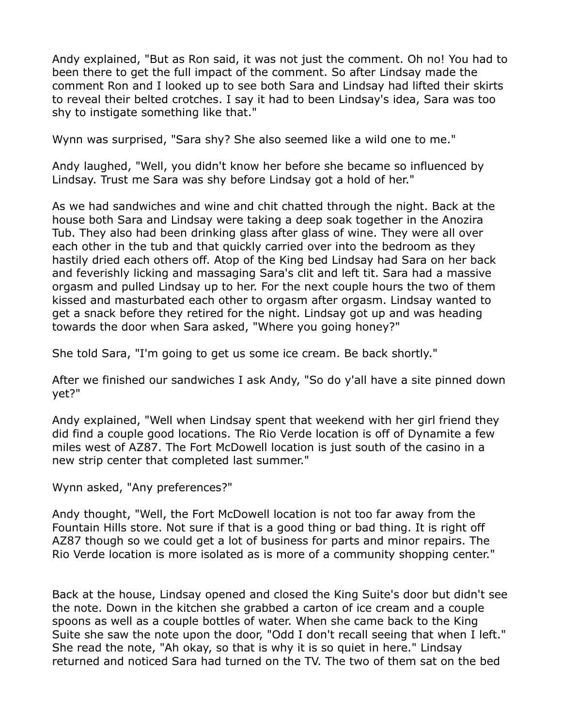Andy explained, "But as Ron said, it was not just the comment. Oh no! You had to been there to get the full impact of the comment. So after Lindsay made the comment Ron and I looked up to see both Sara and Lindsay had lifted their skirts to reveal their belted crotches. I say it had to been Lindsay's idea, Sara was too shy to instigate something like that."

Wynn was surprised, "Sara shy? She also seemed like a wild one to me."

Andy laughed, "Well, you didn't know her before she became so influenced by Lindsay. Trust me Sara was shy before Lindsay got a hold of her."

As we had sandwiches and wine and chit chatted through the night. Back at the house both Sara and Lindsay were taking a deep soak together in the Anozira Tub. They also had been drinking glass after glass of wine. They were all over each other in the tub and that quickly carried over into the bedroom as they hastily dried each others off. Atop of the King bed Lindsay had Sara on her back and feverishly licking and massaging Sara's clit and left tit. Sara had a massive orgasm and pulled Lindsay up to her. For the next couple hours the two of them kissed and masturbated each other to orgasm after orgasm. Lindsay wanted to get a snack before they retired for the night. Lindsay got up and was heading towards the door when Sara asked, "Where you going honey?"

She told Sara, "I'm going to get us some ice cream. Be back shortly."

After we finished our sandwiches I ask Andy, "So do y'all have a site pinned down yet?"

Andy explained, "Well when Lindsay spent that weekend with her girl friend they did find a couple good locations. The Rio Verde location is off of Dynamite a few miles west of AZ87. The Fort McDowell location is just south of the casino in a new strip center that completed last summer."

Wynn asked, "Any preferences?"

Andy thought, "Well, the Fort McDowell location is not too far away from the Fountain Hills store. Not sure if that is a good thing or bad thing. It is right off AZ87 though so we could get a lot of business for parts and minor repairs. The Rio Verde location is more isolated as is more of a community shopping center."

Back at the house, Lindsay opened and closed the King Suite's door but didn't see the note. Down in the kitchen she grabbed a carton of ice cream and a couple spoons as well as a couple bottles of water. When she came back to the King Suite she saw the note upon the door, "Odd I don't recall seeing that when I left." She read the note, "Ah okay, so that is why it is so quiet in here." Lindsay returned and noticed Sara had turned on the TV. The two of them sat on the bed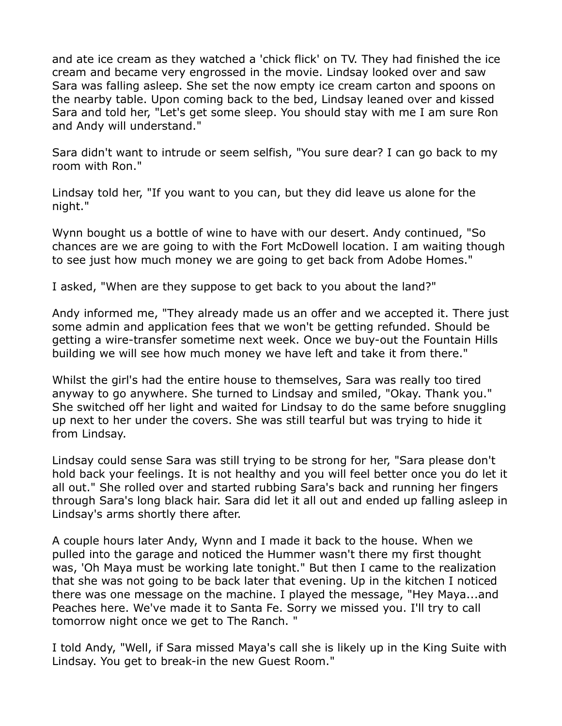and ate ice cream as they watched a 'chick flick' on TV. They had finished the ice cream and became very engrossed in the movie. Lindsay looked over and saw Sara was falling asleep. She set the now empty ice cream carton and spoons on the nearby table. Upon coming back to the bed, Lindsay leaned over and kissed Sara and told her, "Let's get some sleep. You should stay with me I am sure Ron and Andy will understand."

Sara didn't want to intrude or seem selfish, "You sure dear? I can go back to my room with Ron."

Lindsay told her, "If you want to you can, but they did leave us alone for the night."

Wynn bought us a bottle of wine to have with our desert. Andy continued, "So chances are we are going to with the Fort McDowell location. I am waiting though to see just how much money we are going to get back from Adobe Homes."

I asked, "When are they suppose to get back to you about the land?"

Andy informed me, "They already made us an offer and we accepted it. There just some admin and application fees that we won't be getting refunded. Should be getting a wire-transfer sometime next week. Once we buy-out the Fountain Hills building we will see how much money we have left and take it from there."

Whilst the girl's had the entire house to themselves, Sara was really too tired anyway to go anywhere. She turned to Lindsay and smiled, "Okay. Thank you." She switched off her light and waited for Lindsay to do the same before snuggling up next to her under the covers. She was still tearful but was trying to hide it from Lindsay.

Lindsay could sense Sara was still trying to be strong for her, "Sara please don't hold back your feelings. It is not healthy and you will feel better once you do let it all out." She rolled over and started rubbing Sara's back and running her fingers through Sara's long black hair. Sara did let it all out and ended up falling asleep in Lindsay's arms shortly there after.

A couple hours later Andy, Wynn and I made it back to the house. When we pulled into the garage and noticed the Hummer wasn't there my first thought was, 'Oh Maya must be working late tonight." But then I came to the realization that she was not going to be back later that evening. Up in the kitchen I noticed there was one message on the machine. I played the message, "Hey Maya...and Peaches here. We've made it to Santa Fe. Sorry we missed you. I'll try to call tomorrow night once we get to The Ranch. "

I told Andy, "Well, if Sara missed Maya's call she is likely up in the King Suite with Lindsay. You get to break-in the new Guest Room."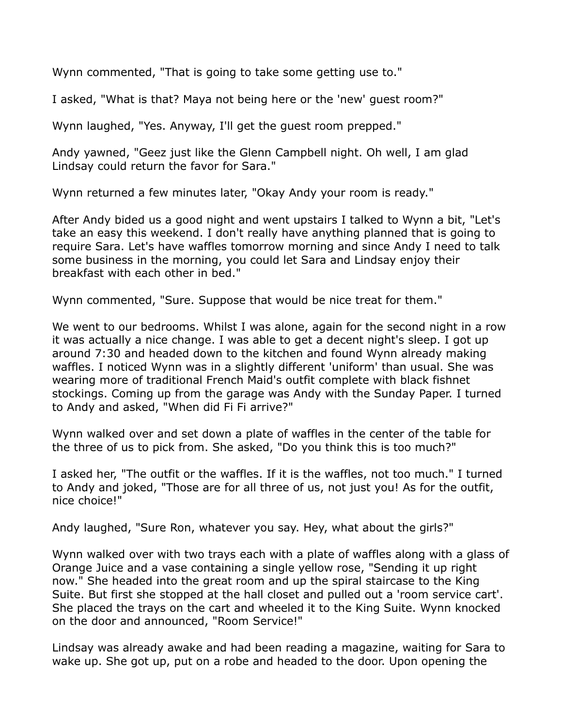Wynn commented, "That is going to take some getting use to."

I asked, "What is that? Maya not being here or the 'new' guest room?"

Wynn laughed, "Yes. Anyway, I'll get the guest room prepped."

Andy yawned, "Geez just like the Glenn Campbell night. Oh well, I am glad Lindsay could return the favor for Sara."

Wynn returned a few minutes later, "Okay Andy your room is ready."

After Andy bided us a good night and went upstairs I talked to Wynn a bit, "Let's take an easy this weekend. I don't really have anything planned that is going to require Sara. Let's have waffles tomorrow morning and since Andy I need to talk some business in the morning, you could let Sara and Lindsay enjoy their breakfast with each other in bed."

Wynn commented, "Sure. Suppose that would be nice treat for them."

We went to our bedrooms. Whilst I was alone, again for the second night in a row it was actually a nice change. I was able to get a decent night's sleep. I got up around 7:30 and headed down to the kitchen and found Wynn already making waffles. I noticed Wynn was in a slightly different 'uniform' than usual. She was wearing more of traditional French Maid's outfit complete with black fishnet stockings. Coming up from the garage was Andy with the Sunday Paper. I turned to Andy and asked, "When did Fi Fi arrive?"

Wynn walked over and set down a plate of waffles in the center of the table for the three of us to pick from. She asked, "Do you think this is too much?"

I asked her, "The outfit or the waffles. If it is the waffles, not too much." I turned to Andy and joked, "Those are for all three of us, not just you! As for the outfit, nice choice!"

Andy laughed, "Sure Ron, whatever you say. Hey, what about the girls?"

Wynn walked over with two trays each with a plate of waffles along with a glass of Orange Juice and a vase containing a single yellow rose, "Sending it up right now." She headed into the great room and up the spiral staircase to the King Suite. But first she stopped at the hall closet and pulled out a 'room service cart'. She placed the trays on the cart and wheeled it to the King Suite. Wynn knocked on the door and announced, "Room Service!"

Lindsay was already awake and had been reading a magazine, waiting for Sara to wake up. She got up, put on a robe and headed to the door. Upon opening the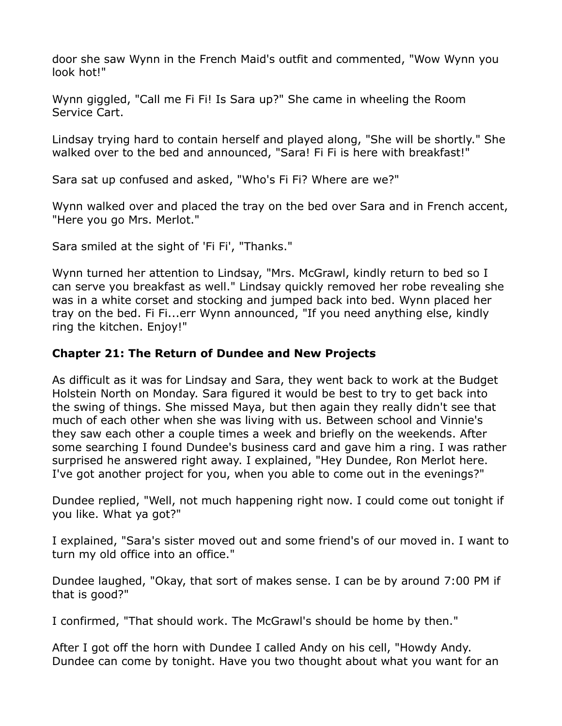door she saw Wynn in the French Maid's outfit and commented, "Wow Wynn you look hot!"

Wynn giggled, "Call me Fi Fi! Is Sara up?" She came in wheeling the Room Service Cart.

Lindsay trying hard to contain herself and played along, "She will be shortly." She walked over to the bed and announced, "Sara! Fi Fi is here with breakfast!"

Sara sat up confused and asked, "Who's Fi Fi? Where are we?"

Wynn walked over and placed the tray on the bed over Sara and in French accent, "Here you go Mrs. Merlot."

Sara smiled at the sight of 'Fi Fi', "Thanks."

Wynn turned her attention to Lindsay, "Mrs. McGrawl, kindly return to bed so I can serve you breakfast as well." Lindsay quickly removed her robe revealing she was in a white corset and stocking and jumped back into bed. Wynn placed her tray on the bed. Fi Fi...err Wynn announced, "If you need anything else, kindly ring the kitchen. Enjoy!"

## **Chapter 21: The Return of Dundee and New Projects**

As difficult as it was for Lindsay and Sara, they went back to work at the Budget Holstein North on Monday. Sara figured it would be best to try to get back into the swing of things. She missed Maya, but then again they really didn't see that much of each other when she was living with us. Between school and Vinnie's they saw each other a couple times a week and briefly on the weekends. After some searching I found Dundee's business card and gave him a ring. I was rather surprised he answered right away. I explained, "Hey Dundee, Ron Merlot here. I've got another project for you, when you able to come out in the evenings?"

Dundee replied, "Well, not much happening right now. I could come out tonight if you like. What ya got?"

I explained, "Sara's sister moved out and some friend's of our moved in. I want to turn my old office into an office."

Dundee laughed, "Okay, that sort of makes sense. I can be by around 7:00 PM if that is good?"

I confirmed, "That should work. The McGrawl's should be home by then."

After I got off the horn with Dundee I called Andy on his cell, "Howdy Andy. Dundee can come by tonight. Have you two thought about what you want for an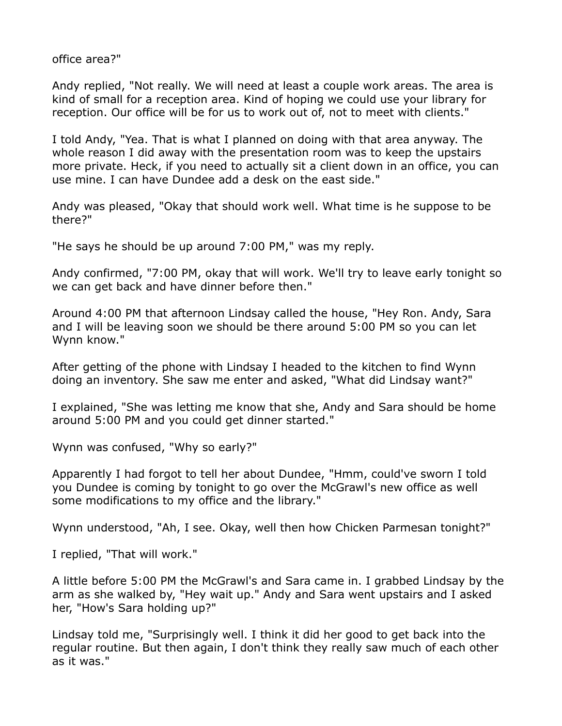office area?"

Andy replied, "Not really. We will need at least a couple work areas. The area is kind of small for a reception area. Kind of hoping we could use your library for reception. Our office will be for us to work out of, not to meet with clients."

I told Andy, "Yea. That is what I planned on doing with that area anyway. The whole reason I did away with the presentation room was to keep the upstairs more private. Heck, if you need to actually sit a client down in an office, you can use mine. I can have Dundee add a desk on the east side."

Andy was pleased, "Okay that should work well. What time is he suppose to be there?"

"He says he should be up around 7:00 PM," was my reply.

Andy confirmed, "7:00 PM, okay that will work. We'll try to leave early tonight so we can get back and have dinner before then."

Around 4:00 PM that afternoon Lindsay called the house, "Hey Ron. Andy, Sara and I will be leaving soon we should be there around 5:00 PM so you can let Wynn know."

After getting of the phone with Lindsay I headed to the kitchen to find Wynn doing an inventory. She saw me enter and asked, "What did Lindsay want?"

I explained, "She was letting me know that she, Andy and Sara should be home around 5:00 PM and you could get dinner started."

Wynn was confused, "Why so early?"

Apparently I had forgot to tell her about Dundee, "Hmm, could've sworn I told you Dundee is coming by tonight to go over the McGrawl's new office as well some modifications to my office and the library."

Wynn understood, "Ah, I see. Okay, well then how Chicken Parmesan tonight?"

I replied, "That will work."

A little before 5:00 PM the McGrawl's and Sara came in. I grabbed Lindsay by the arm as she walked by, "Hey wait up." Andy and Sara went upstairs and I asked her, "How's Sara holding up?"

Lindsay told me, "Surprisingly well. I think it did her good to get back into the regular routine. But then again, I don't think they really saw much of each other as it was."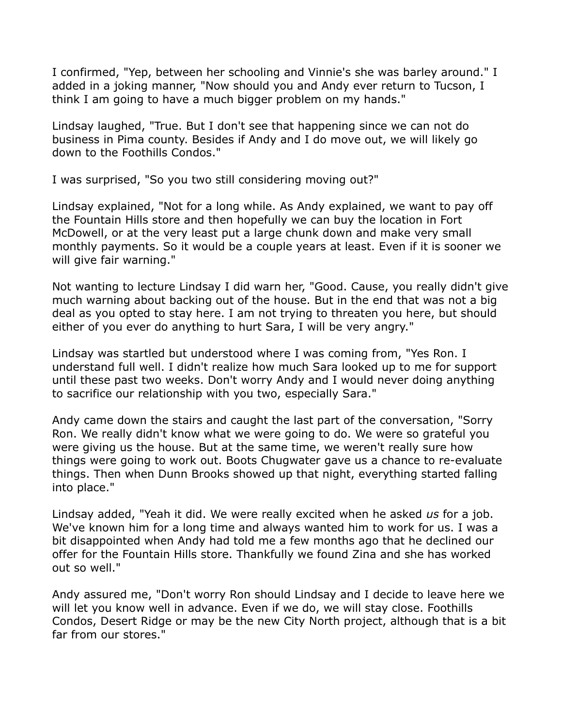I confirmed, "Yep, between her schooling and Vinnie's she was barley around." I added in a joking manner, "Now should you and Andy ever return to Tucson, I think I am going to have a much bigger problem on my hands."

Lindsay laughed, "True. But I don't see that happening since we can not do business in Pima county. Besides if Andy and I do move out, we will likely go down to the Foothills Condos."

I was surprised, "So you two still considering moving out?"

Lindsay explained, "Not for a long while. As Andy explained, we want to pay off the Fountain Hills store and then hopefully we can buy the location in Fort McDowell, or at the very least put a large chunk down and make very small monthly payments. So it would be a couple years at least. Even if it is sooner we will give fair warning."

Not wanting to lecture Lindsay I did warn her, "Good. Cause, you really didn't give much warning about backing out of the house. But in the end that was not a big deal as you opted to stay here. I am not trying to threaten you here, but should either of you ever do anything to hurt Sara, I will be very angry."

Lindsay was startled but understood where I was coming from, "Yes Ron. I understand full well. I didn't realize how much Sara looked up to me for support until these past two weeks. Don't worry Andy and I would never doing anything to sacrifice our relationship with you two, especially Sara."

Andy came down the stairs and caught the last part of the conversation, "Sorry Ron. We really didn't know what we were going to do. We were so grateful you were giving us the house. But at the same time, we weren't really sure how things were going to work out. Boots Chugwater gave us a chance to re-evaluate things. Then when Dunn Brooks showed up that night, everything started falling into place."

Lindsay added, "Yeah it did. We were really excited when he asked *us* for a job. We've known him for a long time and always wanted him to work for us. I was a bit disappointed when Andy had told me a few months ago that he declined our offer for the Fountain Hills store. Thankfully we found Zina and she has worked out so well."

Andy assured me, "Don't worry Ron should Lindsay and I decide to leave here we will let you know well in advance. Even if we do, we will stay close. Foothills Condos, Desert Ridge or may be the new City North project, although that is a bit far from our stores."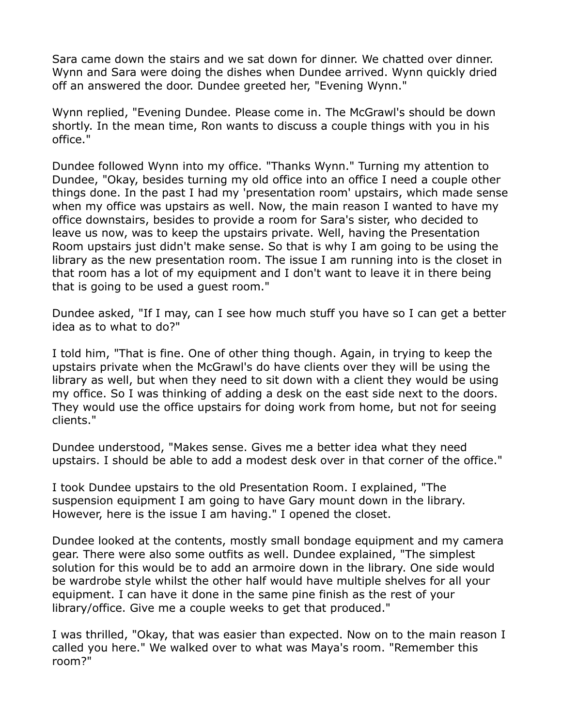Sara came down the stairs and we sat down for dinner. We chatted over dinner. Wynn and Sara were doing the dishes when Dundee arrived. Wynn quickly dried off an answered the door. Dundee greeted her, "Evening Wynn."

Wynn replied, "Evening Dundee. Please come in. The McGrawl's should be down shortly. In the mean time, Ron wants to discuss a couple things with you in his office."

Dundee followed Wynn into my office. "Thanks Wynn." Turning my attention to Dundee, "Okay, besides turning my old office into an office I need a couple other things done. In the past I had my 'presentation room' upstairs, which made sense when my office was upstairs as well. Now, the main reason I wanted to have my office downstairs, besides to provide a room for Sara's sister, who decided to leave us now, was to keep the upstairs private. Well, having the Presentation Room upstairs just didn't make sense. So that is why I am going to be using the library as the new presentation room. The issue I am running into is the closet in that room has a lot of my equipment and I don't want to leave it in there being that is going to be used a guest room."

Dundee asked, "If I may, can I see how much stuff you have so I can get a better idea as to what to do?"

I told him, "That is fine. One of other thing though. Again, in trying to keep the upstairs private when the McGrawl's do have clients over they will be using the library as well, but when they need to sit down with a client they would be using my office. So I was thinking of adding a desk on the east side next to the doors. They would use the office upstairs for doing work from home, but not for seeing clients."

Dundee understood, "Makes sense. Gives me a better idea what they need upstairs. I should be able to add a modest desk over in that corner of the office."

I took Dundee upstairs to the old Presentation Room. I explained, "The suspension equipment I am going to have Gary mount down in the library. However, here is the issue I am having." I opened the closet.

Dundee looked at the contents, mostly small bondage equipment and my camera gear. There were also some outfits as well. Dundee explained, "The simplest solution for this would be to add an armoire down in the library. One side would be wardrobe style whilst the other half would have multiple shelves for all your equipment. I can have it done in the same pine finish as the rest of your library/office. Give me a couple weeks to get that produced."

I was thrilled, "Okay, that was easier than expected. Now on to the main reason I called you here." We walked over to what was Maya's room. "Remember this room?"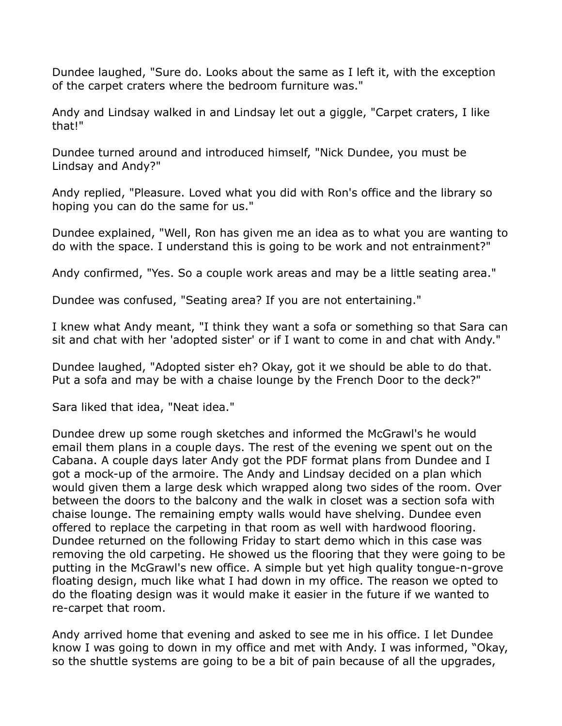Dundee laughed, "Sure do. Looks about the same as I left it, with the exception of the carpet craters where the bedroom furniture was."

Andy and Lindsay walked in and Lindsay let out a giggle, "Carpet craters, I like that!"

Dundee turned around and introduced himself, "Nick Dundee, you must be Lindsay and Andy?"

Andy replied, "Pleasure. Loved what you did with Ron's office and the library so hoping you can do the same for us."

Dundee explained, "Well, Ron has given me an idea as to what you are wanting to do with the space. I understand this is going to be work and not entrainment?"

Andy confirmed, "Yes. So a couple work areas and may be a little seating area."

Dundee was confused, "Seating area? If you are not entertaining."

I knew what Andy meant, "I think they want a sofa or something so that Sara can sit and chat with her 'adopted sister' or if I want to come in and chat with Andy."

Dundee laughed, "Adopted sister eh? Okay, got it we should be able to do that. Put a sofa and may be with a chaise lounge by the French Door to the deck?"

Sara liked that idea, "Neat idea."

Dundee drew up some rough sketches and informed the McGrawl's he would email them plans in a couple days. The rest of the evening we spent out on the Cabana. A couple days later Andy got the PDF format plans from Dundee and I got a mock-up of the armoire. The Andy and Lindsay decided on a plan which would given them a large desk which wrapped along two sides of the room. Over between the doors to the balcony and the walk in closet was a section sofa with chaise lounge. The remaining empty walls would have shelving. Dundee even offered to replace the carpeting in that room as well with hardwood flooring. Dundee returned on the following Friday to start demo which in this case was removing the old carpeting. He showed us the flooring that they were going to be putting in the McGrawl's new office. A simple but yet high quality tongue-n-grove floating design, much like what I had down in my office. The reason we opted to do the floating design was it would make it easier in the future if we wanted to re-carpet that room.

Andy arrived home that evening and asked to see me in his office. I let Dundee know I was going to down in my office and met with Andy. I was informed, "Okay, so the shuttle systems are going to be a bit of pain because of all the upgrades,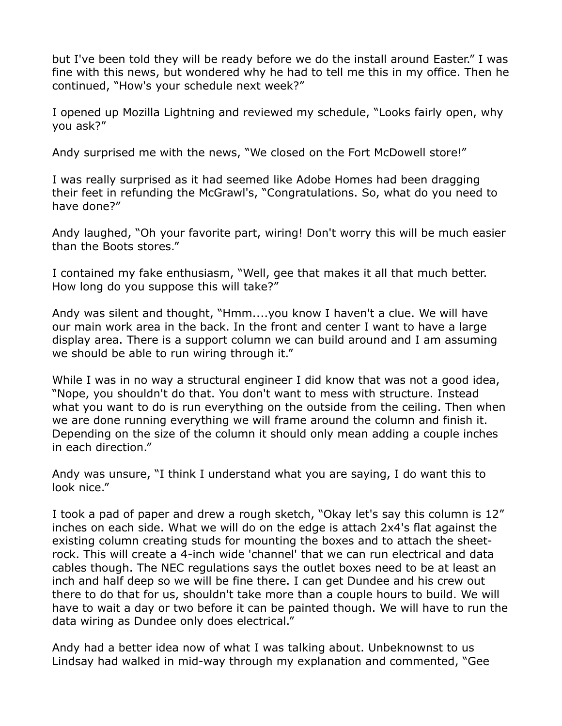but I've been told they will be ready before we do the install around Easter." I was fine with this news, but wondered why he had to tell me this in my office. Then he continued, "How's your schedule next week?"

I opened up Mozilla Lightning and reviewed my schedule, "Looks fairly open, why you ask?"

Andy surprised me with the news, "We closed on the Fort McDowell store!"

I was really surprised as it had seemed like Adobe Homes had been dragging their feet in refunding the McGrawl's, "Congratulations. So, what do you need to have done?"

Andy laughed, "Oh your favorite part, wiring! Don't worry this will be much easier than the Boots stores."

I contained my fake enthusiasm, "Well, gee that makes it all that much better. How long do you suppose this will take?"

Andy was silent and thought, "Hmm....you know I haven't a clue. We will have our main work area in the back. In the front and center I want to have a large display area. There is a support column we can build around and I am assuming we should be able to run wiring through it."

While I was in no way a structural engineer I did know that was not a good idea, "Nope, you shouldn't do that. You don't want to mess with structure. Instead what you want to do is run everything on the outside from the ceiling. Then when we are done running everything we will frame around the column and finish it. Depending on the size of the column it should only mean adding a couple inches in each direction."

Andy was unsure, "I think I understand what you are saying, I do want this to look nice."

I took a pad of paper and drew a rough sketch, "Okay let's say this column is 12" inches on each side. What we will do on the edge is attach 2x4's flat against the existing column creating studs for mounting the boxes and to attach the sheetrock. This will create a 4-inch wide 'channel' that we can run electrical and data cables though. The NEC regulations says the outlet boxes need to be at least an inch and half deep so we will be fine there. I can get Dundee and his crew out there to do that for us, shouldn't take more than a couple hours to build. We will have to wait a day or two before it can be painted though. We will have to run the data wiring as Dundee only does electrical."

Andy had a better idea now of what I was talking about. Unbeknownst to us Lindsay had walked in mid-way through my explanation and commented, "Gee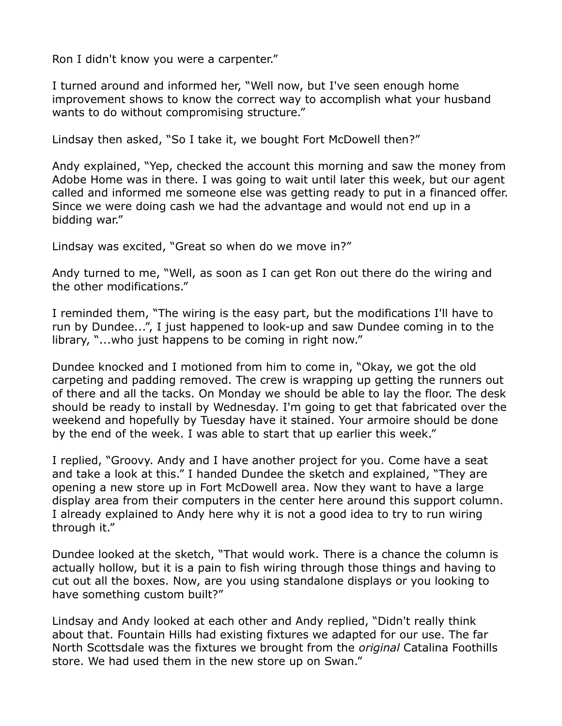Ron I didn't know you were a carpenter."

I turned around and informed her, "Well now, but I've seen enough home improvement shows to know the correct way to accomplish what your husband wants to do without compromising structure."

Lindsay then asked, "So I take it, we bought Fort McDowell then?"

Andy explained, "Yep, checked the account this morning and saw the money from Adobe Home was in there. I was going to wait until later this week, but our agent called and informed me someone else was getting ready to put in a financed offer. Since we were doing cash we had the advantage and would not end up in a bidding war."

Lindsay was excited, "Great so when do we move in?"

Andy turned to me, "Well, as soon as I can get Ron out there do the wiring and the other modifications."

I reminded them, "The wiring is the easy part, but the modifications I'll have to run by Dundee...", I just happened to look-up and saw Dundee coming in to the library, "...who just happens to be coming in right now."

Dundee knocked and I motioned from him to come in, "Okay, we got the old carpeting and padding removed. The crew is wrapping up getting the runners out of there and all the tacks. On Monday we should be able to lay the floor. The desk should be ready to install by Wednesday. I'm going to get that fabricated over the weekend and hopefully by Tuesday have it stained. Your armoire should be done by the end of the week. I was able to start that up earlier this week."

I replied, "Groovy. Andy and I have another project for you. Come have a seat and take a look at this." I handed Dundee the sketch and explained, "They are opening a new store up in Fort McDowell area. Now they want to have a large display area from their computers in the center here around this support column. I already explained to Andy here why it is not a good idea to try to run wiring through it."

Dundee looked at the sketch, "That would work. There is a chance the column is actually hollow, but it is a pain to fish wiring through those things and having to cut out all the boxes. Now, are you using standalone displays or you looking to have something custom built?"

Lindsay and Andy looked at each other and Andy replied, "Didn't really think about that. Fountain Hills had existing fixtures we adapted for our use. The far North Scottsdale was the fixtures we brought from the *original* Catalina Foothills store. We had used them in the new store up on Swan."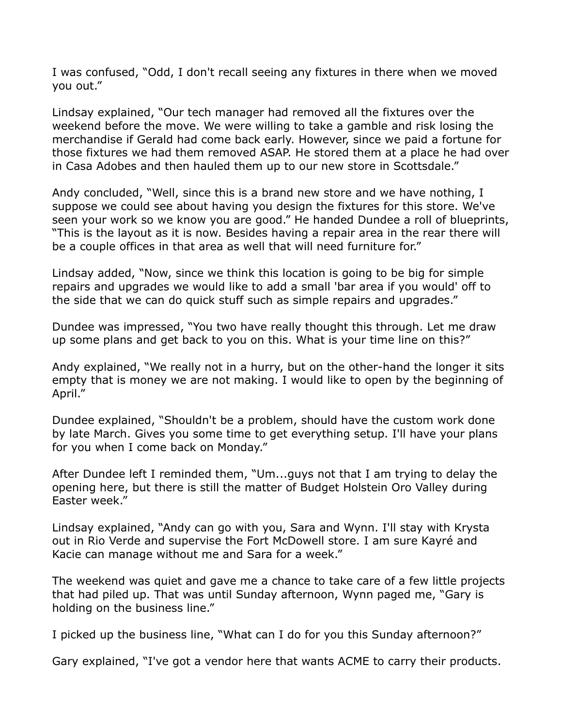I was confused, "Odd, I don't recall seeing any fixtures in there when we moved you out."

Lindsay explained, "Our tech manager had removed all the fixtures over the weekend before the move. We were willing to take a gamble and risk losing the merchandise if Gerald had come back early. However, since we paid a fortune for those fixtures we had them removed ASAP. He stored them at a place he had over in Casa Adobes and then hauled them up to our new store in Scottsdale."

Andy concluded, "Well, since this is a brand new store and we have nothing, I suppose we could see about having you design the fixtures for this store. We've seen your work so we know you are good." He handed Dundee a roll of blueprints, "This is the layout as it is now. Besides having a repair area in the rear there will be a couple offices in that area as well that will need furniture for."

Lindsay added, "Now, since we think this location is going to be big for simple repairs and upgrades we would like to add a small 'bar area if you would' off to the side that we can do quick stuff such as simple repairs and upgrades."

Dundee was impressed, "You two have really thought this through. Let me draw up some plans and get back to you on this. What is your time line on this?"

Andy explained, "We really not in a hurry, but on the other-hand the longer it sits empty that is money we are not making. I would like to open by the beginning of April."

Dundee explained, "Shouldn't be a problem, should have the custom work done by late March. Gives you some time to get everything setup. I'll have your plans for you when I come back on Monday."

After Dundee left I reminded them, "Um...guys not that I am trying to delay the opening here, but there is still the matter of Budget Holstein Oro Valley during Easter week."

Lindsay explained, "Andy can go with you, Sara and Wynn. I'll stay with Krysta out in Rio Verde and supervise the Fort McDowell store. I am sure Kayré and Kacie can manage without me and Sara for a week."

The weekend was quiet and gave me a chance to take care of a few little projects that had piled up. That was until Sunday afternoon, Wynn paged me, "Gary is holding on the business line."

I picked up the business line, "What can I do for you this Sunday afternoon?"

Gary explained, "I've got a vendor here that wants ACME to carry their products.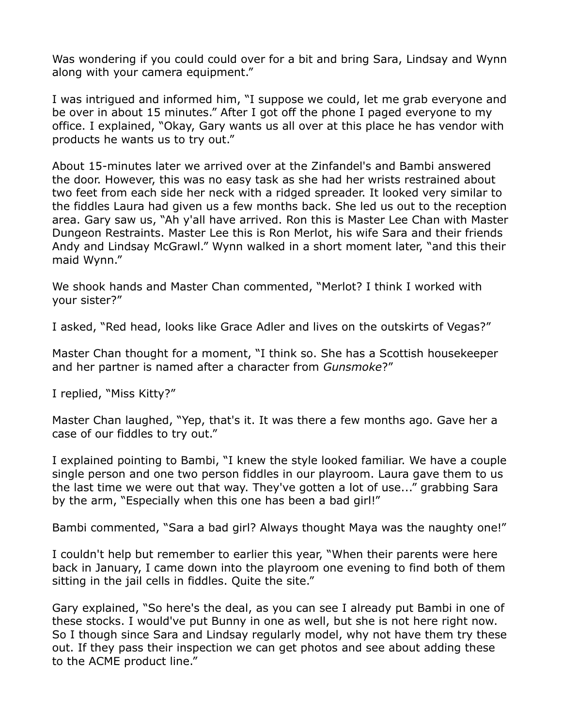Was wondering if you could could over for a bit and bring Sara, Lindsay and Wynn along with your camera equipment."

I was intrigued and informed him, "I suppose we could, let me grab everyone and be over in about 15 minutes." After I got off the phone I paged everyone to my office. I explained, "Okay, Gary wants us all over at this place he has vendor with products he wants us to try out."

About 15-minutes later we arrived over at the Zinfandel's and Bambi answered the door. However, this was no easy task as she had her wrists restrained about two feet from each side her neck with a ridged spreader. It looked very similar to the fiddles Laura had given us a few months back. She led us out to the reception area. Gary saw us, "Ah y'all have arrived. Ron this is Master Lee Chan with Master Dungeon Restraints. Master Lee this is Ron Merlot, his wife Sara and their friends Andy and Lindsay McGrawl." Wynn walked in a short moment later, "and this their maid Wynn."

We shook hands and Master Chan commented, "Merlot? I think I worked with your sister?"

I asked, "Red head, looks like Grace Adler and lives on the outskirts of Vegas?"

Master Chan thought for a moment, "I think so. She has a Scottish housekeeper and her partner is named after a character from *Gunsmoke*?"

I replied, "Miss Kitty?"

Master Chan laughed, "Yep, that's it. It was there a few months ago. Gave her a case of our fiddles to try out."

I explained pointing to Bambi, "I knew the style looked familiar. We have a couple single person and one two person fiddles in our playroom. Laura gave them to us the last time we were out that way. They've gotten a lot of use..." grabbing Sara by the arm, "Especially when this one has been a bad girl!"

Bambi commented, "Sara a bad girl? Always thought Maya was the naughty one!"

I couldn't help but remember to earlier this year, "When their parents were here back in January, I came down into the playroom one evening to find both of them sitting in the jail cells in fiddles. Quite the site."

Gary explained, "So here's the deal, as you can see I already put Bambi in one of these stocks. I would've put Bunny in one as well, but she is not here right now. So I though since Sara and Lindsay regularly model, why not have them try these out. If they pass their inspection we can get photos and see about adding these to the ACME product line."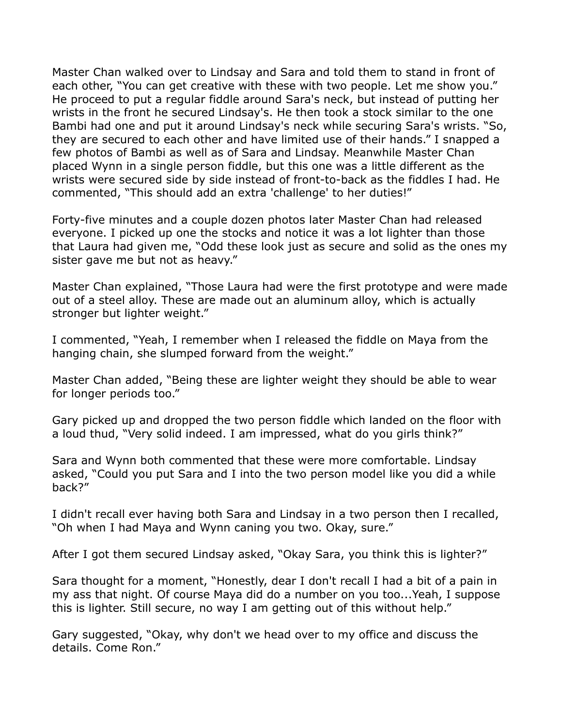Master Chan walked over to Lindsay and Sara and told them to stand in front of each other, "You can get creative with these with two people. Let me show you." He proceed to put a regular fiddle around Sara's neck, but instead of putting her wrists in the front he secured Lindsay's. He then took a stock similar to the one Bambi had one and put it around Lindsay's neck while securing Sara's wrists. "So, they are secured to each other and have limited use of their hands." I snapped a few photos of Bambi as well as of Sara and Lindsay. Meanwhile Master Chan placed Wynn in a single person fiddle, but this one was a little different as the wrists were secured side by side instead of front-to-back as the fiddles I had. He commented, "This should add an extra 'challenge' to her duties!"

Forty-five minutes and a couple dozen photos later Master Chan had released everyone. I picked up one the stocks and notice it was a lot lighter than those that Laura had given me, "Odd these look just as secure and solid as the ones my sister gave me but not as heavy."

Master Chan explained, "Those Laura had were the first prototype and were made out of a steel alloy. These are made out an aluminum alloy, which is actually stronger but lighter weight."

I commented, "Yeah, I remember when I released the fiddle on Maya from the hanging chain, she slumped forward from the weight."

Master Chan added, "Being these are lighter weight they should be able to wear for longer periods too."

Gary picked up and dropped the two person fiddle which landed on the floor with a loud thud, "Very solid indeed. I am impressed, what do you girls think?"

Sara and Wynn both commented that these were more comfortable. Lindsay asked, "Could you put Sara and I into the two person model like you did a while back?"

I didn't recall ever having both Sara and Lindsay in a two person then I recalled, "Oh when I had Maya and Wynn caning you two. Okay, sure."

After I got them secured Lindsay asked, "Okay Sara, you think this is lighter?"

Sara thought for a moment, "Honestly, dear I don't recall I had a bit of a pain in my ass that night. Of course Maya did do a number on you too...Yeah, I suppose this is lighter. Still secure, no way I am getting out of this without help."

Gary suggested, "Okay, why don't we head over to my office and discuss the details. Come Ron."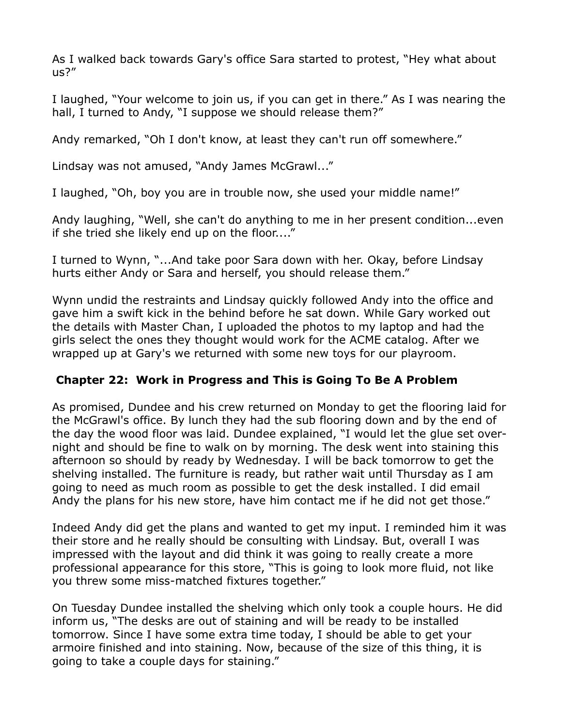As I walked back towards Gary's office Sara started to protest, "Hey what about us?"

I laughed, "Your welcome to join us, if you can get in there." As I was nearing the hall, I turned to Andy, "I suppose we should release them?"

Andy remarked, "Oh I don't know, at least they can't run off somewhere."

Lindsay was not amused, "Andy James McGrawl..."

I laughed, "Oh, boy you are in trouble now, she used your middle name!"

Andy laughing, "Well, she can't do anything to me in her present condition...even if she tried she likely end up on the floor...."

I turned to Wynn, "...And take poor Sara down with her. Okay, before Lindsay hurts either Andy or Sara and herself, you should release them."

Wynn undid the restraints and Lindsay quickly followed Andy into the office and gave him a swift kick in the behind before he sat down. While Gary worked out the details with Master Chan, I uploaded the photos to my laptop and had the girls select the ones they thought would work for the ACME catalog. After we wrapped up at Gary's we returned with some new toys for our playroom.

## **Chapter 22: Work in Progress and This is Going To Be A Problem**

As promised, Dundee and his crew returned on Monday to get the flooring laid for the McGrawl's office. By lunch they had the sub flooring down and by the end of the day the wood floor was laid. Dundee explained, "I would let the glue set overnight and should be fine to walk on by morning. The desk went into staining this afternoon so should by ready by Wednesday. I will be back tomorrow to get the shelving installed. The furniture is ready, but rather wait until Thursday as I am going to need as much room as possible to get the desk installed. I did email Andy the plans for his new store, have him contact me if he did not get those."

Indeed Andy did get the plans and wanted to get my input. I reminded him it was their store and he really should be consulting with Lindsay. But, overall I was impressed with the layout and did think it was going to really create a more professional appearance for this store, "This is going to look more fluid, not like you threw some miss-matched fixtures together."

On Tuesday Dundee installed the shelving which only took a couple hours. He did inform us, "The desks are out of staining and will be ready to be installed tomorrow. Since I have some extra time today, I should be able to get your armoire finished and into staining. Now, because of the size of this thing, it is going to take a couple days for staining."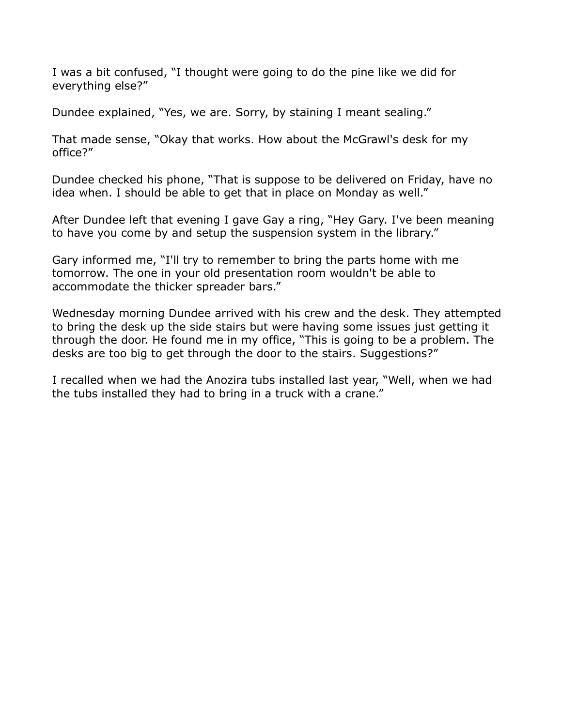I was a bit confused, "I thought were going to do the pine like we did for everything else?"

Dundee explained, "Yes, we are. Sorry, by staining I meant sealing."

That made sense, "Okay that works. How about the McGrawl's desk for my office?"

Dundee checked his phone, "That is suppose to be delivered on Friday, have no idea when. I should be able to get that in place on Monday as well."

After Dundee left that evening I gave Gay a ring, "Hey Gary. I've been meaning to have you come by and setup the suspension system in the library."

Gary informed me, "I'll try to remember to bring the parts home with me tomorrow. The one in your old presentation room wouldn't be able to accommodate the thicker spreader bars."

Wednesday morning Dundee arrived with his crew and the desk. They attempted to bring the desk up the side stairs but were having some issues just getting it through the door. He found me in my office, "This is going to be a problem. The desks are too big to get through the door to the stairs. Suggestions?"

I recalled when we had the Anozira tubs installed last year, "Well, when we had the tubs installed they had to bring in a truck with a crane."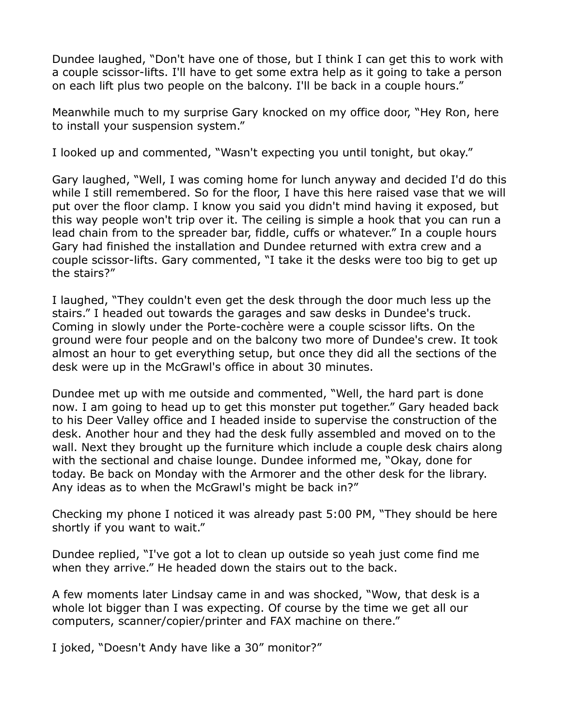Dundee laughed, "Don't have one of those, but I think I can get this to work with a couple scissor-lifts. I'll have to get some extra help as it going to take a person on each lift plus two people on the balcony. I'll be back in a couple hours."

Meanwhile much to my surprise Gary knocked on my office door, "Hey Ron, here to install your suspension system."

I looked up and commented, "Wasn't expecting you until tonight, but okay."

Gary laughed, "Well, I was coming home for lunch anyway and decided I'd do this while I still remembered. So for the floor, I have this here raised vase that we will put over the floor clamp. I know you said you didn't mind having it exposed, but this way people won't trip over it. The ceiling is simple a hook that you can run a lead chain from to the spreader bar, fiddle, cuffs or whatever." In a couple hours Gary had finished the installation and Dundee returned with extra crew and a couple scissor-lifts. Gary commented, "I take it the desks were too big to get up the stairs?"

I laughed, "They couldn't even get the desk through the door much less up the stairs." I headed out towards the garages and saw desks in Dundee's truck. Coming in slowly under the Porte-cochère were a couple scissor lifts. On the ground were four people and on the balcony two more of Dundee's crew. It took almost an hour to get everything setup, but once they did all the sections of the desk were up in the McGrawl's office in about 30 minutes.

Dundee met up with me outside and commented, "Well, the hard part is done now. I am going to head up to get this monster put together." Gary headed back to his Deer Valley office and I headed inside to supervise the construction of the desk. Another hour and they had the desk fully assembled and moved on to the wall. Next they brought up the furniture which include a couple desk chairs along with the sectional and chaise lounge. Dundee informed me, "Okay, done for today. Be back on Monday with the Armorer and the other desk for the library. Any ideas as to when the McGrawl's might be back in?"

Checking my phone I noticed it was already past 5:00 PM, "They should be here shortly if you want to wait."

Dundee replied, "I've got a lot to clean up outside so yeah just come find me when they arrive." He headed down the stairs out to the back.

A few moments later Lindsay came in and was shocked, "Wow, that desk is a whole lot bigger than I was expecting. Of course by the time we get all our computers, scanner/copier/printer and FAX machine on there."

I joked, "Doesn't Andy have like a 30" monitor?"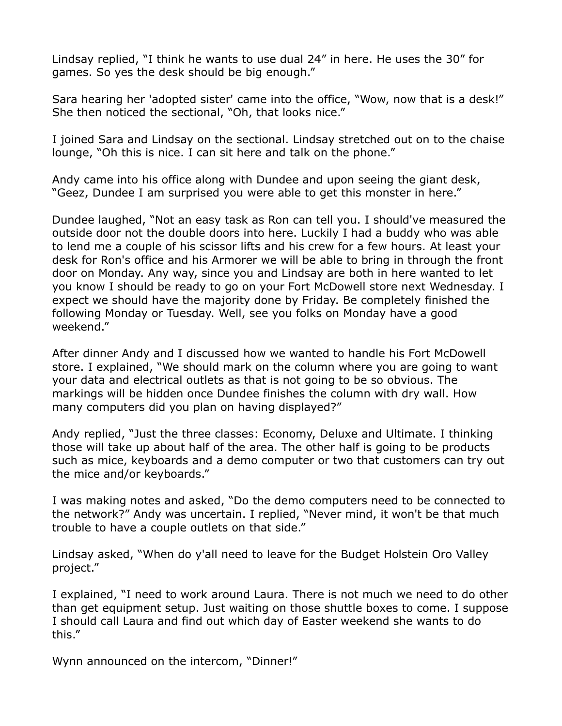Lindsay replied, "I think he wants to use dual 24" in here. He uses the 30" for games. So yes the desk should be big enough."

Sara hearing her 'adopted sister' came into the office, "Wow, now that is a desk!" She then noticed the sectional, "Oh, that looks nice."

I joined Sara and Lindsay on the sectional. Lindsay stretched out on to the chaise lounge, "Oh this is nice. I can sit here and talk on the phone."

Andy came into his office along with Dundee and upon seeing the giant desk, "Geez, Dundee I am surprised you were able to get this monster in here."

Dundee laughed, "Not an easy task as Ron can tell you. I should've measured the outside door not the double doors into here. Luckily I had a buddy who was able to lend me a couple of his scissor lifts and his crew for a few hours. At least your desk for Ron's office and his Armorer we will be able to bring in through the front door on Monday. Any way, since you and Lindsay are both in here wanted to let you know I should be ready to go on your Fort McDowell store next Wednesday. I expect we should have the majority done by Friday. Be completely finished the following Monday or Tuesday. Well, see you folks on Monday have a good weekend."

After dinner Andy and I discussed how we wanted to handle his Fort McDowell store. I explained, "We should mark on the column where you are going to want your data and electrical outlets as that is not going to be so obvious. The markings will be hidden once Dundee finishes the column with dry wall. How many computers did you plan on having displayed?"

Andy replied, "Just the three classes: Economy, Deluxe and Ultimate. I thinking those will take up about half of the area. The other half is going to be products such as mice, keyboards and a demo computer or two that customers can try out the mice and/or keyboards."

I was making notes and asked, "Do the demo computers need to be connected to the network?" Andy was uncertain. I replied, "Never mind, it won't be that much trouble to have a couple outlets on that side."

Lindsay asked, "When do y'all need to leave for the Budget Holstein Oro Valley project."

I explained, "I need to work around Laura. There is not much we need to do other than get equipment setup. Just waiting on those shuttle boxes to come. I suppose I should call Laura and find out which day of Easter weekend she wants to do this."

Wynn announced on the intercom, "Dinner!"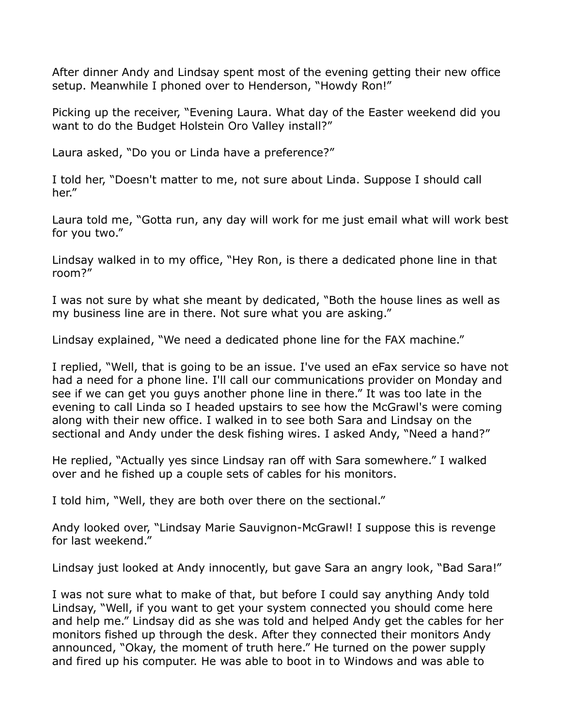After dinner Andy and Lindsay spent most of the evening getting their new office setup. Meanwhile I phoned over to Henderson, "Howdy Ron!"

Picking up the receiver, "Evening Laura. What day of the Easter weekend did you want to do the Budget Holstein Oro Valley install?"

Laura asked, "Do you or Linda have a preference?"

I told her, "Doesn't matter to me, not sure about Linda. Suppose I should call her."

Laura told me, "Gotta run, any day will work for me just email what will work best for you two."

Lindsay walked in to my office, "Hey Ron, is there a dedicated phone line in that room?"

I was not sure by what she meant by dedicated, "Both the house lines as well as my business line are in there. Not sure what you are asking."

Lindsay explained, "We need a dedicated phone line for the FAX machine."

I replied, "Well, that is going to be an issue. I've used an eFax service so have not had a need for a phone line. I'll call our communications provider on Monday and see if we can get you guys another phone line in there." It was too late in the evening to call Linda so I headed upstairs to see how the McGrawl's were coming along with their new office. I walked in to see both Sara and Lindsay on the sectional and Andy under the desk fishing wires. I asked Andy, "Need a hand?"

He replied, "Actually yes since Lindsay ran off with Sara somewhere." I walked over and he fished up a couple sets of cables for his monitors.

I told him, "Well, they are both over there on the sectional."

Andy looked over, "Lindsay Marie Sauvignon-McGrawl! I suppose this is revenge for last weekend."

Lindsay just looked at Andy innocently, but gave Sara an angry look, "Bad Sara!"

I was not sure what to make of that, but before I could say anything Andy told Lindsay, "Well, if you want to get your system connected you should come here and help me." Lindsay did as she was told and helped Andy get the cables for her monitors fished up through the desk. After they connected their monitors Andy announced, "Okay, the moment of truth here." He turned on the power supply and fired up his computer. He was able to boot in to Windows and was able to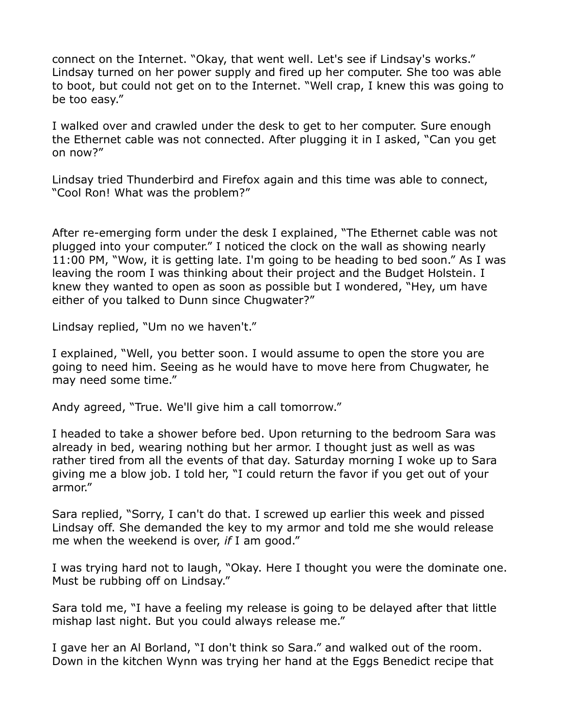connect on the Internet. "Okay, that went well. Let's see if Lindsay's works." Lindsay turned on her power supply and fired up her computer. She too was able to boot, but could not get on to the Internet. "Well crap, I knew this was going to be too easy."

I walked over and crawled under the desk to get to her computer. Sure enough the Ethernet cable was not connected. After plugging it in I asked, "Can you get on now?"

Lindsay tried Thunderbird and Firefox again and this time was able to connect, "Cool Ron! What was the problem?"

After re-emerging form under the desk I explained, "The Ethernet cable was not plugged into your computer." I noticed the clock on the wall as showing nearly 11:00 PM, "Wow, it is getting late. I'm going to be heading to bed soon." As I was leaving the room I was thinking about their project and the Budget Holstein. I knew they wanted to open as soon as possible but I wondered, "Hey, um have either of you talked to Dunn since Chugwater?"

Lindsay replied, "Um no we haven't."

I explained, "Well, you better soon. I would assume to open the store you are going to need him. Seeing as he would have to move here from Chugwater, he may need some time."

Andy agreed, "True. We'll give him a call tomorrow."

I headed to take a shower before bed. Upon returning to the bedroom Sara was already in bed, wearing nothing but her armor. I thought just as well as was rather tired from all the events of that day. Saturday morning I woke up to Sara giving me a blow job. I told her, "I could return the favor if you get out of your armor."

Sara replied, "Sorry, I can't do that. I screwed up earlier this week and pissed Lindsay off. She demanded the key to my armor and told me she would release me when the weekend is over, *if* I am good."

I was trying hard not to laugh, "Okay. Here I thought you were the dominate one. Must be rubbing off on Lindsay."

Sara told me, "I have a feeling my release is going to be delayed after that little mishap last night. But you could always release me."

I gave her an Al Borland, "I don't think so Sara." and walked out of the room. Down in the kitchen Wynn was trying her hand at the Eggs Benedict recipe that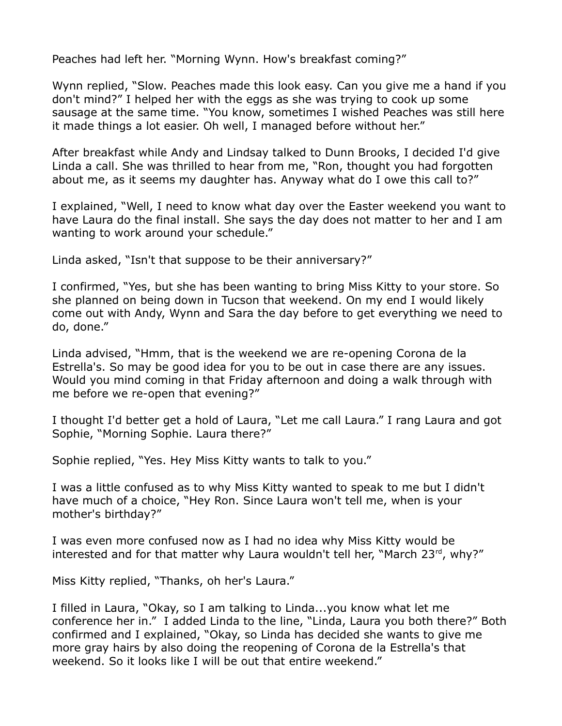Peaches had left her. "Morning Wynn. How's breakfast coming?"

Wynn replied, "Slow. Peaches made this look easy. Can you give me a hand if you don't mind?" I helped her with the eggs as she was trying to cook up some sausage at the same time. "You know, sometimes I wished Peaches was still here it made things a lot easier. Oh well, I managed before without her."

After breakfast while Andy and Lindsay talked to Dunn Brooks, I decided I'd give Linda a call. She was thrilled to hear from me, "Ron, thought you had forgotten about me, as it seems my daughter has. Anyway what do I owe this call to?"

I explained, "Well, I need to know what day over the Easter weekend you want to have Laura do the final install. She says the day does not matter to her and I am wanting to work around your schedule."

Linda asked, "Isn't that suppose to be their anniversary?"

I confirmed, "Yes, but she has been wanting to bring Miss Kitty to your store. So she planned on being down in Tucson that weekend. On my end I would likely come out with Andy, Wynn and Sara the day before to get everything we need to do, done."

Linda advised, "Hmm, that is the weekend we are re-opening Corona de la Estrella's. So may be good idea for you to be out in case there are any issues. Would you mind coming in that Friday afternoon and doing a walk through with me before we re-open that evening?"

I thought I'd better get a hold of Laura, "Let me call Laura." I rang Laura and got Sophie, "Morning Sophie. Laura there?"

Sophie replied, "Yes. Hey Miss Kitty wants to talk to you."

I was a little confused as to why Miss Kitty wanted to speak to me but I didn't have much of a choice, "Hey Ron. Since Laura won't tell me, when is your mother's birthday?"

I was even more confused now as I had no idea why Miss Kitty would be interested and for that matter why Laura wouldn't tell her, "March  $23<sup>rd</sup>$ , why?"

Miss Kitty replied, "Thanks, oh her's Laura."

I filled in Laura, "Okay, so I am talking to Linda...you know what let me conference her in." I added Linda to the line, "Linda, Laura you both there?" Both confirmed and I explained, "Okay, so Linda has decided she wants to give me more gray hairs by also doing the reopening of Corona de la Estrella's that weekend. So it looks like I will be out that entire weekend."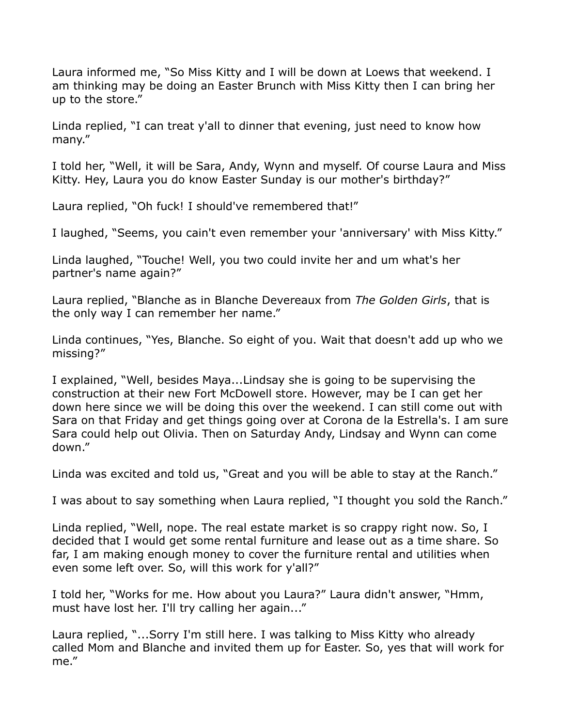Laura informed me, "So Miss Kitty and I will be down at Loews that weekend. I am thinking may be doing an Easter Brunch with Miss Kitty then I can bring her up to the store."

Linda replied, "I can treat y'all to dinner that evening, just need to know how many."

I told her, "Well, it will be Sara, Andy, Wynn and myself. Of course Laura and Miss Kitty. Hey, Laura you do know Easter Sunday is our mother's birthday?"

Laura replied, "Oh fuck! I should've remembered that!"

I laughed, "Seems, you cain't even remember your 'anniversary' with Miss Kitty."

Linda laughed, "Touche! Well, you two could invite her and um what's her partner's name again?"

Laura replied, "Blanche as in Blanche Devereaux from *The Golden Girls*, that is the only way I can remember her name."

Linda continues, "Yes, Blanche. So eight of you. Wait that doesn't add up who we missing?"

I explained, "Well, besides Maya...Lindsay she is going to be supervising the construction at their new Fort McDowell store. However, may be I can get her down here since we will be doing this over the weekend. I can still come out with Sara on that Friday and get things going over at Corona de la Estrella's. I am sure Sara could help out Olivia. Then on Saturday Andy, Lindsay and Wynn can come down."

Linda was excited and told us, "Great and you will be able to stay at the Ranch."

I was about to say something when Laura replied, "I thought you sold the Ranch."

Linda replied, "Well, nope. The real estate market is so crappy right now. So, I decided that I would get some rental furniture and lease out as a time share. So far, I am making enough money to cover the furniture rental and utilities when even some left over. So, will this work for y'all?"

I told her, "Works for me. How about you Laura?" Laura didn't answer, "Hmm, must have lost her. I'll try calling her again..."

Laura replied, "...Sorry I'm still here. I was talking to Miss Kitty who already called Mom and Blanche and invited them up for Easter. So, yes that will work for me."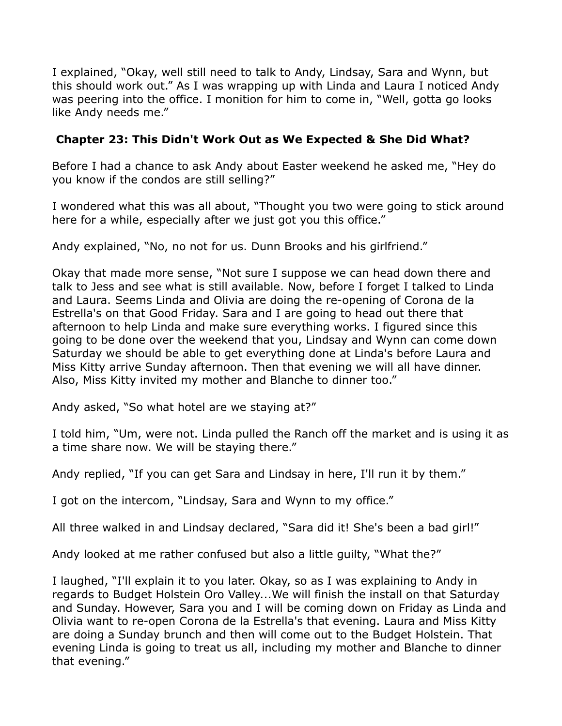I explained, "Okay, well still need to talk to Andy, Lindsay, Sara and Wynn, but this should work out." As I was wrapping up with Linda and Laura I noticed Andy was peering into the office. I monition for him to come in, "Well, gotta go looks like Andy needs me."

## **Chapter 23: This Didn't Work Out as We Expected & She Did What?**

Before I had a chance to ask Andy about Easter weekend he asked me, "Hey do you know if the condos are still selling?"

I wondered what this was all about, "Thought you two were going to stick around here for a while, especially after we just got you this office."

Andy explained, "No, no not for us. Dunn Brooks and his girlfriend."

Okay that made more sense, "Not sure I suppose we can head down there and talk to Jess and see what is still available. Now, before I forget I talked to Linda and Laura. Seems Linda and Olivia are doing the re-opening of Corona de la Estrella's on that Good Friday. Sara and I are going to head out there that afternoon to help Linda and make sure everything works. I figured since this going to be done over the weekend that you, Lindsay and Wynn can come down Saturday we should be able to get everything done at Linda's before Laura and Miss Kitty arrive Sunday afternoon. Then that evening we will all have dinner. Also, Miss Kitty invited my mother and Blanche to dinner too."

Andy asked, "So what hotel are we staying at?"

I told him, "Um, were not. Linda pulled the Ranch off the market and is using it as a time share now. We will be staying there."

Andy replied, "If you can get Sara and Lindsay in here, I'll run it by them."

I got on the intercom, "Lindsay, Sara and Wynn to my office."

All three walked in and Lindsay declared, "Sara did it! She's been a bad girl!"

Andy looked at me rather confused but also a little guilty, "What the?"

I laughed, "I'll explain it to you later. Okay, so as I was explaining to Andy in regards to Budget Holstein Oro Valley...We will finish the install on that Saturday and Sunday. However, Sara you and I will be coming down on Friday as Linda and Olivia want to re-open Corona de la Estrella's that evening. Laura and Miss Kitty are doing a Sunday brunch and then will come out to the Budget Holstein. That evening Linda is going to treat us all, including my mother and Blanche to dinner that evening."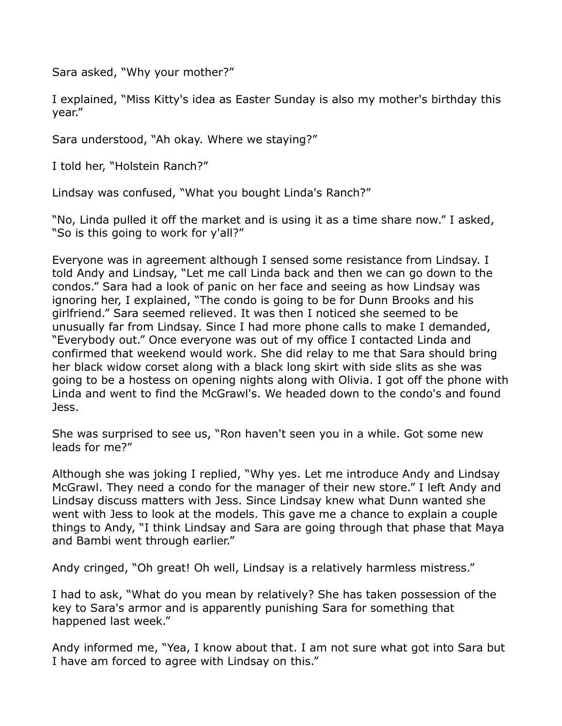Sara asked, "Why your mother?"

I explained, "Miss Kitty's idea as Easter Sunday is also my mother's birthday this year."

Sara understood, "Ah okay. Where we staying?"

I told her, "Holstein Ranch?"

Lindsay was confused, "What you bought Linda's Ranch?"

"No, Linda pulled it off the market and is using it as a time share now." I asked, "So is this going to work for y'all?"

Everyone was in agreement although I sensed some resistance from Lindsay. I told Andy and Lindsay, "Let me call Linda back and then we can go down to the condos." Sara had a look of panic on her face and seeing as how Lindsay was ignoring her, I explained, "The condo is going to be for Dunn Brooks and his girlfriend." Sara seemed relieved. It was then I noticed she seemed to be unusually far from Lindsay. Since I had more phone calls to make I demanded, "Everybody out." Once everyone was out of my office I contacted Linda and confirmed that weekend would work. She did relay to me that Sara should bring her black widow corset along with a black long skirt with side slits as she was going to be a hostess on opening nights along with Olivia. I got off the phone with Linda and went to find the McGrawl's. We headed down to the condo's and found Jess.

She was surprised to see us, "Ron haven't seen you in a while. Got some new leads for me?"

Although she was joking I replied, "Why yes. Let me introduce Andy and Lindsay McGrawl. They need a condo for the manager of their new store." I left Andy and Lindsay discuss matters with Jess. Since Lindsay knew what Dunn wanted she went with Jess to look at the models. This gave me a chance to explain a couple things to Andy, "I think Lindsay and Sara are going through that phase that Maya and Bambi went through earlier."

Andy cringed, "Oh great! Oh well, Lindsay is a relatively harmless mistress."

I had to ask, "What do you mean by relatively? She has taken possession of the key to Sara's armor and is apparently punishing Sara for something that happened last week."

Andy informed me, "Yea, I know about that. I am not sure what got into Sara but I have am forced to agree with Lindsay on this."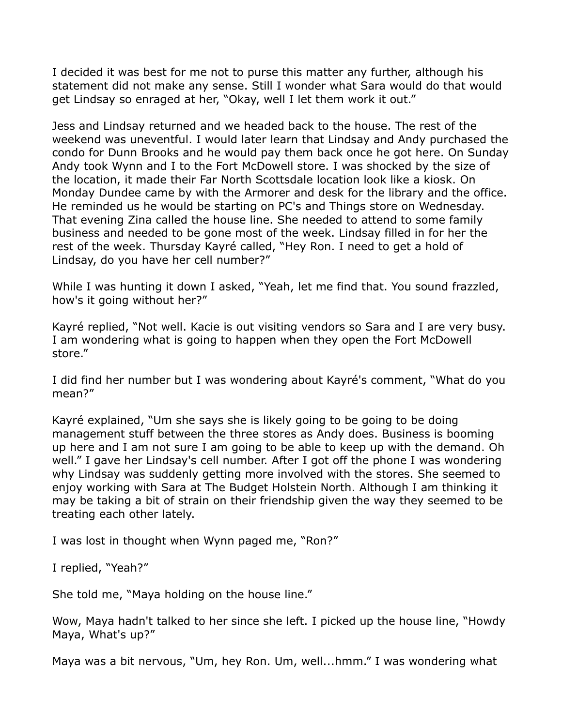I decided it was best for me not to purse this matter any further, although his statement did not make any sense. Still I wonder what Sara would do that would get Lindsay so enraged at her, "Okay, well I let them work it out."

Jess and Lindsay returned and we headed back to the house. The rest of the weekend was uneventful. I would later learn that Lindsay and Andy purchased the condo for Dunn Brooks and he would pay them back once he got here. On Sunday Andy took Wynn and I to the Fort McDowell store. I was shocked by the size of the location, it made their Far North Scottsdale location look like a kiosk. On Monday Dundee came by with the Armorer and desk for the library and the office. He reminded us he would be starting on PC's and Things store on Wednesday. That evening Zina called the house line. She needed to attend to some family business and needed to be gone most of the week. Lindsay filled in for her the rest of the week. Thursday Kayré called, "Hey Ron. I need to get a hold of Lindsay, do you have her cell number?"

While I was hunting it down I asked, "Yeah, let me find that. You sound frazzled, how's it going without her?"

Kayré replied, "Not well. Kacie is out visiting vendors so Sara and I are very busy. I am wondering what is going to happen when they open the Fort McDowell store."

I did find her number but I was wondering about Kayré's comment, "What do you mean?"

Kayré explained, "Um she says she is likely going to be going to be doing management stuff between the three stores as Andy does. Business is booming up here and I am not sure I am going to be able to keep up with the demand. Oh well." I gave her Lindsay's cell number. After I got off the phone I was wondering why Lindsay was suddenly getting more involved with the stores. She seemed to enjoy working with Sara at The Budget Holstein North. Although I am thinking it may be taking a bit of strain on their friendship given the way they seemed to be treating each other lately.

I was lost in thought when Wynn paged me, "Ron?"

I replied, "Yeah?"

She told me, "Maya holding on the house line."

Wow, Maya hadn't talked to her since she left. I picked up the house line, "Howdy Maya, What's up?"

Maya was a bit nervous, "Um, hey Ron. Um, well...hmm." I was wondering what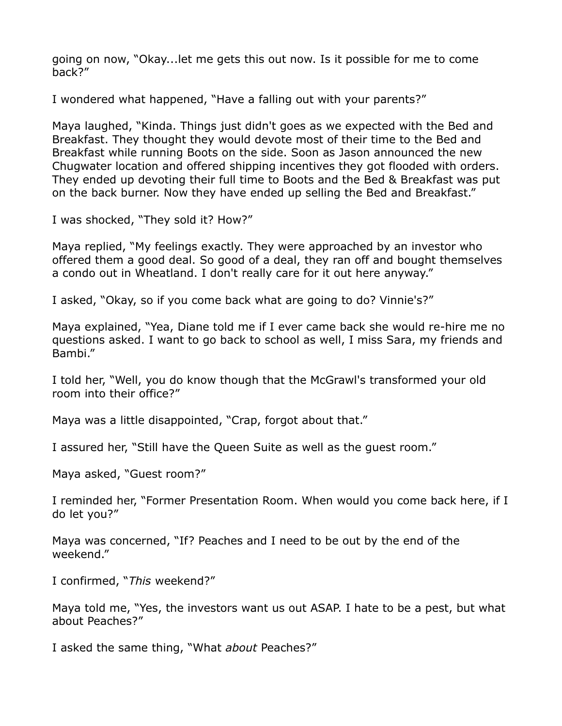going on now, "Okay...let me gets this out now. Is it possible for me to come back?"

I wondered what happened, "Have a falling out with your parents?"

Maya laughed, "Kinda. Things just didn't goes as we expected with the Bed and Breakfast. They thought they would devote most of their time to the Bed and Breakfast while running Boots on the side. Soon as Jason announced the new Chugwater location and offered shipping incentives they got flooded with orders. They ended up devoting their full time to Boots and the Bed & Breakfast was put on the back burner. Now they have ended up selling the Bed and Breakfast."

I was shocked, "They sold it? How?"

Maya replied, "My feelings exactly. They were approached by an investor who offered them a good deal. So good of a deal, they ran off and bought themselves a condo out in Wheatland. I don't really care for it out here anyway."

I asked, "Okay, so if you come back what are going to do? Vinnie's?"

Maya explained, "Yea, Diane told me if I ever came back she would re-hire me no questions asked. I want to go back to school as well, I miss Sara, my friends and Bambi."

I told her, "Well, you do know though that the McGrawl's transformed your old room into their office?"

Maya was a little disappointed, "Crap, forgot about that."

I assured her, "Still have the Queen Suite as well as the guest room."

Maya asked, "Guest room?"

I reminded her, "Former Presentation Room. When would you come back here, if I do let you?"

Maya was concerned, "If? Peaches and I need to be out by the end of the weekend."

I confirmed, "*This* weekend?"

Maya told me, "Yes, the investors want us out ASAP. I hate to be a pest, but what about Peaches?"

I asked the same thing, "What *about* Peaches?"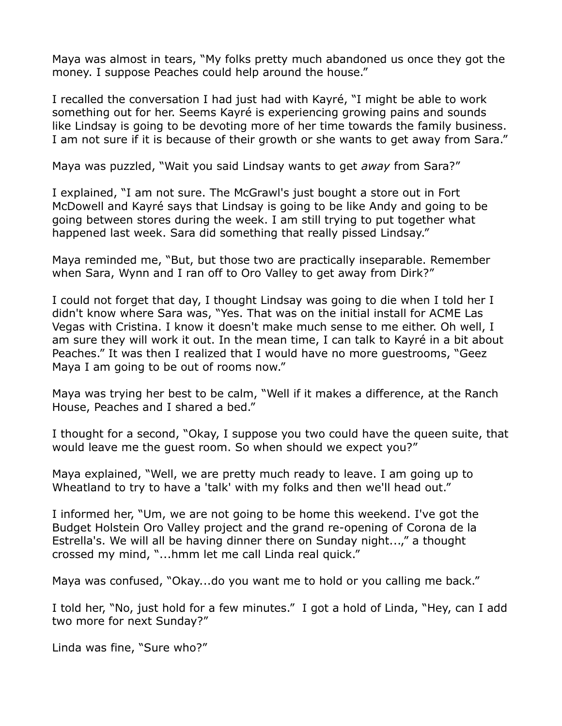Maya was almost in tears, "My folks pretty much abandoned us once they got the money. I suppose Peaches could help around the house."

I recalled the conversation I had just had with Kayré, "I might be able to work something out for her. Seems Kayré is experiencing growing pains and sounds like Lindsay is going to be devoting more of her time towards the family business. I am not sure if it is because of their growth or she wants to get away from Sara."

Maya was puzzled, "Wait you said Lindsay wants to get *away* from Sara?"

I explained, "I am not sure. The McGrawl's just bought a store out in Fort McDowell and Kayré says that Lindsay is going to be like Andy and going to be going between stores during the week. I am still trying to put together what happened last week. Sara did something that really pissed Lindsay."

Maya reminded me, "But, but those two are practically inseparable. Remember when Sara, Wynn and I ran off to Oro Valley to get away from Dirk?"

I could not forget that day, I thought Lindsay was going to die when I told her I didn't know where Sara was, "Yes. That was on the initial install for ACME Las Vegas with Cristina. I know it doesn't make much sense to me either. Oh well, I am sure they will work it out. In the mean time, I can talk to Kayré in a bit about Peaches." It was then I realized that I would have no more guestrooms, "Geez Maya I am going to be out of rooms now."

Maya was trying her best to be calm, "Well if it makes a difference, at the Ranch House, Peaches and I shared a bed."

I thought for a second, "Okay, I suppose you two could have the queen suite, that would leave me the guest room. So when should we expect you?"

Maya explained, "Well, we are pretty much ready to leave. I am going up to Wheatland to try to have a 'talk' with my folks and then we'll head out."

I informed her, "Um, we are not going to be home this weekend. I've got the Budget Holstein Oro Valley project and the grand re-opening of Corona de la Estrella's. We will all be having dinner there on Sunday night...," a thought crossed my mind, "...hmm let me call Linda real quick."

Maya was confused, "Okay...do you want me to hold or you calling me back."

I told her, "No, just hold for a few minutes." I got a hold of Linda, "Hey, can I add two more for next Sunday?"

Linda was fine, "Sure who?"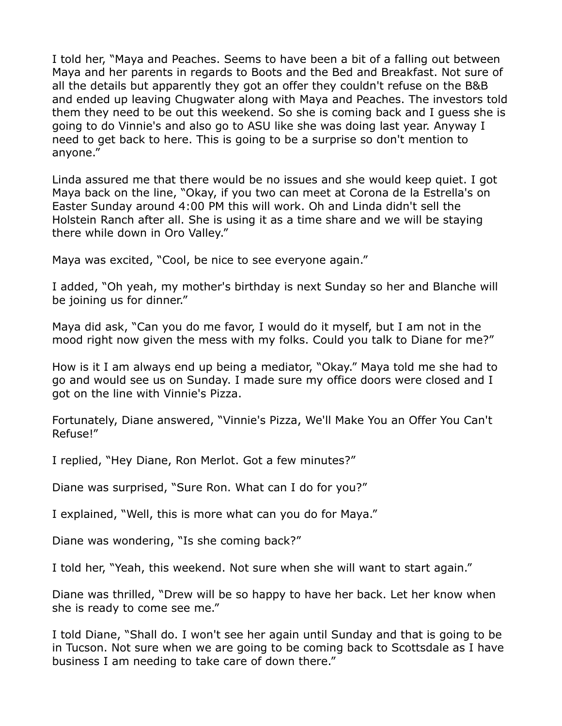I told her, "Maya and Peaches. Seems to have been a bit of a falling out between Maya and her parents in regards to Boots and the Bed and Breakfast. Not sure of all the details but apparently they got an offer they couldn't refuse on the B&B and ended up leaving Chugwater along with Maya and Peaches. The investors told them they need to be out this weekend. So she is coming back and I guess she is going to do Vinnie's and also go to ASU like she was doing last year. Anyway I need to get back to here. This is going to be a surprise so don't mention to anyone."

Linda assured me that there would be no issues and she would keep quiet. I got Maya back on the line, "Okay, if you two can meet at Corona de la Estrella's on Easter Sunday around 4:00 PM this will work. Oh and Linda didn't sell the Holstein Ranch after all. She is using it as a time share and we will be staying there while down in Oro Valley."

Maya was excited, "Cool, be nice to see everyone again."

I added, "Oh yeah, my mother's birthday is next Sunday so her and Blanche will be joining us for dinner."

Maya did ask, "Can you do me favor, I would do it myself, but I am not in the mood right now given the mess with my folks. Could you talk to Diane for me?"

How is it I am always end up being a mediator, "Okay." Maya told me she had to go and would see us on Sunday. I made sure my office doors were closed and I got on the line with Vinnie's Pizza.

Fortunately, Diane answered, "Vinnie's Pizza, We'll Make You an Offer You Can't Refuse!"

I replied, "Hey Diane, Ron Merlot. Got a few minutes?"

Diane was surprised, "Sure Ron. What can I do for you?"

I explained, "Well, this is more what can you do for Maya."

Diane was wondering, "Is she coming back?"

I told her, "Yeah, this weekend. Not sure when she will want to start again."

Diane was thrilled, "Drew will be so happy to have her back. Let her know when she is ready to come see me."

I told Diane, "Shall do. I won't see her again until Sunday and that is going to be in Tucson. Not sure when we are going to be coming back to Scottsdale as I have business I am needing to take care of down there."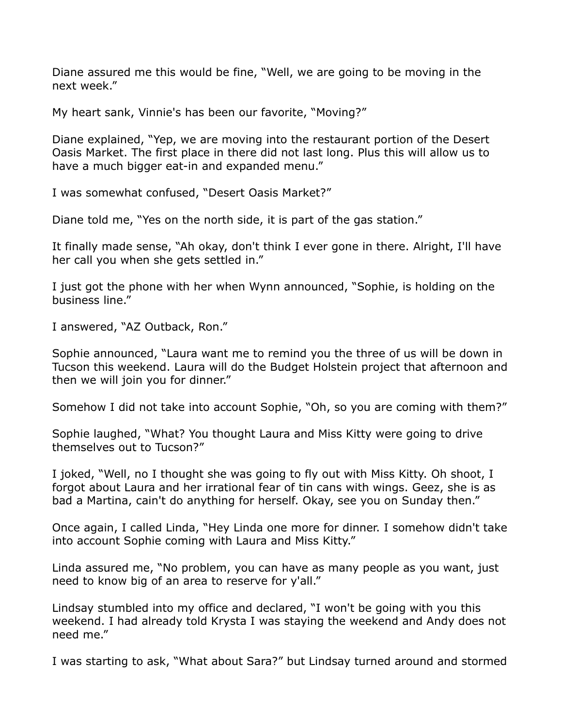Diane assured me this would be fine, "Well, we are going to be moving in the next week."

My heart sank, Vinnie's has been our favorite, "Moving?"

Diane explained, "Yep, we are moving into the restaurant portion of the Desert Oasis Market. The first place in there did not last long. Plus this will allow us to have a much bigger eat-in and expanded menu."

I was somewhat confused, "Desert Oasis Market?"

Diane told me, "Yes on the north side, it is part of the gas station."

It finally made sense, "Ah okay, don't think I ever gone in there. Alright, I'll have her call you when she gets settled in."

I just got the phone with her when Wynn announced, "Sophie, is holding on the business line."

I answered, "AZ Outback, Ron."

Sophie announced, "Laura want me to remind you the three of us will be down in Tucson this weekend. Laura will do the Budget Holstein project that afternoon and then we will join you for dinner."

Somehow I did not take into account Sophie, "Oh, so you are coming with them?"

Sophie laughed, "What? You thought Laura and Miss Kitty were going to drive themselves out to Tucson?"

I joked, "Well, no I thought she was going to fly out with Miss Kitty. Oh shoot, I forgot about Laura and her irrational fear of tin cans with wings. Geez, she is as bad a Martina, cain't do anything for herself. Okay, see you on Sunday then."

Once again, I called Linda, "Hey Linda one more for dinner. I somehow didn't take into account Sophie coming with Laura and Miss Kitty."

Linda assured me, "No problem, you can have as many people as you want, just need to know big of an area to reserve for y'all."

Lindsay stumbled into my office and declared, "I won't be going with you this weekend. I had already told Krysta I was staying the weekend and Andy does not need me."

I was starting to ask, "What about Sara?" but Lindsay turned around and stormed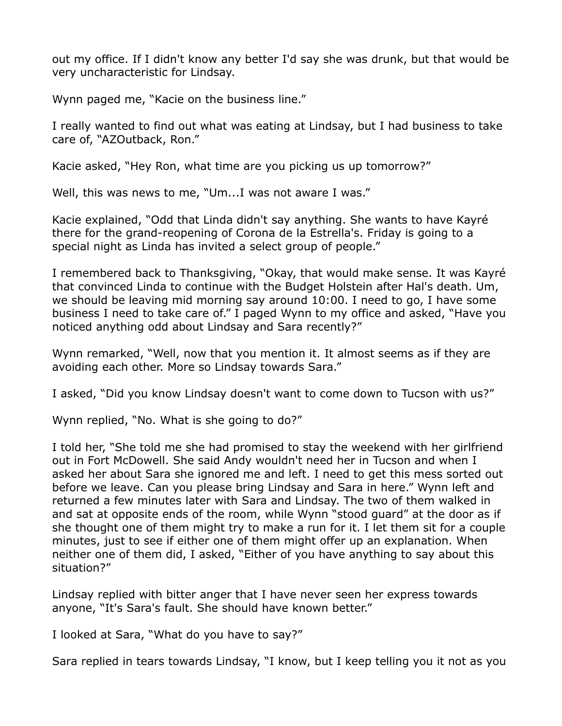out my office. If I didn't know any better I'd say she was drunk, but that would be very uncharacteristic for Lindsay.

Wynn paged me, "Kacie on the business line."

I really wanted to find out what was eating at Lindsay, but I had business to take care of, "AZOutback, Ron."

Kacie asked, "Hey Ron, what time are you picking us up tomorrow?"

Well, this was news to me, "Um...I was not aware I was."

Kacie explained, "Odd that Linda didn't say anything. She wants to have Kayré there for the grand-reopening of Corona de la Estrella's. Friday is going to a special night as Linda has invited a select group of people."

I remembered back to Thanksgiving, "Okay, that would make sense. It was Kayré that convinced Linda to continue with the Budget Holstein after Hal's death. Um, we should be leaving mid morning say around 10:00. I need to go, I have some business I need to take care of." I paged Wynn to my office and asked, "Have you noticed anything odd about Lindsay and Sara recently?"

Wynn remarked, "Well, now that you mention it. It almost seems as if they are avoiding each other. More so Lindsay towards Sara."

I asked, "Did you know Lindsay doesn't want to come down to Tucson with us?"

Wynn replied, "No. What is she going to do?"

I told her, "She told me she had promised to stay the weekend with her girlfriend out in Fort McDowell. She said Andy wouldn't need her in Tucson and when I asked her about Sara she ignored me and left. I need to get this mess sorted out before we leave. Can you please bring Lindsay and Sara in here." Wynn left and returned a few minutes later with Sara and Lindsay. The two of them walked in and sat at opposite ends of the room, while Wynn "stood guard" at the door as if she thought one of them might try to make a run for it. I let them sit for a couple minutes, just to see if either one of them might offer up an explanation. When neither one of them did, I asked, "Either of you have anything to say about this situation?"

Lindsay replied with bitter anger that I have never seen her express towards anyone, "It's Sara's fault. She should have known better."

I looked at Sara, "What do you have to say?"

Sara replied in tears towards Lindsay, "I know, but I keep telling you it not as you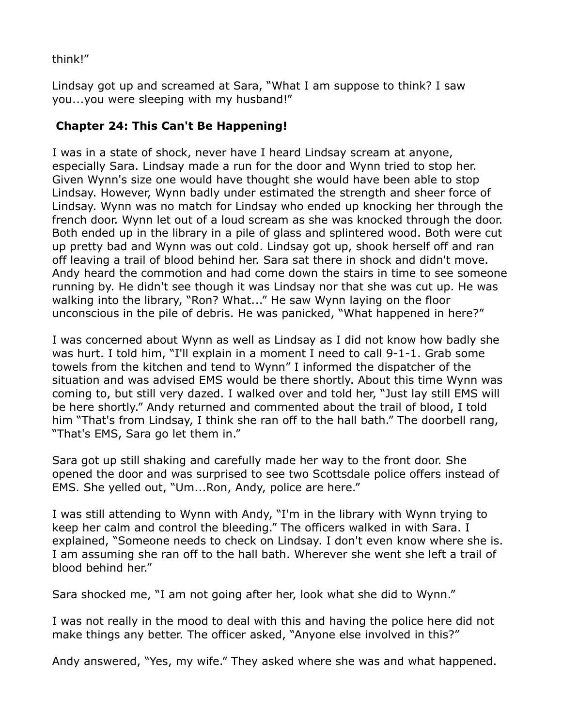think!"

Lindsay got up and screamed at Sara, "What I am suppose to think? I saw you...you were sleeping with my husband!"

## **Chapter 24: This Can't Be Happening!**

I was in a state of shock, never have I heard Lindsay scream at anyone, especially Sara. Lindsay made a run for the door and Wynn tried to stop her. Given Wynn's size one would have thought she would have been able to stop Lindsay. However, Wynn badly under estimated the strength and sheer force of Lindsay. Wynn was no match for Lindsay who ended up knocking her through the french door. Wynn let out of a loud scream as she was knocked through the door. Both ended up in the library in a pile of glass and splintered wood. Both were cut up pretty bad and Wynn was out cold. Lindsay got up, shook herself off and ran off leaving a trail of blood behind her. Sara sat there in shock and didn't move. Andy heard the commotion and had come down the stairs in time to see someone running by. He didn't see though it was Lindsay nor that she was cut up. He was walking into the library, "Ron? What..." He saw Wynn laying on the floor unconscious in the pile of debris. He was panicked, "What happened in here?"

I was concerned about Wynn as well as Lindsay as I did not know how badly she was hurt. I told him, "I'll explain in a moment I need to call 9-1-1. Grab some towels from the kitchen and tend to Wynn" I informed the dispatcher of the situation and was advised EMS would be there shortly. About this time Wynn was coming to, but still very dazed. I walked over and told her, "Just lay still EMS will be here shortly." Andy returned and commented about the trail of blood, I told him "That's from Lindsay, I think she ran off to the hall bath." The doorbell rang, "That's EMS, Sara go let them in."

Sara got up still shaking and carefully made her way to the front door. She opened the door and was surprised to see two Scottsdale police offers instead of EMS. She yelled out, "Um...Ron, Andy, police are here."

I was still attending to Wynn with Andy, "I'm in the library with Wynn trying to keep her calm and control the bleeding." The officers walked in with Sara. I explained, "Someone needs to check on Lindsay. I don't even know where she is. I am assuming she ran off to the hall bath. Wherever she went she left a trail of blood behind her."

Sara shocked me, "I am not going after her, look what she did to Wynn."

I was not really in the mood to deal with this and having the police here did not make things any better. The officer asked, "Anyone else involved in this?"

Andy answered, "Yes, my wife." They asked where she was and what happened.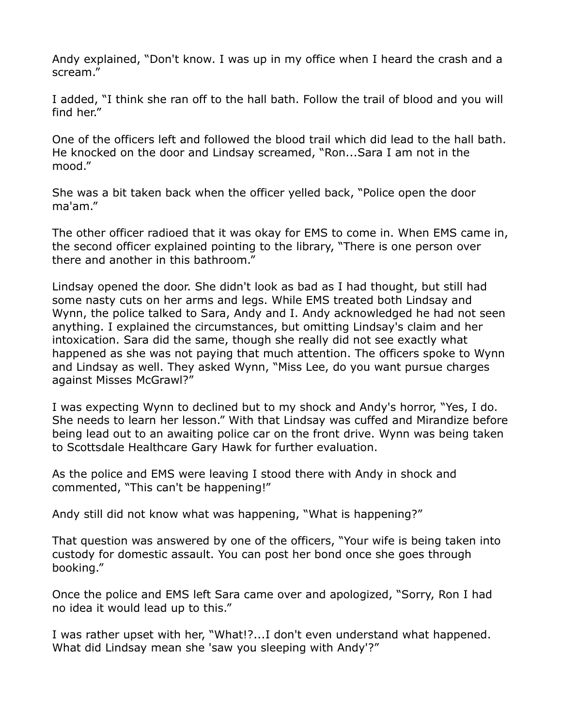Andy explained, "Don't know. I was up in my office when I heard the crash and a scream."

I added, "I think she ran off to the hall bath. Follow the trail of blood and you will find her."

One of the officers left and followed the blood trail which did lead to the hall bath. He knocked on the door and Lindsay screamed, "Ron...Sara I am not in the mood."

She was a bit taken back when the officer yelled back, "Police open the door ma'am."

The other officer radioed that it was okay for EMS to come in. When EMS came in, the second officer explained pointing to the library, "There is one person over there and another in this bathroom."

Lindsay opened the door. She didn't look as bad as I had thought, but still had some nasty cuts on her arms and legs. While EMS treated both Lindsay and Wynn, the police talked to Sara, Andy and I. Andy acknowledged he had not seen anything. I explained the circumstances, but omitting Lindsay's claim and her intoxication. Sara did the same, though she really did not see exactly what happened as she was not paying that much attention. The officers spoke to Wynn and Lindsay as well. They asked Wynn, "Miss Lee, do you want pursue charges against Misses McGrawl?"

I was expecting Wynn to declined but to my shock and Andy's horror, "Yes, I do. She needs to learn her lesson." With that Lindsay was cuffed and Mirandize before being lead out to an awaiting police car on the front drive. Wynn was being taken to Scottsdale Healthcare Gary Hawk for further evaluation.

As the police and EMS were leaving I stood there with Andy in shock and commented, "This can't be happening!"

Andy still did not know what was happening, "What is happening?"

That question was answered by one of the officers, "Your wife is being taken into custody for domestic assault. You can post her bond once she goes through booking."

Once the police and EMS left Sara came over and apologized, "Sorry, Ron I had no idea it would lead up to this."

I was rather upset with her, "What!?...I don't even understand what happened. What did Lindsay mean she 'saw you sleeping with Andy'?"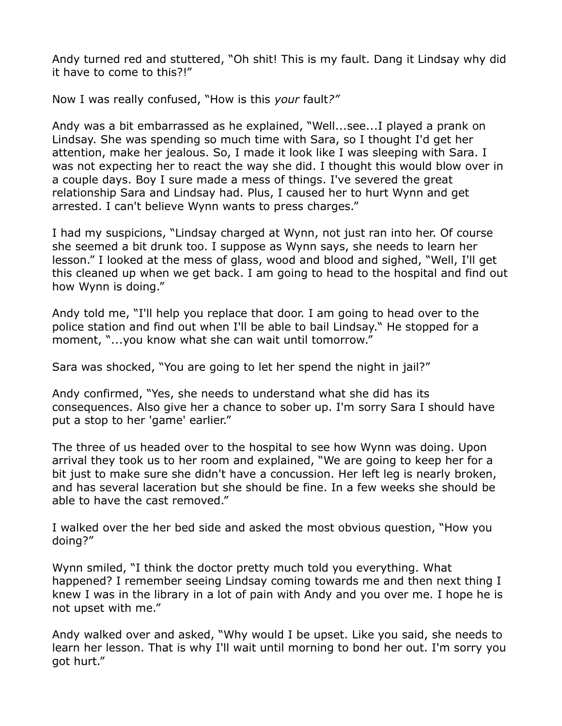Andy turned red and stuttered, "Oh shit! This is my fault. Dang it Lindsay why did it have to come to this?!"

Now I was really confused, "How is this *your* fault*?"*

Andy was a bit embarrassed as he explained, "Well...see...I played a prank on Lindsay. She was spending so much time with Sara, so I thought I'd get her attention, make her jealous. So, I made it look like I was sleeping with Sara. I was not expecting her to react the way she did. I thought this would blow over in a couple days. Boy I sure made a mess of things. I've severed the great relationship Sara and Lindsay had. Plus, I caused her to hurt Wynn and get arrested. I can't believe Wynn wants to press charges."

I had my suspicions, "Lindsay charged at Wynn, not just ran into her. Of course she seemed a bit drunk too. I suppose as Wynn says, she needs to learn her lesson." I looked at the mess of glass, wood and blood and sighed, "Well, I'll get this cleaned up when we get back. I am going to head to the hospital and find out how Wynn is doing."

Andy told me, "I'll help you replace that door. I am going to head over to the police station and find out when I'll be able to bail Lindsay." He stopped for a moment, "...you know what she can wait until tomorrow."

Sara was shocked, "You are going to let her spend the night in jail?"

Andy confirmed, "Yes, she needs to understand what she did has its consequences. Also give her a chance to sober up. I'm sorry Sara I should have put a stop to her 'game' earlier."

The three of us headed over to the hospital to see how Wynn was doing. Upon arrival they took us to her room and explained, "We are going to keep her for a bit just to make sure she didn't have a concussion. Her left leg is nearly broken, and has several laceration but she should be fine. In a few weeks she should be able to have the cast removed."

I walked over the her bed side and asked the most obvious question, "How you doing?"

Wynn smiled, "I think the doctor pretty much told you everything. What happened? I remember seeing Lindsay coming towards me and then next thing I knew I was in the library in a lot of pain with Andy and you over me. I hope he is not upset with me."

Andy walked over and asked, "Why would I be upset. Like you said, she needs to learn her lesson. That is why I'll wait until morning to bond her out. I'm sorry you got hurt."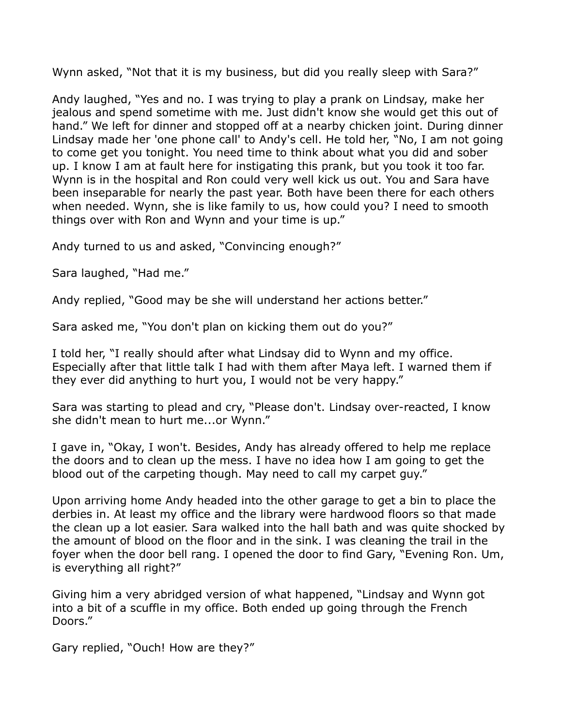Wynn asked, "Not that it is my business, but did you really sleep with Sara?"

Andy laughed, "Yes and no. I was trying to play a prank on Lindsay, make her jealous and spend sometime with me. Just didn't know she would get this out of hand." We left for dinner and stopped off at a nearby chicken joint. During dinner Lindsay made her 'one phone call' to Andy's cell. He told her, "No, I am not going to come get you tonight. You need time to think about what you did and sober up. I know I am at fault here for instigating this prank, but you took it too far. Wynn is in the hospital and Ron could very well kick us out. You and Sara have been inseparable for nearly the past year. Both have been there for each others when needed. Wynn, she is like family to us, how could you? I need to smooth things over with Ron and Wynn and your time is up."

Andy turned to us and asked, "Convincing enough?"

Sara laughed, "Had me."

Andy replied, "Good may be she will understand her actions better."

Sara asked me, "You don't plan on kicking them out do you?"

I told her, "I really should after what Lindsay did to Wynn and my office. Especially after that little talk I had with them after Maya left. I warned them if they ever did anything to hurt you, I would not be very happy."

Sara was starting to plead and cry, "Please don't. Lindsay over-reacted, I know she didn't mean to hurt me...or Wynn."

I gave in, "Okay, I won't. Besides, Andy has already offered to help me replace the doors and to clean up the mess. I have no idea how I am going to get the blood out of the carpeting though. May need to call my carpet guy."

Upon arriving home Andy headed into the other garage to get a bin to place the derbies in. At least my office and the library were hardwood floors so that made the clean up a lot easier. Sara walked into the hall bath and was quite shocked by the amount of blood on the floor and in the sink. I was cleaning the trail in the foyer when the door bell rang. I opened the door to find Gary, "Evening Ron. Um, is everything all right?"

Giving him a very abridged version of what happened, "Lindsay and Wynn got into a bit of a scuffle in my office. Both ended up going through the French Doors."

Gary replied, "Ouch! How are they?"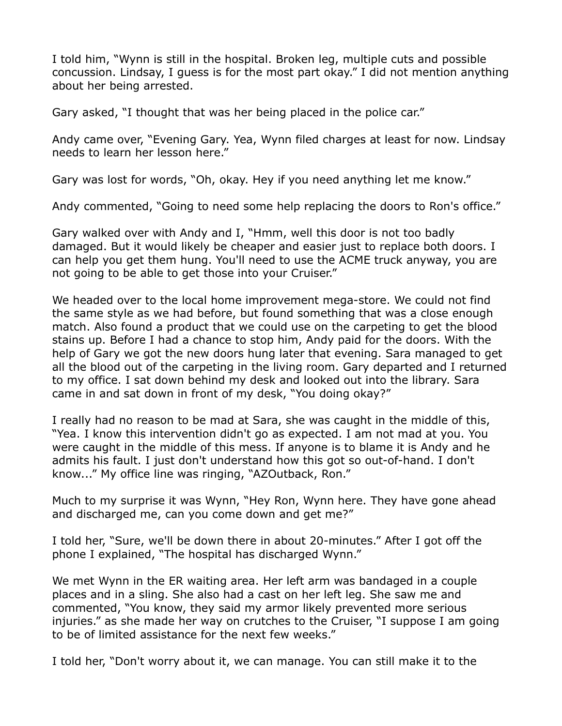I told him, "Wynn is still in the hospital. Broken leg, multiple cuts and possible concussion. Lindsay, I guess is for the most part okay." I did not mention anything about her being arrested.

Gary asked, "I thought that was her being placed in the police car."

Andy came over, "Evening Gary. Yea, Wynn filed charges at least for now. Lindsay needs to learn her lesson here."

Gary was lost for words, "Oh, okay. Hey if you need anything let me know."

Andy commented, "Going to need some help replacing the doors to Ron's office."

Gary walked over with Andy and I, "Hmm, well this door is not too badly damaged. But it would likely be cheaper and easier just to replace both doors. I can help you get them hung. You'll need to use the ACME truck anyway, you are not going to be able to get those into your Cruiser."

We headed over to the local home improvement mega-store. We could not find the same style as we had before, but found something that was a close enough match. Also found a product that we could use on the carpeting to get the blood stains up. Before I had a chance to stop him, Andy paid for the doors. With the help of Gary we got the new doors hung later that evening. Sara managed to get all the blood out of the carpeting in the living room. Gary departed and I returned to my office. I sat down behind my desk and looked out into the library. Sara came in and sat down in front of my desk, "You doing okay?"

I really had no reason to be mad at Sara, she was caught in the middle of this, "Yea. I know this intervention didn't go as expected. I am not mad at you. You were caught in the middle of this mess. If anyone is to blame it is Andy and he admits his fault. I just don't understand how this got so out-of-hand. I don't know..." My office line was ringing, "AZOutback, Ron."

Much to my surprise it was Wynn, "Hey Ron, Wynn here. They have gone ahead and discharged me, can you come down and get me?"

I told her, "Sure, we'll be down there in about 20-minutes." After I got off the phone I explained, "The hospital has discharged Wynn."

We met Wynn in the ER waiting area. Her left arm was bandaged in a couple places and in a sling. She also had a cast on her left leg. She saw me and commented, "You know, they said my armor likely prevented more serious injuries." as she made her way on crutches to the Cruiser, "I suppose I am going to be of limited assistance for the next few weeks."

I told her, "Don't worry about it, we can manage. You can still make it to the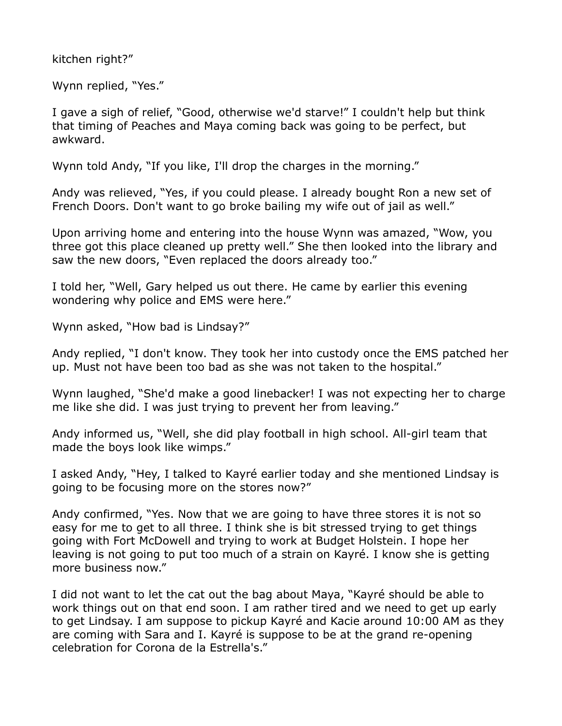kitchen right?"

Wynn replied, "Yes."

I gave a sigh of relief, "Good, otherwise we'd starve!" I couldn't help but think that timing of Peaches and Maya coming back was going to be perfect, but awkward.

Wynn told Andy, "If you like, I'll drop the charges in the morning."

Andy was relieved, "Yes, if you could please. I already bought Ron a new set of French Doors. Don't want to go broke bailing my wife out of jail as well."

Upon arriving home and entering into the house Wynn was amazed, "Wow, you three got this place cleaned up pretty well." She then looked into the library and saw the new doors, "Even replaced the doors already too."

I told her, "Well, Gary helped us out there. He came by earlier this evening wondering why police and EMS were here."

Wynn asked, "How bad is Lindsay?"

Andy replied, "I don't know. They took her into custody once the EMS patched her up. Must not have been too bad as she was not taken to the hospital."

Wynn laughed, "She'd make a good linebacker! I was not expecting her to charge me like she did. I was just trying to prevent her from leaving."

Andy informed us, "Well, she did play football in high school. All-girl team that made the boys look like wimps."

I asked Andy, "Hey, I talked to Kayré earlier today and she mentioned Lindsay is going to be focusing more on the stores now?"

Andy confirmed, "Yes. Now that we are going to have three stores it is not so easy for me to get to all three. I think she is bit stressed trying to get things going with Fort McDowell and trying to work at Budget Holstein. I hope her leaving is not going to put too much of a strain on Kayré. I know she is getting more business now."

I did not want to let the cat out the bag about Maya, "Kayré should be able to work things out on that end soon. I am rather tired and we need to get up early to get Lindsay. I am suppose to pickup Kayré and Kacie around 10:00 AM as they are coming with Sara and I. Kayré is suppose to be at the grand re-opening celebration for Corona de la Estrella's."